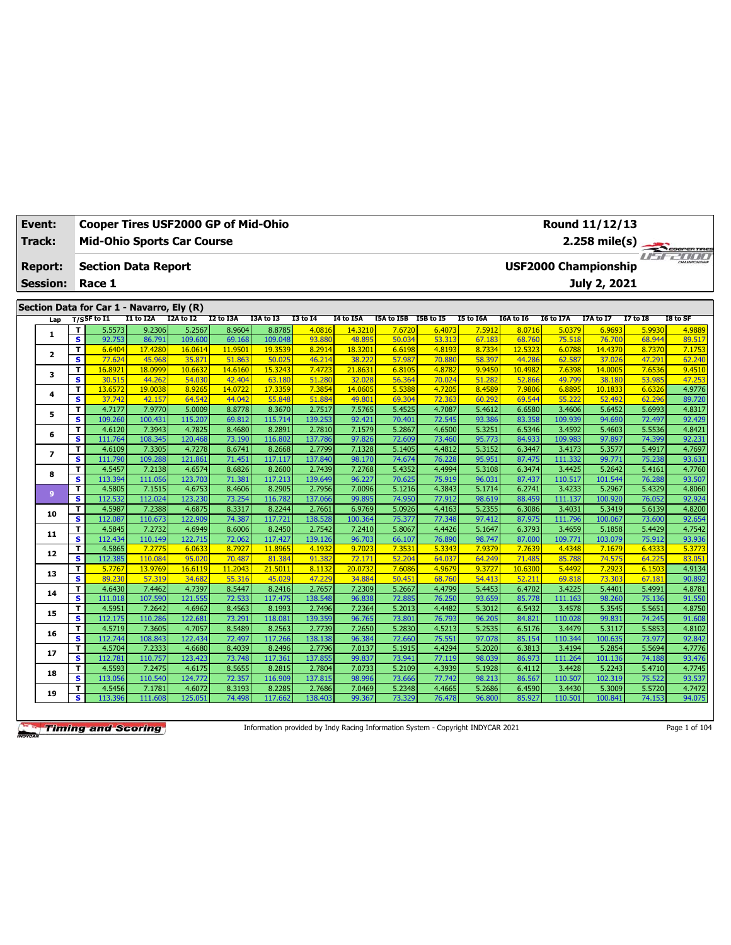| Event:          |                              | Cooper Tires USF2000 GP of Mid-Ohio       |                   |                    |                   |                    |                   |                   |                      |                  |                  |                   |                   | Round 11/12/13              |                  |                  |
|-----------------|------------------------------|-------------------------------------------|-------------------|--------------------|-------------------|--------------------|-------------------|-------------------|----------------------|------------------|------------------|-------------------|-------------------|-----------------------------|------------------|------------------|
| Track:          |                              | <b>Mid-Ohio Sports Car Course</b>         |                   |                    |                   |                    |                   |                   |                      |                  |                  |                   |                   | $2.258$ mile(s)             |                  | COOPERTIRES      |
| <b>Report:</b>  |                              | <b>Section Data Report</b>                |                   |                    |                   |                    |                   |                   |                      |                  |                  |                   |                   | <b>USF2000 Championship</b> |                  | use and          |
| <b>Session:</b> |                              | Race 1                                    |                   |                    |                   |                    |                   |                   |                      |                  |                  |                   |                   | July 2, 2021                |                  |                  |
|                 |                              |                                           |                   |                    |                   |                    |                   |                   |                      |                  |                  |                   |                   |                             |                  |                  |
|                 |                              | Section Data for Car 1 - Navarro, Ely (R) |                   |                    |                   |                    |                   |                   |                      |                  |                  |                   |                   |                             |                  |                  |
| Lap             |                              | $T/S$ SF to I1                            | I1 to I2A         | I2A to I2          | I2 to I3A         | I3A to I3          | <b>I3 to I4</b>   | I4 to I5A         | I5A to I5B I5B to I5 |                  | I5 to I6A        | I6A to I6         | <b>I6 to I7A</b>  | I7A to I7                   | <b>I7 to I8</b>  | I8 to SF         |
| 1               | т                            | 5.5573                                    | 9.2306            | 5.2567             | 8.9604            | 8.8785             | 4.0816            | 14.3210           | 7.6720               | 6.4073           | 7.5912           | 8.0716            | 5.0379            | 6.9693                      | 5.9930           | 4.9889           |
|                 | $\overline{\mathbf{s}}$<br>T | 92.753<br>6.6404                          | 86.791<br>17.4280 | 109.600<br>16.0614 | 69.168<br>11.9501 | 109.048<br>19.3539 | 93.880<br>8.2914  | 48.895<br>18.3201 | 50.034<br>6.6198     | 53.313<br>4.8193 | 67.183<br>8.7334 | 68.760<br>12.5323 | 75.518<br>6.0788  | 76.700<br>14.4370           | 68.944<br>8.7370 | 89.517<br>7.1753 |
| $\mathbf{2}$    | S                            | 77.624                                    | 45.968            | 35.871             | 51.863            | 50.025             | 46.214            | 38.222            | 57.987               | 70.880           | 58.397           | 44.286            | 62.587            | 37.026                      | 47.291           | 62.240           |
|                 | T                            | 16.8921                                   | 18.0999           | 10.6632            | 14,6160           | 15.3243            | 7.4723            | 21.8631           | 6.8105               | 4.8782           | 9.9450           | 10.4982           | 7.6398            | 14.0005                     | 7.6536           | 9.4510           |
| з               | s                            | 30.515                                    | 44.262            | 54.030             | 42,404            | 63.180             | 51.280            | 32.028            | 56.364               | 70.024           | 51.282           | 52.866            | 49.799            | 38.180                      | 53.985           | 47.253           |
| 4               | T                            | 13.6572                                   | 19.0038           | 8.9265             | 14.0722           | 17.3359            | 7.3854            | 14.0605           | 5.5388               | 4.7205           | 8.4589           | 7.9806            | 6.8895            | 10.1833                     | 6.6326           | 4.9776           |
|                 | s                            | 37.742                                    | 42.157            | 64.542             | 44.042            | 55.848             | 51.884            | 49.80             | 69.304               | 72.363           | 60.292           | 69.544            | 55.222            | 52.492                      | 62.296           | 89.720           |
| 5               | T                            | 4.7177                                    | 7.9770            | 5.0009             | 8.8778            | 8.3670             | 2.7517            | 7.5765            | 5.4525               | 4.7087           | 5.4612           | 6.6580            | 3.4606            | 5.6452                      | 5.6993           | 4.8317           |
|                 | $\overline{\mathbf{s}}$      | 109.260                                   | 100.431           | 115.207            | 69.812            | 115.714            | 139.253           | 92.421            | 70.401               | 72.545           | 93.386           | 83.358            | 109.939           | 94.690                      | 72.497           | 92.429           |
| 6               | T<br>$\overline{\mathbf{s}}$ | 4.6120<br>111.764                         | 7.3943<br>108.345 | 4.7825<br>120.468  | 8.4680<br>73.190  | 8.2891<br>116.802  | 2.7810<br>137.786 | 7.1579<br>97.826  | 5.2867<br>72.609     | 4.6500<br>73.460 | 5.3251<br>95.773 | 6.5346<br>84.933  | 3.4592<br>109.983 | 5.4603<br>97.897            | 5.5536<br>74.399 | 4.8421<br>92.231 |
|                 | T                            | 4.6109                                    | 7.3305            | 4.7278             | 8.6741            | 8.2668             | 2.7799            | 7.1328            | 5.1405               | 4.4812           | 5.3152           | 6.3447            | 3.4173            | 5.3577                      | 5.4917           | 4.7697           |
| $\overline{ }$  | s                            | 111.790                                   | 109.288           | 121.861            | 71.451            | 117.117            | 137.840           | 98.170            | 74.674               | 76.228           | 95.951           | 87.475            | 111.332           | 99.771                      | 75.238           | 93.631           |
|                 | T                            | 4.5457                                    | 7.2138            | 4.6574             | 8.6826            | 8.2600             | 2.7439            | 7.2768            | 5.4352               | 4.4994           | 5.3108           | 6.3474            | 3.4425            | 5.2642                      | 5.4161           | 4.7760           |
| 8               | s                            | 113.394                                   | 111.056           | 123.703            | 71.381            | 117.213            | 139.649           | 96.227            | 70.625               | 75.919           | 96.031           | 87.437            | 110.517           | 101.544                     | 76.288           | 93.507           |
| 9               | T                            | 4.5805                                    | 7.1515            | 4.6753             | 8.4606            | 8.2905             | 2.7956            | 7.0096            | 5.1216               | 4.3843           | 5.1714           | 6.2741            | 3.4233            | 5.2967                      | 5.4329           | 4.8060           |
|                 | s                            | 112.532                                   | 112.024           | 123.230            | 73.254            | 116.782            | 137.066           | 99.895            | 74.950               | 77.912           | 98.619           | 88.459            | 111.137           | 100.920                     | 76.052           | 92.924           |
| 10              | T                            | 4.5987                                    | 7.2388            | 4.6875             | 8.3317            | 8.2244             | 2.7661            | 6.9769            | 5.0926               | 4.4163           | 5.2355           | 6.3086            | 3.4031            | 5.3419                      | 5.6139           | 4.8200           |
|                 | s                            | 112.087                                   | 110.673           | 122.909            | 74.387            | 117.721            | 138.528           | 100.364           | 75.377               | 77.348           | 97.412           | 87.975            | 111.796           | 100.067                     | 73.600           | 92.654           |
| 11              | T                            | 4.5845                                    | 7.2732            | 4.6949             | 8.6006            | 8.2450             | 2.7542            | 7.2410            | 5.8067               | 4.4426           | 5.1647           | 6.3793            | 3.4659            | 5.1858                      | 5.4429           | 4.7542           |
|                 | s                            | 112.434                                   | 110.149           | 122.715            | 72.062            | 117.427            | 139.126           | 96.703<br>9,7023  | 66.107               | 76.890           | 98.747           | 87.000            | 109.771           | 103.079                     | 75.912           | 93.936           |
| 12              | T<br>s                       | 4.5865<br>112.385                         | 7.2775<br>110.084 | 6.0633<br>95.020   | 8.7927<br>70.487  | 11.8965<br>81.384  | 4.1932<br>91.382  | 72.171            | 7.3531<br>52.204     | 5.3343<br>64.037 | 7.9379<br>64.249 | 7.7639<br>71.485  | 4.4348<br>85.788  | 7.1679<br>74.575            | 6.4333<br>64.225 | 5.3773<br>83.051 |
|                 | T                            | 5.7767                                    | 13.9769           | 16.6119            | 11.2043           | 21.5011            | 8.1132            | 20.0732           | 7.6086               | 4.9679           | 9.3727           | 10.6300           | 5.4492            | 7.2923                      | 6.150            | 4.9134           |
| 13              | $\overline{\mathbf{s}}$      | 89.230                                    | 57.319            | 34.682             | 55.316            | 45.029             | 47.229            | 34.884            | 50.451               | 68.760           | 54.413           | 52.211            | 69.818            | 73.303                      | 67.181           | 90.892           |
|                 | T                            | 4.6430                                    | 7.4462            | 4.7397             | 8.5447            | 8.2416             | 2.7657            | 7.2309            | 5.2667               | 4.4799           | 5.4453           | 6.4702            | 3.4225            | 5.4401                      | 5.4991           | 4.8781           |
| 14              | s                            | 111.018                                   | 107.590           | 121.555            | 72.533            | 117.475            | 138.548           | 96.838            | 72.885               | 76.250           | 93.659           | 85.778            | 111.163           | 98.260                      | 75.136           | 91.550           |
| 15              | T                            | 4.5951                                    | 7.2642            | 4.6962             | 8.4563            | 8.1993             | 2.7496            | 7.2364            | 5.2013               | 4.4482           | 5.3012           | 6.5432            | 3.4578            | 5.3545                      | 5.5651           | 4.8750           |
|                 | s                            | 112.175                                   | 110.286           | 122.681            | 73.291            | 118.081            | 139.359           | 96.765            | 73.801               | 76.793           | 96.205           | 84.821            | 110.028           | 99.831                      | 74.245           | 91.608           |
| 16              | T                            | 4.5719                                    | 7.3605            | 4.7057             | 8.5489            | 8.2563             | 2.7739            | 7.2650            | 5.2830               | 4.5213           | 5.2535           | 6.5176            | 3.4479            | 5.3117                      | 5.5853           | 4.8102           |
|                 | $\overline{\mathbf{s}}$      | 112.744                                   | 108.843           | 122.434            | 72.497            | 117.266            | 138.138           | 96.384            | 72.660               | 75.55            | 97.078           | 85.154            | 110.344           | 100.635                     | 73.977           | 92.842           |
| 17              | T<br>$\overline{\mathbf{s}}$ | 4.5704                                    | 7.2333            | 4.6680             | 8.4039            | 8.2496             | 2.7796<br>137.855 | 7.0137<br>99.837  | 5.1915               | 4.4294           | 5.2020           | 6.3813            | 3.4194<br>111.264 | 5.2854                      | 5.5694           | 4.7776<br>93.476 |
|                 | т                            | 112.781<br>4.5593                         | 110.757<br>7.2475 | 123.423<br>4.6175  | 73.748<br>8.5655  | 117.361<br>8.2815  | 2.7804            | 7.0733            | 73.941<br>5.2109     | 77.119<br>4.3939 | 98.039<br>5.1928 | 86.973<br>6.4112  | 3.4428            | 101.136<br>5.2243           | 74.188<br>5.4710 | 4.7745           |
| 18              | $\overline{\mathbf{s}}$      | 113.056                                   | 110.540           | 124.772            | 72.357            | 116.909            | 137.815           | 98.996            | 73.666               | 77.742           | 98.213           | 86.567            | 110.507           | 102.319                     | 75.522           | 93.537           |
|                 | T                            | 4.5456                                    | 7.1781            | 4.6072             | 8.3193            | 8.2285             | 2.7686            | 7.0469            | 5.2348               | 4.4665           | 5.2686           | 6.4590            | 3.4430            | 5.3009                      | 5.5720           | 4.7472           |
| 19              | s.                           | 113.396                                   | 111.608           | 125.051            | 74.498            | 117.662            | 138.403           | 99.367            | 73.329               | 76.478           | 96.800           | 85.927            | 110.501           | 100.841                     | 74.153           | 94.075           |
|                 |                              |                                           |                   |                    |                   |                    |                   |                   |                      |                  |                  |                   |                   |                             |                  |                  |

Information provided by Indy Racing Information System - Copyright INDYCAR 2021 Page 1 of 104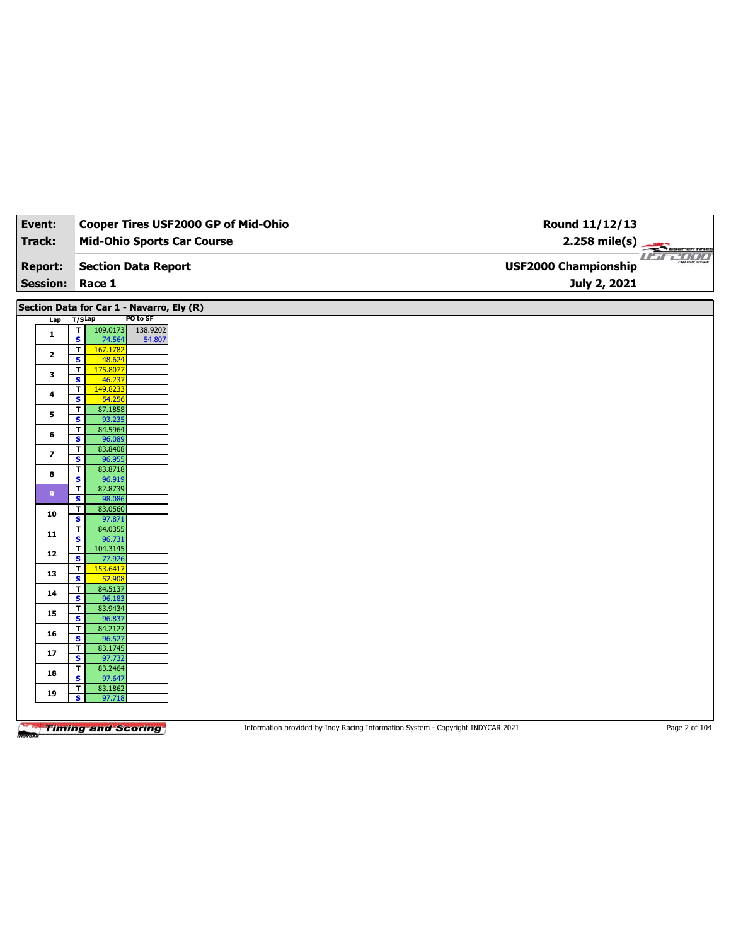| Event:                   |                                                                                                | Cooper Tires USF2000 GP of Mid-Ohio | Round 11/12/13              |                                |
|--------------------------|------------------------------------------------------------------------------------------------|-------------------------------------|-----------------------------|--------------------------------|
| Track:                   | <b>Mid-Ohio Sports Car Course</b>                                                              |                                     | $2.258 \text{ mile(s)}$     |                                |
| <b>Report:</b>           | <b>Section Data Report</b>                                                                     |                                     | <b>USF2000 Championship</b> | <b>USE2000</b><br>CHAMPSONSHIP |
|                          | <b>Session: Race 1</b>                                                                         |                                     | July 2, 2021                |                                |
|                          |                                                                                                |                                     |                             |                                |
|                          | Section Data for Car 1 - Navarro, Ely (R)                                                      |                                     |                             |                                |
| Lap                      | PO to SF<br>T/SLap                                                                             |                                     |                             |                                |
| $\mathbf{1}$             | $\overline{\mathbf{r}}$<br>109.0173<br>138.9202<br>54.807<br>$\overline{\mathbf{s}}$<br>74.564 |                                     |                             |                                |
| $\mathbf{2}$             | T<br>167.1782<br>S<br>48.624                                                                   |                                     |                             |                                |
| 3                        | $\mathbf{T}$<br>175.8077                                                                       |                                     |                             |                                |
| 4                        | $\overline{\mathbf{s}}$<br>46.237<br>T<br>149.8233                                             |                                     |                             |                                |
| 5                        | S<br>54.256<br>T<br>87.1858                                                                    |                                     |                             |                                |
|                          | 93.235<br>s                                                                                    |                                     |                             |                                |
| 6                        | 84.5964<br>T<br>S<br>96.089                                                                    |                                     |                             |                                |
|                          | 83.8408<br>T                                                                                   |                                     |                             |                                |
| $\overline{\phantom{a}}$ | $\overline{\mathbf{s}}$<br>96.955                                                              |                                     |                             |                                |
| 8                        | 83.8718<br>T<br>S<br>96.919                                                                    |                                     |                             |                                |
|                          | T<br>82.8739                                                                                   |                                     |                             |                                |
| 9 <sup>°</sup>           | $\overline{\mathbf{s}}$<br>98.086                                                              |                                     |                             |                                |
| 10                       | T<br>83.0560                                                                                   |                                     |                             |                                |
|                          | s<br>97.871                                                                                    |                                     |                             |                                |
| 11                       | 84.0355<br>T<br>$\overline{\mathbf{s}}$<br>96.731                                              |                                     |                             |                                |
|                          | T<br>104.3145                                                                                  |                                     |                             |                                |
| 12                       | 77.926<br>s                                                                                    |                                     |                             |                                |
| 13                       | $\mathbf T$<br>153.6417                                                                        |                                     |                             |                                |
|                          | $\overline{\mathbf{s}}$<br>52.908                                                              |                                     |                             |                                |
| 14                       | T<br>84.5137<br>96.183                                                                         |                                     |                             |                                |
|                          | s<br>T<br>83.9434                                                                              |                                     |                             |                                |
| 15                       | $\overline{\mathbf{s}}$<br>96.837                                                              |                                     |                             |                                |
| 16                       | T<br>84.2127                                                                                   |                                     |                             |                                |
|                          | 96.527<br>s                                                                                    |                                     |                             |                                |
| 17                       | $\mathbf{T}$<br>83.1745<br>97.732<br>$\overline{\mathbf{s}}$                                   |                                     |                             |                                |
| 18                       | T<br>83.2464<br>97.647<br>s                                                                    |                                     |                             |                                |
| 19                       | 83.1862<br>T<br>s<br>97.718                                                                    |                                     |                             |                                |
|                          |                                                                                                |                                     |                             |                                |

Information provided by Indy Racing Information System - Copyright INDYCAR 2021 Page 2 of 104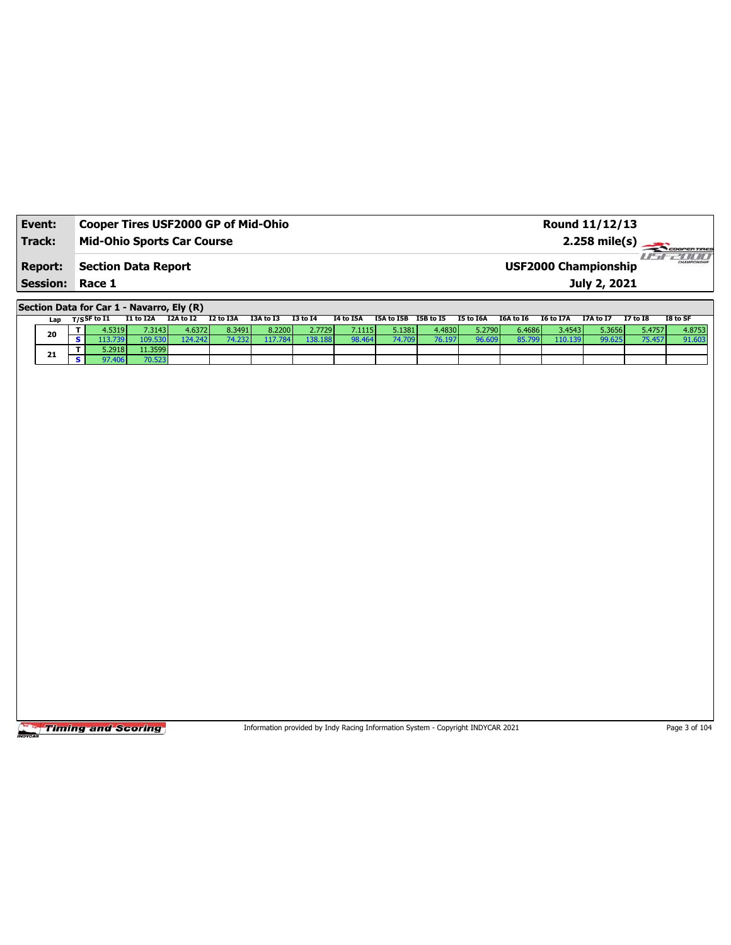| Event:                 | Cooper Tires USF2000 GP of Mid-Ohio | Round 11/12/13                                         |  |
|------------------------|-------------------------------------|--------------------------------------------------------|--|
| Track:                 | <b>Mid-Ohio Sports Car Course</b>   | $2.258 \text{ mile(s)}$                                |  |
| <b>Report:</b>         | Section Data Report                 | -777777<br>CHAMPIONSHIP<br><b>USF2000 Championship</b> |  |
| <b>Session: Race 1</b> |                                     | July 2, 2021                                           |  |

**Section Data for Car 1 - Navarro, Ely (R)**

| Lan | ד/sSF to I1 | I1 to I2A        | I2A to I2 | I2 to I3A | I3A to I3 | I3 to I4 | I4 to I5A | I5A to I5B I5B to I5 |        | I5 to I6A | I6A to I6 | I6 to I7A | I7A to I7 | I7 to I8 | I8 to SF |
|-----|-------------|------------------|-----------|-----------|-----------|----------|-----------|----------------------|--------|-----------|-----------|-----------|-----------|----------|----------|
| 20  | .53191      | 7.3143           | 4.6372    | 8.3491    | 8.2200    | 2.7729   | 7.1115    | 5.1381               | 4.4830 | 5.2790    | 6.4686    | 3.4543    | 5.3656    | 5.4757   | 4.8753   |
|     |             | 109.530 <b>I</b> | 124.242   |           | 17.784    | 138.188  | 98.464    | 74.709               | 76.197 | 96.609    | 85.799    | 110.139   | 99.625    |          | 91.603   |
| 21  | .2918       | 11.3599          |           |           |           |          |           |                      |        |           |           |           |           |          |          |
|     |             | 70.523           |           |           |           |          |           |                      |        |           |           |           |           |          |          |

**Timing and Scoring** 

Information provided by Indy Racing Information System - Copyright INDYCAR 2021 Page 3 of 104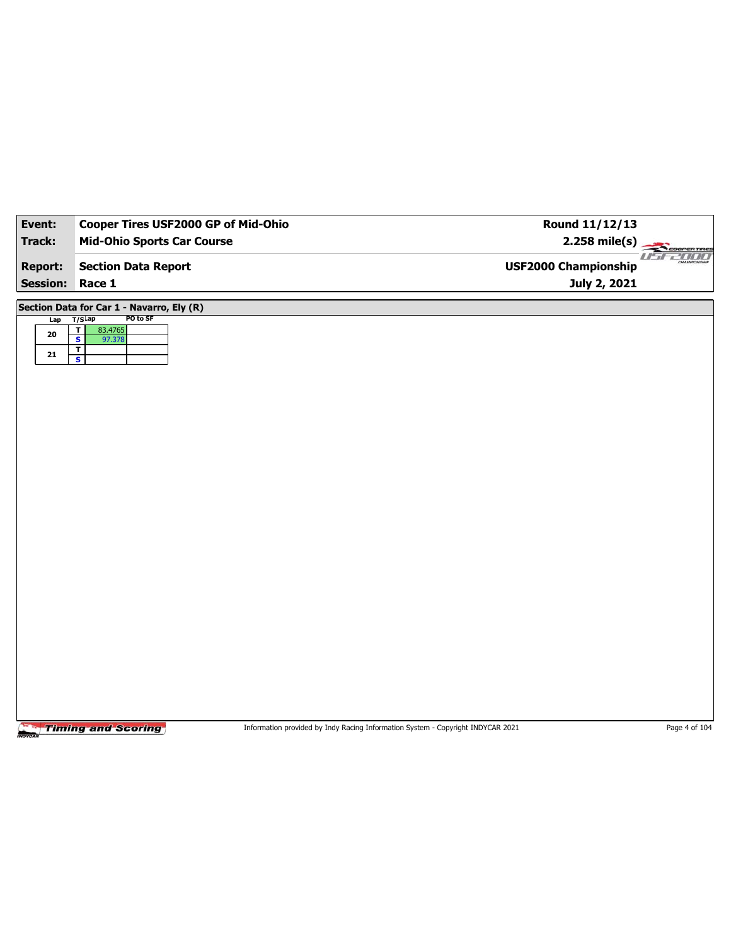| Event:                  | Cooper Tires USF2000 GP of Mid-Ohio                                                                                                                                      | Round 11/12/13              |                |
|-------------------------|--------------------------------------------------------------------------------------------------------------------------------------------------------------------------|-----------------------------|----------------|
| Track:                  | <b>Mid-Ohio Sports Car Course</b>                                                                                                                                        | $2.258$ mile(s)             | COOPERTIRES    |
| <b>Report:</b>          | <b>Section Data Report</b>                                                                                                                                               | <b>USF2000 Championship</b> | <b>USEZIOU</b> |
| <b>Session:</b>         | Race 1                                                                                                                                                                   | July 2, 2021                |                |
| Lap<br>20<br>${\bf 21}$ | Section Data for Car 1 - Navarro, Ely (R)<br>PO to SF<br>$T/S$ Lap<br>$\overline{\mathbf{r}}$<br>83.4765<br>$\overline{\mathbf{s}}$<br>97.378<br>$\overline{\mathbf{r}}$ |                             |                |
|                         | $\overline{\mathbf{s}}$                                                                                                                                                  |                             |                |
|                         |                                                                                                                                                                          |                             |                |
|                         |                                                                                                                                                                          |                             |                |
|                         |                                                                                                                                                                          |                             |                |
|                         |                                                                                                                                                                          |                             |                |
|                         |                                                                                                                                                                          |                             |                |
|                         |                                                                                                                                                                          |                             |                |
|                         |                                                                                                                                                                          |                             |                |
|                         |                                                                                                                                                                          |                             |                |

Information provided by Indy Racing Information System - Copyright INDYCAR 2021 Page 4 of 104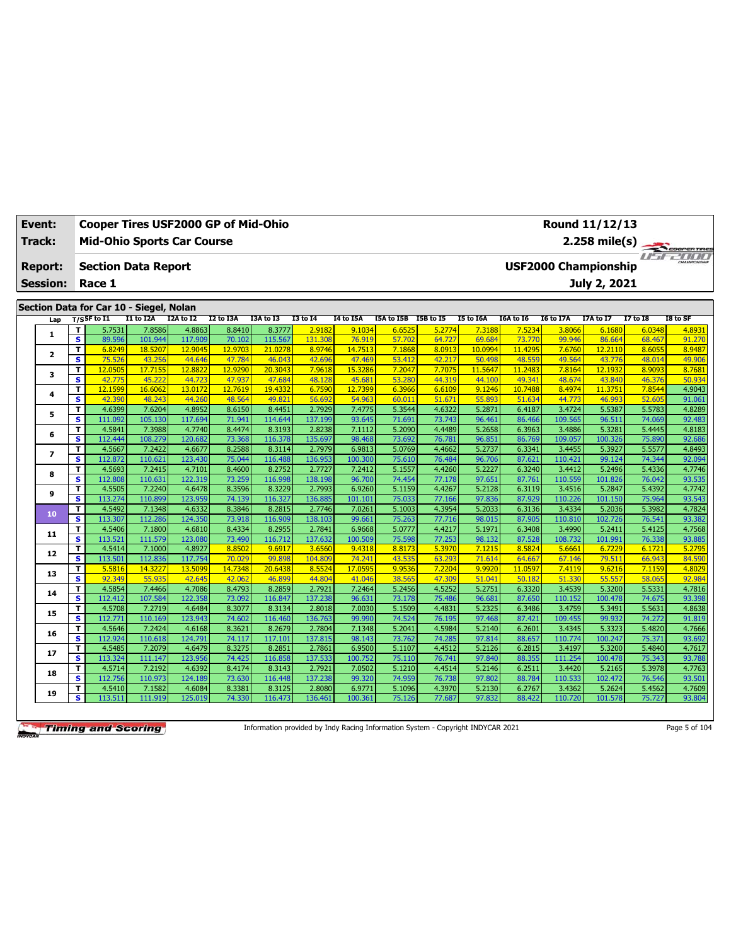| Event:          |                              | Cooper Tires USF2000 GP of Mid-Ohio                       |                   |                   |                   |                   |                   |                   |                      |                  |                  |                   |                   | Round 11/12/13    |                  |                  |
|-----------------|------------------------------|-----------------------------------------------------------|-------------------|-------------------|-------------------|-------------------|-------------------|-------------------|----------------------|------------------|------------------|-------------------|-------------------|-------------------|------------------|------------------|
| Track:          |                              | <b>Mid-Ohio Sports Car Course</b>                         |                   |                   |                   |                   |                   |                   |                      |                  |                  |                   |                   | 2.258 mile(s)     |                  | COOPERTIRES      |
| <b>Report:</b>  |                              | <b>USF2000 Championship</b><br><b>Section Data Report</b> |                   |                   |                   |                   |                   |                   |                      |                  |                  |                   |                   |                   | useau a          |                  |
| <b>Session:</b> |                              | Race 1                                                    |                   |                   |                   |                   |                   |                   |                      |                  |                  |                   |                   | July 2, 2021      |                  |                  |
|                 |                              |                                                           |                   |                   |                   |                   |                   |                   |                      |                  |                  |                   |                   |                   |                  |                  |
|                 |                              | Section Data for Car 10 - Siegel, Nolan                   |                   |                   |                   |                   |                   |                   |                      |                  |                  |                   |                   |                   |                  |                  |
| Lap             |                              | $T/S$ SF to I1                                            | I1 to I2A         | I2A to I2         | I2 to I3A         | I3A to I3         | <b>I3 to I4</b>   | I4 to I5A         | I5A to I5B I5B to I5 |                  | <b>I5 to I6A</b> | I6A to I6         | <b>I6 to I7A</b>  | <b>I7A to I7</b>  | <b>I7 to I8</b>  | I8 to SF         |
| $\mathbf{1}$    | т                            | 5.7531                                                    | 7.8586            | 4.8863            | 8.8410            | 8.3777            | 2.9182            | 9.1034            | 6.6525               | 5.2774           | 7.3188           | 7.5234            | 3.8066            | 6.1680            | 6.0348           | 4.8931           |
|                 | $\overline{\mathbf{s}}$      | 89.596                                                    | 101.944           | 117.909           | 70.102            | 115.567           | 131.308           | 76.919            | 57.702               | 64.727           | 69.684           | 73.770            | 99.946            | 86.664            | 68.467           | 91.270           |
| $\mathbf{z}$    | T                            | 6.8249                                                    | 18.5207           | 12.9045           | 12.9703           | 21.0278           | 8.9746            | 14.7513           | 7.1868               | 8.0913           | 10.0994          | 11.4295           | 7.6760            | 12,2110           | 8.6055           | 8.9487           |
|                 | $\overline{\mathbf{s}}$      | 75.526                                                    | 43.256            | 44.646            | 47.784            | 46.043            | 42.696            | 47.469            | 53.412               | 42.217           | 50.498           | 48.559            | 49.564            | 43.776            | 48.014           | 49.906           |
| з               | т                            | 12.0505                                                   | 17.7155           | 12,8822           | 12.9290           | 20.3043           | 7.9618            | 15.3286           | 7.2047               | 7.7075           | 11.5647          | 11.2483           | 7.8164            | 12.1932           | 8.9093           | 8.7681           |
|                 | s<br>T                       | 42.775<br>12.1599                                         | 45.222<br>16.6062 | 44.723<br>13.0172 | 47.937<br>12.7619 | 47.684<br>19.4332 | 48.128<br>6.7590  | 45.681<br>12.7399 | 53,280<br>6.3966     | 44.319<br>6.6109 | 44.100<br>9.1246 | 49.341<br>10.7488 | 48.674<br>8.4974  | 43.840<br>11.3751 | 46.376<br>7.8544 | 50.934<br>4.9043 |
| 4               | S                            | 42.390                                                    | 48.243            | 44.260            | 48.564            | 49.821            | 56.692            | 54.963            | 60.011               | 51.671           | 55.893           | 51.634            | 44.773            | 46.993            | 52.605           | 91.061           |
|                 | T                            | 4.6399                                                    | 7.6204            | 4.8952            | 8.6150            | 8.4451            | 2.7929            | 7.4775            | 5.3544               | 4.6322           | 5.2871           | 6.4187            | 3.4724            | 5.5387            | 5.5783           | 4.8289           |
| 5               | $\overline{\mathbf{s}}$      | 111.092                                                   | 105.130           | 117.694           | 71.941            | 114.644           | 137.199           | 93.645            | 71.691               | 73.743           | 96.461           | 86.466            | 109.565           | 96.511            | 74.069           | 92.483           |
|                 | T                            | 4.5841                                                    | 7.3988            | 4.7740            | 8.4474            | 8.3193            | 2.8238            | 7.1112            | 5.2090               | 4.4489           | 5.2658           | 6.3963            | 3.4886            | 5.3281            | 5.4445           | 4.8183           |
| 6               | s                            | 112.444                                                   | 108.279           | 120.682           | 73.368            | 116.378           | 135.697           | 98.468            | 73.692               | 76.781           | 96.851           | 86.769            | 109.057           | 100.326           | 75.890           | 92.686           |
|                 | т                            | 4.5667                                                    | 7.2422            | 4.6677            | 8.2588            | 8.3114            | 2.7979            | 6.9813            | 5.0769               | 4.4662           | 5.2737           | 6.3341            | 3.4455            | 5.3927            | 5.5577           | 4.8493           |
| $\overline{ }$  | s                            | 112.872                                                   | 110.621           | 123.430           | 75.044            | 116.488           | 136.953           | 100.300           | 75.610               | 76.484           | 96.706           | 87.621            | 110.421           | 99.124            | 74.344           | 92.094           |
| 8               | т                            | 4.5693                                                    | 7.2415            | 4.7101            | 8.4600            | 8.2752            | 2.7727            | 7.2412            | 5.1557               | 4.4260           | 5.2227           | 6.3240            | 3.4412            | 5.2496            | 5.4336           | 4.7746           |
|                 | $\overline{\mathbf{s}}$      | 112.808                                                   | 110.631           | 122.319           | 73.259            | 116.998           | 138.198           | 96.700            | 74.454               | 77.178           | 97.651           | 87.761            | 110.559           | 101.826           | 76.042           | 93.535           |
| 9               | T                            | 4.5505                                                    | 7.2240            | 4.6478            | 8.3596            | 8.3229            | 2.7993            | 6.9260            | 5.1159               | 4.4267           | 5.2128           | 6.3119            | 3.4516            | 5.2847            | 5.4392           | 4.7742           |
|                 | s                            | 113.274                                                   | 110.899           | 123.959           | 74.139            | 116.327           | 136.885           | 101.101           | 75.033               | 77.166           | 97.836           | 87.929            | 110.226           | 101.150           | 75.964           | 93.543           |
| 10              | T                            | 4.5492                                                    | 7.1348            | 4.6332            | 8.3846            | 8.2815            | 2.7746            | 7.0261            | 5.1003               | 4.3954           | 5.2033           | 6.3136            | 3.4334            | 5.2036            | 5.3982           | 4.7824           |
|                 | $\overline{\mathbf{s}}$      | 113.307                                                   | 112.286           | 124.350           | 73.918            | 116.909           | 138.103           | 99.661            | 75.263               | 77.716           | 98.015           | 87.905            | 110.810           | 102.726           | 76.541           | 93.382           |
| 11              | T<br>$\overline{\mathbf{s}}$ | 4.5406<br>113.521                                         | 7.1800            | 4.6810<br>123.080 | 8.4334            | 8.2955            | 2.7841            | 6.9668            | 5.0777<br>75.598     | 4.4217<br>77.253 | 5.1971           | 6.3408            | 3.4990            | 5.2411            | 5.4125           | 4.7568<br>93.885 |
|                 | T                            | 4.5414                                                    | 111.579<br>7.1000 | 4.8927            | 73.490<br>8.8502  | 116,712<br>9.6917 | 137.632<br>3.6560 | 100.50<br>9.4318  | 8.8173               | 5.3970           | 98.132<br>7.1215 | 87.528<br>8.5824  | 108.732<br>5.6661 | 101.991<br>6.7229 | 76.338<br>6.1721 | 5.2795           |
| 12              | $\overline{\mathbf{s}}$      | 113.501                                                   | 112.836           | 117.754           | 70.029            | 99.898            | 104.809           | 74.241            | 43.535               | 63.293           | 71.614           | 64.667            | 67.146            | 79.511            | 66.943           | 84.590           |
|                 | T                            | 5.5816                                                    | 14.3227           | 13.5099           | 14.7348           | 20.6438           | 8.5524            | 17.0595           | 9.9536               | 7.2204           | 9.9920           | 11.0597           | 7.4119            | 9.6216            | 7.1159           | 4.8029           |
| 13              | $\overline{\mathbf{s}}$      | 92.349                                                    | 55.935            | 42.645            | 42.062            | 46.899            | 44.804            | 41.046            | 38.565               | 47.309           | 51.041           | 50.182            | 51.330            | 55.557            | 58.065           | 92.984           |
|                 | т                            | 4.5854                                                    | 7.4466            | 4.7086            | 8.4793            | 8.2859            | 2.7921            | 7.2464            | 5.2456               | 4.5252           | 5.2751           | 6.3320            | 3.4539            | 5.3200            | 5.5331           | 4.7816           |
| 14              | $\overline{\mathbf{s}}$      | 112.412                                                   | 107.584           | 122.358           | 73.092            | 116.847           | 137.238           | 96.631            | 73.178               | 75.486           | 96.681           | 87.650            | 110.152           | 100.478           | 74.675           | 93.398           |
|                 | T                            | 4.5708                                                    | 7.2719            | 4.6484            | 8.3077            | 8.3134            | 2.8018            | 7.0030            | 5.1509               | 4.4831           | 5.2325           | 6.3486            | 3.4759            | 5.3491            | 5.5631           | 4.8638           |
| 15              | $\overline{\mathbf{s}}$      | 112.771                                                   | 110.169           | 123.943           | 74.602            | 116.460           | 136.763           | 99.990            | 74.524               | 76.195           | 97.468           | 87.421            | 109.455           | 99.932            | 74.272           | 91.819           |
| 16              | т                            | 4.5646                                                    | 7.2424            | 4.6168            | 8.3621            | 8.2679            | 2.7804            | 7.1348            | 5.2041               | 4.5984           | 5.2140           | 6.2601            | 3.4345            | 5.3323            | 5.4820           | 4.7666           |
|                 | s                            | 112.924                                                   | 110.618           | 124.791           | 74.117            | 117.101           | 137.815           | 98.143            | 73.762               | 74.285           | 97.814           | 88.657            | 110.774           | 100.247           | 75.371           | 93.692           |
| 17              | T                            | 4.5485                                                    | 7.2079            | 4.6479            | 8.3275            | 8.2851            | 2.7861            | 6.9500            | 5.1107               | 4.4512           | 5.2126           | 6.2815            | 3.4197            | 5.3200            | 5.4840           | 4.7617           |
|                 | s                            | 113.324                                                   | 111.147           | 123.956           | 74.425            | 116.858           | 137.533           | 100.752           | 75.110               | 76.741           | 97.840           | 88.355            | 111.254           | 100.478           | 75.343           | 93.788           |
| 18              | T                            | 4.5714                                                    | 7.2192            | 4.6392            | 8.4174            | 8.3143            | 2.7921            | 7.0502            | 5.1210               | 4.4514           | 5.2146           | 6.2511            | 3.4420            | 5.2165            | 5.3978           | 4.7763           |
|                 | s                            | 112.756                                                   | 110.973           | 124.189           | 73.630            | 116,448           | 137.238           | 99.320            | 74.959               | 76.738           | 97.802           | 88.784            | 110.533           | 102.472           | 76.546           | 93.501           |
| 19              | т<br>s                       | 4.5410                                                    | 7.1582            | 4.6084<br>125.019 | 8.3381<br>74.330  | 8.3125            | 2.8080            | 6.9771<br>100.361 | 5.1096<br>75.126     | 4.3970<br>77.687 | 5.2130           | 6.2767<br>88.422  | 3.4362            | 5.2624            | 5.4562           | 4.7609<br>93.804 |
|                 |                              | 113.511                                                   | 111.919           |                   |                   | 116.473           | 136.461           |                   |                      |                  | 97.832           |                   | 110.720           | 101.578           | 75.727           |                  |

Information provided by Indy Racing Information System - Copyright INDYCAR 2021 Page 5 of 104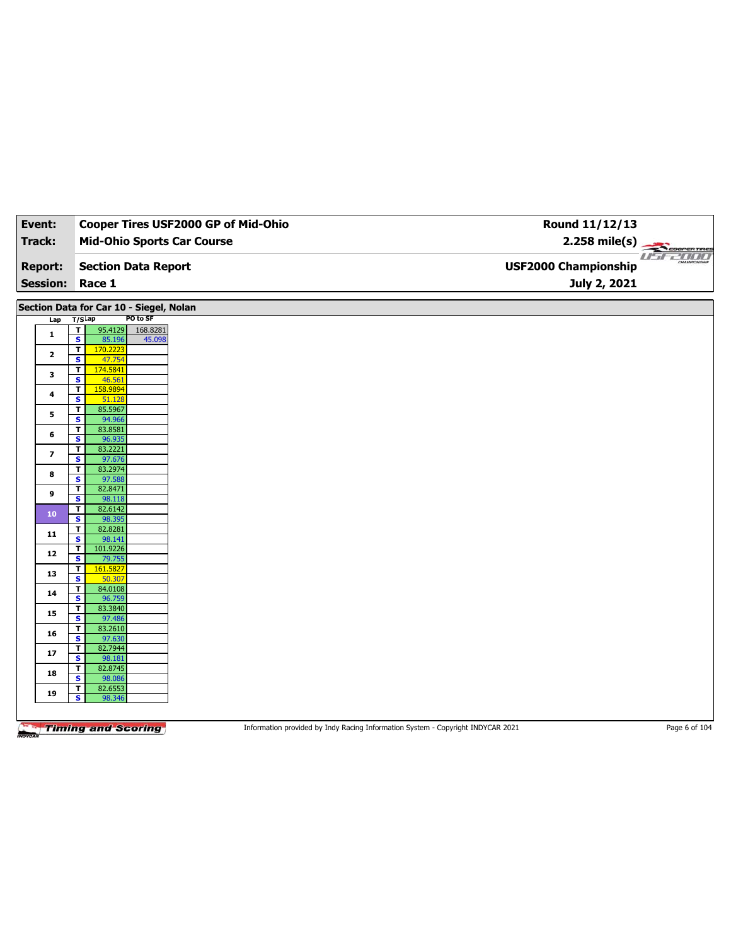| Event:        |                 | Cooper Tires USF2000 GP of Mid-Ohio                                                | Round 11/12/13              |                          |
|---------------|-----------------|------------------------------------------------------------------------------------|-----------------------------|--------------------------|
| <b>Track:</b> |                 | <b>Mid-Ohio Sports Car Course</b>                                                  | 2.258 mile(s)               |                          |
|               |                 |                                                                                    |                             | COOPER TIRES<br>usr 2000 |
|               | <b>Report:</b>  | <b>Section Data Report</b>                                                         | <b>USF2000 Championship</b> |                          |
|               | <b>Session:</b> | Race 1                                                                             | July 2, 2021                |                          |
|               |                 |                                                                                    |                             |                          |
|               | Lap             | Section Data for Car 10 - Siegel, Nolan<br>PO to SF<br>$T/S$ Lap                   |                             |                          |
|               | $\mathbf{1}$    | $\overline{\mathbf{r}}$<br>95.4129<br>168.8281                                     |                             |                          |
|               |                 | $\overline{\mathbf{s}}$<br>85.196<br>45.098<br>$\overline{\mathsf{r}}$<br>170.2223 |                             |                          |
|               | $\mathbf{2}$    | S<br>47.754                                                                        |                             |                          |
|               | 3               | $\overline{\mathbf{r}}$<br>174.5841                                                |                             |                          |
|               |                 | $\overline{\mathbf{s}}$<br>46.561<br>$\overline{\mathsf{r}}$<br>158.9894           |                             |                          |
|               | 4               | $\overline{\mathbf{s}}$<br>51.128                                                  |                             |                          |
|               | 5               | $\mathbf{T}$<br>85.5967<br>$\overline{\mathbf{s}}$<br>94.966                       |                             |                          |
|               | 6               | $\overline{\mathbf{r}}$<br>83.8581                                                 |                             |                          |
|               |                 | S<br>96.935<br>83.2221<br>$\mathbf{T}$                                             |                             |                          |
|               | 7               | $\overline{\mathbf{s}}$<br>97.676                                                  |                             |                          |
|               | 8               | $\overline{\mathsf{r}}$<br>83.2974<br>s<br>97.588                                  |                             |                          |
|               |                 | $\mathbf T$<br>82.8471                                                             |                             |                          |
|               | 9               | $\overline{\mathbf{s}}$<br>98.118                                                  |                             |                          |
|               | ${\bf 10}$      | $\overline{\mathbf{r}}$<br>82.6142<br>S<br>98.395                                  |                             |                          |
|               | 11              | T<br>82.8281                                                                       |                             |                          |
|               |                 | $\overline{\mathbf{s}}$<br>98.141<br>101.9226<br>T                                 |                             |                          |
|               | $12\,$          | S<br>79.755                                                                        |                             |                          |
|               | 13              | $\overline{\mathbf{r}}$<br>161.5827<br>$\overline{\mathbf{s}}$<br>50.307           |                             |                          |
|               |                 | T<br>84.0108                                                                       |                             |                          |
|               | $\bf{14}$       | 96.759<br>$\mathbf{s}$                                                             |                             |                          |
|               | 15              | $\overline{\mathbf{r}}$<br>83.3840<br>$\overline{\mathbf{s}}$<br>97.486            |                             |                          |
|               | 16              | $\overline{\mathsf{r}}$<br>83.2610                                                 |                             |                          |
|               |                 | $\mathbf{s}$<br>97.630<br>82.7944<br>$\overline{\mathbf{r}}$                       |                             |                          |
|               | 17              | $\overline{\mathbf{s}}$<br>98.181                                                  |                             |                          |
|               | 18              | T<br>82.8745<br>S<br>98.086                                                        |                             |                          |
|               |                 | 82.6553<br>T                                                                       |                             |                          |
|               | 19              | S<br>98.346                                                                        |                             |                          |
|               |                 |                                                                                    |                             |                          |

Information provided by Indy Racing Information System - Copyright INDYCAR 2021 Page 6 of 104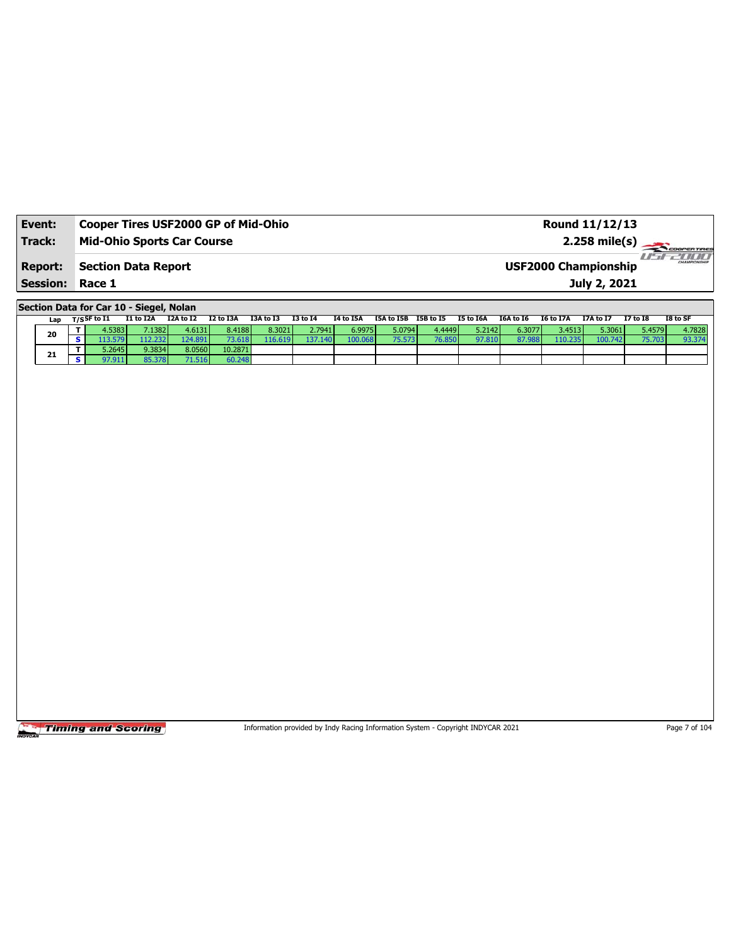| Event:                 | <b>Cooper Tires USF2000 GP of Mid-Ohio</b> | Round 11/12/13              |                         |
|------------------------|--------------------------------------------|-----------------------------|-------------------------|
| Track:                 | <b>Mid-Ohio Sports Car Course</b>          | $2.258 \text{ mile(s)}$     |                         |
| <b>Report:</b>         | Section Data Report                        | <b>USF2000 Championship</b> | -777777<br>CHAMPSONSHIP |
| <b>Session: Race 1</b> |                                            | July 2, 2021                |                         |

**Section Data for Car 10 - Siegel, Nolan**

| Lap | $_{\rm T/S}$ SF to I1 | I1 to I2A | I2A to I2 | I2 to I3A | I3A to I3 | I3 to I4 | I4 to I5A | I5A to I5B I5B to I5 |        | I5 to I6A | I6A to I6 | I6 to I7A | I7A to I7 | <b>I7 to I8</b> | I8 to SF |
|-----|-----------------------|-----------|-----------|-----------|-----------|----------|-----------|----------------------|--------|-----------|-----------|-----------|-----------|-----------------|----------|
|     | 4.5383                | 7.1382    | 4.6131    | 8.4188    | 8.3021    | 2.7941   | 6.9975    | 5.0794               | 4.4449 | 5.2142    | 6.3077    | 3.4513    | 5.3061    | 5.4579          | 4.7828   |
| 20  | $-13.579$             | 112.232   | 124.891   | 73.618    | 116.619   | 137.140  | 100.068   | 75.573               | 76.850 | 97.810    | 87.988    | 110.235   | 100.742   | 75.70.          | 93.374   |
| 21  | 5.2645                | 9.3834    | 8.0560    | 10.2871   |           |          |           |                      |        |           |           |           |           |                 |          |
|     | 97.911                | 85.378    | 71.516    | 60.248    |           |          |           |                      |        |           |           |           |           |                 |          |

Timing and Scoring

Information provided by Indy Racing Information System - Copyright INDYCAR 2021 Page 7 of 104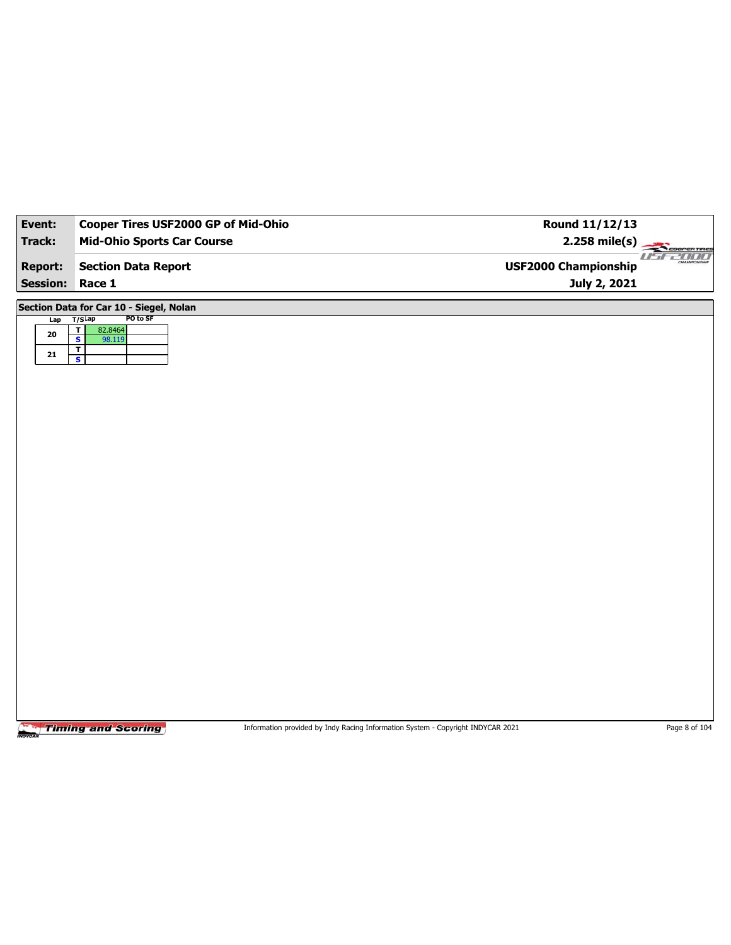| Event:          | Cooper Tires USF2000 GP of Mid-Ohio            | Round 11/12/13                                   |             |
|-----------------|------------------------------------------------|--------------------------------------------------|-------------|
| <b>Track:</b>   | <b>Mid-Ohio Sports Car Course</b>              | $2.258$ mile(s)<br>COOPERTIRES                   |             |
| <b>Report:</b>  | <b>Section Data Report</b>                     | 11 <del>-11</del><br><b>USF2000 Championship</b> | <b>2000</b> |
| <b>Session:</b> | Race 1                                         | July 2, 2021                                     |             |
|                 | Section Data for Car 10 - Siegel, Nolan        |                                                  |             |
| Lap T/SLap      | PO to SF<br>$\overline{\mathbf{r}}$<br>82.8464 |                                                  |             |
| ${\bf 20}$      | $\overline{\mathbf{s}}$<br>98.119              |                                                  |             |
| ${\bf 21}$      | T<br>$\overline{\mathbf{s}}$                   |                                                  |             |
|                 |                                                |                                                  |             |
|                 |                                                |                                                  |             |
|                 |                                                |                                                  |             |
|                 |                                                |                                                  |             |
|                 |                                                |                                                  |             |
|                 |                                                |                                                  |             |
|                 |                                                |                                                  |             |
|                 |                                                |                                                  |             |
|                 |                                                |                                                  |             |
|                 |                                                |                                                  |             |
|                 |                                                |                                                  |             |
|                 |                                                |                                                  |             |
|                 |                                                |                                                  |             |
|                 |                                                |                                                  |             |
|                 |                                                |                                                  |             |
|                 |                                                |                                                  |             |
|                 |                                                |                                                  |             |
|                 |                                                |                                                  |             |
|                 |                                                |                                                  |             |
|                 |                                                |                                                  |             |
|                 |                                                |                                                  |             |
|                 |                                                |                                                  |             |

Information provided by Indy Racing Information System - Copyright INDYCAR 2021 Page 8 of 104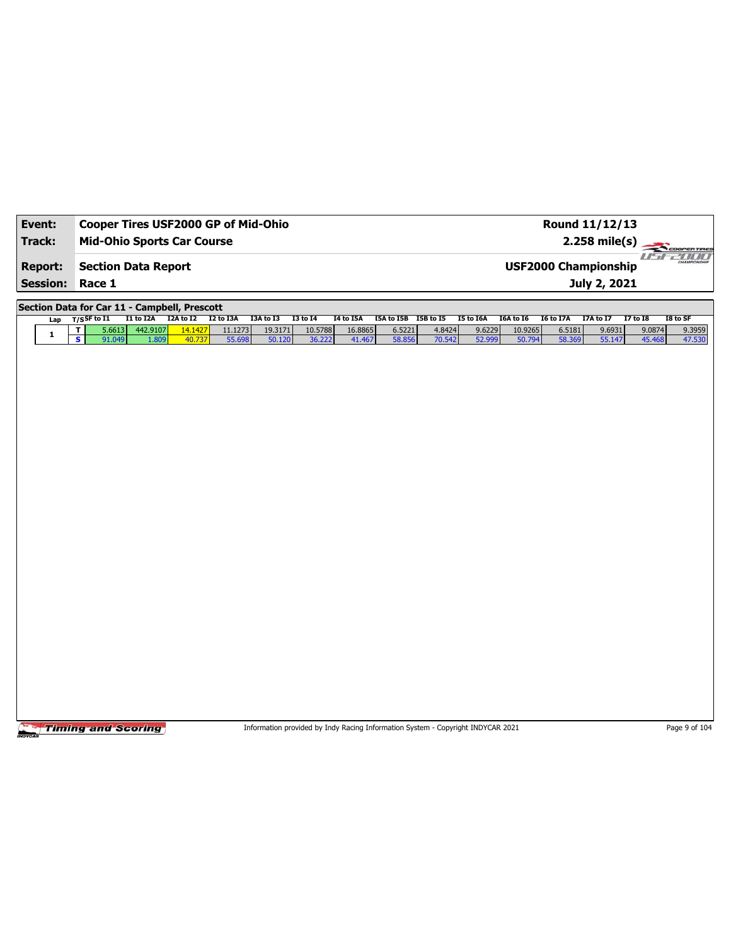| COOPERTIRES                                                       |  |  |  |  |  |  |
|-------------------------------------------------------------------|--|--|--|--|--|--|
| $II - I$<br>2000 T<br><b>USF2000 Championship</b><br>July 2, 2021 |  |  |  |  |  |  |
|                                                                   |  |  |  |  |  |  |
| I8 to SF                                                          |  |  |  |  |  |  |
| 9.3959<br>47.530                                                  |  |  |  |  |  |  |
|                                                                   |  |  |  |  |  |  |
|                                                                   |  |  |  |  |  |  |
|                                                                   |  |  |  |  |  |  |
|                                                                   |  |  |  |  |  |  |
|                                                                   |  |  |  |  |  |  |
|                                                                   |  |  |  |  |  |  |
|                                                                   |  |  |  |  |  |  |
|                                                                   |  |  |  |  |  |  |
|                                                                   |  |  |  |  |  |  |
|                                                                   |  |  |  |  |  |  |
|                                                                   |  |  |  |  |  |  |
|                                                                   |  |  |  |  |  |  |
|                                                                   |  |  |  |  |  |  |
|                                                                   |  |  |  |  |  |  |
|                                                                   |  |  |  |  |  |  |
|                                                                   |  |  |  |  |  |  |
|                                                                   |  |  |  |  |  |  |
|                                                                   |  |  |  |  |  |  |
|                                                                   |  |  |  |  |  |  |
|                                                                   |  |  |  |  |  |  |
|                                                                   |  |  |  |  |  |  |

Information provided by Indy Racing Information System - Copyright INDYCAR 2021 Page 9 of 104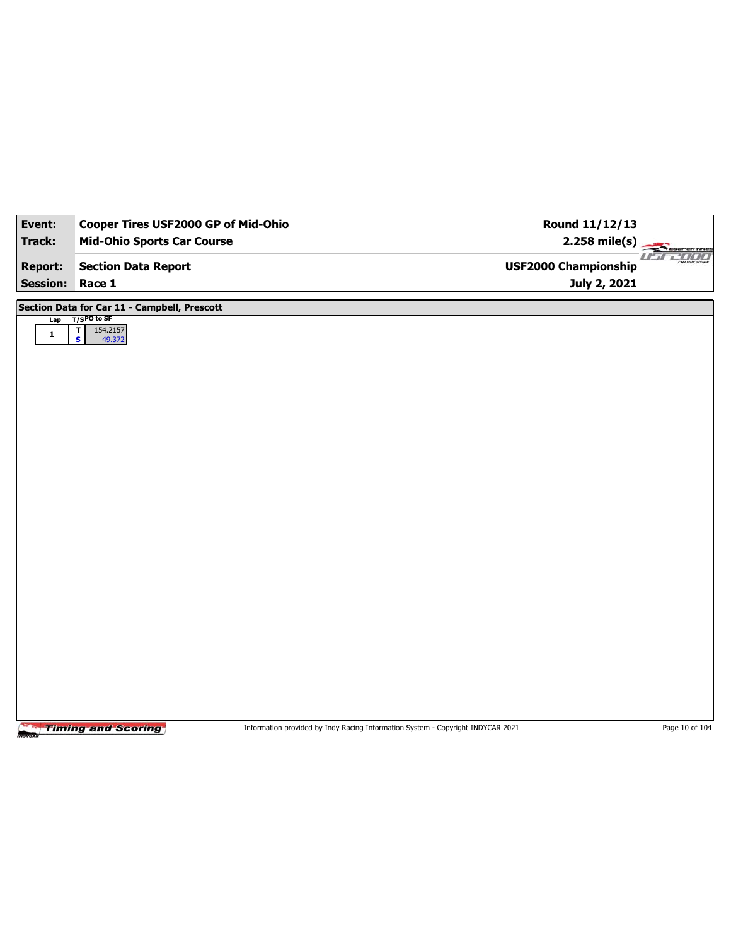| Event:          | Cooper Tires USF2000 GP of Mid-Ohio                           | Round 11/12/13                                      |
|-----------------|---------------------------------------------------------------|-----------------------------------------------------|
| Track:          | <b>Mid-Ohio Sports Car Course</b>                             | $2.258$ mile(s)                                     |
| <b>Report:</b>  | <b>Section Data Report</b>                                    | <b>TESCOPERTIRES</b><br><b>USF2000 Championship</b> |
| <b>Session:</b> | Race 1                                                        | July 2, 2021                                        |
|                 |                                                               |                                                     |
| Lap             | Section Data for Car 11 - Campbell, Prescott<br>$T/SPO$ to SF |                                                     |
| $\mathbf{1}$    | $\blacksquare$<br>154.2157<br>49.372<br><b>S</b>              |                                                     |
|                 |                                                               |                                                     |
|                 |                                                               |                                                     |
|                 |                                                               |                                                     |
|                 |                                                               |                                                     |
|                 |                                                               |                                                     |
|                 |                                                               |                                                     |
|                 |                                                               |                                                     |
|                 |                                                               |                                                     |
|                 |                                                               |                                                     |
|                 |                                                               |                                                     |
|                 |                                                               |                                                     |
|                 |                                                               |                                                     |
|                 |                                                               |                                                     |
|                 |                                                               |                                                     |
|                 |                                                               |                                                     |
|                 |                                                               |                                                     |
|                 |                                                               |                                                     |
|                 |                                                               |                                                     |
|                 |                                                               |                                                     |
|                 |                                                               |                                                     |
|                 |                                                               |                                                     |

Information provided by Indy Racing Information System - Copyright INDYCAR 2021 Page 10 of 104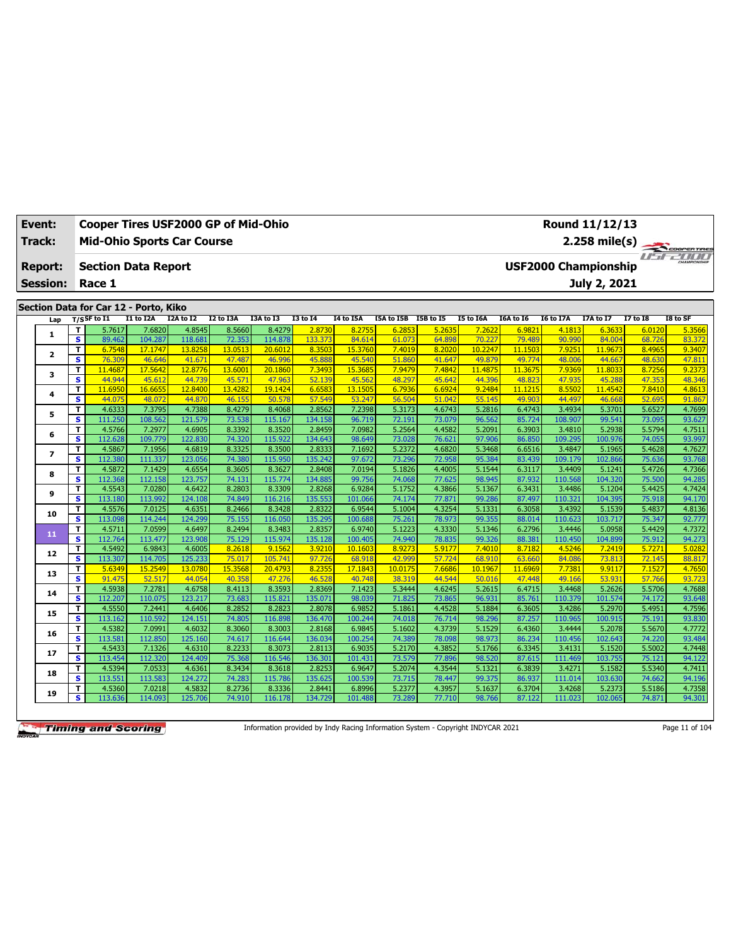| Event:          |                              |                   |                                       | Cooper Tires USF2000 GP of Mid-Ohio |                   |                    |                   |                   |                      |                  |                   |                   |                             | Round 11/12/13    |                  |                  |  |
|-----------------|------------------------------|-------------------|---------------------------------------|-------------------------------------|-------------------|--------------------|-------------------|-------------------|----------------------|------------------|-------------------|-------------------|-----------------------------|-------------------|------------------|------------------|--|
| Track:          |                              |                   |                                       | <b>Mid-Ohio Sports Car Course</b>   |                   |                    |                   |                   |                      |                  |                   |                   |                             | 2.258 mile(s)     |                  | COOPER TIRES     |  |
| <b>Report:</b>  |                              |                   | <b>Section Data Report</b>            |                                     |                   |                    |                   |                   |                      |                  |                   |                   | <b>USF2000 Championship</b> |                   |                  | <b>FF-POOL</b>   |  |
| <b>Session:</b> |                              | Race 1            |                                       |                                     |                   |                    |                   |                   |                      | July 2, 2021     |                   |                   |                             |                   |                  |                  |  |
|                 |                              |                   |                                       |                                     |                   |                    |                   |                   |                      |                  |                   |                   |                             |                   |                  |                  |  |
|                 |                              |                   | Section Data for Car 12 - Porto, Kiko |                                     |                   |                    |                   |                   |                      |                  |                   |                   |                             |                   |                  |                  |  |
| Lap             |                              | $T/S$ SF to I1    | I1 to I2A                             | I2A to I2                           | I2 to I3A         | I3A to I3          | <b>I3 to I4</b>   | I4 to I5A         | I5A to I5B I5B to I5 |                  | I5 to I6A         | I6A to I6         | <b>I6 to I7A</b>            | <b>I7A to I7</b>  | <b>I7 to I8</b>  | I8 to SF         |  |
| $\mathbf{1}$    | т                            | 5.7617            | 7.6820                                | 4.8545                              | 8.5660            | 8.4279             | 2.8730            | 8.2755            | 6.2853               | 5.2635           | 7.2622            | 6.9821            | 4.1813                      | 6.3633            | 6.0120           | 5.3566           |  |
|                 | s<br>T                       | 89.462<br>6.7548  | 104.287<br>17.1747                    | 118.681<br>13.8258                  | 72.353<br>13.0513 | 114.878<br>20.6012 | 133.373<br>8.3503 | 84.614<br>15,3760 | 61.073<br>7.4019     | 64.898<br>8.2020 | 70.227<br>10.2247 | 79.489<br>11.1503 | 90.990<br>7.9251            | 84.004<br>11.9673 | 68.726<br>8.4965 | 83.372<br>9.3407 |  |
| 2               | s                            | 76.309            | 46.646                                | 41.671                              | 47.487            | 46.996             | 45.888            | 45.540            | 51.860               | 41.647           | 49.879            | 49.774            | 48.006                      | 44.667            | 48.630           | 47.811           |  |
|                 | т                            | 11.4687           | 17.5642                               | 12,8776                             | 13.6001           | 20.1860            | 7.3493            | 15,368            | 7.9479               | 7.4842           | 11,4875           | 11.3675           | 7.9369                      | 11,8033           | 8.7256           | 9.2373           |  |
| з               | $\overline{\mathbf{s}}$      | 44.944            | 45.612                                | 44.739                              | 45.571            | 47.963             | 52.139            | 45.562            | 48.297               | 45.642           | 44.396            | 48.823            | 47.935                      | 45.288            | 47.353           | 48.346           |  |
|                 | T                            | 11.6950           | 16.665                                | 12.8400                             | 13.4282           | 19.1424            | 6.6583            | 13.150            | 6.7936               | 6.692            | 9.2484            | 11.1215           | 8.5502                      | 11.4542           | 7.8410           | 4.8613           |  |
| 4               | S                            | 44.075            | 48.072                                | 44.870                              | 46.155            | 50.578             | 57.549            | 53.247            | 56.504               | 51.042           | 55.145            | 49.903            | 44.497                      | 46.668            | 52.695           | 91.867           |  |
|                 | т                            | 4.6333            | 7.3795                                | 4.7388                              | 8.4279            | 8.4068             | 2.8562            | 7.2398            | 5.3173               | 4.6743           | 5.2816            | 6.4743            | 3.4934                      | 5.3701            | 5.6527           | 4.7699           |  |
| 5               | s                            | 111.250           | 108.562                               | 121.579                             | 73.538            | 115.167            | 134.158           | 96.719            | 72.191               | 73.079           | 96.562            | 85.724            | 108.907                     | 99.541            | 73.095           | 93.627           |  |
| 6               | т                            | 4.5766            | 7.2977                                | 4.6905                              | 8.3392            | 8.3520             | 2.8459            | 7.0982            | 5.2564               | 4.4582           | 5.2091            | 6.3903            | 3.4810                      | 5.2938            | 5.5794           | 4.7511           |  |
|                 | $\overline{\mathbf{s}}$      | 112.628           | 109.779                               | 122.830                             | 74.320            | 115.922            | 134.643           | 98.649            | 73.028               | 76.621           | 97.906            | 86.850            | 109.295                     | 100.976           | 74.055           | 93.997           |  |
| 7               | т                            | 4.5867            | 7.1956                                | 4.6819                              | 8.3325            | 8.3500             | 2.8333            | 7.1692            | 5.2372               | 4.6820           | 5.3468            | 6.6516            | 3.4847                      | 5.1965            | 5.4628           | 4.7627           |  |
|                 | $\overline{\mathbf{s}}$      | 112.380           | 111.337                               | 123.056                             | 74.380            | 115.950            | 135.242           | 97.672            | 73.296               | 72.958           | 95.384            | 83.439            | 109.179                     | 102.866           | 75.636           | 93.768           |  |
| 8               | т                            | 4.5872            | 7.1429                                | 4.6554                              | 8.3605            | 8.3627             | 2.8408            | 7.0194            | 5.1826               | 4.4005           | 5.1544            | 6.3117            | 3.4409                      | 5.1241            | 5.4726           | 4.7366           |  |
|                 | $\overline{\mathbf{s}}$      | 112.368           | 112.158                               | 123.757                             | 74.131            | 115.774            | 134.885           | 99.756            | 74.068               | 77.625           | 98.945            | 87.932            | 110.568                     | 104.320           | 75.500           | 94.285           |  |
| 9               | т<br>$\overline{\mathbf{s}}$ | 4.5543<br>113.180 | 7.0280<br>113.992                     | 4.6422<br>124.108                   | 8.2803<br>74.849  | 8.3309<br>116.216  | 2.8268<br>135.553 | 6.9284<br>101.066 | 5.1752<br>74.174     | 4.3866<br>77.871 | 5.1367<br>99.286  | 6.3431<br>87.497  | 3.4486<br>110.321           | 5.1204<br>104.395 | 5.4425<br>75.918 | 4.7424<br>94.170 |  |
|                 | T                            | 4.5576            | 7.0125                                | 4.6351                              | 8.2466            | 8.3428             | 2.8322            | 6.9544            | 5.1004               | 4.3254           | 5.1331            | 6.3058            | 3.4392                      | 5.1539            | 5.4837           | 4.8136           |  |
| 10              | $\overline{\mathbf{s}}$      | 113.098           | 114.244                               | 124.299                             | 75.155            | 116.050            | 135.295           | 100.688           | 75.261               | 78.973           | 99.355            | 88.014            | 110.623                     | 103.717           | 75.347           | 92.777           |  |
|                 | T                            | 4.5711            | 7.0599                                | 4.6497                              | 8.2494            | 8.3483             | 2.8357            | 6.9740            | 5.1223               | 4.3330           | 5.1346            | 6.2796            | 3.4446                      | 5.0958            | 5.4429           | 4.7372           |  |
| 11              | $\overline{\mathbf{s}}$      | 112.764           | 113.477                               | 123.908                             | 75.129            | 115.974            | 135.128           | 100.405           | 74.940               | 78.835           | 99.326            | 88.381            | 110.450                     | 104.899           | 75.912           | 94.273           |  |
|                 | т                            | 4.5492            | 6.9843                                | 4.6005                              | 8.2618            | 9.1562             | 3.9210            | 10.1603           | 8.9273               | 5.9177           | 7.4010            | 8.7182            | 4.5246                      | 7.2419            | 5.7271           | 5.0282           |  |
| 12              | $\overline{\mathbf{s}}$      | 113.307           | 114.705                               | 125.233                             | 75.017            | 105.741            | 97.726            | 68.918            | 42.999               | 57.724           | 68.910            | 63.660            | 84.086                      | 73.813            | 72.145           | 88.817           |  |
| 13              | T                            | 5.6349            | 15.2549                               | 13.0780                             | 15.3568           | 20.4793            | 8.2355            | 17.1843           | 10.0175              | 7.6686           | 10.1967           | 11.6969           | 7.7381                      | 9.9117            | 7.1527           | 4.7650           |  |
|                 | $\overline{\mathbf{s}}$      | 91.475            | 52.517                                | 44.054                              | 40.358            | 47.276             | 46.528            | 40.748            | 38.319               | 44.544           | 50.016            | 47,448            | 49.166                      | 53.931            | 57.766           | 93.723           |  |
| 14              | т                            | 4.5938            | 7.2781                                | 4.6758                              | 8.4113            | 8.3593             | 2.8369            | 7.1423            | 5.3444               | 4.6245           | 5.2615            | 6.4715            | 3.4468                      | 5.2626            | 5.5706           | 4.7688           |  |
|                 | $\overline{\mathbf{s}}$      | 112.207           | 110.075                               | 123.217                             | 73.683            | 115.821            | 135.071           | 98.03             | 71.825               | 73.865           | 96.931            | 85.761            | 110.379                     | 101.574           | 74.172           | 93.648           |  |
| 15              | T<br>$\overline{\mathbf{s}}$ | 4.5550            | 7.2441                                | 4.6406                              | 8.2852            | 8.2823<br>116.898  | 2.8078            | 6.9852            | 5.1861               | 4.4528           | 5.1884            | 6.3605            | 3.4286                      | 5.2970            | 5.4951           | 4.7596           |  |
|                 |                              | 113.162<br>4.5382 | 110.592                               | 124.151<br>4.6032                   | 74.805<br>8.3060  | 8.3003             | 136.470<br>2.8168 | 100.244<br>6.9845 | 74.018<br>5.1602     | 76.714<br>4.3739 | 98.296<br>5.1529  | 87.257<br>6.4360  | 110.965<br>3.4444           | 100.915<br>5.2078 | 75.191<br>5.5670 | 93.830<br>4.7772 |  |
| 16              | т<br>s                       | 113.581           | 7.0991<br>112.850                     | 125.160                             | 74.617            | 116.644            | 136.034           | 100.254           | 74.389               | 78.098           | 98.973            | 86.234            | 110.456                     | 102.643           | 74.220           | 93.484           |  |
|                 | T                            | 4.5433            | 7.1326                                | 4.6310                              | 8.2233            | 8.3073             | 2.8113            | 6.9035            | 5.2170               | 4.3852           | 5.1766            | 6.3345            | 3.4131                      | 5.1520            | 5.5002           | 4.7448           |  |
| 17              | s                            | 113.454           | 112.320                               | 124.409                             | 75.368            | 116.546            | 136.301           | 101.431           | 73.579               | 77.896           | 98.520            | 87.615            | 111.469                     | 103.755           | 75.121           | 94.122           |  |
|                 | т                            | 4.5394            | 7.0533                                | 4.6361                              | 8.3434            | 8.3618             | 2.8253            | 6.9647            | 5.2074               | 4.3544           | 5.1321            | 6.3839            | 3.4271                      | 5.1582            | 5.5340           | 4.7411           |  |
| 18              | s                            | 113.551           | 113.583                               | 124.272                             | 74.283            | 115.786            | 135.625           | 100.539           | 73.715               | 78.447           | 99.375            | 86.937            | 111.014                     | 103.630           | 74.662           | 94.196           |  |
| 19              | T                            | 4.5360            | 7.0218                                | 4.5832                              | 8.2736            | 8.3336             | 2.8441            | 6.8996            | 5.2377               | 4.3957           | 5.1637            | 6.3704            | 3.4268                      | 5.2373            | 5.5186           | 4.7358           |  |
|                 | s                            | 113.636           | 114.093                               | 125.706                             | 74.910            | 116.178            | 134.729           | 101.488           | 73.289               | 77.710           | 98.766            | 87.122            | 111.023                     | 102.065           | 74.871           | 94.301           |  |

Information provided by Indy Racing Information System - Copyright INDYCAR 2021 Page 11 of 104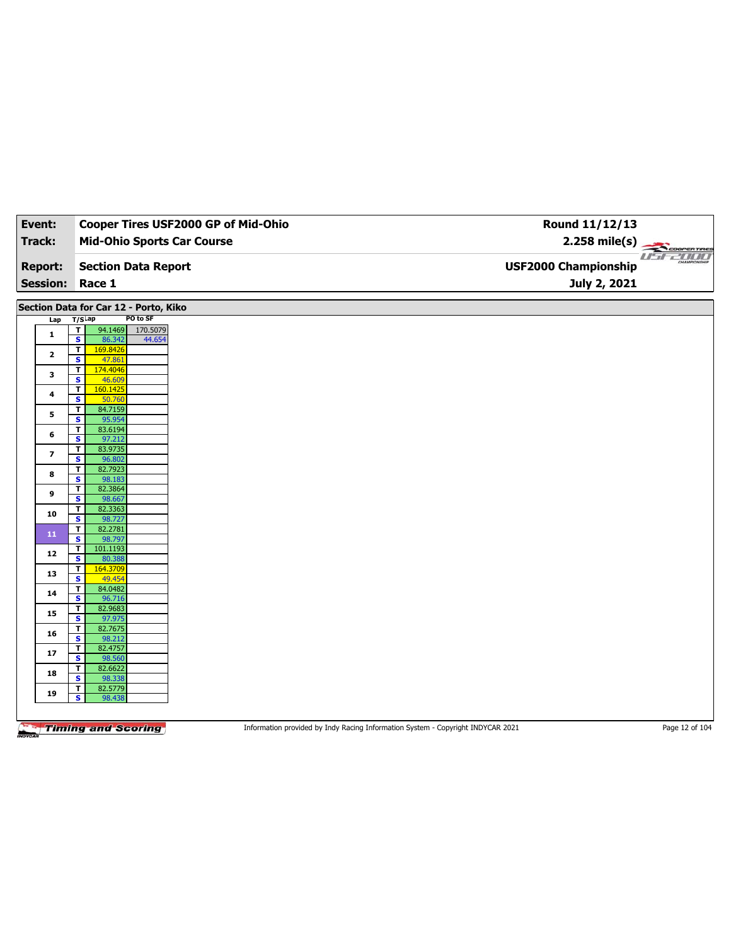| Event:                  | Cooper Tires USF2000 GP of Mid-Ohio                                     | Round 11/12/13                |
|-------------------------|-------------------------------------------------------------------------|-------------------------------|
| Track:                  | <b>Mid-Ohio Sports Car Course</b>                                       | 2.258 mile(s)                 |
|                         |                                                                         | COOPERTIRES<br><b>USE2000</b> |
| <b>Report:</b>          | <b>Section Data Report</b>                                              | <b>USF2000 Championship</b>   |
| <b>Session:</b>         | Race 1                                                                  | July 2, 2021                  |
|                         |                                                                         |                               |
|                         | Section Data for Car 12 - Porto, Kiko                                   |                               |
| Lap                     | PO to SF<br>$T/S$ Lap<br>T<br>94.1469<br>170.5079                       |                               |
| $\mathbf{1}$            | $\overline{\mathbf{s}}$<br>86.342<br>44.654                             |                               |
| $\mathbf{2}$            | T<br>169.8426                                                           |                               |
|                         | S<br>47.861<br>$\overline{\mathbf{r}}$<br>174.4046                      |                               |
| 3                       | $\overline{\mathbf{s}}$<br>46.609                                       |                               |
| 4                       | T<br>160.1425                                                           |                               |
|                         | S<br>50.760                                                             |                               |
| 5                       | T.<br>84.7159<br>$\overline{\mathbf{s}}$<br>95.954                      |                               |
| 6                       | $\overline{\mathsf{r}}$<br>83.6194                                      |                               |
|                         | S<br>97.212                                                             |                               |
| $\overline{\mathbf{z}}$ | $\overline{\mathbf{r}}$<br>83.9735<br>$\overline{\mathbf{s}}$<br>96.802 |                               |
|                         | 82.7923<br>T                                                            |                               |
| 8                       | $\overline{\mathbf{s}}$<br>98.183                                       |                               |
| 9                       | $\overline{\mathbf{r}}$<br>82.3864<br>$\overline{\mathbf{s}}$<br>98.667 |                               |
|                         | 82.3363<br>T.                                                           |                               |
| 10                      | $\overline{\mathbf{s}}$<br>98.727                                       |                               |
| 11                      | $\mathbf{T}$<br>82.2781<br>$\overline{\mathbf{s}}$<br>98.797            |                               |
|                         | 101.1193<br>$\mathbf T$                                                 |                               |
| 12                      | $\overline{\mathbf{s}}$<br>80.388                                       |                               |
| 13                      | $\overline{1}$<br>164.3709                                              |                               |
|                         | $\overline{\mathbf{s}}$<br>49.454<br>T<br>84.0482                       |                               |
| 14                      | S<br>96.716                                                             |                               |
| 15                      | T<br>82.9683                                                            |                               |
|                         | $\overline{\mathbf{s}}$<br>97.975<br>82.7675<br>T.                      |                               |
| 16                      | S<br>98.212                                                             |                               |
| 17                      | 82.4757<br>T                                                            |                               |
|                         | $\overline{\mathbf{s}}$<br>98.560<br>T<br>82.6622                       |                               |
| 18                      | $\overline{\mathbf{s}}$<br>98.338                                       |                               |
| 19                      | 82.5779<br>T                                                            |                               |
|                         | S.<br>98.438                                                            |                               |
|                         |                                                                         |                               |

Information provided by Indy Racing Information System - Copyright INDYCAR 2021 Page 12 of 104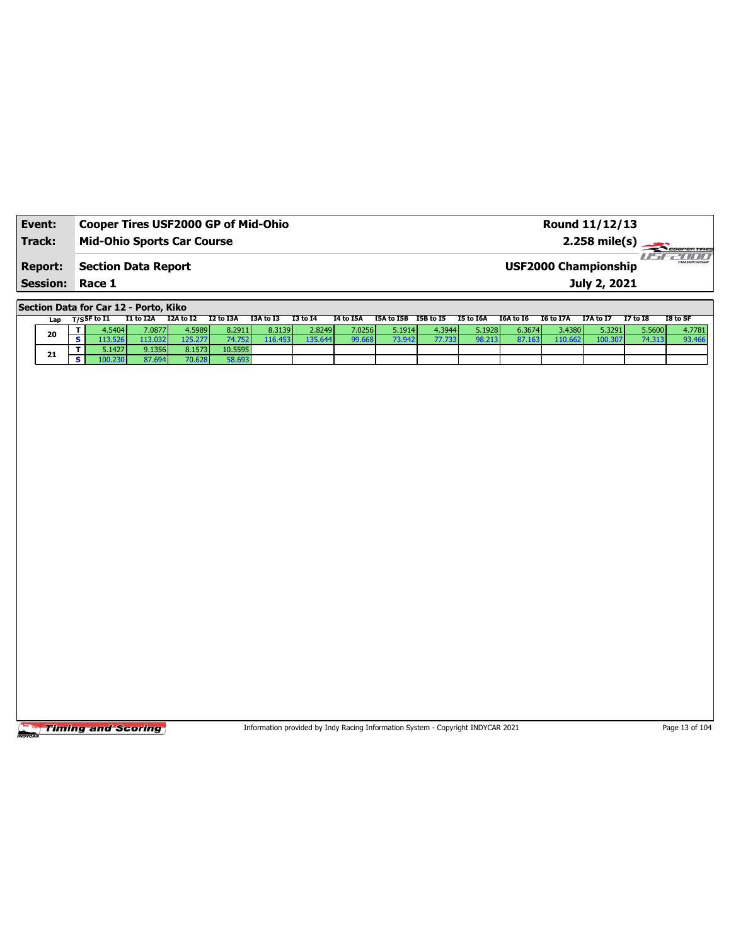| Event:          | Cooper Tires USF2000 GP of Mid-Ohio | Round 11/12/13                                         |
|-----------------|-------------------------------------|--------------------------------------------------------|
| Track:          | <b>Mid-Ohio Sports Car Course</b>   | $2.258 \text{ mile(s)}$                                |
| <b>Report:</b>  | Section Data Report                 | -777777<br>CHAMPSONSHIP<br><b>USF2000 Championship</b> |
| <b>Session:</b> | Race 1                              | July 2, 2021                                           |

**Section Data for Car 12 - Porto, Kiko**

| Lap | ד/sSF to I1 | I1 to I2A | I2A to I2 | I2 to I3A | I3A to I3 | I3 to I4 | I4 to I5A | I5A to I5B I5B to I5 |        | I5 to I6A | I6A to I6 | I6 to I7A | I7A to I7 | <b>I7 to I8</b> | I8 to SF |
|-----|-------------|-----------|-----------|-----------|-----------|----------|-----------|----------------------|--------|-----------|-----------|-----------|-----------|-----------------|----------|
| 20  | .5404       | 7.0877    | 4.5989    | 8.2911    | 8.3139    | 2.8249   | 7.0256    | 5.1914               | 4.3944 | 5.1928    | 6.3674    | 3.4380    | 5.3291    | 5.5600          | 4.7781   |
|     |             | 13.032    | 25.277    |           | 116.453   | 135.644  | 99.668    | 73.942               | 77.733 | 98.213    | 87.163    | 110.662   | 100.307   | 74.31           | 93.466   |
| 21  | √1427.د     | 9.1356    | 8.1573    | 10.5595   |           |          |           |                      |        |           |           |           |           |                 |          |
|     |             | 87.694    | 70.628    | 58.693    |           |          |           |                      |        |           |           |           |           |                 |          |

**Timing and Scoring** 

Information provided by Indy Racing Information System - Copyright INDYCAR 2021 Page 13 of 104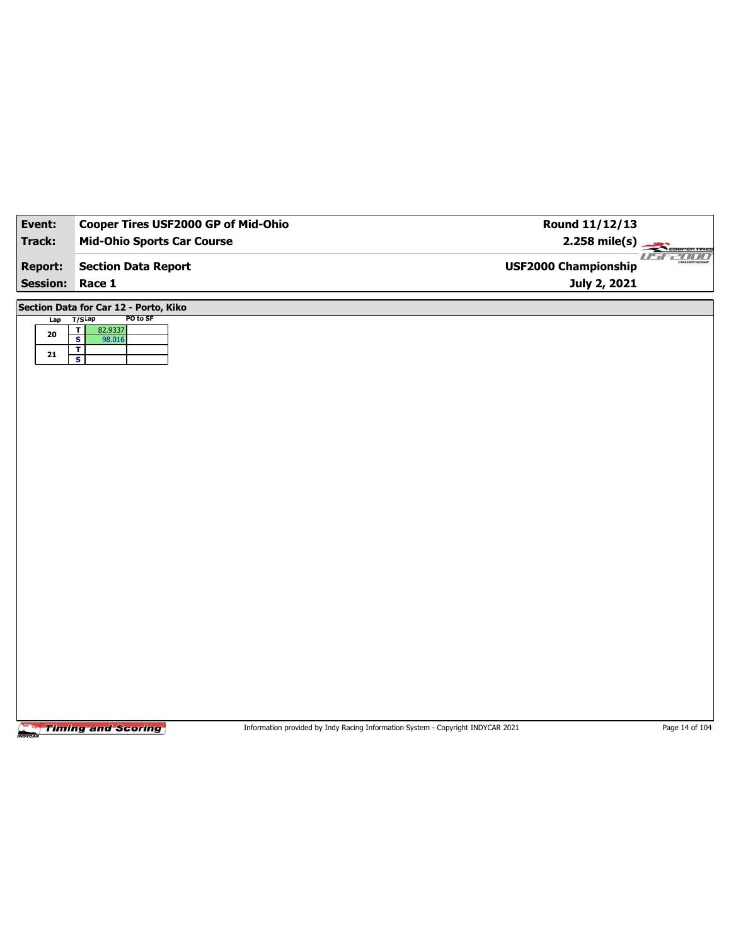Information provided by Indy Racing Information System - Copyright INDYCAR 2021 Page 14 of 104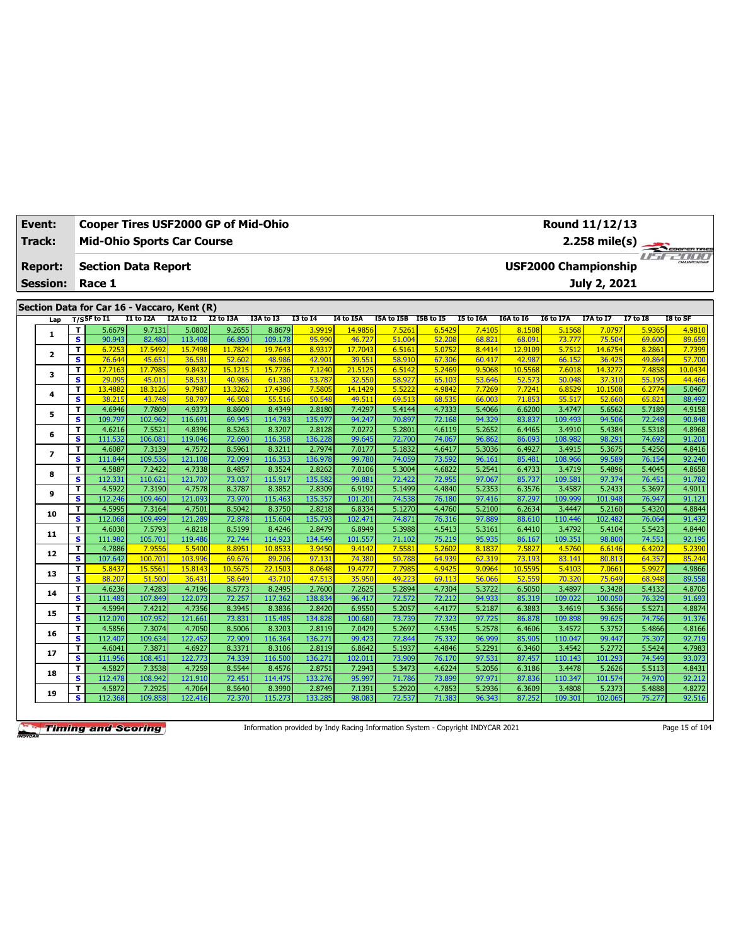| Event:          |                              |                            |                   | Cooper Tires USF2000 GP of Mid-Ohio         |                   |                   |                   |                  |                      |                  |                  |                  |                             | Round 11/12/13    |                  |                  |  |
|-----------------|------------------------------|----------------------------|-------------------|---------------------------------------------|-------------------|-------------------|-------------------|------------------|----------------------|------------------|------------------|------------------|-----------------------------|-------------------|------------------|------------------|--|
| Track:          |                              |                            |                   | <b>Mid-Ohio Sports Car Course</b>           |                   |                   |                   |                  |                      |                  |                  |                  |                             | 2.258 mile(s)     |                  | COOPER TIRES     |  |
| <b>Report:</b>  |                              | <b>Section Data Report</b> |                   |                                             |                   |                   |                   |                  |                      |                  |                  |                  | <b>USF2000 Championship</b> |                   |                  | <b>FF-POOL</b>   |  |
| <b>Session:</b> |                              | Race 1                     |                   |                                             |                   |                   |                   |                  |                      | July 2, 2021     |                  |                  |                             |                   |                  |                  |  |
|                 |                              |                            |                   |                                             |                   |                   |                   |                  |                      |                  |                  |                  |                             |                   |                  |                  |  |
|                 |                              |                            |                   | Section Data for Car 16 - Vaccaro, Kent (R) |                   |                   |                   |                  |                      |                  |                  |                  |                             |                   |                  |                  |  |
| Lap             |                              | $T/S$ SF to I1             | I1 to I2A         | I2A to I2                                   | I2 to I3A         | I3A to I3         | <b>I3 to I4</b>   | <b>I4 to I5A</b> | I5A to I5B I5B to I5 |                  | I5 to I6A        | I6A to I6        | <b>I6 to I7A</b>            | <b>I7A to I7</b>  | <b>I7 to I8</b>  | I8 to SF         |  |
| $\mathbf{1}$    | т                            | 5.6679                     | 9.7131            | 5.0802                                      | 9.2655            | 8.8679            | 3.9919            | 14.9856          | 7.5261               | 6.5429           | 7.4105           | 8.1508           | 5.1568                      | 7.0797            | 5.9365           | 4.9810           |  |
|                 | s                            | 90.943                     | 82.480            | 113.408                                     | 66.890            | 109.178           | 95.990            | 46.727           | 51.004               | 52,208           | 68.821           | 68.091           | 73.777                      | 75.504            | 69.600           | 89.659           |  |
| 2               | T                            | 6.7253                     | 17.5492           | 15,7498                                     | 11.7824           | 19,7643           | 8.9317            | 17,7043          | 6.5161               | 5.0752           | 8.4414           | 12.9109          | 5.7512                      | 14.6754           | 8.2861           | 7.7399           |  |
|                 | s                            | 76.644                     | 45.651            | 36.581                                      | 52.602            | 48.986            | 42.901            | 39.551           | 58.910               | 67.306           | 60.417           | 42.987           | 66.152                      | 36.425            | 49.864           | 57.700           |  |
| з               | T                            | 17.7163                    | 17.7985           | 9.8432                                      | 15.1215           | 15,7736           | 7.1240            | 21.512           | 6.5142               | 5.2469           | 9.5068           | 10.5568          | 7.6018                      | 14.3272           | 7.4858           | 10.0434          |  |
|                 | $\overline{\mathbf{s}}$<br>T | 29.095<br>13.4882          | 45.011<br>18.3126 | 58.531<br>9.7987                            | 40.986<br>13.3262 | 61.380<br>17.4396 | 53.787<br>7.5805  | 32.55<br>14.142  | 58.927<br>5.5222     | 65.103<br>4.9842 | 53.646<br>7.7269 | 52.573<br>7.7241 | 50.048<br>6.8529            | 37.310<br>10.1508 | 55.195<br>6.2774 | 44.466<br>5.0467 |  |
| 4               | S                            | 38.215                     | 43.748            | 58.797                                      | 46.508            | 55.516            | 50.548            | 49.511           | 69.513               | 68.535           | 66.003           | 71.853           | 55.517                      | 52.660            | 65.821           | 88.492           |  |
|                 | т                            | 4.6946                     | 7.7809            | 4.9373                                      | 8.8609            | 8.4349            | 2.8180            | 7.4297           | 5.4144               | 4.7333           | 5.4066           | 6.6200           | 3.4747                      | 5.6562            | 5.7189           | 4.9158           |  |
| 5               | $\overline{\mathbf{s}}$      | 109.797                    | 102.962           | 116.691                                     | 69.945            | 114.783           | 135.977           | 94.247           | 70.897               | 72.168           | 94.329           | 83.837           | 109.493                     | 94.506            | 72.248           | 90.848           |  |
|                 | т                            | 4.6216                     | 7.5521            | 4.8396                                      | 8.5263            | 8.3207            | 2.8128            | 7.0272           | 5.2801               | 4.6119           | 5.2652           | 6.4465           | 3.4910                      | 5.4384            | 5.5318           | 4.8968           |  |
| 6               | $\overline{\mathbf{s}}$      | 111.532                    | 106.081           | 119.046                                     | 72.690            | 116.358           | 136.228           | 99.645           | 72.700               | 74.067           | 96.862           | 86.093           | 108.982                     | 98.291            | 74.692           | 91.201           |  |
|                 | т                            | 4.6087                     | 7.3139            | 4.7572                                      | 8.5961            | 8.3211            | 2.7974            | 7.0177           | 5.1832               | 4.6417           | 5.3036           | 6.4927           | 3.4915                      | 5.3675            | 5.4256           | 4.8416           |  |
| 7               | $\overline{\mathbf{s}}$      | 111.844                    | 109.536           | 121.108                                     | 72.099            | 116.353           | 136.978           | 99.780           | 74.059               | 73.592           | 96.161           | 85.481           | 108.966                     | 99.589            | 76.154           | 92.240           |  |
|                 | т                            | 4.5887                     | 7.2422            | 4.7338                                      | 8.4857            | 8.3524            | 2.8262            | 7.0106           | 5.3004               | 4.6822           | 5.2541           | 6.4733           | 3.4719                      | 5.4896            | 5.4045           | 4.8658           |  |
| 8               | $\overline{\mathbf{s}}$      | 112.331                    | 110.621           | 121.707                                     | 73.037            | 115.917           | 135.582           | 99.881           | 72.422               | 72.955           | 97.067           | 85.737           | 109.581                     | 97.374            | 76.451           | 91.782           |  |
|                 | т                            | 4.5922                     | 7.3190            | 4.7578                                      | 8.3787            | 8.3852            | 2.8309            | 6.9192           | 5.1499               | 4.4840           | 5.2353           | 6.3576           | 3.4587                      | 5.2433            | 5.3697           | 4.9011           |  |
| 9               | $\overline{\mathbf{s}}$      | 112.246                    | 109.460           | 121.093                                     | 73.970            | 115.463           | 135.357           | 101.201          | 74.538               | 76.180           | 97.416           | 87.297           | 109.999                     | 101.948           | 76.947           | 91.121           |  |
| 10              | T                            | 4.5995                     | 7.3164            | 4.7501                                      | 8.5042            | 8.3750            | 2.8218            | 6.8334           | 5.1270               | 4.4760           | 5.2100           | 6.2634           | 3.4447                      | 5.2160            | 5.4320           | 4.8844           |  |
|                 | $\overline{\mathbf{s}}$      | 112.068                    | 109.499           | 121.289                                     | 72.878            | 115.604           | 135.793           | 102.471          | 74.871               | 76.316           | 97.889           | 88.610           | 110.446                     | 102.482           | 76.064           | 91.432           |  |
| 11              | T                            | 4.6030                     | 7.5793            | 4.8218                                      | 8.5199            | 8.4246            | 2.8479            | 6.8949           | 5.3988               | 4.5413           | 5.3161           | 6.4410           | 3.4792                      | 5.4104            | 5.5423           | 4.8440           |  |
|                 | $\overline{\mathbf{s}}$      | 111.982                    | 105.701           | 119,486                                     | 72.744            | 114.923           | 134.549           | 101.557          | 71.102               | 75.219           | 95.935           | 86.167           | 109.351                     | 98.800            | 74.551           | 92.195           |  |
| 12              | T                            | 4.7886                     | 7.9556            | 5.5400                                      | 8.8951            | 10.8533           | 3.9450            | 9.4142           | 7.5581               | 5.2602           | 8.1837           | 7.5827           | 4.5760                      | 6.6146            | 6.4202           | 5.2390           |  |
|                 | $\overline{\mathbf{s}}$      | 107.642                    | 100.701           | 103.996                                     | 69.676            | 89.206            | 97.131            | 74.380           | 50.788               | 64.939           | 62.319           | 73.193           | 83.141                      | 80.813            | 64.357           | 85.244           |  |
| 13              | T                            | 5.8437                     | 15.5561           | 15,8143                                     | 10.5675           | 22.1503           | 8.0648            | 19.4777          | 7.7985               | 4.9425           | 9.0964           | 10.5595          | 5.4103                      | 7.0661            | 5.9927           | 4.9866           |  |
|                 | $\overline{\mathbf{s}}$      | 88.207                     | 51,500            | 36.431                                      | 58.649            | 43.710            | 47.513            | 35.95            | 49.223               | 69.113           | 56.066           | 52.559           | 70.320                      | 75.649            | 68.948           | 89.558           |  |
| 14              | т                            | 4.6236                     | 7.4283            | 4.7196                                      | 8.5773            | 8.2495            | 2.7600            | 7.2625           | 5.2894               | 4.7304           | 5.3722           | 6.5050           | 3.4897                      | 5.3428            | 5.4132           | 4.8705           |  |
|                 | $\overline{\mathbf{s}}$      | 111.483                    | 107.849           | 122.073                                     | 72.257            | 117.362           | 138.834           | 96.417           | 72.572               | 72.212           | 94.933           | 85.319           | 109.022                     | 100.050           | 76.329           | 91.693           |  |
| 15              | T<br>$\overline{\mathbf{s}}$ | 4.5994                     | 7.4212            | 4.7356                                      | 8.3945            | 8.3836<br>115.485 | 2.8420            | 6.9550           | 5.2057               | 4.4177<br>77.323 | 5.2187           | 6.3883           | 3.4619                      | 5.3656<br>99.625  | 5.5271<br>74.756 | 4.8874           |  |
|                 |                              | 112.070                    | 107.952           | 121.661<br>4.7050                           | 73.831<br>8.5006  |                   | 134.828           | 100.680          | 73.739<br>5.2697     | 4.5345           | 97.725           | 86.878           | 109.898<br>3.4572           | 5.3752            | 5.4866           | 91.376           |  |
| 16              | T<br>$\overline{\mathbf{s}}$ | 4.5856<br>112.407          | 7.3074<br>109.634 | 122.452                                     | 72.909            | 8.3203<br>116.364 | 2.8119<br>136.271 | 7.0429<br>99.423 | 72.844               | 75.332           | 5.2578<br>96.999 | 6.4606<br>85.905 | 110.047                     | 99.447            | 75.307           | 4.8166<br>92.719 |  |
|                 | T                            | 4.6041                     | 7.3871            | 4.6927                                      | 8.3371            | 8.3106            | 2.8119            | 6.8642           | 5.1937               | 4.4846           | 5.2291           | 6.3460           | 3.4542                      | 5.2772            | 5.5424           | 4.7983           |  |
| 17              | s                            | 111.956                    | 108.451           | 122.773                                     | 74.339            | 116,500           | 136.271           | 102.011          | 73.909               | 76.170           | 97.531           | 87.457           | 110.143                     | 101.293           | 74.549           | 93.073           |  |
|                 | T                            | 4.5827                     | 7.3538            | 4.7259                                      | 8.5544            | 8.4576            | 2.8751            | 7.2943           | 5.3473               | 4.6224           | 5.2056           | 6.3186           | 3.4478                      | 5.2626            | 5.5113           | 4.8431           |  |
| 18              | s                            | 112.478                    | 108.942           | 121.910                                     | 72.451            | 114.475           | 133.276           | 95.997           | 71.786               | 73.899           | 97.971           | 87,836           | 110.347                     | 101.574           | 74.970           | 92.212           |  |
|                 | T                            | 4.5872                     | 7.2925            | 4.7064                                      | 8.5640            | 8.3990            | 2.8749            | 7.1391           | 5.2920               | 4.7853           | 5.2936           | 6.3609           | 3.4808                      | 5.2373            | 5.4888           | 4.8272           |  |
| 19              | s                            | 112.368                    | 109.858           | 122.416                                     | 72.370            | 115.273           | 133.285           | 98.083           | 72.537               | 71.383           | 96.343           | 87.252           | 109.301                     | 102.065           | 75.277           | 92.516           |  |

Information provided by Indy Racing Information System - Copyright INDYCAR 2021 Page 15 of 104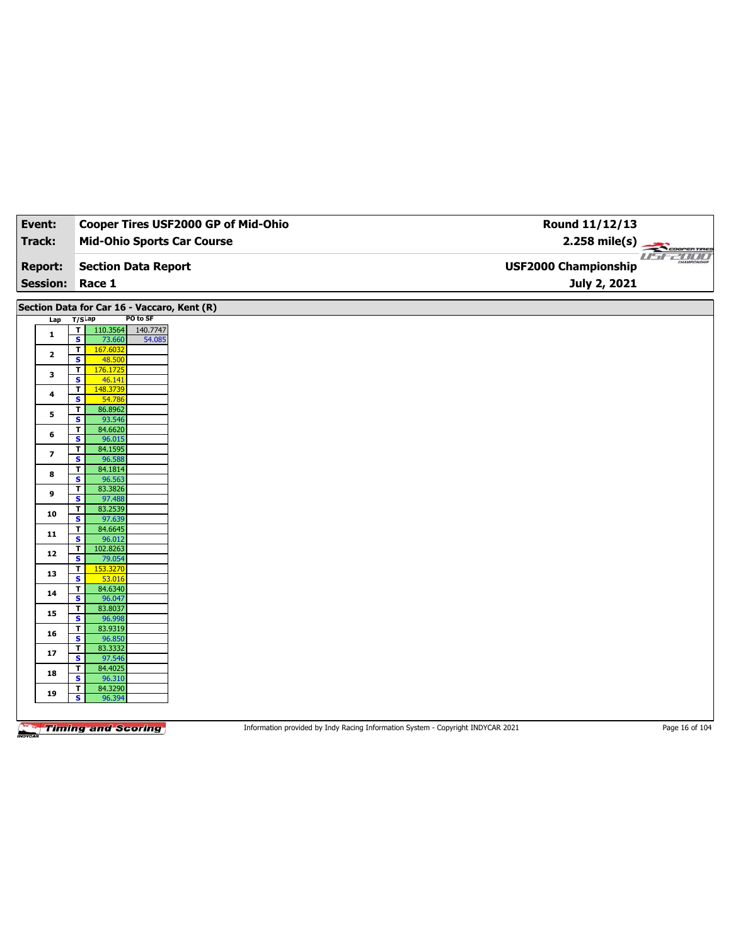| Event:                  | <b>Cooper Tires USF2000 GP of Mid-Ohio</b>                                                     | Round 11/12/13              |
|-------------------------|------------------------------------------------------------------------------------------------|-----------------------------|
| Track:                  | <b>Mid-Ohio Sports Car Course</b>                                                              | $2.258 \text{ mile(s)}$     |
|                         |                                                                                                | usrandi                     |
| <b>Report:</b>          | <b>Section Data Report</b>                                                                     | <b>USF2000 Championship</b> |
| Session: Race 1         |                                                                                                | July 2, 2021                |
|                         |                                                                                                |                             |
|                         | Section Data for Car 16 - Vaccaro, Kent (R)                                                    |                             |
|                         | PO to SF<br>Lap T/SLap                                                                         |                             |
| $\mathbf{1}$            | $\overline{\mathbf{r}}$<br>140.7747<br>110.3564<br>$\overline{\mathbf{s}}$<br>73.660<br>54.085 |                             |
|                         | $\overline{\mathbf{r}}$<br>167.6032                                                            |                             |
| $\mathbf{2}$            | S<br>48.500                                                                                    |                             |
| $\mathbf{3}$            | 176.1725<br>$\mathbf{T}$<br>$\overline{\mathbf{s}}$<br>46.141                                  |                             |
|                         | $\overline{\mathsf{r}}$<br>148.3739                                                            |                             |
| 4                       | $\mathbf{s}$<br>54.786                                                                         |                             |
| 5                       | 86.8962<br>$\mathbf{T}$                                                                        |                             |
|                         | $\overline{\mathbf{s}}$<br>93.546<br>84.6620<br>$\overline{\mathsf{r}}$                        |                             |
| 6                       | $\mathbf{s}$<br>96.015                                                                         |                             |
|                         | 84.1595<br>$\mathbf T$                                                                         |                             |
| $\overline{\mathbf{z}}$ | $\overline{\mathbf{s}}$<br>96.588                                                              |                             |
| 8                       | T<br>84.1814                                                                                   |                             |
|                         | $\mathbf{s}$<br>96.563<br>$\overline{\mathbf{r}}$<br>83.3826                                   |                             |
| 9                       | $\overline{\mathbf{s}}$<br>97.488                                                              |                             |
|                         | T<br>83.2539                                                                                   |                             |
| 10                      | $\mathbf{s}$<br>97.639                                                                         |                             |
| 11                      | $\overline{\mathbf{r}}$<br>84.6645                                                             |                             |
|                         | $\overline{\mathbf{s}}$<br>96.012<br>102.8263<br>$\overline{\mathbf{r}}$                       |                             |
| 12                      | $\mathbf{s}$<br>79.054                                                                         |                             |
|                         | 153.3270<br>$\mathbf{T}$                                                                       |                             |
| 13                      | $\overline{\mathbf{s}}$<br>53.016                                                              |                             |
| 14                      | 84.6340<br>T                                                                                   |                             |
|                         | S<br>96.047<br>83.8037<br>$\mathbf{T}$                                                         |                             |
| 15                      | $\overline{\mathbf{s}}$<br>96.998                                                              |                             |
|                         | 83.9319<br>$\overline{\mathbf{r}}$                                                             |                             |
| 16                      | $\mathbf{s}$<br>96.850                                                                         |                             |
| 17                      | 83.3332<br>$\overline{\mathbf{r}}$                                                             |                             |
|                         | $\overline{\mathbf{s}}$<br>97.546<br>84.4025<br>T                                              |                             |
| 18                      | 96.310<br>S                                                                                    |                             |
|                         | 84.3290<br>$\mathbf T$                                                                         |                             |
| 19                      | $\overline{\mathbf{s}}$<br>96.394                                                              |                             |
|                         |                                                                                                |                             |

Information provided by Indy Racing Information System - Copyright INDYCAR 2021 Page 16 of 104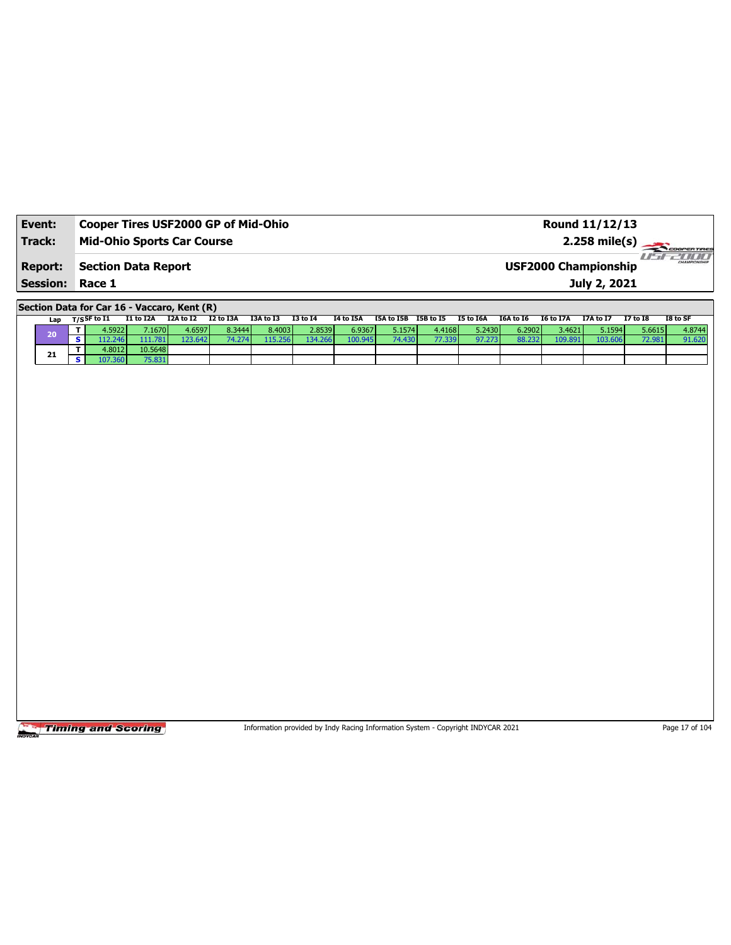| Event:                 | Cooper Tires USF2000 GP of Mid-Ohio | Round 11/12/13                                         |  |
|------------------------|-------------------------------------|--------------------------------------------------------|--|
| Track:                 | <b>Mid-Ohio Sports Car Course</b>   | $2.258 \text{ mile(s)}$                                |  |
| <b>Report:</b>         | Section Data Report                 | -777777<br>CHAMPIONSHIP<br><b>USF2000 Championship</b> |  |
| <b>Session: Race 1</b> |                                     | July 2, 2021                                           |  |

**Section Data for Car 16 - Vaccaro, Kent (R)**

| Lan | $_{\mathsf{T}}$ /sSF to I1 | I1 to I2A | I2A to I2 | I2 to I3A | I3A to I3 | 13 to 14 | I4 to I5A | [5A to I5B I5B to I5 |        | I5 to I6A | I6A to I6 | I6 to I7A | I7A to I7 | I7 to I8 | I8 to SF |
|-----|----------------------------|-----------|-----------|-----------|-----------|----------|-----------|----------------------|--------|-----------|-----------|-----------|-----------|----------|----------|
| οn  | 1.59221                    | .1670     | 4.6597 I  | 8.34441   | 8.4003    | 2.8539   | 6.9367    | 5.1574 l             | 4.4168 | 5.2430    | 6.2902    | 3,4621    | 5.1594    | 5.6615   | 4.8744   |
|     |                            | 781       | 123.642   |           | 15 256    | 134.266  | 100.945   | 74.430               | 77.339 | 97.273    | 88 232    | 109.891   | 103.606   | 72.981   | 91.620   |
| 21  | 1.8012 l                   | 10.5648   |           |           |           |          |           |                      |        |           |           |           |           |          |          |
|     | 107.3601                   | 75.831    |           |           |           |          |           |                      |        |           |           |           |           |          |          |

Timing and Scoring

Information provided by Indy Racing Information System - Copyright INDYCAR 2021 Page 17 of 104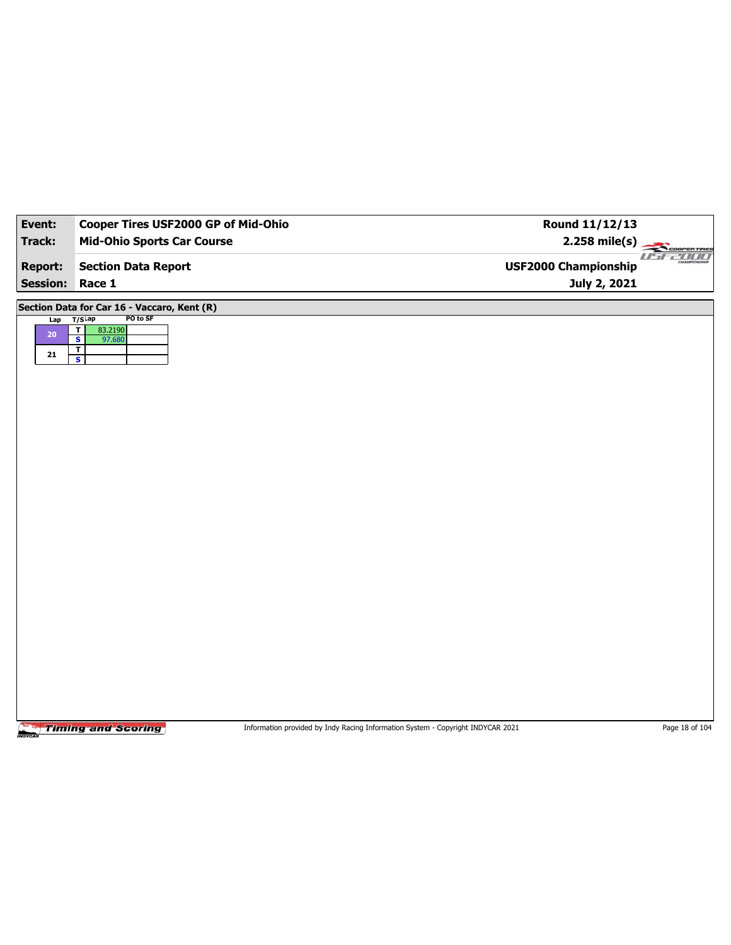| Event:          | Cooper Tires USF2000 GP of Mid-Ohio            | Round 11/12/13              |             |
|-----------------|------------------------------------------------|-----------------------------|-------------|
| <b>Track:</b>   | <b>Mid-Ohio Sports Car Course</b>              | $2.258$ mile(s)             | COOPERTIRES |
| <b>Report:</b>  | <b>Section Data Report</b>                     | <b>USF2000 Championship</b> | USE 2000    |
| <b>Session:</b> | Race 1                                         | July 2, 2021                |             |
|                 | Section Data for Car 16 - Vaccaro, Kent (R)    |                             |             |
| $Lap$ T/S $Lap$ | PO to SF<br>$\overline{\mathbf{r}}$<br>83.2190 |                             |             |
| 20 <sub>2</sub> | $\overline{\mathbf{s}}$<br>97.680              |                             |             |
| ${\bf 21}$      | T<br>$\overline{\mathbf{s}}$                   |                             |             |
|                 |                                                |                             |             |
|                 |                                                |                             |             |
|                 |                                                |                             |             |
|                 |                                                |                             |             |
|                 |                                                |                             |             |
|                 |                                                |                             |             |
|                 |                                                |                             |             |
|                 |                                                |                             |             |
|                 |                                                |                             |             |
|                 |                                                |                             |             |
|                 |                                                |                             |             |
|                 |                                                |                             |             |
|                 |                                                |                             |             |
|                 |                                                |                             |             |
|                 |                                                |                             |             |
|                 |                                                |                             |             |
|                 |                                                |                             |             |
|                 |                                                |                             |             |
|                 |                                                |                             |             |

Information provided by Indy Racing Information System - Copyright INDYCAR 2021 Page 18 of 104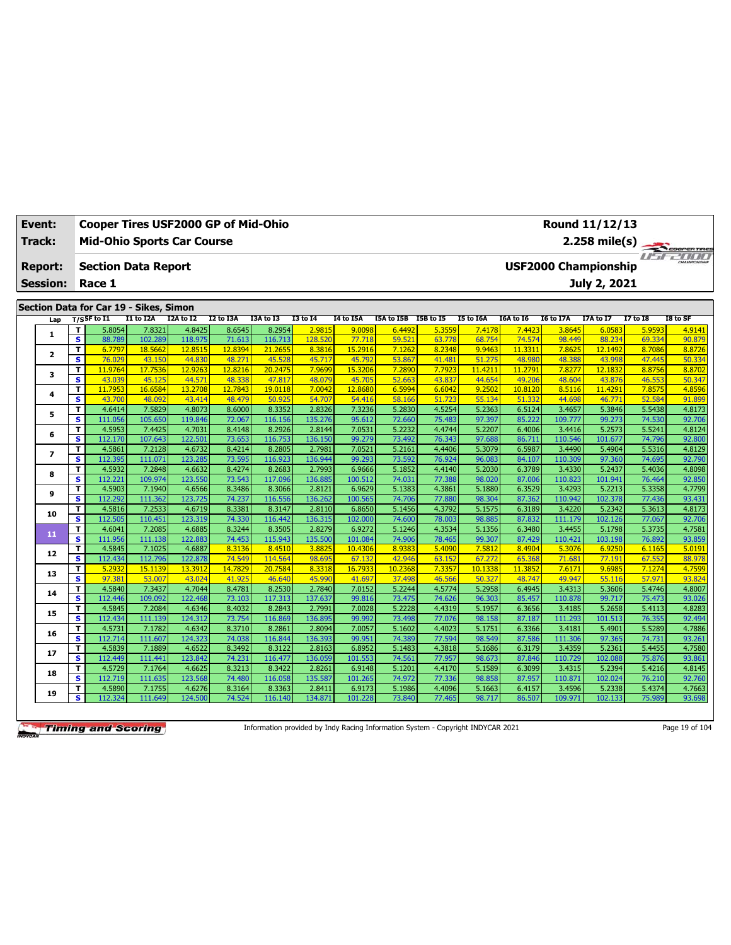| <b>Event:</b>                          |                              |                   |                            |                                   | Cooper Tires USF2000 GP of Mid-Ohio |                    |                  |                  |                      |                  |                   |                   | Round 11/12/13              |                  |                  |                  |
|----------------------------------------|------------------------------|-------------------|----------------------------|-----------------------------------|-------------------------------------|--------------------|------------------|------------------|----------------------|------------------|-------------------|-------------------|-----------------------------|------------------|------------------|------------------|
| Track:                                 |                              |                   |                            | <b>Mid-Ohio Sports Car Course</b> |                                     |                    |                  |                  |                      |                  |                   |                   |                             | $2.258$ mile(s)  |                  | COOPERTIRES      |
| <b>Report:</b>                         |                              |                   | <b>Section Data Report</b> |                                   |                                     |                    |                  |                  |                      |                  |                   |                   | <b>USF2000 Championship</b> |                  | $H = H$          | <b>PETITION</b>  |
|                                        |                              |                   |                            |                                   |                                     |                    |                  |                  |                      |                  |                   |                   |                             |                  |                  |                  |
| <b>Session:</b>                        |                              | Race 1            |                            |                                   |                                     |                    |                  |                  |                      |                  |                   |                   |                             | July 2, 2021     |                  |                  |
| Section Data for Car 19 - Sikes, Simon |                              |                   |                            |                                   |                                     |                    |                  |                  |                      |                  |                   |                   |                             |                  |                  |                  |
| Lap                                    |                              | $T/S$ SF to I1    | I1 to I2A                  | I2A to I2                         | I2 to I3A                           | I3A to I3          | <b>I3 to 14</b>  | I4 to I5A        | I5A to I5B I5B to I5 |                  | I5 to I6A         | I6A to I6         | I6 to I7A                   | I7A to I7        | <b>I7 to I8</b>  | I8 to SF         |
|                                        | т                            | 5.8054            | 7.8321                     | 4.8425                            | 8.6545                              | 8.2954             | 2.9815           | 9.0098           | 6.4492               | 5.3559           | 7.4178            | 7.4423            | 3.8645                      | 6.0583           | 5.9593           | 4.9141           |
| $\mathbf{1}$                           | s                            | 88.789            | 102.289                    | 118.975                           | 71.613                              | 116.713            | 128.520          | 77.718           | 59.521               | 63.778           | 68.754            | 74.574            | 98.449                      | 88.234           | 69.334           | 90.879           |
|                                        | T                            | 6.7797            | 18.5662                    | 12.8515                           | 12.8394                             | 21.2655            | 8.3816           | 15,291           | 7.1262               | 8.2348           | 9.9463            | 11.3311           | 7.8625                      | 12.1492          | 8.7086           | 8.8726           |
| 2                                      | $\overline{\mathbf{s}}$      | 76.029            | 43.150                     | 44.830                            | 48.271                              | 45.528             | 45.717           | 45.792           | 53.867               | 41.481           | 51.275            | 48.980            | 48.388                      | 43.998           | 47.445           | 50.334           |
| з                                      | т                            | 11.9764           | 17.7536                    | 12.9263                           | 12.8216                             | 20.2475            | 7.9699           | 15.3206          | 7.2890               | 7.7923           | 11.4211           | 11.2791           | 7.8277                      | 12.1832          | 8.8756           | 8.8702           |
|                                        | $\overline{\mathbf{s}}$      | 43.039            | 45.125                     | 44.571                            | 48.338                              | 47.817             | 48.079           | 45.705           | 52.663               | 43.837           | 44.654            | 49.206            | 48.604                      | 43.876           | 46.553           | 50.347           |
| 4                                      | T                            | 11.7953           | 16.6584                    | 13.2708                           | 12.7843                             | 19.0118            | 7.0042           | 12.8680          | 6.5994               | 6.6042           | 9.2502            | 10.8120           | 8.5116                      | 11.4291          | 7.8575           | 4.8596           |
|                                        | s                            | 43.700            | 48.092                     | 43.414                            | 48.479                              | 50.925             | 54.707           | 54,416           | 58.166               | 51.723           | 55.134            | 51.332            | 44.698                      | 46.771           | 52.584           | 91.899           |
| 5                                      | T                            | 4.6414            | 7.5829                     | 4.8073                            | 8.6000                              | 8.3352             | 2.8326           | 7.3236           | 5.2830               | 4.5254           | 5.2363            | 6.5124            | 3.4657                      | 5.3846           | 5.5438           | 4.8173           |
|                                        | s                            | 111.056           | 105.650                    | 119.846                           | 72.067                              | 116.156            | 135.276          | 95.612           | 72.660               | 75.483           | 97.397            | 85.222            | 109.777                     | 99.273           | 74.530           | 92.706           |
| 6                                      | т                            | 4.5953            | 7.4425                     | 4.7031                            | 8.4148                              | 8.2926             | 2.8144           | 7.0531           | 5.2232               | 4.4744           | 5.2207            | 6.4006            | 3.4416                      | 5.2573           | 5.5241           | 4.8124           |
|                                        | s                            | 112.170           | 107.643                    | 122.501                           | 73.653                              | 116.753            | 136.150          | 99.279           | 73.492               | 76.343           | 97.688            | 86.711            | 110.546                     | 101.677          | 74.796           | 92.800           |
| 7                                      | T                            | 4.5861            | 7.2128                     | 4.6732                            | 8.4214                              | 8.2805             | 2.7981           | 7.0521           | 5.2161               | 4.4406           | 5.3079            | 6.5987            | 3.4490                      | 5.4904           | 5.5316           | 4.8129           |
|                                        | $\overline{\mathbf{s}}$      | 112.395           | 111.071                    | 123.285                           | 73.595                              | 116.923            | 136.944          | 99.293           | 73.592               | 76.924           | 96.083            | 84.107            | 110.309                     | 97.360           | 74.695           | 92.790           |
| 8                                      | т                            | 4.5932            | 7.2848                     | 4.6632                            | 8.4274                              | 8.2683             | 2.7993           | 6.9666           | 5.1852               | 4.4140           | 5.2030            | 6.3789            | 3.4330                      | 5.2437           | 5.4036           | 4.8098           |
|                                        | $\overline{\mathbf{s}}$      | 112.221           | 109.974                    | 123.550                           | 73.543                              | 117.096            | 136.885          | 100.512          | 74.031               | 77.388           | 98.020            | 87.006            | 110.823                     | 101.941          | 76.464           | 92.850           |
| 9                                      | т                            | 4.5903            | 7.1940                     | 4.6566                            | 8.3486                              | 8.3066             | 2.8121           | 6.9629           | 5.1383               | 4.3861           | 5.1880            | 6.3529            | 3.4293                      | 5.2213           | 5.3358           | 4.7799           |
|                                        | $\overline{\mathbf{s}}$      | 112.292           | 111.362                    | 123.725                           | 74.237                              | 116.556            | 136.262          | 100.565          | 74.706               | 77,880           | 98.304            | 87.362            | 110.942                     | 102.378          | 77.436           | 93.431           |
| 10                                     | т                            | 4.5816            | 7.2533                     | 4.6719                            | 8.3381                              | 8.3147             | 2.8110           | 6.8650           | 5.1456               | 4.3792           | 5.1575            | 6.3189            | 3.4220                      | 5.2342           | 5.3613           | 4.8173           |
|                                        | s                            | 112.505           | 110.451                    | 123.319                           | 74.330                              | 116.442            | 136.315          | 102.000          | 74.600               | 78.003           | 98.885            | 87.832            | 111.179                     | 102.126          | 77.067           | 92.706           |
| 11                                     | T                            | 4.6041            | 7.2085                     | 4.6885                            | 8.3244                              | 8.3505             | 2.8279           | 6.9272           | 5.1246               | 4.3534           | 5.1356            | 6.3480            | 3.4455                      | 5.1798           | 5.3735           | 4.7581           |
|                                        | $\overline{\mathbf{s}}$      | 111.956           | 111.138                    | 122.883                           | 74.453                              | 115.943            | 135.500          | 101.084          | 74.906               | 78.465           | 99.307            | 87.429            | 110.421                     | 103.198          | 76.892           | 93.859           |
| 12                                     | т<br>$\overline{\mathbf{s}}$ | 4.5845            | 7.1025                     | 4.6887                            | 8.3136                              | 8.4510             | 3.8825           | 10.4306          | 8.9383               | 5.4090           | 7.5812            | 8.4904            | 5.3076                      | 6.9250           | 6.1165           | 5.0191           |
|                                        | T                            | 112.434<br>5.2932 | 112.796<br>15.1139         | 122.878<br>13.3912                | 74.549<br>14.7829                   | 114.564<br>20.7584 | 98.695<br>8.3318 | 67.13<br>16.7933 | 42.946<br>10.2368    | 63.152<br>7.3357 | 67.272<br>10.1338 | 65.368<br>11.3852 | 71.681<br>7.6171            | 77.191<br>9.6985 | 67.552<br>7.1274 | 88.978<br>4.7599 |
| 13                                     | s                            | 97.381            | 53.00                      | 43.024                            | 41,925                              | 46.640             | 45.990           | 41.69            | 37,498               | 46.566           | 50.327            | 48.747            | 49.947                      | 55.116           | 57.97            | 93.824           |
|                                        | т                            | 4.5840            | 7.3437                     | 4.7044                            | 8.4781                              | 8.2530             | 2.7840           | 7.0152           | 5.2244               | 4.5774           | 5.2958            | 6.4945            | 3.4313                      | 5.3606           | 5.4746           | 4.8007           |
| 14                                     | $\overline{\mathbf{s}}$      | 112.446           | 109.092                    | 122.468                           | 73.103                              | 117.313            | 137.637          | 99.816           | 73.475               | 74.626           | 96.303            | 85.457            | 110.878                     | 99.717           | 75.473           | 93.026           |
|                                        | T                            | 4.5845            | 7.2084                     | 4.6346                            | 8.4032                              | 8.2843             | 2.7991           | 7.0028           | 5.2228               | 4.4319           | 5.1957            | 6.3656            | 3.4185                      | 5.2658           | 5.4113           | 4.8283           |
| 15                                     | $\overline{\mathbf{s}}$      | 112.434           | 111.139                    | 124.312                           | 73.754                              | 116,869            | 136.89           | 99.992           | 73.498               | 77.076           | 98.158            | 87.187            | 111.293                     | 101.513          | 76.355           | 92.494           |
|                                        | T                            | 4.5731            | 7.1782                     | 4.6342                            | 8.3710                              | 8.2861             | 2.8094           | 7.0057           | 5.1602               | 4.4023           | 5.1751            | 6.3366            | 3.4181                      | 5.4901           | 5.5289           | 4.7886           |
| 16                                     | $\overline{\mathbf{s}}$      | 112.714           | 111.607                    | 124.323                           | 74.038                              | 116.844            | 136.393          | 99.951           | 74.389               | 77.594           | 98.549            | 87.586            | 111.306                     | 97.365           | 74.731           | 93.261           |
|                                        | T                            | 4.5839            | 7.1889                     | 4.6522                            | 8.3492                              | 8.3122             | 2.8163           | 6.8952           | 5.1483               | 4.3818           | 5.1686            | 6.3179            | 3.4359                      | 5.2361           | 5.4455           | 4.7580           |
| 17                                     | s                            | 112.449           | 111.441                    | 123.842                           | 74.231                              | 116.477            | 136.059          | 101.553          | 74.561               | 77.957           | 98.673            | 87.846            | 110.729                     | 102.088          | 75.876           | 93.861           |
|                                        | T                            | 4.5729            | 7.1764                     | 4.6625                            | 8.3213                              | 8.3422             | 2.8261           | 6.9148           | 5.1201               | 4.4170           | 5.1589            | 6.3099            | 3.4315                      | 5.2394           | 5.4216           | 4.8145           |
| 18                                     | s                            | 112.719           | 111.635                    | 123.568                           | 74.480                              | 116.058            | 135.587          | 101.265          | 74.972               | 77.336           | 98.858            | 87.957            | 110.871                     | 102.024          | 76.210           | 92.760           |
|                                        | т                            | 4.5890            | 7.1755                     | 4.6276                            | 8.3164                              | 8.3363             | 2.8411           | 6.9173           | 5.1986               | 4.4096           | 5.1663            | 6.4157            | 3.4596                      | 5.2338           | 5.4374           | 4.7663           |
| 19                                     | s                            | 112.324           | 111.649                    | 124.500                           | 74.524                              | 116.140            | 134.871          | 101.228          | 73.840               | 77.465           | 98.717            | 86.507            | 109.971                     | 102.133          | 75.989           | 93.698           |

Information provided by Indy Racing Information System - Copyright INDYCAR 2021 Page 19 of 104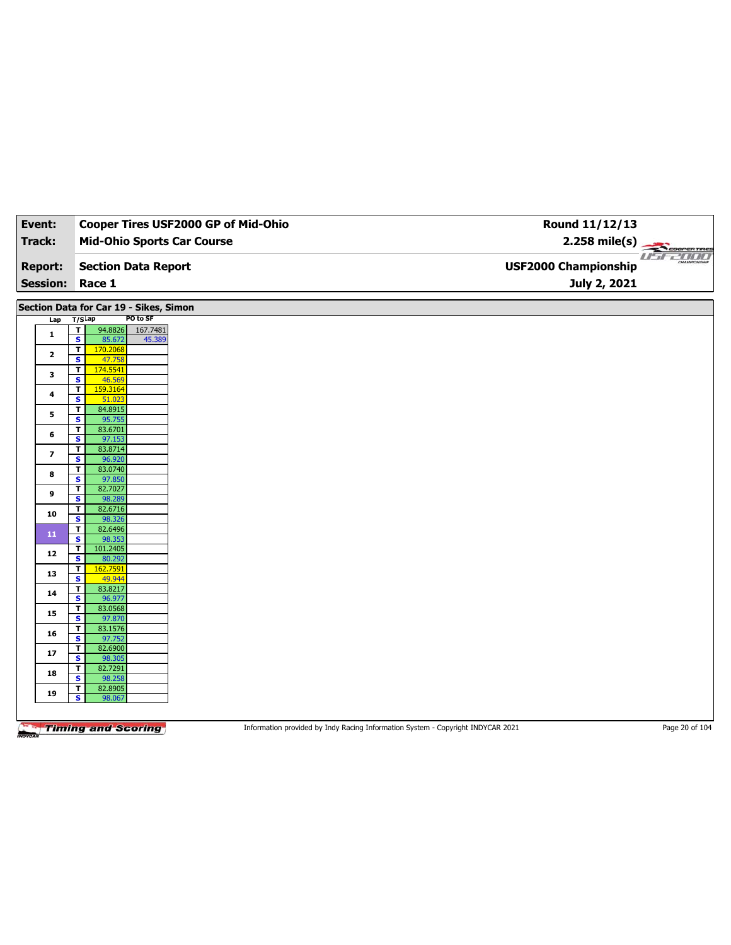| Event:                   | Cooper Tires USF2000 GP of Mid-Ohio                                      | Round 11/12/13                         |
|--------------------------|--------------------------------------------------------------------------|----------------------------------------|
| <b>Track:</b>            | <b>Mid-Ohio Sports Car Course</b>                                        | 2.258 mile(s)                          |
|                          |                                                                          | COOPER TIRES<br><b>USFZOOO</b><br>CHAM |
| <b>Report:</b>           | <b>Section Data Report</b>                                               | <b>USF2000 Championship</b>            |
| <b>Session:</b>          | Race 1                                                                   | July 2, 2021                           |
|                          | Section Data for Car 19 - Sikes, Simon                                   |                                        |
| Lap                      | PO to SF<br>T/SLap                                                       |                                        |
| $\mathbf{1}$             | T.<br>94.8826<br>167.7481<br>$\overline{\mathbf{s}}$<br>85.672<br>45.389 |                                        |
| $\mathbf{2}$             | $\overline{\mathsf{r}}$<br>170.2068                                      |                                        |
|                          | $\overline{\mathbf{s}}$<br>47.758<br>$\mathbf T$<br>174.5541             |                                        |
| 3                        | $\overline{\mathbf{s}}$<br>46.569                                        |                                        |
| 4                        | 159.3164<br>$\overline{\mathsf{r}}$<br>$\overline{\mathbf{s}}$<br>51.023 |                                        |
| 5                        | $\mathbf T$<br>84.8915                                                   |                                        |
|                          | $\overline{\mathbf{s}}$<br>95.755<br>83.6701<br>$\overline{\mathsf{r}}$  |                                        |
| 6                        | $\overline{\mathbf{s}}$<br>97.153                                        |                                        |
| $\overline{\phantom{a}}$ | $\mathbf T$<br>83.8714<br>$\overline{\mathbf{s}}$<br>96.920              |                                        |
|                          | $\overline{\mathbf{r}}$<br>83.0740                                       |                                        |
| 8                        | $\mathbf{s}$<br>97.850                                                   |                                        |
| 9                        | $\mathbf T$<br>82.7027<br>$\overline{\mathbf{s}}$<br>98.289              |                                        |
| 10                       | T<br>82.6716                                                             |                                        |
|                          | $\mathbf{s}$<br>98.326<br>$\overline{\mathbf{r}}$<br>82.6496             |                                        |
| ${\bf 11}$               | $\overline{\mathbf{s}}$<br>98.353                                        |                                        |
| ${\bf 12}$               | 101.2405<br>$\overline{\mathsf{r}}$<br>$\overline{\mathbf{s}}$<br>80.292 |                                        |
| 13                       | 162.7591<br>$\overline{1}$                                               |                                        |
|                          | $\overline{\mathbf{s}}$<br>49.944<br>$\overline{\mathbf{r}}$<br>83.8217  |                                        |
| ${\bf 14}$               | $\overline{\mathbf{s}}$<br>96.977                                        |                                        |
| 15                       | $\overline{\mathbf{r}}$<br>83.0568<br>$\overline{\mathbf{s}}$<br>97.870  |                                        |
| 16                       | 83.1576<br>T                                                             |                                        |
|                          | $\mathbf{s}$<br>97.752<br>82.6900<br>$\mathbf{T}$                        |                                        |
| 17                       | $\overline{\mathbf{s}}$<br>98.305                                        |                                        |
| 18                       | T<br>82.7291<br>$\mathbf{s}$<br>98.258                                   |                                        |
| 19                       | 82.8905<br>T                                                             |                                        |
|                          | $\overline{\mathbf{s}}$<br>98.067                                        |                                        |
|                          |                                                                          |                                        |

Information provided by Indy Racing Information System - Copyright INDYCAR 2021 Page 20 of 104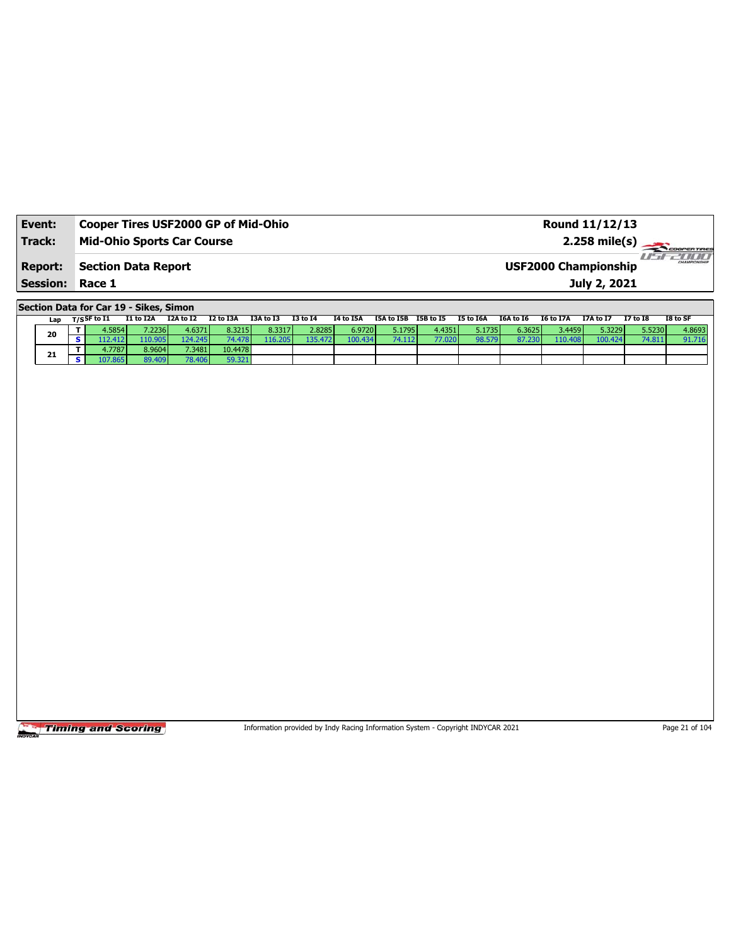| Event:<br>Track:       | Cooper Tires USF2000 GP of Mid-Ohio<br><b>Mid-Ohio Sports Car Course</b> | Round 11/12/13<br>$2.258 \text{ mile(s)}$<br>7711111 |
|------------------------|--------------------------------------------------------------------------|------------------------------------------------------|
| <b>Report:</b>         | Section Data Report                                                      | CHAMPIONSHIP<br><b>USF2000 Championship</b>          |
| <b>Session: Race 1</b> |                                                                          | July 2, 2021                                         |

**Section Data for Car 19 - Sikes, Simon**

| Lap | T/SSF to I1 | I1 to I2A | I2A to I2 | I2 to I3A | I3A to I3 | I3 to I4 | I4 to I5A | I5A to I5B | I5B to I5 | I5 to I6A | I6A to I6 | I6 to I7A | <b>I7A to I7</b> | <b>I7 to I8</b> | I8 to SF |
|-----|-------------|-----------|-----------|-----------|-----------|----------|-----------|------------|-----------|-----------|-----------|-----------|------------------|-----------------|----------|
|     | 4.5854 l    | 7.2236    | 4.6371    | 8.3215    | 8.3317    | 2.8285   | 6.9720    | 5.1795     | 4.4351    | 5.1735    | 6.3625    | 3.4459    | 5.3229           | 5.5230          | 4.8693   |
| 20  |             | 110.905   | 124.245   | 74.4781   | 16.205    | 135.472  | 100.434   | 74.112 l   | 77.020    | 98.579    | 87.230    | 110.408   | 100.424          | 74.811          | 91.716   |
|     | .7787       | 8.9604    | 7.3481    | 10.4478   |           |          |           |            |           |           |           |           |                  |                 |          |
| 21  | 107.865     | 89.409    | 78.406    | 59.321    |           |          |           |            |           |           |           |           |                  |                 |          |

Timing and Scoring

Information provided by Indy Racing Information System - Copyright INDYCAR 2021 Page 21 of 104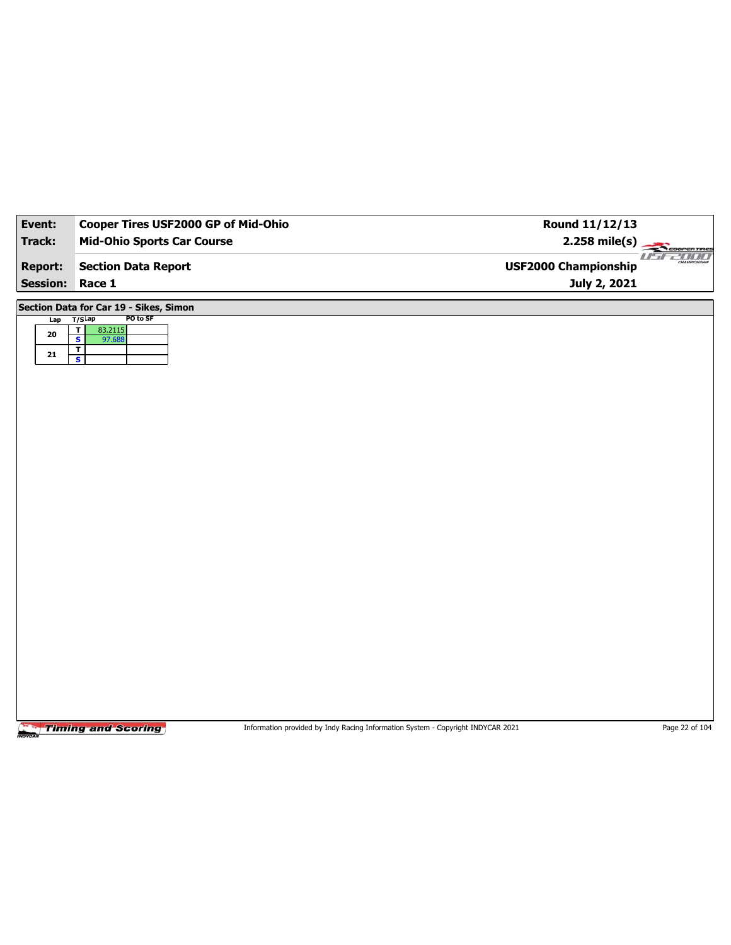| Event:          | Cooper Tires USF2000 GP of Mid-Ohio                                     | Round 11/12/13              |                       |
|-----------------|-------------------------------------------------------------------------|-----------------------------|-----------------------|
| <b>Track:</b>   | <b>Mid-Ohio Sports Car Course</b>                                       | $2.258$ mile(s)             | COOPERTIRES           |
| <b>Report:</b>  | <b>Section Data Report</b>                                              | <b>USF2000 Championship</b> | $II^T$<br><b>2000</b> |
| <b>Session:</b> | Race 1                                                                  | July 2, 2021                |                       |
|                 | Section Data for Car 19 - Sikes, Simon                                  |                             |                       |
| Lap             | PO to SF<br>$T/S$ Lap                                                   |                             |                       |
| ${\bf 20}$      | $\overline{\mathbf{r}}$<br>83.2115<br>$\overline{\mathbf{s}}$<br>97.688 |                             |                       |
| ${\bf 21}$      | $rac{1}{s}$                                                             |                             |                       |
|                 |                                                                         |                             |                       |
|                 |                                                                         |                             |                       |
|                 |                                                                         |                             |                       |
|                 |                                                                         |                             |                       |
|                 |                                                                         |                             |                       |
|                 |                                                                         |                             |                       |
|                 |                                                                         |                             |                       |
|                 |                                                                         |                             |                       |
|                 |                                                                         |                             |                       |
|                 |                                                                         |                             |                       |
|                 |                                                                         |                             |                       |
|                 |                                                                         |                             |                       |
|                 |                                                                         |                             |                       |
|                 |                                                                         |                             |                       |
|                 |                                                                         |                             |                       |
|                 |                                                                         |                             |                       |
|                 |                                                                         |                             |                       |
|                 |                                                                         |                             |                       |
|                 |                                                                         |                             |                       |
|                 |                                                                         |                             |                       |
|                 |                                                                         |                             |                       |

Information provided by Indy Racing Information System - Copyright INDYCAR 2021 Page 22 of 104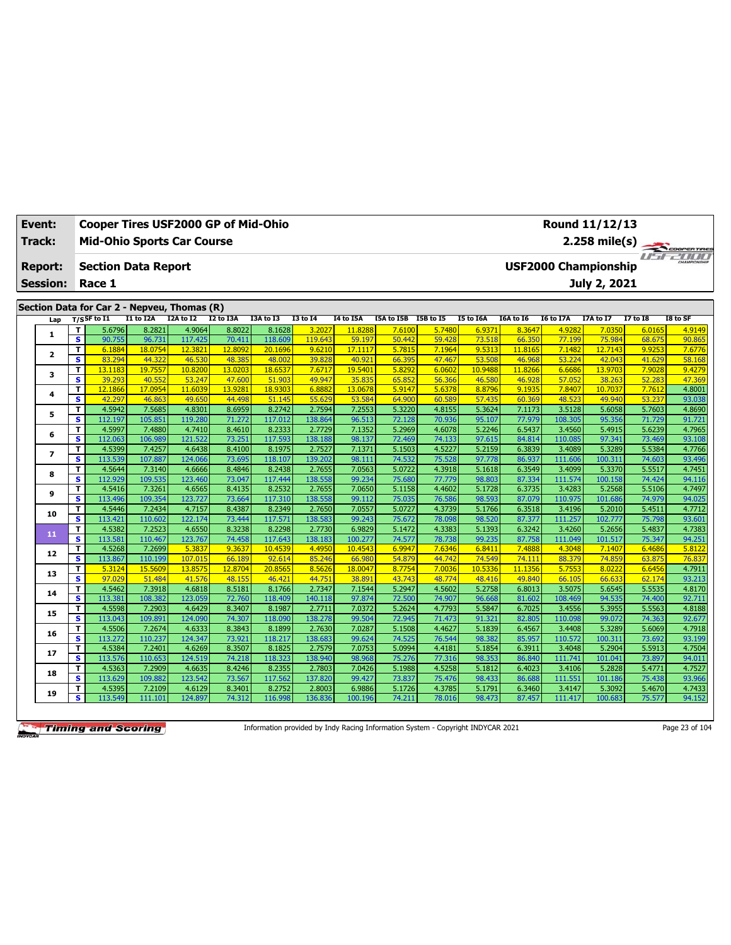| LVCIIL.                                     | Cooper Thes OSFZ000 GF OF Mid-Offic               |                   |                   |                   |                   |                   |                   |                      |                  |                  |                   | <b>NUURU 11/14/13</b>       |                   |                  |                             |  |
|---------------------------------------------|---------------------------------------------------|-------------------|-------------------|-------------------|-------------------|-------------------|-------------------|----------------------|------------------|------------------|-------------------|-----------------------------|-------------------|------------------|-----------------------------|--|
| <b>Track:</b>                               | <b>Mid-Ohio Sports Car Course</b>                 |                   |                   |                   |                   |                   |                   |                      |                  |                  |                   |                             | $2.258$ mile(s)   |                  |                             |  |
|                                             |                                                   |                   |                   |                   |                   |                   |                   |                      |                  |                  |                   |                             |                   |                  | COOPER TIRES<br>use and the |  |
| <b>Report:</b>                              | <b>Section Data Report</b>                        |                   |                   |                   |                   |                   |                   |                      |                  |                  |                   | <b>USF2000 Championship</b> |                   |                  | CHAMPSONSHI                 |  |
|                                             |                                                   |                   |                   |                   |                   |                   |                   |                      |                  |                  |                   |                             |                   |                  |                             |  |
| <b>Session:</b>                             | Race 1                                            |                   |                   |                   |                   |                   |                   |                      |                  |                  |                   |                             | July 2, 2021      |                  |                             |  |
|                                             |                                                   |                   |                   |                   |                   |                   |                   |                      |                  |                  |                   |                             |                   |                  |                             |  |
| Section Data for Car 2 - Nepveu, Thomas (R) |                                                   |                   |                   |                   |                   |                   |                   |                      |                  |                  |                   |                             |                   |                  |                             |  |
| Lap                                         | $T/S$ SF to I1                                    | I1 to I2A         | I2A to I2         | I2 to I3A         | I3A to I3         | <b>I3 to I4</b>   | I4 to I5A         | I5A to I5B I5B to I5 |                  | <b>I5 to I6A</b> | <b>I6A to 16</b>  | <b>I6 to I7A</b>            | I7A to I7         | <b>I7 to I8</b>  | I8 to SF                    |  |
| 1                                           | 5.6796<br>т<br>s<br>90.755                        | 8.2821<br>96.731  | 4.9064<br>117.425 | 8.8022<br>70.411  | 8.1628<br>118,609 | 3.2027<br>119.643 | 11,8288<br>59.197 | 7.6100<br>50.442     | 5.7480<br>59.428 | 6.9371<br>73.518 | 8.3647<br>66.350  | 4.9282<br>77.199            | 7.0350<br>75.984  | 6.0165<br>68.675 | 4.9149<br>90.865            |  |
|                                             | T<br>6.1884                                       | 18.0754           | 12.3821           | 12.8092           | 20.1696           | 9.6210            | 17.1117           | 5.7815               | 7.1964           | 9.5313           | 11.8165           | 7.1482                      | 12.7143           | 9.9253           | 7.6776                      |  |
| $\mathbf{2}$                                | s<br>83.294                                       | 44.322            | 46.530            | 48.385            | 48.002            | 39.828            | 40.921            | 66.395               | 47.467           | 53.508           | 46.968            | 53,224                      | 42.043            | 41.629           | 58.168                      |  |
|                                             | T<br>13.1183                                      | 19.7557           | 10.8200           | 13.0203           | 18,6537           | 7.6717            | 19.5401           | 5.8292               | 6.0602           | 10.9488          | 11.8266           | 6.6686                      | 13,9703           | 7.9028           | 9.4279                      |  |
| з                                           | s<br>39.293                                       | 40.552            | 53.247            | 47,600            | 51.903            | 49.947            | 35.835            | 65.852               | 56.366           | 46.580           | 46.928            | 57.052                      | 38.263            | 52.283           | 47.369                      |  |
| 4                                           | T<br>12.1866                                      | 17.0954           | 11,6039           | 13.9281           | 18.9303           | 6.8882            | 13,0678           | 5.9147               | 5.6378           | 8.8796           | 9.1935            | 7.8407                      | 10.7037           | 7.7612           | 4.8001                      |  |
|                                             | s<br>42.297                                       | 46.863            | 49.650            | 44.498            | 51.145            | 55.629            | 53.584            | 64.900               | 60.589           | 57.435           | 60.369            | 48.523                      | 49.940            | 53.237           | 93.038                      |  |
| 5                                           | T<br>4.5942                                       | 7.5685            | 4.8301            | 8.6959            | 8.2742            | 2.7594            | 7.2553            | 5.3220               | 4.8155           | 5.3624           | 7.1173            | 3.5128                      | 5.6058            | 5.7603           | 4.8690                      |  |
|                                             | $\overline{\mathbf{s}}$<br>112.197                | 105.851           | 119.280           | 71.272            | 117.012           | 138.864           | 96.513            | 72.128               | 70.936           | 95.107           | 77.979            | 108.305                     | 95.356            | 71.729           | 91.721                      |  |
| 6                                           | 4.5997<br>T                                       | 7.4880            | 4.7410            | 8.4610            | 8.2333            | 2.7729            | 7.1352            | 5.2969               | 4.6078           | 5.2246           | 6.5437            | 3.4560                      | 5.4915            | 5.6239           | 4.7965                      |  |
|                                             | s<br>112.063                                      | 106.989           | 121.522           | 73.251            | 117.593           | 138.188           | 98.137            | 72.469               | 74.133           | 97.615           | 84.814            | 110.085                     | 97.341            | 73.469           | 93.108                      |  |
| $\overline{ }$                              | T<br>4.5399<br>$\overline{\mathbf{s}}$<br>113.539 | 7.4257<br>107.887 | 4.6438<br>124.066 | 8.4100<br>73.695  | 8.1975            | 2.7527<br>139.202 | 7.1371<br>98.111  | 5.1503<br>74.532     | 4.5227<br>75.528 | 5.2159           | 6.3839<br>86.937  | 3.4089<br>111.606           | 5.3289            | 5.5384           | 4.7766<br>93.496            |  |
|                                             | 4.5644<br>T                                       | 7.3140            | 4.6666            | 8.4846            | 118.107<br>8.2438 | 2.7655            | 7.0563            | 5.0722               | 4.3918           | 97.778<br>5.1618 | 6.3549            | 3.4099                      | 100.311<br>5.3370 | 74.603<br>5.5517 | 4.7451                      |  |
| 8                                           | s<br>112.929                                      | 109.535           | 123.460           | 73.047            | 117.444           | 138.558           | 99.234            | 75.680               | 77.779           | 98.803           | 87.334            | 111.574                     | 100.158           | 74.424           | 94.116                      |  |
|                                             | 4.5416<br>T                                       | 7.3261            | 4.6565            | 8.4135            | 8.2532            | 2.7655            | 7.0650            | 5.1158               | 4.4602           | 5.1728           | 6.3735            | 3.4283                      | 5.2568            | 5.5106           | 4.7497                      |  |
| 9                                           | s<br>113.496                                      | 109.354           | 123.727           | 73.664            | 117.310           | 138.558           | 99.112            | 75.035               | 76.586           | 98.593           | 87.079            | 110.975                     | 101.686           | 74.979           | 94.025                      |  |
|                                             | 4.5446<br>T                                       | 7.2434            | 4.7157            | 8.4387            | 8.2349            | 2.7650            | 7.0557            | 5.0727               | 4.3739           | 5.1766           | 6.3518            | 3.4196                      | 5.2010            | 5.4511           | 4.7712                      |  |
| 10                                          | $\overline{\mathbf{s}}$<br>113.421                | 110.602           | 122.174           | 73.444            | 117.571           | 138.583           | 99.243            | 75.672               | 78.098           | 98.520           | 87.377            | 111.257                     | 102.777           | 75.798           | 93.601                      |  |
| 11                                          | T<br>4.5382                                       | 7.2523            | 4.6550            | 8.3238            | 8.2298            | 2.7730            | 6.9829            | 5.1472               | 4.3383           | 5.1393           | 6.3242            | 3.4260                      | 5.2656            | 5.4837           | 4.7383                      |  |
|                                             | s<br>113.581                                      | 110.467           | 123.767           | 74.458            | 117.643           | 138.183           | 100.277           | 74.577               | 78.738           | 99.235           | 87.758            | 111.049                     | 101.517           | 75.347           | 94.251                      |  |
| 12                                          | T<br>4.5268                                       | 7.2699            | 5.3837            | 9.3637            | 10.4539           | 4.4950            | 10.4543           | 6.9947               | 7.6346           | 6.8411           | 7.4888            | 4.3048                      | 7.1407            | 6.4686           | 5.8122                      |  |
|                                             | s<br>113.867                                      | 110.199           | 107.015           | 66.189            | 92.614            | 85.246            | 66.980            | 54.879               | 44.742           | 74.549           | 74.111            | 88.379                      | 74.859            | 63.875           | 76.837                      |  |
| 13                                          | T<br>5.3124<br>s<br>97.029                        | 15,5609           | 13.8575           | 12.8704<br>48.155 | 20.8565           | 8.5626            | 18,0047           | 8.7754<br>43.743     | 7.0036           | 10.5336          | 11.1356<br>49.840 | 5.7553                      | 8.0222            | 6.6456           | 4.7911<br>93.213            |  |
|                                             | T<br>4.5462                                       | 51.484<br>7.3918  | 41.576<br>4.6818  | 8.5181            | 46.421<br>8.1766  | 44.75<br>2.7347   | 38.891<br>7.1544  | 5.2947               | 48.774<br>4.5602 | 48.416<br>5.2758 | 6.8013            | 66.105<br>3.5075            | 66.633<br>5.6545  | 62.174<br>5.5535 | 4.8170                      |  |
| 14                                          | S<br>113.381                                      | 108.382           | 123.059           | 72.760            | 118.409           | 140.118           | 97.874            | 72.500               | 74.907           | 96.668           | 81.602            | 108.469                     | 94.535            | 74.400           | 92.711                      |  |
|                                             | T<br>4.5598                                       | 7.2903            | 4.6429            | 8.3407            | 8.1987            | 2.7711            | 7.0372            | 5.2624               | 4.7793           | 5.5847           | 6.7025            | 3.4556                      | 5.3955            | 5.5563           | 4.8188                      |  |
| 15                                          | s<br>113.043                                      | 109.891           | 124.090           | 74.307            | 118.090           | 138.278           | 99.504            | 72.945               | 71.473           | 91.321           | 82.805            | 110.098                     | 99.072            | 74.363           | 92.677                      |  |
|                                             | 4.5506<br>т                                       | 7.2674            | 4.6333            | 8.3843            | 8.1899            | 2.7630            | 7.0287            | 5.1508               | 4.4627           | 5.1839           | 6.4567            | 3.4408                      | 5.3289            | 5.6069           | 4.7918                      |  |
| 16                                          | $\mathbf{s}$<br>113.272                           | 110.237           | 124.347           | 73.921            | 118.217           | 138.683           | 99.624            | 74.525               | 76.544           | 98.382           | 85.957            | 110.572                     | 100.311           | 73.692           | 93.199                      |  |
| 17                                          | 4.5384<br>T                                       | 7.2401            | 4.6269            | 8.3507            | 8.1825            | 2.7579            | 7.0753            | 5.0994               | 4.4181           | 5.1854           | 6.3911            | 3.4048                      | 5.2904            | 5.5913           | 4.7504                      |  |
|                                             | s<br>113.576                                      | 110.653           | 124.519           | 74.218            | 118.323           | 138.940           | 98.968            | 75.276               | 77.316           | 98.353           | 86.840            | 111.741                     | 101.041           | 73.897           | 94.011                      |  |
| 18                                          | 4.5363<br>T                                       | 7.2909            | 4.6635            | 8.4246            | 8.2355            | 2.7803            | 7.0426            | 5.1988               | 4.5258           | 5.1812           | 6.4023            | 3.4106                      | 5.2828            | 5.4771           | 4.7527                      |  |
|                                             | s<br>113.629                                      | 109.882           | 123.542           | 73.567            | 117.562           | 137.820           | 99.427            | 73.837               | 75.476           | 98.433           | 86.688            | 111.551                     | 101.186           | 75.438           | 93.966                      |  |
| 19                                          | T<br>4.5395                                       | 7.2109            | 4.6129            | 8.3401            | 8.2752            | 2.8003            | 6.9886            | 5.1726               | 4.3785           | 5.1791           | 6.3460            | 3.4147                      | 5.3092            | 5.4670           | 4.7433                      |  |
|                                             | Ś<br>113.549                                      | 111.101           | 124.897           | 74.312            | 116.998           | 136.836           | 100.196           | 74.211               | 78.016           | 98.473           | 87.457            | 111.417                     | 100.683           | 75.577           | 94.152                      |  |

**Event: Cooper Tires USF2000 GP of Mid-Ohio**

**Timing and Scoring** 

Information provided by Indy Racing Information System - Copyright INDYCAR 2021 Page 23 of 104



## **Round 11/12/13**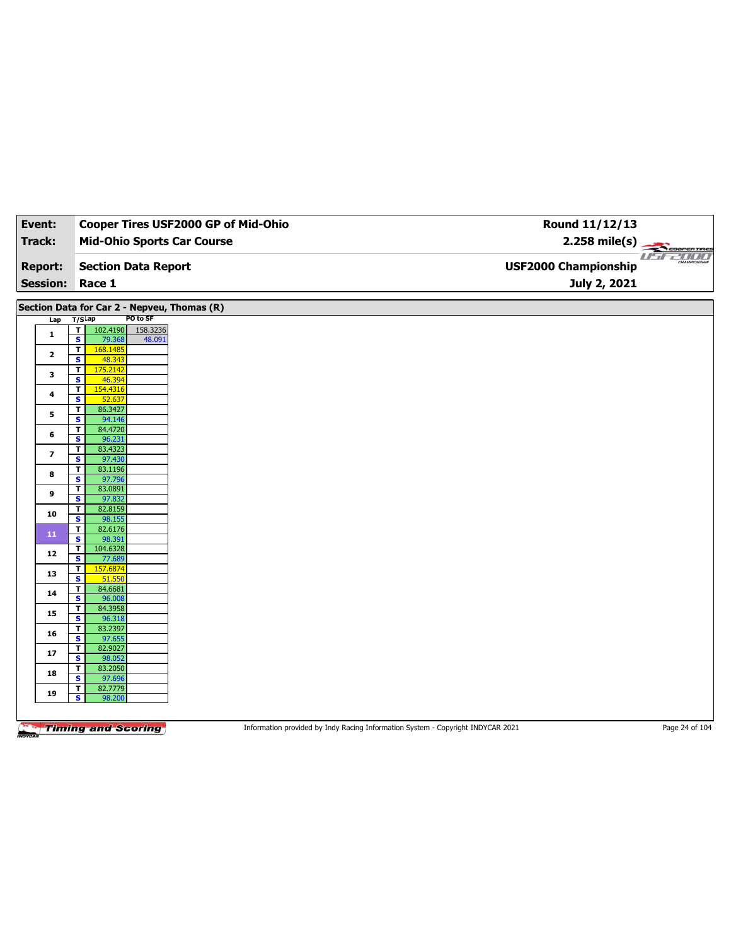| Event:                  | Cooper Tires USF2000 GP of Mid-Ohio                                                            | Round 11/12/13              |
|-------------------------|------------------------------------------------------------------------------------------------|-----------------------------|
| <b>Track:</b>           | <b>Mid-Ohio Sports Car Course</b>                                                              | $2.258$ mile(s)             |
|                         |                                                                                                | COOPERTIRES<br>use and      |
| <b>Report:</b>          | <b>Section Data Report</b>                                                                     | <b>USF2000 Championship</b> |
| <b>Session:</b>         | Race 1                                                                                         | July 2, 2021                |
|                         |                                                                                                |                             |
|                         | Section Data for Car 2 - Nepveu, Thomas (R)                                                    |                             |
| Lap                     | PO to SF<br>$T/S$ Lap                                                                          |                             |
| $\mathbf{1}$            | $\overline{\mathbf{r}}$<br>158.3236<br>102.4190<br>$\overline{\mathbf{s}}$<br>79.368<br>48.091 |                             |
|                         | $\overline{\mathsf{T}}$<br>168.1485                                                            |                             |
| $\mathbf{2}$            | S<br>48.343                                                                                    |                             |
| З                       | 175.2142<br>$\overline{\mathbf{r}}$                                                            |                             |
|                         | $\overline{\mathbf{s}}$<br>46.394<br>154.4316<br>$\overline{t}$                                |                             |
| 4                       | S<br>52.637                                                                                    |                             |
| 5                       | 86.3427<br>T                                                                                   |                             |
|                         | $\overline{\mathbf{s}}$<br>94.146<br>84.4720<br>T                                              |                             |
| 6                       | S<br>96.231                                                                                    |                             |
| $\overline{\mathbf{z}}$ | 83.4323<br>T                                                                                   |                             |
|                         | $\overline{\mathbf{s}}$<br>97.430<br>83.1196<br>T                                              |                             |
| 8                       | S<br>97.796                                                                                    |                             |
| 9                       | 83.0891<br>T                                                                                   |                             |
|                         | $\overline{\mathbf{s}}$<br>97.832<br>82.8159<br>т                                              |                             |
| 10                      | S<br>98.155                                                                                    |                             |
| 11                      | 82.6176<br>T                                                                                   |                             |
|                         | $\overline{\mathbf{s}}$<br>98.391                                                              |                             |
| 12                      | 104.6328<br>$\overline{\mathsf{r}}$<br>S<br>77.689                                             |                             |
|                         | $\mathbf{T}$<br>157.6874                                                                       |                             |
| 13                      | $\overline{\mathbf{s}}$<br>51.550                                                              |                             |
| 14                      | 84.6681<br>T<br>S<br>96.008                                                                    |                             |
|                         | 84.3958<br>T                                                                                   |                             |
| 15                      | $\overline{\mathbf{s}}$<br>96.318                                                              |                             |
| 16                      | 83.2397<br>T<br>S<br>97.655                                                                    |                             |
|                         | $\mathbf T$<br>82.9027                                                                         |                             |
| 17                      | $\overline{\mathbf{s}}$<br>98.052                                                              |                             |
| 18                      | 83.2050<br>T.                                                                                  |                             |
|                         | s<br>97.696<br>82.7779<br>T                                                                    |                             |
| 19                      | $\overline{\mathbf{s}}$<br>98.200                                                              |                             |
|                         |                                                                                                |                             |

Information provided by Indy Racing Information System - Copyright INDYCAR 2021 Page 24 of 104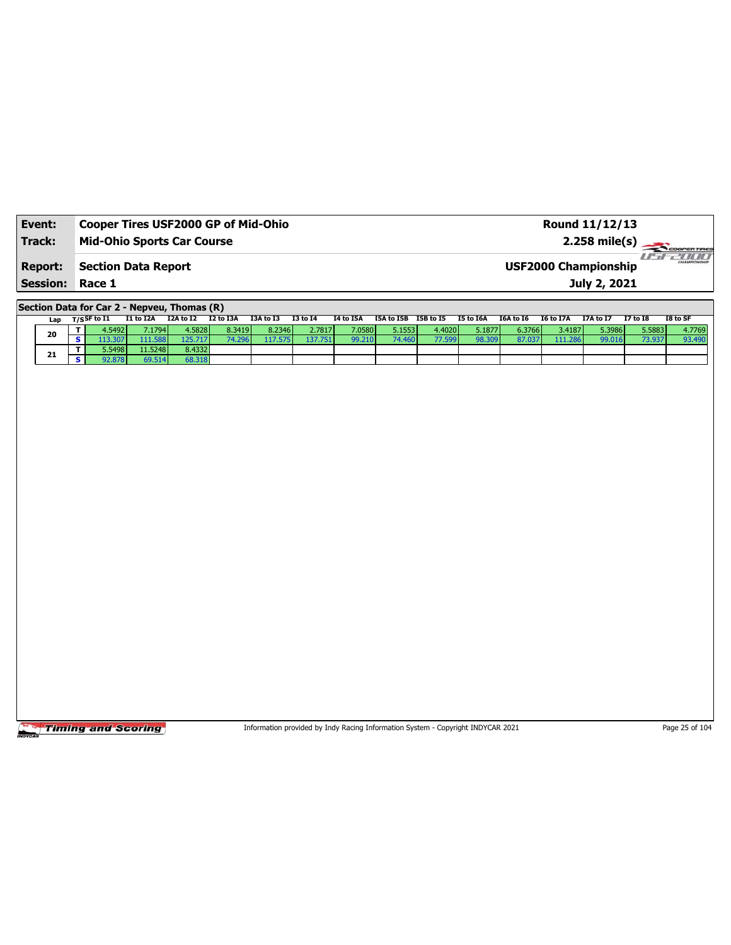| Event:                 | Cooper Tires USF2000 GP of Mid-Ohio | Round 11/12/13              |                              |
|------------------------|-------------------------------------|-----------------------------|------------------------------|
| Track:                 | <b>Mid-Ohio Sports Car Course</b>   | $2.258 \text{ mile(s)}$     |                              |
| <b>Report:</b>         | Section Data Report                 | <b>USF2000 Championship</b> | <b>HIMIN</b><br>CHAMPIONSHIP |
| <b>Session: Race 1</b> |                                     | July 2, 2021                |                              |

**Section Data for Car 2 - Nepveu, Thomas (R)**

|    | Lap     | T/SSF to I1 | I1 to I2A | I2A to I2 | I2 to I3A | I3A to I3 | <b>I3 to 14</b> | I4 to I5A | I5A to I5B | I5B to I5 | I5 to I6A | I6A to I6 | I6 to I7A | <b>I7A to I7</b> | <b>I7 to I8</b> | I8 to SF |
|----|---------|-------------|-----------|-----------|-----------|-----------|-----------------|-----------|------------|-----------|-----------|-----------|-----------|------------------|-----------------|----------|
| 20 | 1.54921 | 7.1794      | 4.5828    | 8.3419    | 8.2346    | 2.7817    | 7.0580          | 5.1553    | 4.4020     | 5.1877    | 6.3766    | 3.4187    | 5.3986    | 5.5883           | 4.7769          |          |
|    |         | .307        | 111.588   | 125.717   |           | 17.575    | 137.751         | 99.210    | 74.460     | 77.599    | 98.309    | 87.037    | 111.286   | 99.016           | 73.937          | 93.490   |
|    |         | 5.5498      | 11.52481  | 8.4332    |           |           |                 |           |            |           |           |           |           |                  |                 |          |
| 21 | 92.878  | 69.514      | 68.318    |           |           |           |                 |           |            |           |           |           |           |                  |                 |          |

Timing and Scoring

Information provided by Indy Racing Information System - Copyright INDYCAR 2021 Page 25 of 104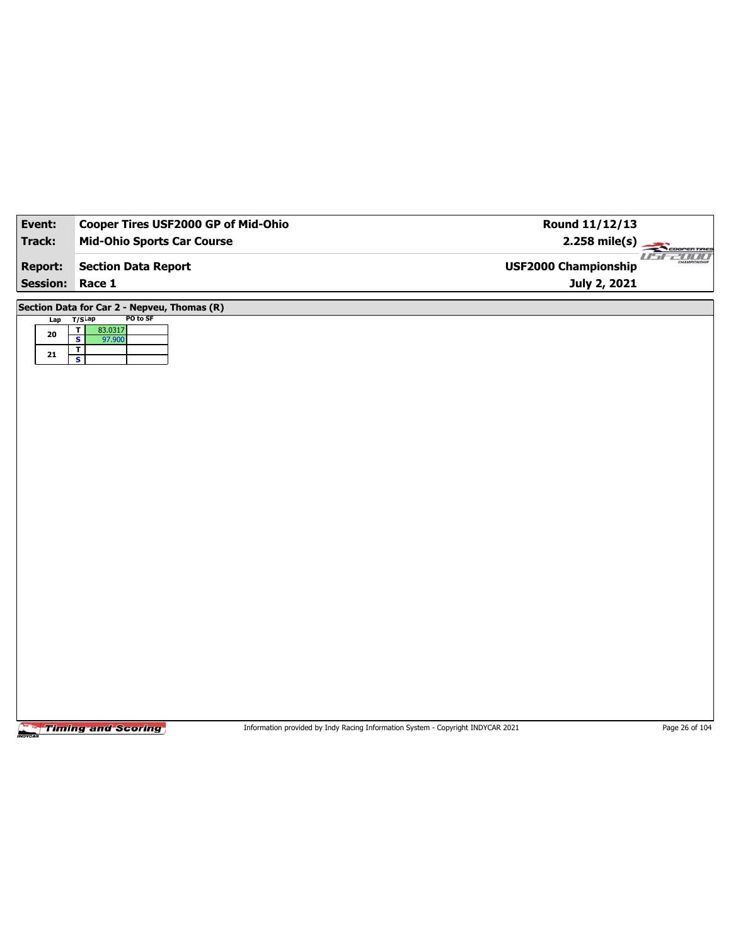| Event:          | Cooper Tires USF2000 GP of Mid-Ohio            | Round 11/12/13              |                |
|-----------------|------------------------------------------------|-----------------------------|----------------|
| <b>Track:</b>   | <b>Mid-Ohio Sports Car Course</b>              | $2.258$ mile(s)             | COOPERTIRES    |
| <b>Report:</b>  | <b>Section Data Report</b>                     | <b>USF2000 Championship</b> | <b>USEZOOO</b> |
| <b>Session:</b> | Race 1                                         | July 2, 2021                |                |
|                 | Section Data for Car 2 - Nepveu, Thomas (R)    |                             |                |
| $Lap$ T/S $Lap$ | PO to SF<br>$\overline{\mathbf{r}}$<br>83.0317 |                             |                |
| 20              | $\overline{\mathbf{s}}$<br>97.900              |                             |                |
| ${\bf 21}$      | T<br>$\overline{\mathbf{s}}$                   |                             |                |
|                 |                                                |                             |                |
|                 |                                                |                             |                |
|                 |                                                |                             |                |
|                 |                                                |                             |                |
|                 |                                                |                             |                |
|                 |                                                |                             |                |
|                 |                                                |                             |                |
|                 |                                                |                             |                |
|                 |                                                |                             |                |
|                 |                                                |                             |                |
|                 |                                                |                             |                |
|                 |                                                |                             |                |
|                 |                                                |                             |                |
|                 |                                                |                             |                |
|                 |                                                |                             |                |
|                 |                                                |                             |                |
|                 |                                                |                             |                |
|                 |                                                |                             |                |
|                 |                                                |                             |                |
|                 |                                                |                             |                |

Information provided by Indy Racing Information System - Copyright INDYCAR 2021 Page 26 of 104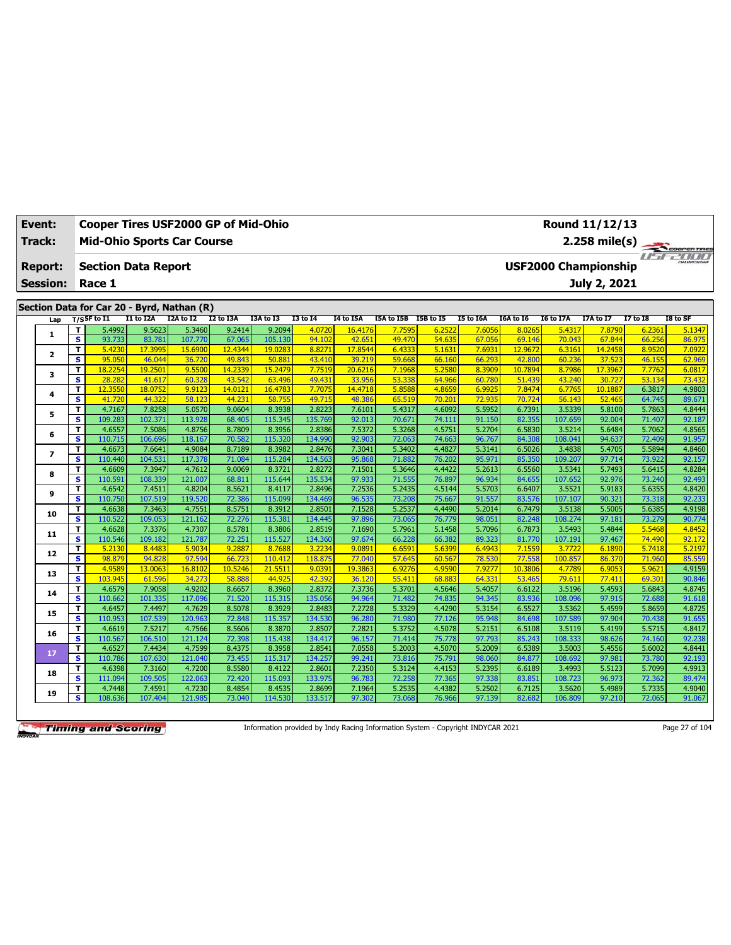| Event:          |                         | Cooper Tires USF2000 GP of Mid-Ohio        |                   |                   |                   |                   |                   |                   |                      |                  |                  |                   | Round 11/12/13    |                             |                  |                  |  |  |
|-----------------|-------------------------|--------------------------------------------|-------------------|-------------------|-------------------|-------------------|-------------------|-------------------|----------------------|------------------|------------------|-------------------|-------------------|-----------------------------|------------------|------------------|--|--|
| Track:          |                         | <b>Mid-Ohio Sports Car Course</b>          |                   |                   |                   |                   |                   |                   |                      |                  |                  |                   |                   | $2.258$ mile(s)             |                  | COOPERTIRES      |  |  |
| <b>Report:</b>  |                         | <b>Section Data Report</b>                 |                   |                   |                   |                   |                   |                   |                      |                  |                  |                   |                   | <b>USF2000 Championship</b> |                  | use and          |  |  |
| <b>Session:</b> |                         | Race 1                                     |                   |                   |                   |                   |                   |                   |                      |                  |                  |                   |                   | July 2, 2021                |                  |                  |  |  |
|                 |                         |                                            |                   |                   |                   |                   |                   |                   |                      |                  |                  |                   |                   |                             |                  |                  |  |  |
|                 |                         | Section Data for Car 20 - Byrd, Nathan (R) |                   |                   |                   |                   |                   |                   |                      |                  |                  |                   |                   |                             |                  |                  |  |  |
| Lap             |                         | $T/S$ SF to I1                             | I1 to I2A         | I2A to I2         | <b>I2 to I3A</b>  | I3A to I3         | <b>I3 to I4</b>   | I4 to I5A         | I5A to I5B I5B to I5 |                  | I5 to I6A        | I6A to I6         | <b>I6 to I7A</b>  | I7A to I7                   | <b>I7 to I8</b>  | I8 to SF         |  |  |
| 1               | т                       | 5.4992                                     | 9.5623            | 5.3460            | 9.2414            | 9.2094            | 4.0720            | 16.4176           | 7.7595               | 6.2522           | 7.6056           | 8.0265            | 5.4317            | 7.8790                      | 6.2361           | 5.1347           |  |  |
|                 | $\overline{\mathbf{s}}$ | 93.733                                     | 83.781            | 107.770           | 67.065            | 105.130           | 94.102            | 42.651            | 49.470               | 54.635           | 67.056           | 69.146            | 70.043            | 67.844                      | 66.256           | 86.975           |  |  |
| $\mathbf{2}$    | T                       | 5.4230                                     | 17.3995           | 15.6900           | 12.4344           | 19.0283           | 8.8271            | 17.8544           | 6.4333               | 5.1631           | 7.6931           | 12.9672           | 6.3161            | 14.2458                     | 8.9520           | 7.0922           |  |  |
|                 | S                       | 95.050                                     | 46.044            | 36.720            | 49.843            | 50.881            | 43.410            | 39.219            | 59.668               | 66.160           | 66.293           | 42.800            | 60.236            | 37.523                      | 46.155           | 62.969           |  |  |
| з               | T<br>$\mathbf{s}$       | 18.2254<br>28.282                          | 19.2501<br>41.617 | 9.5500<br>60.328  | 14.2339<br>43.542 | 15.2479<br>63.496 | 7.7519<br>49.431  | 20.6216<br>33.956 | 7.1968<br>53.338     | 5.2580<br>64.966 | 8.3909<br>60.780 | 10.7894<br>51.439 | 8.7986<br>43.240  | 17.3967<br>30.727           | 7.7762<br>53.134 | 6.0817<br>73.432 |  |  |
|                 | T                       | 12.3550                                    | 18.0752           | 9.9123            | 14.0121           | 16,4783           | 7.7075            | 14,4718           | 5.8588               | 4.8659           | 6.9925           | 7.8474            | 6.7765            | 10.1887                     | 6.3817           | 4.9803           |  |  |
| 4               | s                       | 41.720                                     | 44.322            | 58.12             | 44.231            | 58.755            | 49.71             | 48.386            | 65.519               | 70.20            | 72.935           | 70.724            | 56.143            | 52,465                      | 64.745           | 89.671           |  |  |
|                 | T                       | 4.7167                                     | 7.8258            | 5.0570            | 9.0604            | 8.3938            | 2.8223            | 7.6101            | 5.4317               | 4.6092           | 5.5952           | 6.7391            | 3.5339            | 5.8100                      | 5.7863           | 4.8444           |  |  |
| 5               | $\overline{\mathbf{s}}$ | 109.283                                    | 102.371           | 113.928           | 68.405            | 115.345           | 135,769           | 92.013            | 70.671               | 74.111           | 91.150           | 82.355            | 107.659           | 92.004                      | 71.407           | 92.187           |  |  |
| 6               | T                       | 4.6557                                     | 7.5086            | 4.8756            | 8.7809            | 8.3956            | 2.8386            | 7.5372            | 5.3268               | 4.5751           | 5.2704           | 6.5830            | 3.5214            | 5.6484                      | 5.7062           | 4.8565           |  |  |
|                 | $\overline{\mathbf{s}}$ | 110.715                                    | 106.696           | 118.167           | 70.582            | 115.320           | 134.990           | 92.903            | 72.063               | 74.663           | 96.767           | 84.308            | 108.041           | 94.637                      | 72.409           | 91.957           |  |  |
| $\overline{ }$  | T                       | 4.6673                                     | 7.6641            | 4.9084            | 8.7189            | 8.3982            | 2.8476            | 7.3041            | 5.3402               | 4.4827           | 5.3141           | 6.5026            | 3.4838            | 5.4705                      | 5.5894           | 4.8460           |  |  |
|                 | s                       | 110.440                                    | 104.531           | 117.378           | 71.084            | 115.284           | 134.563           | 95.868            | 71.882               | 76.202           | 95.971           | 85.350            | 109.207           | 97.714                      | 73.922           | 92.157           |  |  |
| 8               | T<br>s                  | 4.6609<br>110.591                          | 7.3947<br>108.339 | 4.7612<br>121.007 | 9.0069<br>68.811  | 8.3721<br>115.644 | 2.8272<br>135.534 | 7.1501<br>97.933  | 5.3646<br>71.555     | 4.4422<br>76.897 | 5.2613<br>96.934 | 6.5560<br>84.655  | 3.5341<br>107.652 | 5.7493<br>92.976            | 5.6415<br>73.240 | 4.8284<br>92.493 |  |  |
|                 | T                       | 4.6542                                     | 7.4511            | 4.8204            | 8.5621            | 8.4117            | 2.8496            | 7.2536            | 5.2435               | 4.5144           | 5.5703           | 6.6407            | 3.5521            | 5.9183                      | 5.6355           | 4.8420           |  |  |
| 9               | s                       | 110.750                                    | 107.519           | 119.520           | 72.386            | 115.099           | 134.469           | 96.535            | 73.208               | 75.667           | 91.557           | 83.576            | 107.107           | 90.321                      | 73.318           | 92.233           |  |  |
|                 | T                       | 4.6638                                     | 7.3463            | 4.7551            | 8.5751            | 8.3912            | 2.8501            | 7.1528            | 5.2537               | 4.4490           | 5.2014           | 6.7479            | 3.5138            | 5.5005                      | 5.6385           | 4.9198           |  |  |
| 10              | s                       | 110.522                                    | 109.053           | 121.162           | 72.276            | 115.381           | 134.445           | 97.896            | 73.065               | 76.779           | 98.051           | 82.248            | 108.274           | 97.181                      | 73.279           | 90.774           |  |  |
|                 | T                       | 4.6628                                     | 7.3376            | 4.7307            | 8.5781            | 8.3806            | 2.8519            | 7.1690            | 5.7961               | 5.1458           | 5.7096           | 6.7873            | 3.5493            | 5.4844                      | 5.5468           | 4.8452           |  |  |
| 11              | s                       | 110.546                                    | 109.182           | 121.787           | 72.251            | 115.527           | 134.360           | 97.674            | 66.228               | 66.382           | 89.323           | 81.770            | 107.191           | 97.467                      | 74.490           | 92.172           |  |  |
| 12              | T                       | 5.2130                                     | 8.4483            | 5.9034            | 9.2887            | 8.7688            | 3.2234            | 9.0891            | 6.6591               | 5.6399           | 6.4943           | 7.1559            | 3.7722            | 6.1890                      | 5.7418           | 5.2197           |  |  |
|                 | $\overline{\mathbf{s}}$ | 98.879                                     | 94.828            | 97.594            | 66.723            | 110.412           | 118.875           | 77.040            | 57.645               | 60.567           | 78.530           | 77.558            | 100.857           | 86.370                      | 71.960           | 85.559           |  |  |
| 13              | T                       | 4.9589                                     | 13.0063           | 16.8102           | 10.5246           | 21.5511           | 9.0391            | 19.3863           | 6.9276               | 4.9590           | 7.9277           | 10.3806           | 4.7789            | 6.9053                      | 5.962            | 4.9159           |  |  |
|                 | $\overline{\mathbf{s}}$ | 103.945                                    | 61.596            | 34.273            | 58.888            | 44.925            | 42.392            | 36.120            | 55.411               | 68.883           | 64.331           | 53.465            | 79.611            | 77.411                      | 69.301           | 90.846           |  |  |
| 14              | T<br>s                  | 4.6579<br>110.662                          | 7.9058<br>101.335 | 4.9202<br>117.096 | 8.6657<br>71.520  | 8.3960<br>115.315 | 2.8372<br>135.056 | 7.3736<br>94.964  | 5.3701<br>71.482     | 4.5646<br>74.835 | 5.4057<br>94.345 | 6.6122<br>83.936  | 3.5196<br>108.096 | 5.4593<br>97.915            | 5.6843<br>72.688 | 4.8745<br>91.618 |  |  |
|                 | T                       | 4.6457                                     | 7.4497            | 4.7629            | 8.5078            | 8.3929            | 2.8483            | 7.2728            | 5.3329               | 4.4290           | 5.3154           | 6.5527            | 3.5362            | 5.4599                      | 5.8659           | 4.8725           |  |  |
| 15              | s                       | 110.953                                    | 107.539           | 120.963           | 72.848            | 115.357           | 134.530           | 96.280            | 71.980               | 77.126           | 95.948           | 84.698            | 107.589           | 97.904                      | 70.438           | 91.655           |  |  |
|                 | T                       | 4.6619                                     | 7.5217            | 4.7566            | 8.5606            | 8.3870            | 2.8507            | 7.2821            | 5.3752               | 4.5078           | 5.2151           | 6.5108            | 3.5119            | 5.4199                      | 5.5715           | 4.8417           |  |  |
| 16              | $\overline{\mathbf{s}}$ | 110.567                                    | 106.510           | 121.124           | 72.398            | 115.438           | 134.417           | 96.157            | 71.414               | 75.778           | 97.793           | 85.243            | 108.333           | 98.626                      | 74.160           | 92.238           |  |  |
| 17              | T                       | 4.6527                                     | 7.4434            | 4.7599            | 8.4375            | 8.3958            | 2.8541            | 7.0558            | 5.2003               | 4.5070           | 5.2009           | 6.5389            | 3.5003            | 5.4556                      | 5.6002           | 4.8441           |  |  |
|                 | s                       | 110.786                                    | 107.630           | 121.040           | 73.455            | 115.317           | 134.257           | 99.241            | 73.816               | 75.79            | 98.060           | 84.877            | 108.692           | 97.981                      | 73.780           | 92.193           |  |  |
| 18              | т                       | 4.6398                                     | 7.3160            | 4.7200            | 8.5580            | 8.4122            | 2.8601            | 7.2350            | 5.3124               | 4.4153           | 5.2395           | 6.6189            | 3.4993            | 5.5123                      | 5.7099           | 4.9913           |  |  |
|                 | $\overline{\mathbf{s}}$ | 111.094                                    | 109.505           | 122.063           | 72.420            | 115.093           | 133.975           | 96.783            | 72.258               | 77.365           | 97.338           | 83.851            | 108.723           | 96.973                      | 72.362           | 89.474           |  |  |
| 19              | T                       | 4.7448                                     | 7.4591            | 4.7230            | 8.4854            | 8.4535            | 2.8699            | 7.1964            | 5.2535               | 4.4382           | 5.2502           | 6.7125            | 3.5620            | 5.4989                      | 5.7335           | 4.9040           |  |  |
|                 | s.                      | 108.636                                    | 107.404           | 121.985           | 73.040            | 114.530           | 133.517           | 97.302            | 73.068               | 76.966           | 97.139           | 82.682            | 106.809           | 97.210                      | 72.065           | 91.067           |  |  |

Information provided by Indy Racing Information System - Copyright INDYCAR 2021 Page 27 of 104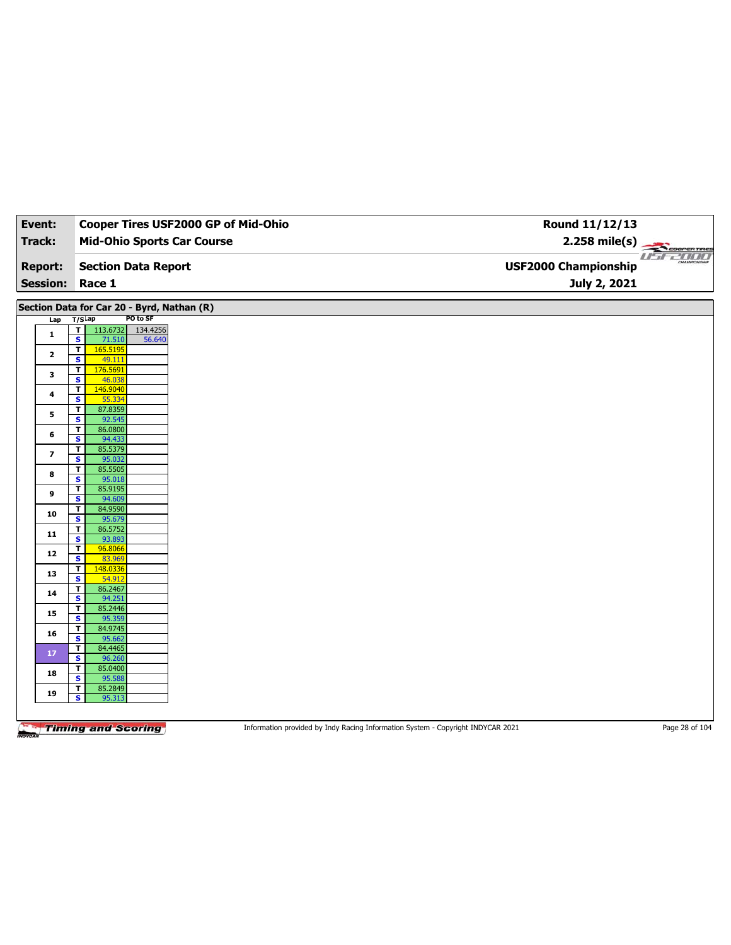| Event:                  | Cooper Tires USF2000 GP of Mid-Ohio                                                | Round 11/12/13                |
|-------------------------|------------------------------------------------------------------------------------|-------------------------------|
| <b>Track:</b>           | <b>Mid-Ohio Sports Car Course</b>                                                  | $2.258$ mile(s)               |
|                         |                                                                                    | COOPERTIRES<br><b>USE2000</b> |
| <b>Report:</b>          | <b>Section Data Report</b>                                                         | <b>USF2000 Championship</b>   |
| <b>Session:</b>         | Race 1                                                                             | July 2, 2021                  |
|                         |                                                                                    |                               |
| Lap                     | Section Data for Car 20 - Byrd, Nathan (R)<br>PO to SF<br>$T/S$ Lap                |                               |
| $\mathbf{1}$            | $\overline{\mathbf{r}}$<br>113.6732<br>134.4256                                    |                               |
|                         | $\overline{\mathbf{s}}$<br>71.510<br>56.640<br>165.5195<br>$\overline{\mathsf{r}}$ |                               |
| $\mathbf{2}$            | S<br>49.111                                                                        |                               |
| 3                       | 176.5691<br>T                                                                      |                               |
|                         | $\overline{\mathbf{s}}$<br>46.038<br>T<br>146.9040                                 |                               |
| 4                       | S<br>55.334                                                                        |                               |
| 5                       | T<br>87.8359<br>$\overline{\mathbf{s}}$<br>92.545                                  |                               |
| 6                       | 86.0800<br>$\overline{\mathsf{r}}$                                                 |                               |
|                         | s<br>94.433<br>$\mathbf{T}$<br>85.5379                                             |                               |
| $\overline{\mathbf{z}}$ | $\overline{\mathbf{s}}$<br>95.032                                                  |                               |
| 8                       | 85.5505<br>$\overline{\mathbf{r}}$                                                 |                               |
|                         | S<br>95.018<br>$\mathbf{T}$<br>85.9195                                             |                               |
| 9                       | $\overline{\mathbf{s}}$<br>94.609                                                  |                               |
| 10                      | 84.9590<br>T<br>$\mathbf{s}$<br>95.679                                             |                               |
| ${\bf 11}$              | $\mathbf T$<br>86.5752                                                             |                               |
|                         | $\overline{\mathbf{s}}$<br>93.893<br>$\overline{\mathbf{r}}$<br>96.8066            |                               |
| 12                      | $\mathbf{s}$<br>83.969                                                             |                               |
| 13                      | $\overline{1}$<br>148.0336<br>$\overline{\mathbf{s}}$                              |                               |
|                         | 54.912<br>86.2467<br>$\overline{\mathsf{r}}$                                       |                               |
| 14                      | $\mathbf{s}$<br>94.251                                                             |                               |
| 15                      | $\mathbf T$<br>85.2446<br>$\overline{\mathbf{s}}$<br>95.359                        |                               |
| 16                      | 84.9745<br>T                                                                       |                               |
|                         | $\mathbf{s}$<br>95.662<br>$\mathbf{T}$<br>84.4465                                  |                               |
| 17                      | $\overline{\mathbf{s}}$<br>96.260                                                  |                               |
| 18                      | $\overline{\mathsf{r}}$<br>85.0400<br><b>S</b><br>95.588                           |                               |
|                         | $\mathbf T$<br>85.2849                                                             |                               |
| 19                      | $\overline{\mathbf{s}}$<br>95.313                                                  |                               |
|                         |                                                                                    |                               |

Information provided by Indy Racing Information System - Copyright INDYCAR 2021 Page 28 of 104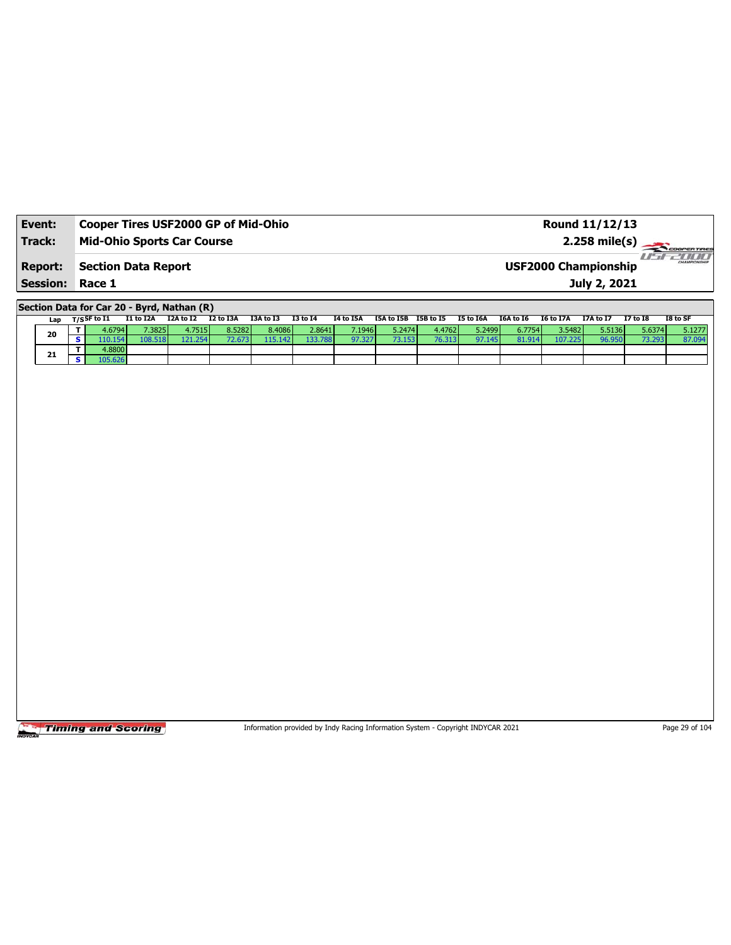| Event:                 | Cooper Tires USF2000 GP of Mid-Ohio | Round 11/12/13                                         |  |
|------------------------|-------------------------------------|--------------------------------------------------------|--|
| Track:                 | <b>Mid-Ohio Sports Car Course</b>   | $2.258 \text{ mile(s)}$                                |  |
| <b>Report:</b>         | Section Data Report                 | -777777<br>CHAMPIONSHIP<br><b>USF2000 Championship</b> |  |
| <b>Session: Race 1</b> |                                     | July 2, 2021                                           |  |

**Section Data for Car 20 - Byrd, Nathan (R)**

| Lap | $T/S$ SF to I1 | I1 to I2A | I2A to I2 | I2 to I3A | I3A to I3 | <b>I3 to I4</b> | I4 to I5A | I5A to I5B | I5B to I5 | I5 to I6A | I6A to I6 | I6 to I7A     | I7A to I7 | I7 to I8 | I8 to SF |
|-----|----------------|-----------|-----------|-----------|-----------|-----------------|-----------|------------|-----------|-----------|-----------|---------------|-----------|----------|----------|
| 20  | 1.6794         | 7.38251   | 4.7515    | 8.5282    | 8.4086    | 2.8641          | 7.1946    | 5.2474     | 4.4762    | 5.2499    | 6.7754    | 3.5482        | 5.5136    | 5.6374   | 5.1277   |
|     |                |           |           |           | 15.1421.  | 133.788         | 97.327    | 73.153     | 76.313    | 97.145    | 81.914    | .2251<br>107. | 96.950    | סכ בד    | 87.094   |
| 21  | 4.8800         |           |           |           |           |                 |           |            |           |           |           |               |           |          |          |
|     | 105.626        |           |           |           |           |                 |           |            |           |           |           |               |           |          |          |

Timing and Scoring

Information provided by Indy Racing Information System - Copyright INDYCAR 2021 Page 29 of 104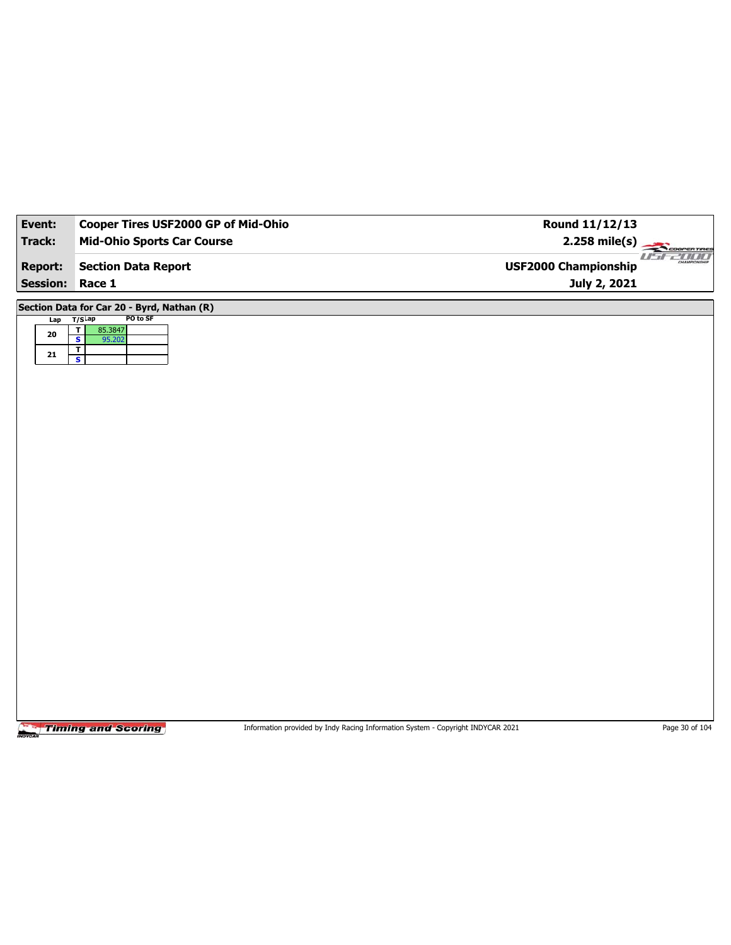| Event:          | Cooper Tires USF2000 GP of Mid-Ohio                          | Round 11/12/13              |                  |
|-----------------|--------------------------------------------------------------|-----------------------------|------------------|
| <b>Track:</b>   | <b>Mid-Ohio Sports Car Course</b>                            | $2.258$ mile(s)             | COOPERTIRES      |
| <b>Report:</b>  | <b>Section Data Report</b>                                   | <b>USF2000 Championship</b> | -777777<br>1 I T |
| <b>Session:</b> | Race 1                                                       | July 2, 2021                |                  |
|                 | Section Data for Car 20 - Byrd, Nathan (R)                   |                             |                  |
| Lap T/SLap      | PO to SF<br>T<br>85.3847                                     |                             |                  |
| ${\bf 20}$      | $\overline{\mathbf{s}}$<br>95.202<br>$\overline{\mathbf{r}}$ |                             |                  |
| 21              | $\overline{\mathbf{s}}$                                      |                             |                  |
|                 |                                                              |                             |                  |
|                 |                                                              |                             |                  |
|                 |                                                              |                             |                  |
|                 |                                                              |                             |                  |
|                 |                                                              |                             |                  |
|                 |                                                              |                             |                  |
|                 |                                                              |                             |                  |
|                 |                                                              |                             |                  |
|                 |                                                              |                             |                  |
|                 |                                                              |                             |                  |
|                 |                                                              |                             |                  |
|                 |                                                              |                             |                  |
|                 |                                                              |                             |                  |
|                 |                                                              |                             |                  |
|                 |                                                              |                             |                  |
|                 |                                                              |                             |                  |
|                 |                                                              |                             |                  |
|                 |                                                              |                             |                  |
|                 |                                                              |                             |                  |
|                 |                                                              |                             |                  |

Information provided by Indy Racing Information System - Copyright INDYCAR 2021 Page 30 of 104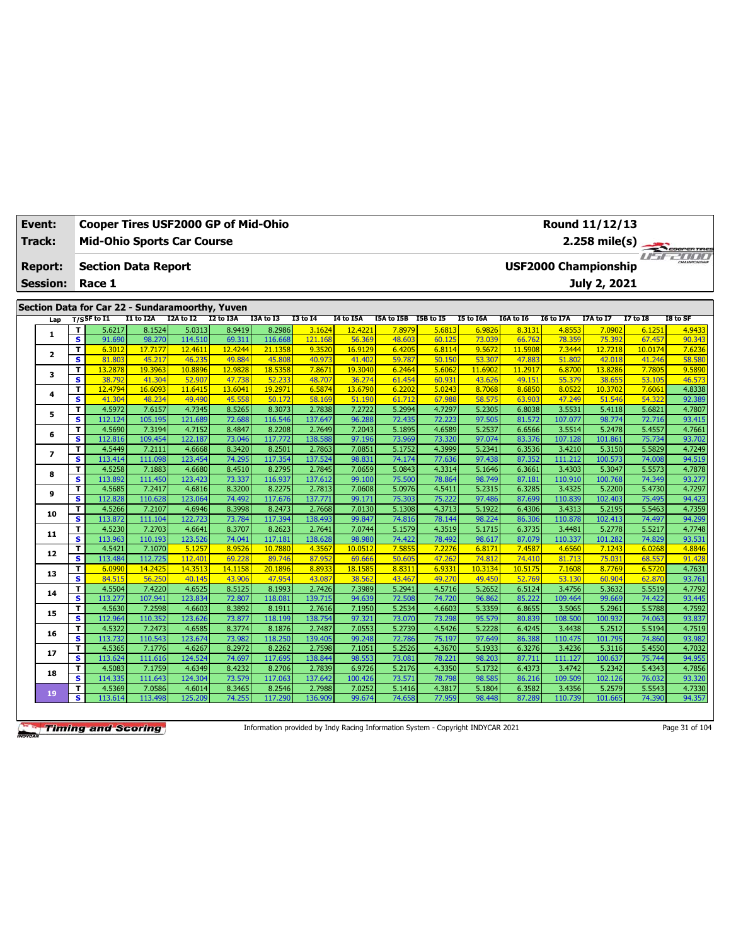|                                                 | Event:          | Cooper Tires USF2000 GP of Mid-Ohio<br>Round 11/12/13<br><b>Mid-Ohio Sports Car Course</b><br>2.258 mile(s) |                   |                   |                    |                   |                    |                   |                   |                      |                  |                  |                                               |                   |                   |                   |                  |  |  |
|-------------------------------------------------|-----------------|-------------------------------------------------------------------------------------------------------------|-------------------|-------------------|--------------------|-------------------|--------------------|-------------------|-------------------|----------------------|------------------|------------------|-----------------------------------------------|-------------------|-------------------|-------------------|------------------|--|--|
|                                                 | Track:          |                                                                                                             |                   |                   |                    |                   |                    |                   |                   |                      |                  |                  |                                               |                   | COOPER TIRES      |                   |                  |  |  |
|                                                 | <b>Report:</b>  | <b>Section Data Report</b>                                                                                  |                   |                   |                    |                   |                    |                   |                   |                      |                  |                  | <b>FF-POOL</b><br><b>USF2000 Championship</b> |                   |                   |                   |                  |  |  |
|                                                 | <b>Session:</b> | July 2, 2021<br>Race 1                                                                                      |                   |                   |                    |                   |                    |                   |                   |                      |                  |                  |                                               |                   |                   |                   |                  |  |  |
| Section Data for Car 22 - Sundaramoorthy, Yuven |                 |                                                                                                             |                   |                   |                    |                   |                    |                   |                   |                      |                  |                  |                                               |                   |                   |                   |                  |  |  |
|                                                 |                 |                                                                                                             |                   |                   |                    |                   |                    |                   |                   |                      |                  |                  |                                               |                   |                   |                   |                  |  |  |
|                                                 | Lap             |                                                                                                             | $T/S$ SF to I1    | I1 to I2A         | I2A to I2          | I2 to I3A         | I3A to I3          | <b>I3 to I4</b>   | <b>I4 to I5A</b>  | I5A to I5B I5B to I5 |                  | I5 to I6A        | I6A to I6                                     | <b>I6 to I7A</b>  | <b>I7A to I7</b>  | <b>I7 to I8</b>   | I8 to SF         |  |  |
|                                                 | $\mathbf{1}$    | т                                                                                                           | 5.6217            | 8.1524<br>98.270  | 5.0313             | 8.9419            | 8.2986             | 3.1624            | 12,4221           | 7.8979               | 5.6813           | 6.9826           | 8.3131                                        | 4.8553            | 7.0902            | 6.1251            | 4.9433           |  |  |
|                                                 |                 | s<br>T                                                                                                      | 91.690<br>6.3012  | 17.7177           | 114.510<br>12.4611 | 69.311<br>12,4244 | 116,668<br>21.1358 | 121.168<br>9.3520 | 56.369<br>16.9129 | 48.603<br>6.4205     | 60.125<br>6.8114 | 73.039<br>9.5672 | 66.762<br>11.5908                             | 78.359<br>7.3444  | 75.392<br>12.7218 | 67.457<br>10.0174 | 90.343<br>7.6236 |  |  |
|                                                 | 2               | s                                                                                                           | 81.803            | 45.217            | 46.235             | 49.884            | 45.808             | 40.973            | 41.402            | 59.787               | 50.150           | 53.307           | 47.883                                        | 51.802            | 42.018            | 41.246            | 58.580           |  |  |
|                                                 |                 | т                                                                                                           | 13.2878           | 19.3963           | 10.8896            | 12.9828           | 18.5358            | 7.8671            | 19.304            | 6.2464               | 5.6062           | 11,6902          | 11.2917                                       | 6.8700            | 13.8286           | 7.7805            | 9.5890           |  |  |
|                                                 | з               | $\overline{\mathbf{s}}$                                                                                     | 38.792            | 41.304            | 52.907             | 47.738            | 52.233             | 48.707            | 36.274            | 61.454               | 60.931           | 43.626           | 49.151                                        | 55.379            | 38.655            | 53.105            | 46.573           |  |  |
|                                                 |                 | T                                                                                                           | 12.4794           | 16.609            | 11.6415            | 13.6041           | 19.297             | 6.5874            | 13.679            | 6.2202               | 5.0243           | 8.7068           | 8.6850                                        | 8.0522            | 10.3702           | 7.606             | 4.8338           |  |  |
|                                                 | 4               | S                                                                                                           | 41.304            | 48.234            | 49.490             | 45.558            | 50.172             | 58.169            | 51.190            | 61.712               | 67.988           | 58.575           | 63.903                                        | 47.249            | 51.546            | 54.322            | 92.389           |  |  |
|                                                 |                 | т                                                                                                           | 4.5972            | 7.6157            | 4.7345             | 8.5265            | 8.3073             | 2.7838            | 7.2722            | 5.2994               | 4.7297           | 5.2305           | 6.8038                                        | 3.5531            | 5.4118            | 5.6821            | 4.7807           |  |  |
|                                                 | 5               | $\overline{\mathbf{s}}$                                                                                     | 112.124           | 105.195           | 121.689            | 72.688            | 116.546            | 137.647           | 96.288            | 72.435               | 72.223           | 97.505           | 81.572                                        | 107.077           | 98.774            | 72.716            | 93.415           |  |  |
|                                                 |                 | т                                                                                                           | 4.5690            | 7.3194            | 4.7152             | 8.4847            | 8.2208             | 2.7649            | 7.2043            | 5.1895               | 4.6589           | 5.2537           | 6.6566                                        | 3.5514            | 5.2478            | 5.4557            | 4.7661           |  |  |
|                                                 | 6               | $\overline{\mathbf{s}}$                                                                                     | 112.816           | 109.454           | 122.187            | 73.046            | 117.772            | 138.588           | 97.196            | 73.969               | 73.320           | 97.074           | 83.376                                        | 107.128           | 101.861           | 75.734            | 93.702           |  |  |
|                                                 |                 | т                                                                                                           | 4.5449            | 7.2111            | 4.6668             | 8.3420            | 8.2501             | 2.7863            | 7.0851            | 5.1752               | 4.3999           | 5.2341           | 6.3536                                        | 3.4210            | 5.3150            | 5.5829            | 4.7249           |  |  |
|                                                 | 7               | $\overline{\mathbf{s}}$                                                                                     | 113.414           | 111.098           | 123.454            | 74.295            | 117.354            | 137.524           | 98.831            | 74.174               | 77.636           | 97.438           | 87.352                                        | 111.212           | 100.573           | 74.008            | 94.519           |  |  |
|                                                 |                 | т                                                                                                           | 4.5258            | 7.1883            | 4.6680             | 8.4510            | 8.2795             | 2.7845            | 7.0659            | 5.0843               | 4.3314           | 5.1646           | 6.3661                                        | 3.4303            | 5.3047            | 5.5573            | 4.7878           |  |  |
|                                                 | 8               | $\overline{\mathbf{s}}$                                                                                     | 113.892           | 111.450           | 123.423            | 73.337            | 116.937            | 137.612           | 99.100            | 75.500               | 78.864           | 98.749           | 87.181                                        | 110.910           | 100.768           | 74.349            | 93.277           |  |  |
|                                                 |                 | т                                                                                                           | 4.5685            | 7.2417            | 4.6816             | 8.3200            | 8.2275             | 2.7813            | 7.0608            | 5.0976               | 4.5411           | 5.2315           | 6.3285                                        | 3.4325            | 5.2200            | 5.4730            | 4.7297           |  |  |
|                                                 | 9               | $\overline{\mathbf{s}}$                                                                                     | 112.828           | 110.628           | 123.064            | 74.492            | 117.676            | 137.771           | 99.171            | 75.303               | 75.222           | 97.486           | 87.699                                        | 110.839           | 102.403           | 75.495            | 94.423           |  |  |
|                                                 | 10              | T                                                                                                           | 4.5266            | 7.2107            | 4.6946             | 8.3998            | 8.2473             | 2.7668            | 7.0130            | 5.1308               | 4.3713           | 5.1922           | 6.4306                                        | 3.4313            | 5.2195            | 5.5463            | 4.7359           |  |  |
|                                                 |                 | $\overline{\mathbf{s}}$                                                                                     | 113.872           | 111.104           | 122.723            | 73.784            | 117.394            | 138.493           | 99.847            | 74.816               | 78.144           | 98.224           | 86.306                                        | 110.878           | 102.413           | 74.497            | 94.299           |  |  |
|                                                 | 11              | T                                                                                                           | 4.5230            | 7.2703            | 4.6641             | 8.3707            | 8.2623             | 2.7641            | 7.0744            | 5.1579               | 4.3519           | 5.1715           | 6.3735                                        | 3.4481            | 5.2778            | 5.5217            | 4.7748           |  |  |
|                                                 |                 | $\overline{\mathbf{s}}$                                                                                     | 113.963           | 110.193           | 123.526            | 74.041            | 117.181            | 138.628           | 98.98             | 74.422               | 78.492           | 98.617           | 87.079                                        | 110.337           | 101.282           | 74.829            | 93.531           |  |  |
|                                                 | 12              | T                                                                                                           | 4.5421            | 7.1070            | 5.1257             | 8.9526            | 10.7880            | 4.3567            | 10.0512           | 7.5855               | 7.2276           | 6.8171           | 7.4587                                        | 4.6560            | 7.1243            | 6.0268            | 4.8846           |  |  |
|                                                 |                 | $\overline{\mathbf{s}}$                                                                                     | 113.484           | 112.725           | 112,401            | 69.228            | 89.746             | 87.952            | 69.666            | 50.605               | 47.262           | 74.812           | 74.410                                        | 81.713            | 75.031            | 68.557            | 91.428           |  |  |
|                                                 | 13              | T                                                                                                           | 6.0990            | 14.2425           | 14.3513            | 14.1158           | 20.1896            | 8.8933            | 18.158            | 8.8311               | 6.9331           | 10.3134          | 10.5175                                       | 7.1608            | 8.7769            | 6.5720            | 4.7631           |  |  |
|                                                 |                 | $\overline{\mathbf{s}}$                                                                                     | 84.515            | 56.250            | 40.145             | 43.906            | 47.954             | 43.087            | 38.562            | 43.467               | 49.27            | 49.450           | 52.769                                        | 53.130            | 60.904            | 62.870            | 93.761           |  |  |
|                                                 | 14              | т                                                                                                           | 4.5504            | 7.4220            | 4.6525             | 8.5125            | 8.1993             | 2.7426            | 7.3989            | 5.2941               | 4.5716           | 5.2652           | 6.5124                                        | 3.4756            | 5.3632            | 5.5519            | 4.7792           |  |  |
|                                                 |                 | $\overline{\mathbf{s}}$                                                                                     | 113.277           | 107.941           | 123.834            | 72.807            | 118.081            | 139.715           | 94.639            | 72.508               | 74.720           | 96.862           | 85.222                                        | 109.464           | 99.669            | 74.422            | 93.445           |  |  |
|                                                 | 15              | T                                                                                                           | 4.5630            | 7.2598            | 4.6603             | 8.3892            | 8.1911             | 2.7616            | 7.1950            | 5.2534               | 4.6603           | 5.3359           | 6.8655                                        | 3.5065            | 5.2961            | 5.5788            | 4.7592           |  |  |
|                                                 |                 | $\overline{\mathbf{s}}$                                                                                     | 112.964           | 110.352           | 123.626            | 73.877            | 118.199            | 138.754           | 97.321            | 73.070               | 73.298           | 95.579           | 80.839                                        | 108.500           | 100.932           | 74.063            | 93.837           |  |  |
|                                                 | 16              | T<br>$\overline{\mathbf{s}}$                                                                                | 4.5322            | 7.2473            | 4.6585             | 8.3774            | 8.1876             | 2.7487            | 7.0553            | 5.2739               | 4.5426           | 5.2228           | 6.4245                                        | 3.4438            | 5.2512            | 5.5194            | 4.7519           |  |  |
|                                                 |                 | T                                                                                                           | 113.732<br>4.5365 | 110.543<br>7.1776 | 123.674<br>4.6267  | 73.982<br>8.2972  | 118.250<br>8.2262  | 139.405<br>2.7598 | 99.248<br>7.1051  | 72.786<br>5.2526     | 75.197<br>4.3670 | 97.649<br>5.1933 | 86.388<br>6.3276                              | 110.475<br>3.4236 | 101.795<br>5.3116 | 74.860<br>5.4550  | 93.982<br>4.7032 |  |  |
|                                                 | 17              | s                                                                                                           | 113.624           | 111.616           | 124.524            | 74.697            | 117.695            | 138.844           | 98.553            | 73.081               | 78.221           | 98.203           | 87.711                                        | 111.127           | 100.637           | 75.744            | 94.955           |  |  |
|                                                 |                 | T                                                                                                           | 4.5083            | 7.1759            | 4.6349             | 8.4232            | 8.2706             | 2.7839            | 6.9726            | 5.2176               | 4.3350           | 5.1732           | 6.4373                                        | 3.4742            | 5.2342            | 5.4343            | 4.7856           |  |  |
|                                                 | 18              | s                                                                                                           | 114.335           | 111.643           | 124.304            | 73.579            | 117.063            | 137.642           | 100.426           | 73.571               | 78.798           | 98.585           | 86.216                                        | 109.509           | 102.126           | 76.032            | 93.320           |  |  |
|                                                 |                 | T                                                                                                           | 4.5369            | 7.0586            | 4.6014             | 8.3465            | 8.2546             | 2.7988            | 7.0252            | 5.1416               | 4.3817           | 5.1804           | 6.3582                                        | 3.4356            | 5.2579            | 5.5543            | 4.7330           |  |  |
|                                                 | 19              | s                                                                                                           | 113.614           | 113.498           | 125.209            | 74.255            | 117.290            | 136.909           | 99.674            | 74.658               | 77.959           | 98.448           | 87.289                                        | 110.739           | 101.665           | 74.390            | 94.357           |  |  |

Information provided by Indy Racing Information System - Copyright INDYCAR 2021 Page 31 of 104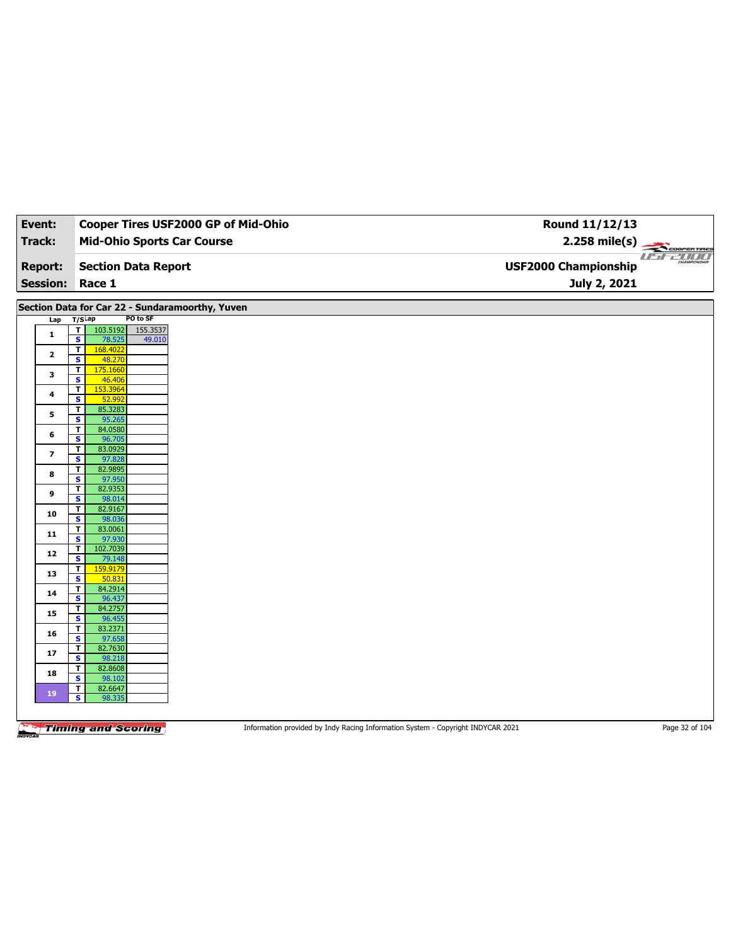| Event:                  | Cooper Tires USF2000 GP of Mid-Ohio                          | Round 11/12/13                                     |
|-------------------------|--------------------------------------------------------------|----------------------------------------------------|
| <b>Track:</b>           | <b>Mid-Ohio Sports Car Course</b>                            | $2.258 \text{ mile(s)}$                            |
| <b>Report:</b>          | <b>Section Data Report</b>                                   | u <del>sr2000</del><br><b>USF2000 Championship</b> |
| <b>Session:</b>         | Race 1                                                       | July 2, 2021                                       |
|                         |                                                              |                                                    |
|                         | Section Data for Car 22 - Sundaramoorthy, Yuven<br>PO to SF  |                                                    |
| Lap                     | $T/S$ Lap<br>155.3537<br>$\overline{\mathbf{r}}$<br>103.5192 |                                                    |
| $\mathbf{1}$            | $\overline{\mathbf{s}}$<br>78.525<br>49.010                  |                                                    |
| $\mathbf{2}$            | T.<br>168.4022<br>S<br>48.270                                |                                                    |
| З                       | 175.1660<br>$\mathbf{T}$                                     |                                                    |
|                         | $\overline{\mathbf{s}}$<br>46.406<br>153.3964<br>T           |                                                    |
| 4                       | S<br>52.992                                                  |                                                    |
| 5                       | 85.3283<br>T                                                 |                                                    |
|                         | $\overline{\mathbf{s}}$<br>95.265<br>84.0580<br>T            |                                                    |
| 6                       | 96.705<br>s                                                  |                                                    |
|                         | 83.0929<br>T                                                 |                                                    |
| $\overline{\mathbf{z}}$ | 97.828<br>s                                                  |                                                    |
| 8                       | T<br>82.9895                                                 |                                                    |
|                         | 97.950<br>s<br>82.9353<br>T                                  |                                                    |
| 9                       | 98.014<br>s                                                  |                                                    |
| 10                      | 82.9167<br>T                                                 |                                                    |
|                         | 98.036<br>s                                                  |                                                    |
| 11                      | $\mathbf{T}$<br>83.0061<br>$\overline{\mathbf{s}}$<br>97.930 |                                                    |
|                         | 102.7039<br>T                                                |                                                    |
| 12                      | s<br>79.148                                                  |                                                    |
| 13                      | 159.9179<br>$\mathbf T$                                      |                                                    |
|                         | $\overline{\mathbf{s}}$<br>50.831                            |                                                    |
| 14                      | 84.2914<br>T<br>S<br>96.437                                  |                                                    |
|                         | 84.2757<br>T                                                 |                                                    |
| 15                      | $\overline{\mathbf{s}}$<br>96.455                            |                                                    |
| 16                      | 83.2371<br>T                                                 |                                                    |
|                         | s<br>97.658<br>82.7630<br>T                                  |                                                    |
| 17                      | s<br>98.218                                                  |                                                    |
| 18                      | 82.8608<br>T                                                 |                                                    |
|                         | s<br>98.102                                                  |                                                    |
| 19                      | 82.6647<br>T<br>$\overline{\mathbf{s}}$<br>98.335            |                                                    |
|                         |                                                              |                                                    |
|                         |                                                              |                                                    |

Information provided by Indy Racing Information System - Copyright INDYCAR 2021 Page 32 of 104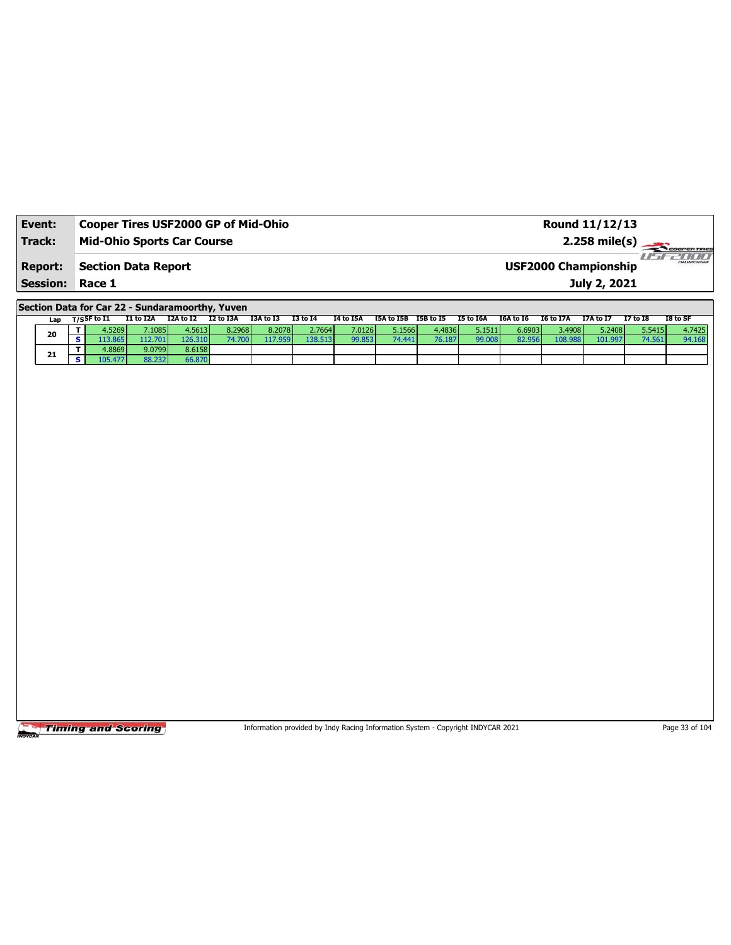| Event:          | Cooper Tires USF2000 GP of Mid-Ohio | Round 11/12/13              |                             |
|-----------------|-------------------------------------|-----------------------------|-----------------------------|
| Track:          | <b>Mid-Ohio Sports Car Course</b>   | $2.258 \text{ mile(s)}$     |                             |
| <b>Report:</b>  | <b>Section Data Report</b>          | <b>USF2000 Championship</b> | <b>HILL</b><br>CHAMPSONSHIP |
| <b>Session:</b> | Race 1                              | July 2, 2021                |                             |

**Section Data for Car 22 - Sundaramoorthy, Yuven**

|    | Lap      | $T/S$ SF to $I1$ | I1 to I2A | I2A to I2 | I2 to I3A | I3A to I3 | <b>I3 to I4</b> | I4 to I5A | I5A to I5B | I5B to I5 | I5 to I6A | I6A to I6 | I6 to I7A | <b>I7A to I7</b> | <b>I7 to I8</b> | I8 to SF |
|----|----------|------------------|-----------|-----------|-----------|-----------|-----------------|-----------|------------|-----------|-----------|-----------|-----------|------------------|-----------------|----------|
|    | 20       | 4.5269           | 7.1085    | 4.5613    | 8.2968    | 8.2078    | 2.7664          | 7.0126    | 5.1566     | 4.4836    | 5.1511    | 6.6903    | 3.4908    | 5.2408           | 5.5415          | 4.7425   |
|    |          | .865             | 112.701   | 126.310   |           | 17.959    | 138.513         | 99.853    | 74.441     | 76.187    | 99.008    | 82.956    | 108.988   | 101.997          | 74.56.          | 94.168   |
|    |          | 1.8869           | 9.0799    | 8.6158    |           |           |                 |           |            |           |           |           |           |                  |                 |          |
| 21 | 105.4771 | 88.232           | 66.870    |           |           |           |                 |           |            |           |           |           |           |                  |                 |          |

Timing and Scoring

Information provided by Indy Racing Information System - Copyright INDYCAR 2021 Page 33 of 104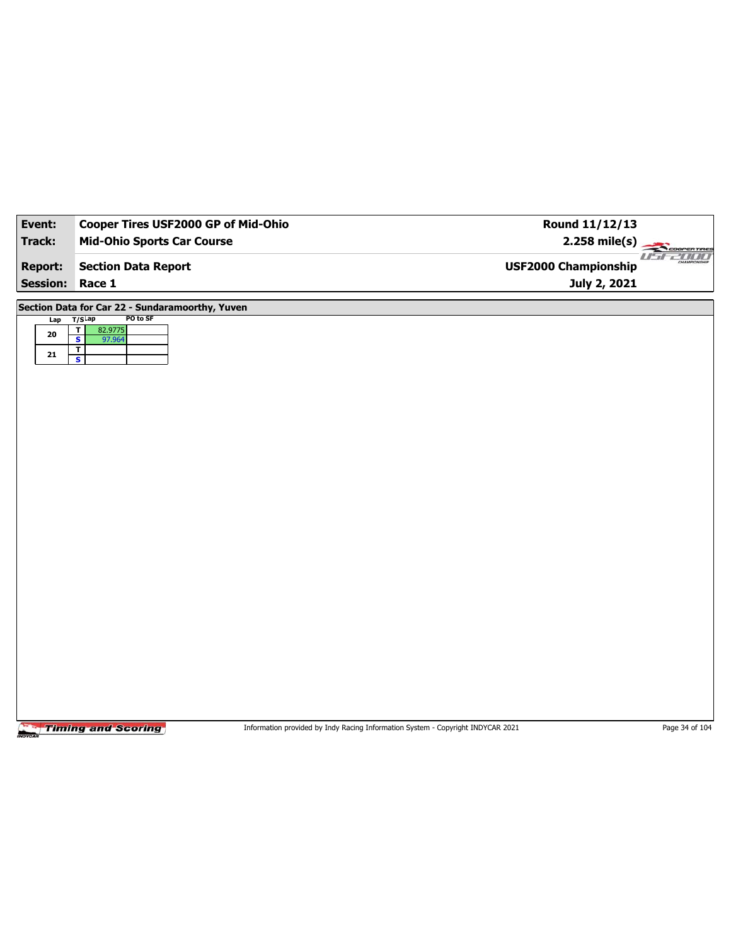| Event:                                          | Cooper Tires USF2000 GP of Mid-Ohio            | Round 11/12/13                                     |  |  |  |  |  |  |  |  |  |
|-------------------------------------------------|------------------------------------------------|----------------------------------------------------|--|--|--|--|--|--|--|--|--|
| Track:                                          | <b>Mid-Ohio Sports Car Course</b>              | $2.258$ mile(s)<br>COOPERTIRES                     |  |  |  |  |  |  |  |  |  |
| <b>Report:</b>                                  | <b>Section Data Report</b>                     | $II - I$<br>-111111<br><b>USF2000 Championship</b> |  |  |  |  |  |  |  |  |  |
| <b>Session:</b>                                 | Race 1                                         | July 2, 2021                                       |  |  |  |  |  |  |  |  |  |
| Section Data for Car 22 - Sundaramoorthy, Yuven |                                                |                                                    |  |  |  |  |  |  |  |  |  |
| Lap T/SLap                                      | PO to SF<br>$\overline{\mathbf{r}}$<br>82.9775 |                                                    |  |  |  |  |  |  |  |  |  |
| ${\bf 20}$                                      | $\overline{\mathbf{s}}$<br>97.964              |                                                    |  |  |  |  |  |  |  |  |  |
| ${\bf 21}$                                      | $\mathbf{T}$<br>ŋ                              |                                                    |  |  |  |  |  |  |  |  |  |
|                                                 |                                                |                                                    |  |  |  |  |  |  |  |  |  |
|                                                 |                                                |                                                    |  |  |  |  |  |  |  |  |  |
|                                                 |                                                |                                                    |  |  |  |  |  |  |  |  |  |
|                                                 |                                                |                                                    |  |  |  |  |  |  |  |  |  |
|                                                 |                                                |                                                    |  |  |  |  |  |  |  |  |  |
|                                                 |                                                |                                                    |  |  |  |  |  |  |  |  |  |
|                                                 |                                                |                                                    |  |  |  |  |  |  |  |  |  |
|                                                 |                                                |                                                    |  |  |  |  |  |  |  |  |  |
|                                                 |                                                |                                                    |  |  |  |  |  |  |  |  |  |
|                                                 |                                                |                                                    |  |  |  |  |  |  |  |  |  |
|                                                 |                                                |                                                    |  |  |  |  |  |  |  |  |  |
|                                                 |                                                |                                                    |  |  |  |  |  |  |  |  |  |
|                                                 |                                                |                                                    |  |  |  |  |  |  |  |  |  |
|                                                 |                                                |                                                    |  |  |  |  |  |  |  |  |  |
|                                                 |                                                |                                                    |  |  |  |  |  |  |  |  |  |
|                                                 |                                                |                                                    |  |  |  |  |  |  |  |  |  |
|                                                 |                                                |                                                    |  |  |  |  |  |  |  |  |  |
|                                                 |                                                |                                                    |  |  |  |  |  |  |  |  |  |
|                                                 |                                                |                                                    |  |  |  |  |  |  |  |  |  |
|                                                 |                                                |                                                    |  |  |  |  |  |  |  |  |  |
|                                                 |                                                |                                                    |  |  |  |  |  |  |  |  |  |
|                                                 |                                                |                                                    |  |  |  |  |  |  |  |  |  |

Information provided by Indy Racing Information System - Copyright INDYCAR 2021 Page 34 of 104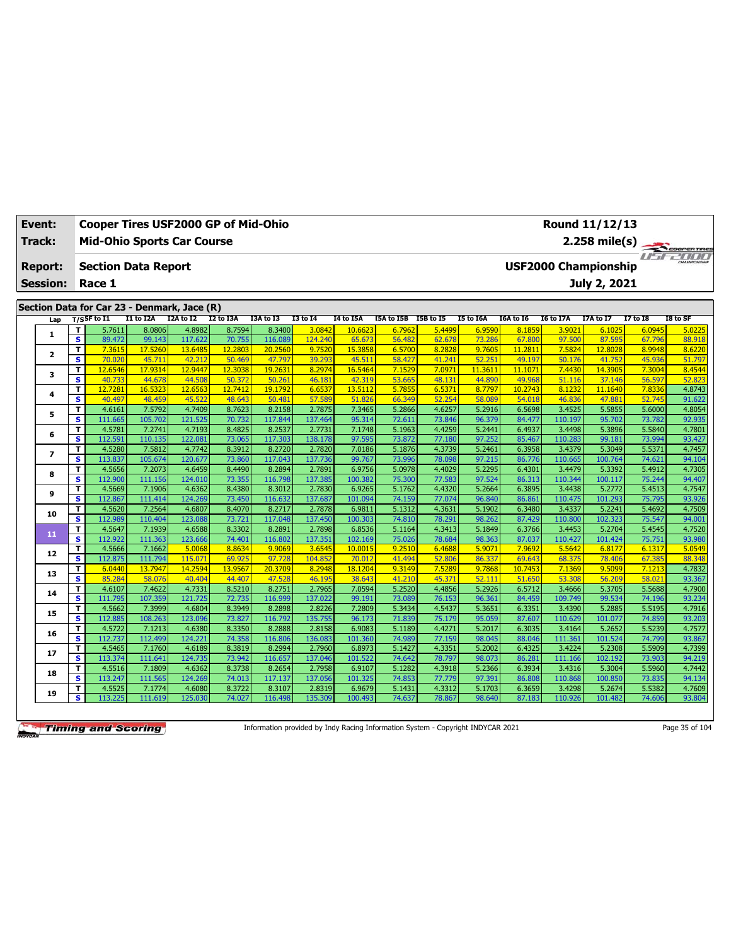| <b>Event:</b>                               | Cooper Tires USF2000 GP of Mid-Ohio<br>Round 11/12/13                                                                                                                                                 |                   |                   |                   |                   |                   |                   |                   |                  |                  |                   |                   |                   |                   |                  |                     |
|---------------------------------------------|-------------------------------------------------------------------------------------------------------------------------------------------------------------------------------------------------------|-------------------|-------------------|-------------------|-------------------|-------------------|-------------------|-------------------|------------------|------------------|-------------------|-------------------|-------------------|-------------------|------------------|---------------------|
| Track:                                      | <b>Mid-Ohio Sports Car Course</b><br>2.258 mile(s)                                                                                                                                                    |                   |                   |                   |                   |                   |                   |                   |                  |                  |                   |                   |                   | COOPERTIRES       |                  |                     |
| <b>Report:</b>                              | <b>Section Data Report</b><br><b>USF2000 Championship</b>                                                                                                                                             |                   |                   |                   |                   |                   |                   |                   |                  |                  |                   |                   |                   |                   |                  | <b>IF JE ZI III</b> |
| <b>Session:</b>                             | July 2, 2021<br>Race 1                                                                                                                                                                                |                   |                   |                   |                   |                   |                   |                   |                  |                  |                   |                   |                   |                   |                  |                     |
| Section Data for Car 23 - Denmark, Jace (R) |                                                                                                                                                                                                       |                   |                   |                   |                   |                   |                   |                   |                  |                  |                   |                   |                   |                   |                  |                     |
|                                             |                                                                                                                                                                                                       |                   |                   |                   |                   |                   |                   |                   |                  |                  |                   |                   |                   |                   |                  |                     |
| Lap                                         | $T/S$ SF to $I1$<br>I1 to I2A<br>I2A to I2<br>I2 to I3A<br>I3A to I3<br><b>I3 to 14</b><br><b>I4 to I5A</b><br>I5 to I6A<br>I6A to I6<br><b>I6 to I7A</b><br><b>I7A to I7</b><br>I5A to I5B I5B to I5 |                   |                   |                   |                   |                   |                   |                   |                  |                  |                   |                   |                   |                   | <b>I7 to I8</b>  | I8 to SF            |
| $\mathbf{1}$                                | т                                                                                                                                                                                                     | 5.7611            | 8.0806            | 4.8982            | 8.7594            | 8.3400            | 3.0842            | 10.6623           | 6.7962           | 5.4499           | 6.9590            | 8.1859            | 3.9021            | 6.1025            | 6.0945           | 5.0225              |
|                                             | $\overline{\mathbf{s}}$                                                                                                                                                                               | 89.472            | 99.143            | 117.622           | 70.755            | 116.089           | 124.240           | 65.673            | 56.482           | 62.678           | 73.286            | 67,800            | 97.500            | 87.595            | 67.796           | 88.918              |
| $\mathbf{z}$                                | T<br>$\overline{\mathbf{s}}$                                                                                                                                                                          | 7.3615            | 17.5260           | 13,6485           | 12.2803           | 20,2560           | 9.7520            | 15,385            | 6.5700           | 8.2828           | 9.7605            | 11.2811           | 7.5824            | 12.8028           | 8.9948           | 8.6220              |
|                                             | T                                                                                                                                                                                                     | 70.020<br>12.6546 | 45.711<br>17.9314 | 42.212<br>12.9447 | 50.469<br>12.3038 | 47.797            | 39.293<br>8.2974  | 45.511<br>16.5464 | 58.427<br>7.1529 | 41.241<br>7.0971 | 52.251<br>11.3611 | 49.197<br>11.1071 | 50.176<br>7.4430  | 41.752<br>14.3905 | 45.936           | 51.797              |
| з                                           | s                                                                                                                                                                                                     | 40.733            | 44.678            | 44.508            | 50.372            | 19.263:<br>50.261 | 46.181            | 42.319            | 53.665           | 48.131           | 44.890            | 49.968            | 51.116            | 37.146            | 7.3004<br>56.597 | 8.4544<br>52.823    |
|                                             | T                                                                                                                                                                                                     | 12.7281           | 16.5323           | 12.6563           | 12.7412           | 19.1792           | 6.6537            | 13.5112           | 5.7855           | 6.5371           | 8.7797            | 10.2743           | 8.1232            | 11.1640           | 7.8336           | 4.8743              |
| 4                                           | S                                                                                                                                                                                                     | 40.497            | 48.459            | 45.522            | 48.643            | 50.481            | 57.589            | 51.826            | 66.349           | 52.254           | 58.089            | 54.018            | 46.836            | 47.881            | 52.745           | 91.622              |
|                                             | T                                                                                                                                                                                                     | 4.6161            | 7.5792            | 4.7409            | 8.7623            | 8.2158            | 2.7875            | 7.3465            | 5.2866           | 4.6257           | 5.2916            | 6.5698            | 3.4525            | 5.5855            | 5.6000           | 4.8054              |
| 5                                           | s                                                                                                                                                                                                     | 111.665           | 105.702           | 121.525           | 70.732            | 117.844           | 137.464           | 95.314            | 72.611           | 73.846           | 96.379            | 84.477            | 110.197           | 95.702            | 73.782           | 92.935              |
|                                             | T                                                                                                                                                                                                     | 4.5781            | 7.2741            | 4.7193            | 8.4825            | 8.2537            | 2.7731            | 7.1748            | 5.1963           | 4.4259           | 5.2441            | 6.4937            | 3.4498            | 5.3896            | 5.5840           | 4.7801              |
| 6                                           | $\overline{\mathbf{s}}$                                                                                                                                                                               | 112.591           | 110.135           | 122.081           | 73.065            | 117.303           | 138.178           | 97.595            | 73.872           | 77.180           | 97.252            | 85.467            | 110.283           | 99.181            | 73.994           | 93.427              |
| $\overline{ }$                              | T                                                                                                                                                                                                     | 4.5280            | 7.5812            | 4.7742            | 8.3912            | 8.2720            | 2.7820            | 7.0186            | 5.1876           | 4.3739           | 5.2461            | 6.3958            | 3.4379            | 5.3049            | 5.5371           | 4.7457              |
|                                             | $\overline{\mathbf{s}}$                                                                                                                                                                               | 113.837           | 105.674           | 120.677           | 73.860            | 117.043           | 137.736           | 99.767            | 73.996           | 78.098           | 97.215            | 86.776            | 110.665           | 100.764           | 74.621           | 94.104              |
| 8                                           | т                                                                                                                                                                                                     | 4.5656            | 7.2073            | 4.6459            | 8.4490            | 8.2894            | 2.7891            | 6.9756            | 5.0978           | 4.4029           | 5.2295            | 6.4301            | 3.4479            | 5.3392            | 5.4912           | 4.7305              |
|                                             | S                                                                                                                                                                                                     | 112.900           | 111.156           | 124.010           | 73.355            | 116.798           | 137.385           | 100.382           | 75.300           | 77.583           | 97.524            | 86.313            | 110.344           | 100.117           | 75.244           | 94.407              |
| 9                                           | T                                                                                                                                                                                                     | 4.5669            | 7.1906            | 4.6362            | 8.4380            | 8.3012            | 2.7830            | 6.9265            | 5.1762           | 4.4320           | 5.2664            | 6.3895            | 3.4438            | 5.2772            | 5.4513           | 4.7547              |
|                                             | $\overline{\mathbf{s}}$                                                                                                                                                                               | 112.867           | 111.414<br>7.2564 | 124.269           | 73.450            | 116.632           | 137.687           | 101.094           | 74.159           | 77.074           | 96.840            | 86.861            | 110.475           | 101.293           | 75.795           | 93.926              |
| 10                                          | T<br>$\overline{\mathbf{s}}$                                                                                                                                                                          | 4.5620<br>112.989 | 110.404           | 4.6807<br>123.088 | 8.4070<br>73.721  | 8.2717<br>117.048 | 2.7878<br>137.450 | 6.9811<br>100.303 | 5.1312<br>74.810 | 4.3631<br>78.291 | 5.1902<br>98.262  | 6.3480<br>87.429  | 3.4337<br>110.800 | 5.2241<br>102.323 | 5.4692<br>75.547 | 4.7509<br>94.001    |
|                                             | T                                                                                                                                                                                                     | 4.5647            | 7.1939            | 4.6588            | 8.3302            | 8.2891            | 2.7898            | 6.8536            | 5.1164           | 4.3413           | 5.1849            | 6.3766            | 3.4453            | 5.2704            | 5.4545           | 4.7520              |
| 11                                          | s                                                                                                                                                                                                     | 112.922           | 111.363           | 123.666           | 74.401            | 116.802           | 137.351           | 102.169           | 75.026           | 78.684           | 98.363            | 87.037            | 110.427           | 101.424           | 75.751           | 93.980              |
|                                             | T                                                                                                                                                                                                     | 4.5666            | 7.1662            | 5.0068            | 8.8634            | 9.9069            | 3.6545            | 10.0015           | 9.2510           | 6.4688           | 5.9071            | 7.9692            | 5.5642            | 6.8177            | 6.1317           | 5.0549              |
| 12                                          | $\overline{\mathbf{s}}$                                                                                                                                                                               | 112.875           | 111.794           | 115.071           | 69.925            | 97.728            | 104.852           | 70.01             | 41.494           | 52,806           | 86.337            | 69.643            | 68.375            | 78,406            | 67.385           | 88.348              |
|                                             | T                                                                                                                                                                                                     | 6.0440            | 13.7947           | 14.2594           | 13.9567           | 20.3709           | 8.2948            | 18.1204           | 9.3149           | 7.5289           | 9.7868            | 10.7453           | 7.1369            | 9.5099            | 7.1213           | 4.7832              |
| 13                                          | $\overline{\mathbf{s}}$                                                                                                                                                                               | 85.284            | 58.076            | 40.404            | 44.407            | 47.528            | 46.195            | 38.643            | 41.210           | 45.37            | 52.11             | 51.650            | 53.308            | 56.209            | 58.02            | 93.367              |
| 14                                          | T                                                                                                                                                                                                     | 4.6107            | 7.4622            | 4.7331            | 8.5210            | 8.2751            | 2.7965            | 7.0594            | 5.2520           | 4.4856           | 5.2926            | 6.5712            | 3.4666            | 5.3705            | 5.5688           | 4.7900              |
|                                             | $\overline{\mathbf{s}}$                                                                                                                                                                               | 111.795           | 107.359           | 121.725           | 72.735            | 116.999           | 137.022           | 99.191            | 73.089           | 76.153           | 96.361            | 84.459            | 109.749           | 99.534            | 74.196           | 93.234              |
| 15                                          | T                                                                                                                                                                                                     | 4.5662            | 7.3999            | 4.6804            | 8.3949            | 8.2898            | 2.8226            | 7.2809            | 5.3434           | 4.5437           | 5.3651            | 6.3351            | 3.4390            | 5.2885            | 5.5195           | 4.7916              |
|                                             | $\overline{\mathbf{s}}$                                                                                                                                                                               | 112.885           | 108.263           | 123.096           | 73.827            | 116.792           | 135.755           | 96.173            | 71.839           | 75.179           | 95.059            | 87.607            | 110.629           | 101.077           | 74.859           | 93.203              |
| 16                                          | T                                                                                                                                                                                                     | 4.5722            | 7.1213            | 4.6380            | 8.3350            | 8.2888            | 2.8158            | 6.9083            | 5.1189           | 4.4271           | 5.2017            | 6.3035            | 3.4164            | 5.2652            | 5.5239           | 4.7577              |
|                                             | $\overline{\mathbf{s}}$<br>T                                                                                                                                                                          | 112.737<br>4.5465 | 112.499<br>7.1760 | 124.221<br>4.6189 | 74.358<br>8.3819  | 116.806<br>8.2994 | 136.083           | 101.360<br>6.8973 | 74.989<br>5.1427 | 77.159<br>4.3351 | 98.045            | 88.046<br>6.4325  | 111.361<br>3.4224 | 101.524<br>5.2308 | 74.799<br>5.5909 | 93.867<br>4.7399    |
| 17                                          | s                                                                                                                                                                                                     | 113.374           | 111.641           | 124.735           | 73.942            | 116.657           | 2.7960<br>137.046 | 101.522           | 74.642           | 78.797           | 5.2002<br>98.073  | 86.281            | 111.166           | 102.192           | 73.903           | 94.219              |
|                                             | T                                                                                                                                                                                                     | 4.5516            | 7.1809            | 4.6362            | 8.3738            | 8.2654            | 2.7958            | 6.9107            | 5.1282           | 4.3918           | 5.2366            | 6.3934            | 3.4316            | 5.3004            | 5.5960           | 4.7442              |
| 18                                          | s                                                                                                                                                                                                     | 113.247           | 111.565           | 124.269           | 74.013            | 117.137           | 137.056           | 101.325           | 74.853           | 77.779           | 97.391            | 86.808            | 110.868           | 100.85            | 73.835           | 94.134              |
|                                             | T                                                                                                                                                                                                     | 4.5525            | 7.1774            | 4.6080            | 8.3722            | 8.3107            | 2.8319            | 6.9679            | 5.1431           | 4.3312           | 5.1703            | 6.3659            | 3.4298            | 5.2674            | 5.5382           | 4.7609              |
| 19                                          | s                                                                                                                                                                                                     | 113.225           | 111.619           | 125.030           | 74.027            | 116.498           | 135.309           | 100.493           | 74.637           | 78.867           | 98.640            | 87.183            | 110.926           | 101.482           | 74.606           | 93.804              |

Information provided by Indy Racing Information System - Copyright INDYCAR 2021 Page 35 of 104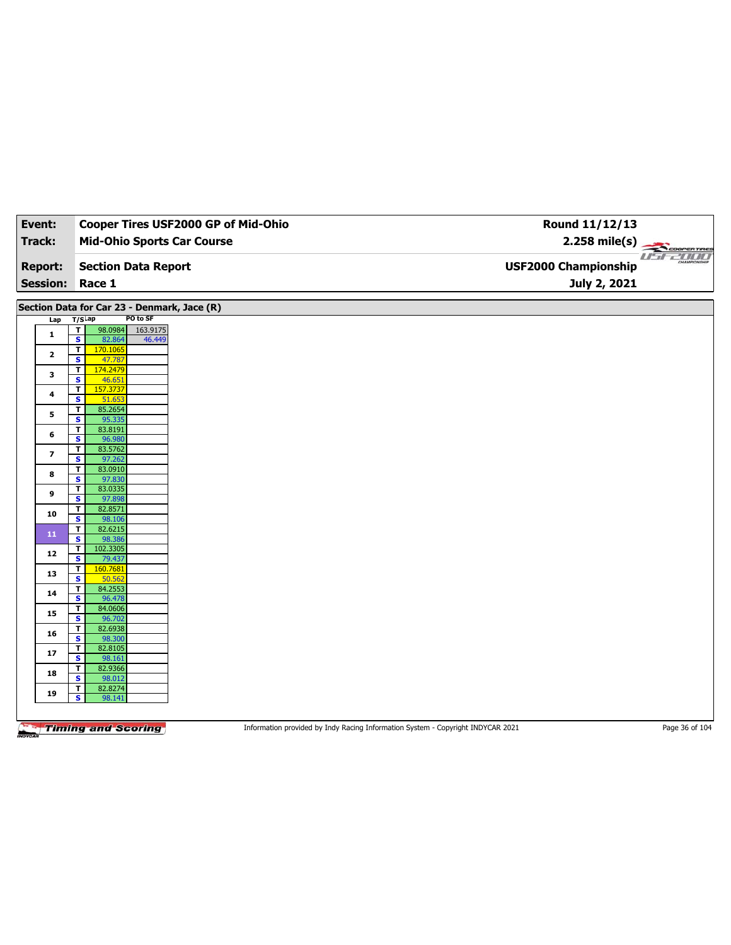| Event: |                         |                                                              | Cooper Tires USF2000 GP of Mid-Ohio | Round 11/12/13              |                                |
|--------|-------------------------|--------------------------------------------------------------|-------------------------------------|-----------------------------|--------------------------------|
|        | <b>Track:</b>           | <b>Mid-Ohio Sports Car Course</b>                            |                                     | $2.258 \text{ mile(s)}$     |                                |
|        | <b>Report:</b>          | <b>Section Data Report</b>                                   |                                     | <b>USF2000 Championship</b> | <b>USE2000</b><br>CHAMPSONSHIP |
|        | <b>Session:</b>         | Race 1                                                       |                                     | July 2, 2021                |                                |
|        |                         |                                                              |                                     |                             |                                |
|        |                         | Section Data for Car 23 - Denmark, Jace (R)                  |                                     |                             |                                |
|        | Lap                     | PO to SF<br>$T/S$ Lap                                        |                                     |                             |                                |
|        | $\mathbf{1}$            | $\overline{\mathbf{r}}$<br>163.9175<br>98.0984               |                                     |                             |                                |
|        |                         | $\overline{\mathbf{s}}$<br>82.864<br>46.449<br>170.1065<br>T |                                     |                             |                                |
|        | $\mathbf{2}$            | S<br>47.787                                                  |                                     |                             |                                |
|        | 3                       | 174.2479<br>T                                                |                                     |                             |                                |
|        |                         | $\overline{\mathbf{s}}$<br>46.651<br>T<br>157.3737           |                                     |                             |                                |
|        | 4                       | $\mathbf{s}$<br>51.653                                       |                                     |                             |                                |
|        | 5                       | T<br>85.2654                                                 |                                     |                             |                                |
|        |                         | $\overline{\mathbf{s}}$<br>95.335<br>83.8191<br>T            |                                     |                             |                                |
|        | 6                       | S<br>96.980                                                  |                                     |                             |                                |
|        | $\overline{\mathbf{z}}$ | 83.5762<br>T                                                 |                                     |                             |                                |
|        |                         | $\overline{\mathbf{s}}$<br>97.262                            |                                     |                             |                                |
|        | 8                       | 83.0910<br>T<br>S<br>97.830                                  |                                     |                             |                                |
|        |                         | T.<br>83.0335                                                |                                     |                             |                                |
|        | 9                       | $\overline{\mathbf{s}}$<br>97.898                            |                                     |                             |                                |
|        | 10                      | 82.8571<br>T<br>S<br>98.106                                  |                                     |                             |                                |
|        |                         | 82.6215<br>T                                                 |                                     |                             |                                |
|        | 11                      | $\overline{\mathbf{s}}$<br>98.386                            |                                     |                             |                                |
|        | 12                      | 102.3305<br>T<br>S<br>79.437                                 |                                     |                             |                                |
|        |                         | 160.7681<br>T                                                |                                     |                             |                                |
|        | 13                      | $\overline{\mathbf{s}}$<br>50.562                            |                                     |                             |                                |
|        | 14                      | 84.2553<br>T                                                 |                                     |                             |                                |
|        |                         | S<br>96.478<br>84.0606<br>T                                  |                                     |                             |                                |
|        | 15                      | $\overline{\mathbf{s}}$<br>96.702                            |                                     |                             |                                |
|        | 16                      | 82.6938<br>T                                                 |                                     |                             |                                |
|        |                         | S<br>98.300<br>82.8105<br>T                                  |                                     |                             |                                |
|        | 17                      | $\overline{\mathbf{s}}$<br>98.161                            |                                     |                             |                                |
|        | 18                      | 82.9366<br>T.                                                |                                     |                             |                                |
|        |                         | s<br>98.012<br>82.8274<br>T                                  |                                     |                             |                                |
|        | 19                      | s<br>98.141                                                  |                                     |                             |                                |
|        |                         |                                                              |                                     |                             |                                |

Information provided by Indy Racing Information System - Copyright INDYCAR 2021 Page 36 of 104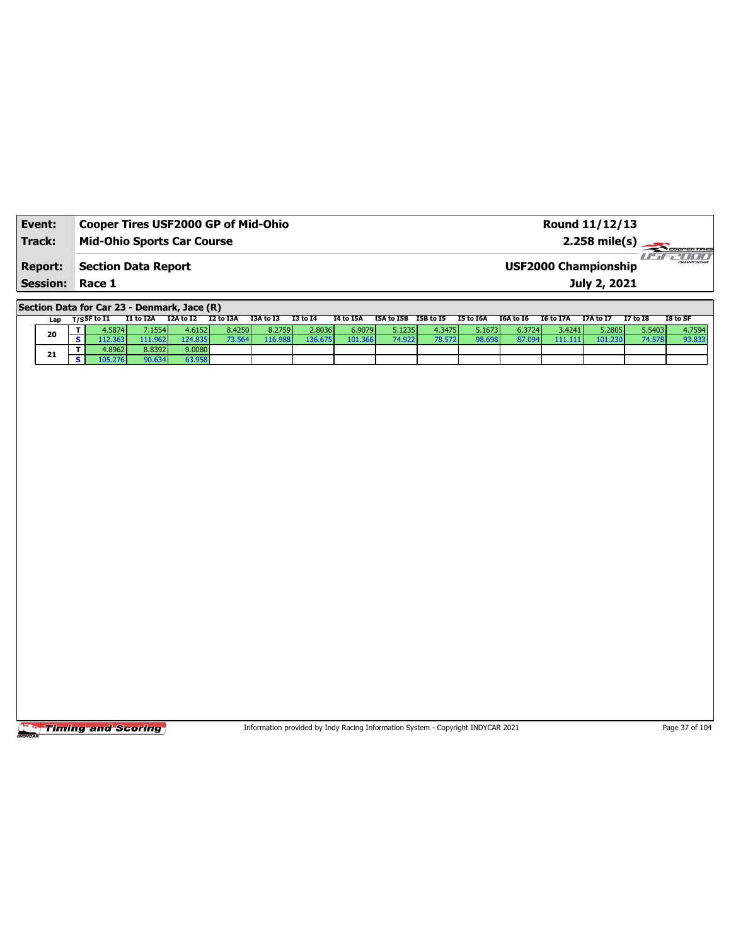| Event:                 | Cooper Tires USF2000 GP of Mid-Ohio | Round 11/12/13              |                             |
|------------------------|-------------------------------------|-----------------------------|-----------------------------|
| Track:                 | <b>Mid-Ohio Sports Car Course</b>   | $2.258 \text{ mile(s)}$     |                             |
| <b>Report:</b>         | Section Data Report                 | <b>USF2000 Championship</b> | <b>HILL</b><br>CHAMPSONSHIP |
| <b>Session: Race 1</b> |                                     | July 2, 2021                |                             |

**Section Data for Car 23 - Denmark, Jace (R)**

|    | Lap | T/SSF to I1 | I1 to I2A | I2A to I2 | I2 to I3A | I3A to I3 | I3 to I4 | I4 to I5A | I5A to I5B | I5B to I5 | I5 to I6A | I6A to I6 | I6 to I7A | <b>I7A to I7</b> | <b>I7 to I8</b> | I8 to SF |
|----|-----|-------------|-----------|-----------|-----------|-----------|----------|-----------|------------|-----------|-----------|-----------|-----------|------------------|-----------------|----------|
|    |     | 4.5874 l    | 7.1554    | 4.6152    | 8.4250    | 8.2759    | 2.8036   | 6.9079    | 5.1235     | 4.3475    | 5.1673    | 6.3724    | 3.4241    | 5.2805           | 5.5403          | 4.7594   |
| 20 |     |             | 111.962   | 124.835   |           | 16.988    | 136.675  | 101.366   | 74.9221    | 78.572    | 98.698    | 87.0941   | .41.111V  | 101.230          | 74.578          | 93.833   |
| 21 |     | 1.89621     | 8.8392    | 9.0080    |           |           |          |           |            |           |           |           |           |                  |                 |          |
|    |     | l05.276 l   | 90.634    | 63.958    |           |           |          |           |            |           |           |           |           |                  |                 |          |

Timing and Scoring

Information provided by Indy Racing Information System - Copyright INDYCAR 2021 Page 37 of 104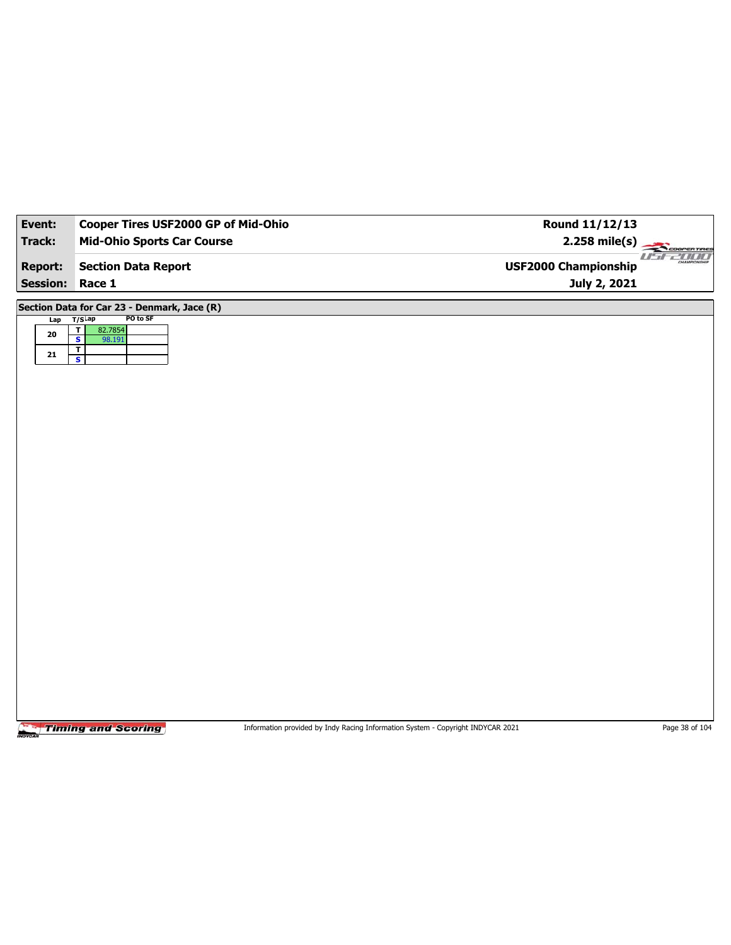| Event:          | Cooper Tires USF2000 GP of Mid-Ohio                                                         | Round 11/12/13              |                         |
|-----------------|---------------------------------------------------------------------------------------------|-----------------------------|-------------------------|
| <b>Track:</b>   | <b>Mid-Ohio Sports Car Course</b>                                                           | $2.258$ mile(s)             | COOPERTIRES             |
| <b>Report:</b>  | <b>Section Data Report</b>                                                                  | <b>USF2000 Championship</b> | <b>2000 MM</b><br>1 I T |
| <b>Session:</b> | Race 1                                                                                      | July 2, 2021                |                         |
| Lap             | Section Data for Car 23 - Denmark, Jace (R)<br>PO to SF<br>T/SLap                           |                             |                         |
| 20<br>21        | $\mathbf T$<br>82.7854<br>$\overline{\mathbf{s}}$<br>98.191<br>T<br>$\overline{\mathbf{s}}$ |                             |                         |
|                 |                                                                                             |                             |                         |
|                 |                                                                                             |                             |                         |
|                 |                                                                                             |                             |                         |
|                 |                                                                                             |                             |                         |
|                 |                                                                                             |                             |                         |
|                 |                                                                                             |                             |                         |
|                 |                                                                                             |                             |                         |

Information provided by Indy Racing Information System - Copyright INDYCAR 2021 Page 38 of 104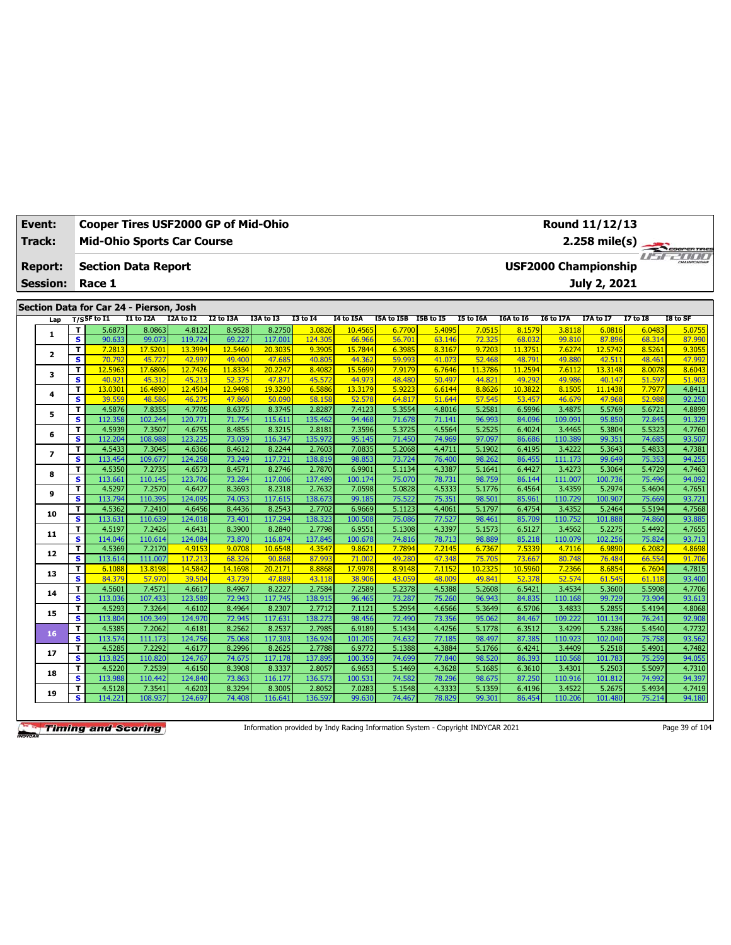| Event:          |                              | Cooper Tires USF2000 GP of Mid-Ohio     |                   |                   |                   |                   |                   |                   |                      |                  |                  |                   | Round 11/12/13              |                   |                  |                  |
|-----------------|------------------------------|-----------------------------------------|-------------------|-------------------|-------------------|-------------------|-------------------|-------------------|----------------------|------------------|------------------|-------------------|-----------------------------|-------------------|------------------|------------------|
| Track:          |                              | <b>Mid-Ohio Sports Car Course</b>       |                   |                   |                   |                   |                   |                   |                      |                  |                  |                   |                             | 2.258 mile(s)     |                  | COOPERTIRES      |
| <b>Report:</b>  |                              | <b>Section Data Report</b>              |                   |                   |                   |                   |                   |                   |                      |                  |                  |                   | <b>USF2000 Championship</b> |                   |                  | use-alle         |
| <b>Session:</b> |                              | Race 1                                  |                   |                   |                   |                   |                   |                   |                      |                  |                  |                   |                             | July 2, 2021      |                  |                  |
|                 |                              |                                         |                   |                   |                   |                   |                   |                   |                      |                  |                  |                   |                             |                   |                  |                  |
|                 |                              | Section Data for Car 24 - Pierson, Josh |                   |                   |                   |                   |                   |                   |                      |                  |                  |                   |                             |                   |                  |                  |
| Lap             |                              | $T/S$ SF to I1                          | I1 to I2A         | I2A to I2         | I2 to I3A         | I3A to I3         | <b>I3 to 14</b>   | I4 to I5A         | [5A to I5B I5B to I5 |                  | <b>I5 to I6A</b> | I6A to I6         | <b>I6 to I7A</b>            | <b>I7A to I7</b>  | <b>I7 to I8</b>  | I8 to SF         |
| $\mathbf{1}$    | т                            | 5.6873                                  | 8.0863            | 4.8122            | 8.9528            | 8.2750            | 3.0826            | 10.4565           | 6.7700               | 5.4095           | 7.0515           | 8.1579            | 3.8118                      | 6.0816            | 6.0483           | 5.0755           |
|                 | $\overline{\mathbf{s}}$      | 90.633                                  | 99.073            | 119.724           | 69.227            | 117.001           | 124.305           | 66.966            | 56.701               | 63.146           | 72.325           | 68.032            | 99.810                      | 87.896            | 68.314           | 87.990           |
| $\mathbf{z}$    | T                            | 7.2813                                  | 17.5201           | 13.3994           | 12,5460           | 20.3035           | 9.3905            | 15.7844           | 6.3985               | 8.3167           | 9.7203           | 11.3751           | 7.6274                      | 12.5742           | 8.5261           | 9.3055           |
|                 | $\overline{\mathbf{s}}$      | 70.792                                  | 45.727            | 42.997            | 49.400            | 47.685            | 40.805            | 44.362            | 59.993               | 41.073           | 52.468           | 48.791            | 49.880                      | 42.511            | 48.461           | 47.992           |
| з               | т                            | 12.5963                                 | 17.6806           | 12.7426           | 11,8334           | 20.2247           | 8.4082            | 15.569            | 7.9179               | 6.7646           | 11.3786          | 11.2594           | 7.6112                      | 13.3148           | 8.0078           | 8.6043           |
|                 | s<br>T                       | 40.921<br>13.0301                       | 45.312<br>16.4890 | 45.213<br>12.4504 | 52.375<br>12.9498 | 47.871<br>19.3290 | 45.572<br>6.5886  | 44.973<br>13.3179 | 48,480<br>5.9223     | 50.497<br>6.6144 | 44.821<br>8.8626 | 49.292<br>10.3822 | 49.986<br>8.1505            | 40.147<br>11.1438 | 51.597<br>7.7977 | 51.903<br>4.8411 |
| 4               | S                            | 39.559                                  | 48.586            | 46.275            | 47.860            | 50.090            | 58.158            | 52.578            | 64.817               | 51.644           | 57.545           | 53.457            | 46.679                      | 47.968            | 52.988           | 92.250           |
|                 | T                            | 4.5876                                  | 7.8355            | 4.7705            | 8.6375            | 8.3745            | 2.8287            | 7.4123            | 5.3554               | 4.8016           | 5.2581           | 6.5996            | 3.4875                      | 5.5769            | 5.6721           | 4.8899           |
| 5               | $\overline{\mathbf{s}}$      | 112.358                                 | 102.244           | 120.771           | 71.754            | 115.611           | 135.462           | 94.468            | 71.678               | 71.141           | 96.993           | 84.096            | 109.091                     | 95.850            | 72.845           | 91.329           |
|                 | T                            | 4.5939                                  | 7.3507            | 4.6755            | 8.4855            | 8.3215            | 2.8181            | 7.3596            | 5.3725               | 4.5564           | 5.2525           | 6.4024            | 3.4465                      | 5.3804            | 5.5323           | 4.7760           |
| 6               | s                            | 112.204                                 | 108.988           | 123.225           | 73.039            | 116.347           | 135.972           | 95.145            | 71.450               | 74.969           | 97.097           | 86.686            | 110.389                     | 99.351            | 74.685           | 93.507           |
|                 | т                            | 4.5433                                  | 7.3045            | 4.6366            | 8.4612            | 8.2244            | 2.7603            | 7.0835            | 5.2068               | 4.4711           | 5.1902           | 6.4195            | 3.4222                      | 5.3643            | 5.4833           | 4.7381           |
| $\overline{ }$  | s                            | 113.454                                 | 109.677           | 124.258           | 73.249            | 117.721           | 138.819           | 98.853            | 73.724               | 76.400           | 98.262           | 86.455            | 111.173                     | 99.649            | 75.353           | 94.255           |
|                 | т                            | 4.5350                                  | 7.2735            | 4.6573            | 8.4571            | 8.2746            | 2.7870            | 6.9901            | 5.1134               | 4.3387           | 5.1641           | 6.4427            | 3.4273                      | 5.3064            | 5.4729           | 4.7463           |
| 8               | $\overline{\mathbf{s}}$      | 113.661                                 | 110.145           | 123.706           | 73.284            | 117.006           | 137.489           | 100.174           | 75.070               | 78.731           | 98.759           | 86.144            | 111.007                     | 100.736           | 75.496           | 94.092           |
| 9               | T                            | 4.5297                                  | 7.2570            | 4.6427            | 8.3693            | 8.2318            | 2.7632            | 7.0598            | 5.0828               | 4.5333           | 5.1776           | 6.4564            | 3.4359                      | 5.2974            | 5.4604           | 4.7651           |
|                 | s                            | 113.794                                 | 110.395           | 124.095           | 74.053            | 117.615           | 138.673           | 99.185            | 75.522               | 75.351           | 98.501           | 85.961            | 110.729                     | 100.907           | 75.669           | 93.721           |
| 10              | T                            | 4.5362                                  | 7.2410            | 4.6456            | 8.4436            | 8.2543            | 2.7702            | 6.9669            | 5.1123               | 4.4061           | 5.1797           | 6.4754            | 3.4352                      | 5.2464            | 5.5194           | 4.7568           |
|                 | $\overline{\mathbf{s}}$      | 113.631                                 | 110.639           | 124.018           | 73.401            | 117.294           | 138.323           | 100.508           | 75.086               | 77.527           | 98.461           | 85.709            | 110.752                     | 101.888           | 74.860           | 93.885           |
| 11              | T                            | 4.5197                                  | 7.2426            | 4.6431            | 8.3900            | 8.2840            | 2.7798            | 6.9551            | 5.1308               | 4.3397           | 5.1573           | 6.5127            | 3.4562                      | 5.2275            | 5.4492           | 4.7655           |
|                 | $\overline{\mathbf{s}}$      | 114.046                                 | 110.614           | 124.084           | 73.870            | 116.874           | 137.845           | 100.678           | 74.816               | 78.713           | 98.889           | 85.218            | 110.079                     | 102.256           | 75.824           | 93.713           |
| 12              | T                            | 4.5369                                  | 7.2170            | 4.9153            | 9.0708            | 10.6548           | 4.3547            | 9.862             | 7.7894               | 7.2145           | 6.7367           | 7.5339            | 4.7116                      | 6.9890            | 6.2082           | 4.8698           |
|                 | $\overline{\mathbf{s}}$      | 113.614                                 | 111.007           | 117.213           | 68.326            | 90.868            | 87.993            | 71.00             | 49.280               | 47.348           | 75.705           | 73.667            | 80.748                      | 76.484            | 66.554           | 91.706           |
| 13              | T                            | 6.1088                                  | 13.8198           | 14.5842           | 14.1698           | 20.2171           | 8.8868            | 17.9978           | 8.9148               | 7.1152           | 10.2325          | 10.5960           | 7.2366                      | 8.6854            | 6.7604           | 4.7815           |
|                 | $\overline{\mathbf{s}}$      | 84.379                                  | 57.970            | 39.504            | 43.739            | 47.889            | 43.118            | 38.906            | 43.059               | 48.009           | 49.841           | 52.378            | 52.574                      | 61.545            | 61.118           | 93.400           |
| 14              | т<br>$\overline{\mathbf{s}}$ | 4.5601                                  | 7.4571            | 4.6617            | 8.4967            | 8.2227            | 2.7584            | 7.2589            | 5.2378               | 4.5388           | 5.2608           | 6.5421            | 3.4534                      | 5.3600            | 5.5908           | 4.7706<br>93.613 |
|                 |                              | 113.036                                 | 107.433<br>7.3264 | 123.589<br>4.6102 | 72.943            | 117.745           | 138.915           | 96.465<br>7.1121  | 73.287<br>5.2954     | 75.260<br>4.6566 | 96.943           | 84.835<br>6.5706  | 110.168<br>3.4833           | 99.729<br>5.2855  | 73.904<br>5.4194 | 4.8068           |
| 15              | T<br>$\overline{\mathbf{s}}$ | 4.5293<br>113.804                       | 109.349           | 124.970           | 8.4964<br>72.945  | 8.2307<br>117.631 | 2.7712<br>138.273 | 98.456            | 72.490               | 73.356           | 5.3649<br>95.062 | 84.467            | 109.222                     | 101.134           | 76.241           | 92.908           |
|                 | T.                           | 4.5385                                  | 7.2062            | 4.6181            | 8.2562            | 8.2537            | 2.7985            | 6.9189            | 5.1434               | 4.4256           | 5.1778           | 6.3512            | 3.4299                      | 5.2386            | 5.4540           | 4.7732           |
| 16              | s                            | 113.574                                 | 111.173           | 124.756           | 75.068            | 117.303           | 136.924           | 101.205           | 74.632               | 77.185           | 98.497           | 87.385            | 110.923                     | 102.040           | 75.758           | 93.562           |
|                 | T                            | 4.5285                                  | 7.2292            | 4.6177            | 8.2996            | 8.2625            | 2.7788            | 6.9772            | 5.1388               | 4.3884           | 5.1766           | 6.4241            | 3.4409                      | 5.2518            | 5.4901           | 4.7482           |
| 17              | s                            | 113.825                                 | 110.820           | 124.767           | 74.675            | 117.178           | 137.895           | 100.359           | 74.699               | 77.840           | 98.520           | 86.393            | 110.568                     | 101.783           | 75.259           | 94.055           |
|                 | T                            | 4.5220                                  | 7.2539            | 4.6150            | 8.3908            | 8.3337            | 2.8057            | 6.9653            | 5.1469               | 4.3628           | 5.1685           | 6.3610            | 3.4301                      | 5.2503            | 5.5097           | 4.7310           |
| 18              | s                            | 113.988                                 | 110.442           | 124.840           | 73.863            | 116.177           | 136.573           | 100.531           | 74.582               | 78.296           | 98.675           | 87.250            | 110.916                     | 101.812           | 74.992           | 94.397           |
|                 | т                            | 4.5128                                  | 7.3541            | 4.6203            | 8.3294            | 8.3005            | 2.8052            | 7.0283            | 5.1548               | 4.3333           | 5.1359           | 6.4196            | 3.4522                      | 5.2675            | 5.4934           | 4.7419           |
| 19              | s                            | 114.221                                 | 108.937           | 124.697           | 74.408            | 116.641           | 136.597           | 99.630            | 74.467               | 78.829           | 99.301           | 86.454            | 110.206                     | 101.480           | 75.214           | 94.180           |

Information provided by Indy Racing Information System - Copyright INDYCAR 2021 Page 39 of 104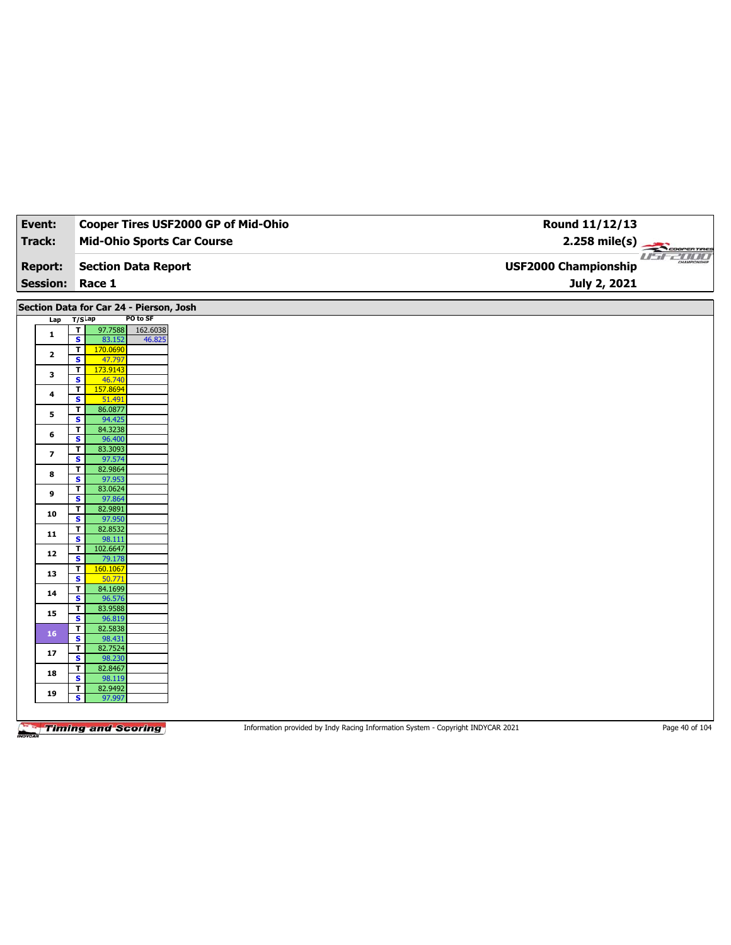| Event:                   | Cooper Tires USF2000 GP of Mid-Ohio                                                           | Round 11/12/13              |
|--------------------------|-----------------------------------------------------------------------------------------------|-----------------------------|
| Track:                   | <b>Mid-Ohio Sports Car Course</b>                                                             | $2.258$ mile(s)             |
|                          |                                                                                               | COOPERTIRES<br>usr 2000     |
| <b>Report:</b>           | <b>Section Data Report</b>                                                                    | <b>USF2000 Championship</b> |
| <b>Session:</b>          | Race 1                                                                                        | July 2, 2021                |
|                          |                                                                                               |                             |
|                          | Section Data for Car 24 - Pierson, Josh                                                       |                             |
| Lap                      | PO to SF<br>$T/S$ Lap                                                                         |                             |
| $\mathbf{1}$             | $\overline{\mathbf{r}}$<br>97.7588<br>162.6038<br>$\overline{\mathbf{s}}$<br>83.152<br>46.825 |                             |
| $\mathbf{2}$             | T<br>170.0690                                                                                 |                             |
|                          | $\overline{\mathbf{s}}$<br>47.797<br>$\mathbf T$<br>173.9143                                  |                             |
| 3                        | $\overline{\mathbf{s}}$<br>46.740                                                             |                             |
| 4                        | $\overline{\mathbf{r}}$<br>157.8694                                                           |                             |
|                          | $\overline{\mathbf{s}}$<br>51.491                                                             |                             |
| 5                        | $\overline{\mathbf{r}}$<br>86.0877<br>$\overline{\mathbf{s}}$<br>94.425                       |                             |
|                          | 84.3238<br>$\overline{\mathbf{r}}$                                                            |                             |
| 6                        | $\mathbf{s}$<br>96.400                                                                        |                             |
| $\overline{\phantom{a}}$ | $\mathbf T$<br>83.3093                                                                        |                             |
|                          | $\overline{\mathbf{s}}$<br>97.574<br>82.9864<br>$\overline{\mathsf{r}}$                       |                             |
| 8                        | $\overline{\mathbf{s}}$<br>97.953                                                             |                             |
| 9                        | $\mathbf T$<br>83.0624                                                                        |                             |
|                          | $\overline{\mathbf{s}}$<br>97.864                                                             |                             |
| 10                       | T<br>82.9891<br>$\mathbf{s}$<br>97.950                                                        |                             |
|                          | $\mathbf T$<br>82.8532                                                                        |                             |
| 11                       | $\overline{\mathbf{s}}$<br>98.111                                                             |                             |
| ${\bf 12}$               | T<br>102.6647                                                                                 |                             |
|                          | $\mathbf{s}$<br>79.178<br>$\overline{\mathbf{r}}$<br>160.1067                                 |                             |
| 13                       | $\overline{\mathbf{s}}$<br>50.771                                                             |                             |
| 14                       | $\overline{\mathbf{r}}$<br>84.1699                                                            |                             |
|                          | $\overline{\mathbf{s}}$<br>96.576                                                             |                             |
| 15                       | 83.9588<br>$\mathbf T$<br>$\overline{\mathbf{s}}$<br>96.819                                   |                             |
|                          | 82.5838<br>$\overline{\mathsf{r}}$                                                            |                             |
| 16                       | $\mathbf{s}$<br>98.431                                                                        |                             |
| ${\bf 17}$               | $\overline{\mathbf{r}}$<br>82.7524                                                            |                             |
|                          | $\overline{\mathbf{s}}$<br>98.230<br>T<br>82.8467                                             |                             |
| 18                       | $\mathbf{s}$<br>98.119                                                                        |                             |
| 19                       | 82.9492<br>$\mathbf T$                                                                        |                             |
|                          | $\overline{\mathbf{s}}$<br>97.997                                                             |                             |
|                          |                                                                                               |                             |

Information provided by Indy Racing Information System - Copyright INDYCAR 2021 Page 40 of 104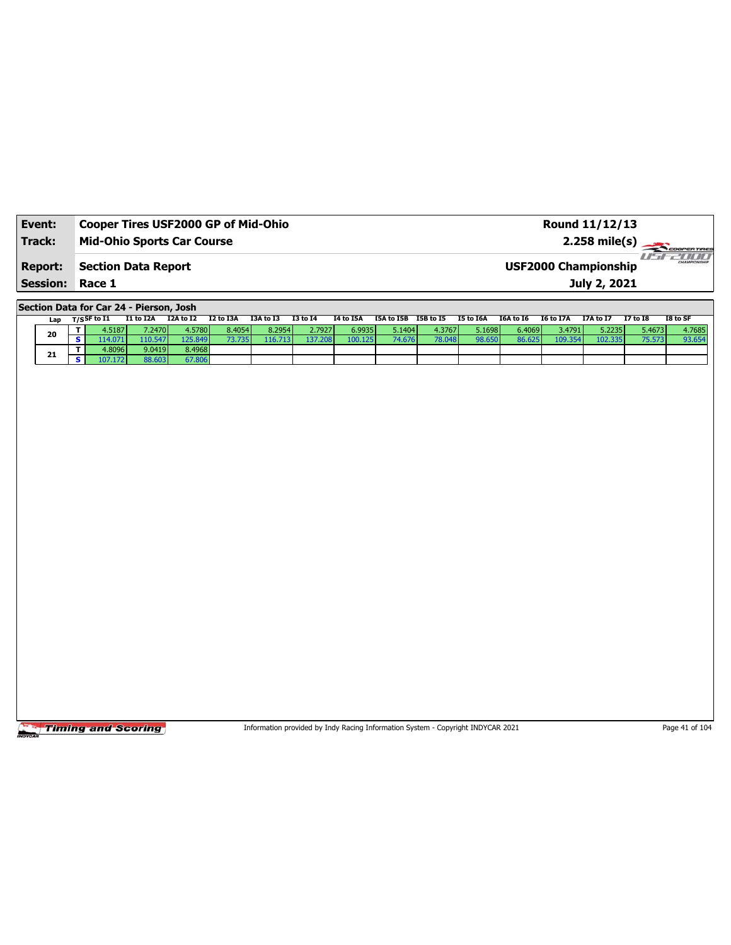| Event:                 | <b>Cooper Tires USF2000 GP of Mid-Ohio</b> | Round 11/12/13              |                         |
|------------------------|--------------------------------------------|-----------------------------|-------------------------|
| Track:                 | <b>Mid-Ohio Sports Car Course</b>          | $2.258 \text{ mile(s)}$     |                         |
| <b>Report:</b>         | Section Data Report                        | <b>USF2000 Championship</b> | -777777<br>CHAMPSONSHIP |
| <b>Session: Race 1</b> |                                            | July 2, 2021                |                         |

**Section Data for Car 24 - Pierson, Josh**

|    | Lap | T/SSF to I1 | I1 to I2A | I2A to I2 | I2 to I3A | I3A to I3 | <b>I3 to I4</b> | I4 to I5A | I5A to I5B | I5B to I5 | I5 to I6A | I6A to I6 | I6 to I7A | <b>I7A to I7</b> | <b>I7 to I8</b> | I8 to SF |
|----|-----|-------------|-----------|-----------|-----------|-----------|-----------------|-----------|------------|-----------|-----------|-----------|-----------|------------------|-----------------|----------|
|    | 20  | .5187       | 7.2470    | 4.5780 l  | 8.4054    | 8.2954    | 2.7927          | 6.9935    | 5.1404     | 4.3767    | 5.1698 L  | 6.4069    | 3.4791    | 5.2235           | 5.4673          | 4.7685   |
|    |     | ا 071.      | 110.547   | 125.849   |           | 16.713    | 137.208         | 100.125   | 74.676     | 78.048    | 98.65     | 86.625    | 109.354   | 102.335          | 75.57           | 93.654   |
| 21 |     | 1.8096      | 9.0419    | 8.4968    |           |           |                 |           |            |           |           |           |           |                  |                 |          |
|    |     | 88.603      | 67.806    |           |           |           |                 |           |            |           |           |           |           |                  |                 |          |

Timing and Scoring

Information provided by Indy Racing Information System - Copyright INDYCAR 2021 Page 41 of 104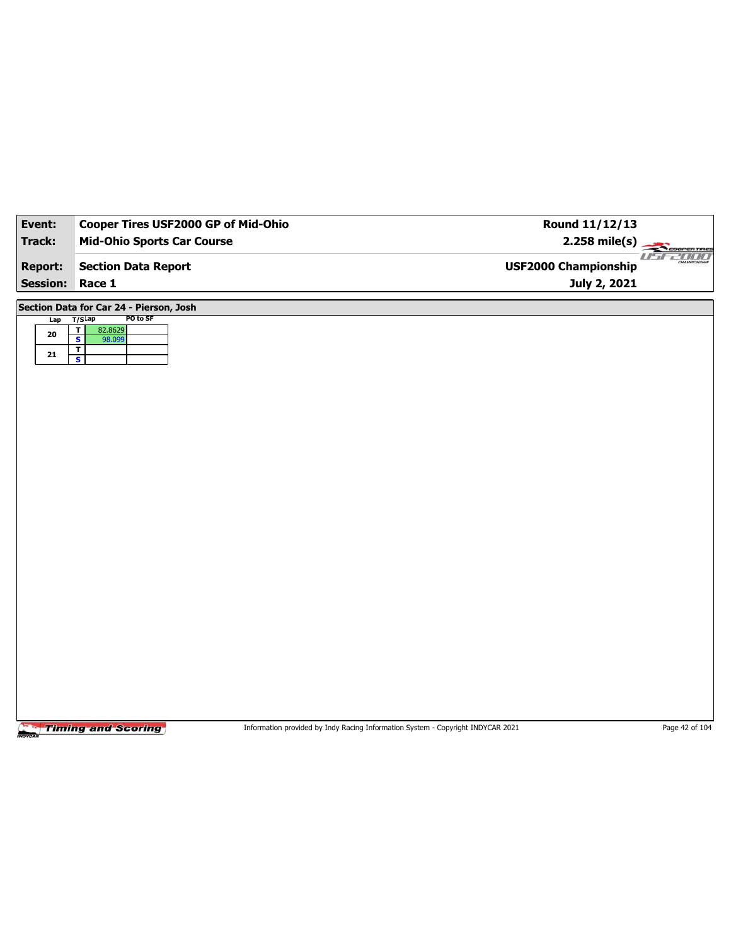| Event:          | Cooper Tires USF2000 GP of Mid-Ohio                          | Round 11/12/13                       |             |
|-----------------|--------------------------------------------------------------|--------------------------------------|-------------|
| <b>Track:</b>   | <b>Mid-Ohio Sports Car Course</b>                            | $2.258$ mile(s)<br>COOPERTIRES       |             |
| <b>Report:</b>  | <b>Section Data Report</b>                                   | 1 I T<br><b>USF2000 Championship</b> | <b>2000</b> |
| <b>Session:</b> | Race 1                                                       | July 2, 2021                         |             |
|                 | Section Data for Car 24 - Pierson, Josh                      |                                      |             |
|                 | PO to SF<br>Lap T/SLap<br>$\overline{\mathbf{r}}$<br>82.8629 |                                      |             |
| ${\bf 20}$      | $\overline{\mathbf{s}}$<br>98.099                            |                                      |             |
| ${\bf 21}$      |                                                              |                                      |             |
|                 |                                                              |                                      |             |
|                 |                                                              |                                      |             |
|                 |                                                              |                                      |             |
|                 |                                                              |                                      |             |
|                 |                                                              |                                      |             |
|                 |                                                              |                                      |             |
|                 |                                                              |                                      |             |
|                 |                                                              |                                      |             |
|                 |                                                              |                                      |             |
|                 |                                                              |                                      |             |
|                 |                                                              |                                      |             |
|                 |                                                              |                                      |             |
|                 |                                                              |                                      |             |
|                 |                                                              |                                      |             |
|                 |                                                              |                                      |             |
|                 |                                                              |                                      |             |
|                 |                                                              |                                      |             |
|                 |                                                              |                                      |             |
|                 |                                                              |                                      |             |
|                 |                                                              |                                      |             |
|                 |                                                              |                                      |             |
|                 | T<br>$\overline{\mathbf{s}}$                                 |                                      |             |

Information provided by Indy Racing Information System - Copyright INDYCAR 2021 Page 42 of 104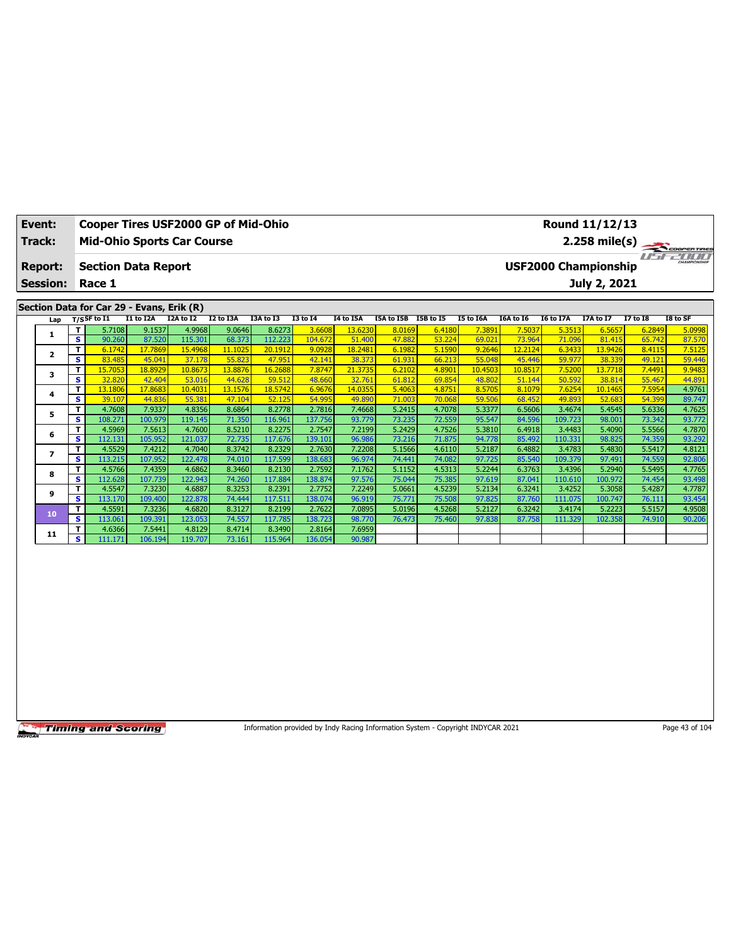| Event:          |                         | Cooper Tires USF2000 GP of Mid-Ohio       |                   |                    |                   |                    |                   |                   |                  |                  |                  |                   |                  | Round 11/12/13              |                  |                         |
|-----------------|-------------------------|-------------------------------------------|-------------------|--------------------|-------------------|--------------------|-------------------|-------------------|------------------|------------------|------------------|-------------------|------------------|-----------------------------|------------------|-------------------------|
| Track:          |                         | <b>Mid-Ohio Sports Car Course</b>         |                   |                    |                   |                    |                   |                   |                  |                  |                  |                   |                  |                             |                  | $2.258 \text{ mile(s)}$ |
| <b>Report:</b>  |                         | <b>Section Data Report</b>                |                   |                    |                   |                    |                   |                   |                  |                  |                  |                   |                  | <b>USF2000 Championship</b> |                  | CHAMPSONSHIP            |
| <b>Session:</b> |                         | Race 1                                    |                   |                    |                   |                    |                   |                   |                  |                  |                  |                   |                  | July 2, 2021                |                  |                         |
|                 |                         | Section Data for Car 29 - Evans, Erik (R) |                   |                    |                   |                    |                   |                   |                  |                  |                  |                   |                  |                             |                  |                         |
| Lap             |                         | $T/S$ SF to $\overline{11}$               | I1 to I2A         | I2A to I2          | I2 to I3A         | I3A to I3          | <b>I3 to I4</b>   | <b>I4 to I5A</b>  | I5A to I5B       | I5B to I5        | I5 to I6A        | I6A to I6         | <b>I6 to I7A</b> | <b>I7A to I7</b>            | <b>I7 to I8</b>  | I8 to SF                |
| 1               | T.                      | 5.7108                                    | 9.1537            | 4.9968             | 9.0646            | 8.6273             | 3.6608            | 13.6230           | 8.0169           | 6.4180           | 7.3891           | 7.5037            | 5.3513           | 6.5657                      | 6.2849           | 5.0998                  |
|                 | $\overline{\mathbf{s}}$ | 90.260<br>6.1742                          | 87.520<br>17.7869 | 115.301<br>15.4968 | 68.373<br>11.1025 | 112.223<br>20.1912 | 104.672<br>9.0928 | 51,400<br>18.2481 | 47.882<br>6.1982 | 53.224<br>5.1590 | 69.021<br>9.2646 | 73.964<br>12.2124 | 71.096<br>6.3433 | 81.415<br>13.9426           | 65.742<br>8.4115 | 87.570                  |
| $\mathbf{z}$    | т<br>s.                 | 83.485                                    | 45.041            | 37.178             | 55.823            | 47.951             | 42.141            | 38.373            | 61.931           | 66.213           | 55.048           | 45.446            | 59.977           | 38.339                      | 49.121           | 7.5125<br>59.446        |
|                 | T                       | 15.7053                                   | 18.8929           | 10.8673            | 13.8876           | 16.2688            | 7.8747            | 21.3735           | 6.2102           | 4.8901           | 10.4503          | 10.8517           | 7.5200           | 13,7718                     | 7.4491           | 9.9483                  |
| з               | s                       | 32,820                                    | 42.404            | 53.016             | 44.628            | 59.512             | 48.660            | 32.761            | 61.812           | 69.854           | 48.802           | 51.144            | 50.592           | 38.814                      | 55.467           | 44.891                  |
|                 | T                       | 13.1806                                   | 17,8683           | 10.4031            | 13.1576           | 18,5742            | 6.9676            | 14.0355           | 5.4063           | 4.8751           | 8.5705           | 8.1079            | 7.6254           | 10.1465                     | 7.5954           | 4.9761                  |
| 4               | s                       | 39.107                                    | 44.836            | 55.381             | 47.104            | 52.125             | 54.995            | 49.890            | 71.003           | 70.068           | 59.506           | 68.452            | 49.893           | 52.683                      | 54.399           | 89.747                  |
|                 | т                       | 4.7608                                    | 7.9337            | 4.8356             | 8.6864            | 8.2778             | 2.7816            | 7.4668            | 5.2415           | 4.7078           | 5.3377           | 6.5606            | 3.4674           | 5.4545                      | 5.6336           | 4.7625                  |
| 5               | s                       | 108.271                                   | 100.979           | 119.145            | 71.350            | 116.961            | 137.756           | 93.779            | 73.235           | 72.559           | 95.547           | 84.596            | 109.723          | 98.001                      | 73.342           | 93.772                  |
|                 | T.                      | 4.5969                                    | 7.5613            | 4.7600             | 8.5210            | 8.2275             | 2.7547            | 7.2199            | 5.2429           | 4.7526           | 5.3810           | 6.4918            | 3.4483           | 5.4090                      | 5.5566           | 4.7870                  |
| 6               | s.                      | 112.131                                   | 105.952           | 121.037            | 72.735            | 117.676            | 139.101           | 96.986            | 73.216           | 71.875           | 94.778           | 85.492            | 110.331          | 98.825                      | 74.359           | 93.292                  |
| $\overline{ }$  | T.                      | 4.5529                                    | 7.4212            | 4.7040             | 8.3742            | 8.2329             | 2.7630            | 7.2208            | 5.1566           | 4.6110           | 5.2187           | 6.4882            | 3.4783           | 5.4830                      | 5.5417           | 4.8121                  |
|                 | S.                      | 113.215                                   | 107.952           | 122.478            | 74.010            | 117.599            | 138.683           | 96.974            | 74.441           | 74.082           | 97.725           | 85.540            | 109.379          | 97.491                      | 74.559           | 92.806                  |
| 8               | T.                      | 4.5766                                    | 7.4359            | 4.6862             | 8.3460            | 8.2130             | 2.7592            | 7.1762            | 5.1152           | 4.5313           | 5.2244           | 6.3763            | 3.4396           | 5.2940                      | 5.5495           | 4.7765                  |
|                 | s                       | 112.628                                   | 107.739           | 122.943            | 74.260            | 117.884            | 138.874           | 97.576            | 75.044           | 75.385           | 97.619           | 87.041            | 110.610          | 100.972                     | 74.454           | 93.498                  |
| 9               | T.                      | 4.5547                                    | 7.3230            | 4.6887             | 8.3253            | 8.2391             | 2.7752            | 7.2249            | 5.0661           | 4.5239           | 5.2134           | 6.3241            | 3.4252           | 5.3058                      | 5.4287           | 4.7787                  |
|                 | s.                      | 113.170                                   | 109.400           | 122.878            | 74.444            | 117.511            | 138.074           | 96.919            | 75.771           | 75.508           | 97.825           | 87.760            | 111.075          | 100.747                     | 76.111           | 93.454                  |
| 10              | T.                      | 4.5591                                    | 7.3236            | 4.6820             | 8.3127            | 8.2199             | 2.7622            | 7.0895            | 5.0196           | 4.5268           | 5.2127           | 6.3242            | 3.4174           | 5.2223                      | 5.5157           | 4.9508                  |
|                 | s                       | 113.061                                   | 109.391           | 123.053            | 74.557            | 117.785            | 138.723           | 98.770            | 76.473           | 75.460           | 97.838           | 87.758            | 111.329          | 102.358                     | 74.910           | 90.206                  |
| 11              | т                       | 4.6366                                    | 7.5441            | 4.8129             | 8.4714            | 8.3490             | 2.8164            | 7.6959            |                  |                  |                  |                   |                  |                             |                  |                         |
|                 | s.                      | 111.171                                   | 106.194           | 119.707            | 73.161            | 115.964            | 136.054           | 90.987            |                  |                  |                  |                   |                  |                             |                  |                         |

Information provided by Indy Racing Information System - Copyright INDYCAR 2021 Page 43 of 104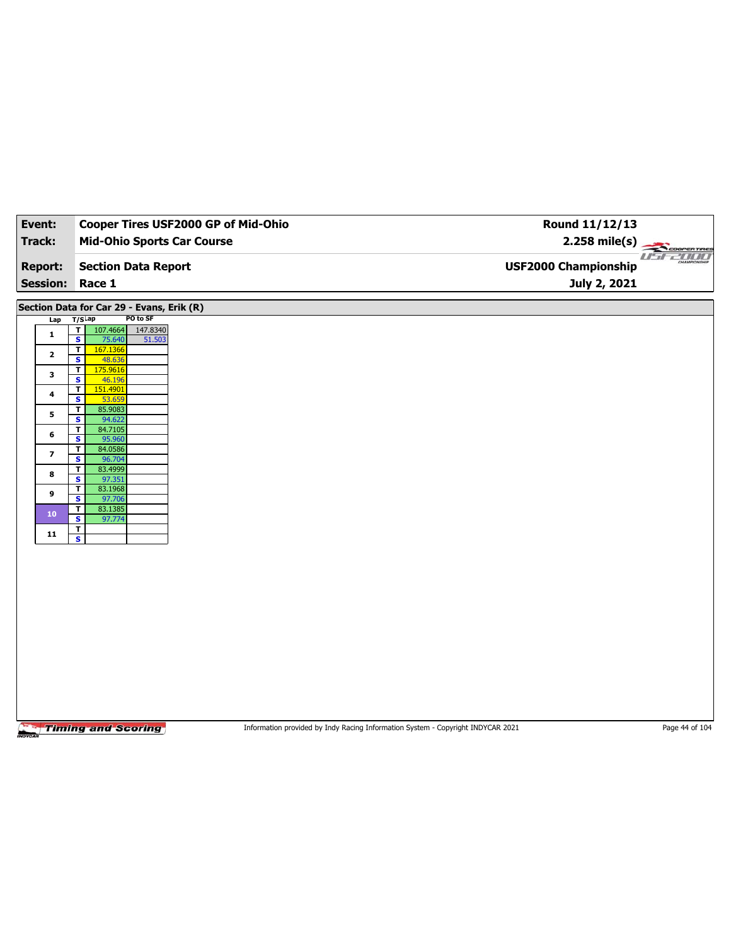| Event:                   | Cooper Tires USF2000 GP of Mid-Ohio                          | Round 11/12/13                                                                  |                |
|--------------------------|--------------------------------------------------------------|---------------------------------------------------------------------------------|----------------|
| <b>Track:</b>            | <b>Mid-Ohio Sports Car Course</b>                            |                                                                                 |                |
|                          |                                                              |                                                                                 | 2.258 mile(s)  |
| <b>Report:</b>           | <b>Section Data Report</b>                                   | <b>USF2000 Championship</b>                                                     |                |
| <b>Session:</b>          | Race 1                                                       | July 2, 2021                                                                    |                |
|                          | Section Data for Car 29 - Evans, Erik (R)                    |                                                                                 |                |
| Lap                      | PO to SF<br>$T/S$ Lap                                        |                                                                                 |                |
| $\mathbf{1}$             | 107.4664<br>147.8340<br>T                                    |                                                                                 |                |
|                          | $\overline{\mathbf{s}}$<br>75.640<br>51.503<br>T<br>167.1366 |                                                                                 |                |
| $\mathbf{2}$             | S<br>48.636                                                  |                                                                                 |                |
| 3                        | 175.9616<br>T                                                |                                                                                 |                |
|                          | $\overline{\mathbf{s}}$<br>46.196<br>151.4901<br>T           |                                                                                 |                |
| 4                        | S<br>53.659                                                  |                                                                                 |                |
| 5                        | T<br>85.9083<br>$\overline{\mathbf{s}}$<br>94.622            |                                                                                 |                |
|                          | 84.7105<br>$\overline{\mathbf{r}}$                           |                                                                                 |                |
| 6                        | S<br>95.960                                                  |                                                                                 |                |
| $\overline{\phantom{a}}$ | 84.0586<br>T<br>$\overline{\mathbf{s}}$<br>96.704            |                                                                                 |                |
| 8                        | T<br>83.4999                                                 |                                                                                 |                |
|                          | $\mathbf{s}$<br>97.351<br>$\mathbf T$<br>83.1968             |                                                                                 |                |
| 9                        | $\overline{\mathbf{s}}$<br>97.706                            |                                                                                 |                |
| ${\bf 10}$               | 83.1385<br>T<br>S<br>97.774                                  |                                                                                 |                |
| 11                       | $\mathbf{T}$                                                 |                                                                                 |                |
|                          | $\overline{\mathbf{s}}$                                      |                                                                                 |                |
|                          |                                                              |                                                                                 |                |
|                          |                                                              |                                                                                 |                |
|                          |                                                              |                                                                                 |                |
|                          |                                                              |                                                                                 |                |
|                          |                                                              |                                                                                 |                |
|                          |                                                              |                                                                                 |                |
|                          |                                                              |                                                                                 |                |
|                          |                                                              |                                                                                 |                |
|                          |                                                              |                                                                                 |                |
|                          |                                                              |                                                                                 |                |
|                          |                                                              |                                                                                 |                |
|                          |                                                              |                                                                                 |                |
|                          | <b>Timing and Scoring</b>                                    | Information provided by Indy Racing Information System - Copyright INDYCAR 2021 | Page 44 of 104 |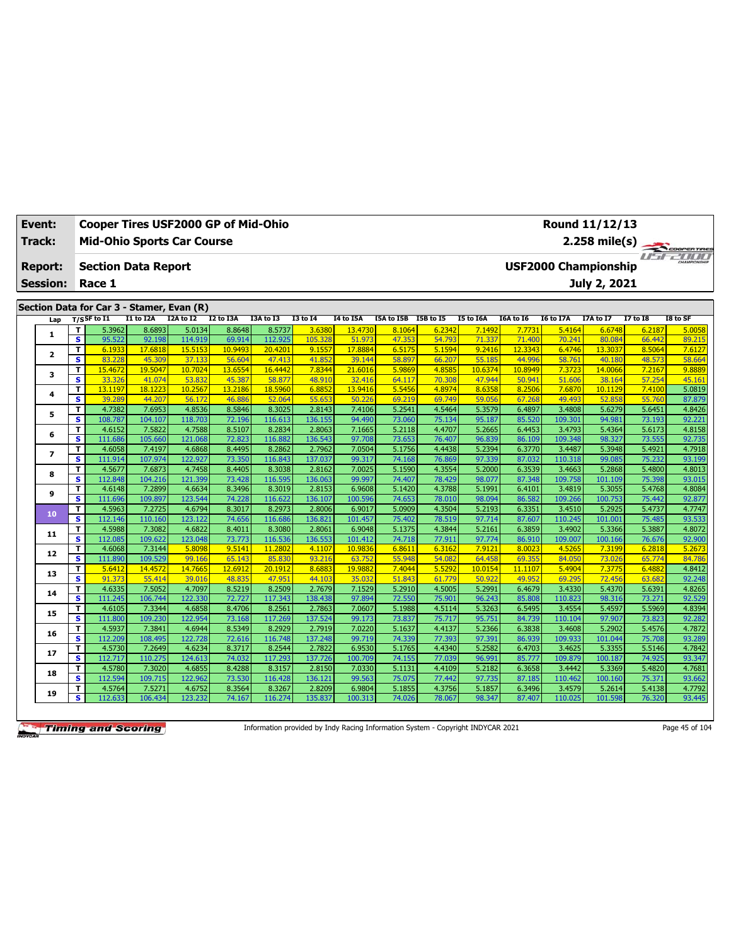| <b>Event:</b>   |                               | Cooper Tires USF2000 GP of Mid-Ohio |                                           |                    |                   |                   |                   |                   |                      |                  |                  |                   |                   | Round 11/12/13              |                  |                  |
|-----------------|-------------------------------|-------------------------------------|-------------------------------------------|--------------------|-------------------|-------------------|-------------------|-------------------|----------------------|------------------|------------------|-------------------|-------------------|-----------------------------|------------------|------------------|
| Track:          |                               |                                     | <b>Mid-Ohio Sports Car Course</b>         |                    |                   |                   |                   |                   |                      |                  |                  |                   |                   | 2.258 mile(s)               |                  | COOPER TIRES     |
| <b>Report:</b>  |                               |                                     | <b>Section Data Report</b>                |                    |                   |                   |                   |                   |                      |                  |                  |                   |                   | <b>USF2000 Championship</b> |                  | <b>FF-POOL</b>   |
| <b>Session:</b> |                               | Race 1                              |                                           |                    |                   |                   |                   |                   |                      |                  |                  |                   |                   | July 2, 2021                |                  |                  |
|                 |                               |                                     |                                           |                    |                   |                   |                   |                   |                      |                  |                  |                   |                   |                             |                  |                  |
|                 |                               |                                     | Section Data for Car 3 - Stamer, Evan (R) |                    |                   |                   |                   |                   |                      |                  |                  |                   |                   |                             |                  |                  |
| Lap             |                               | $T/S$ SF to $I1$                    | I1 to I2A                                 | I2A to I2          | <b>I2 to I3A</b>  | I3A to I3         | <b>I3 to I4</b>   | <b>I4 to I5A</b>  | I5A to I5B I5B to I5 |                  | I5 to I6A        | I6A to I6         | <b>I6 to I7A</b>  | I7A to I7                   | <b>I7 to I8</b>  | I8 to SF         |
| $\mathbf{1}$    | т                             | 5.3962                              | 8.6893                                    | 5.0134             | 8.8648            | 8.5737            | 3.6380            | 13,4730           | 8.1064               | 6.2342           | 7.1492           | 7.7731            | 5.4164            | 6.6748                      | 6.2187           | 5.0058           |
|                 | $\overline{\mathbf{s}}$<br>T. | 95.522                              | 92.198                                    | 114.919<br>15.5153 | 69.914            | 112.925           | 105.328           | 51.973            | 47.353               | 54.793           | 71.337           | 71,400            | 70.241<br>6.4746  | 80.084<br>13.3037           | 66.442           | 89.215           |
| $\mathbf{2}$    | $\overline{\mathbf{s}}$       | 6.1933<br>83.228                    | 17.6818<br>45.309                         | 37.133             | 10.9493<br>56.604 | 20.4201<br>47.413 | 9.1557<br>41.852  | 17,8884<br>39.144 | 6.5175<br>58.897     | 5.1594<br>66.207 | 9.2416<br>55.185 | 12.3343<br>44.996 | 58.761            | 40.180                      | 8.5064<br>48.573 | 7.6127<br>58.664 |
|                 | T                             | 15,4672                             | 19.5047                                   | 10.7024            | 13.6554           | 16,4442           | 7.8344            | 21,6016           | 5.9869               | 4.858            | 10.6374          | 10.8949           | 7.3723            | 14.0066                     | 7.2167           | 9.8889           |
| з               | $\overline{\mathbf{s}}$       | 33.326                              | 41.074                                    | 53.832             | 45.387            | 58.877            | 48.910            | 32.416            | 64.117               | 70.308           | 47.944           | 50.941            | 51,606            | 38.164                      | 57.254           | 45.161           |
|                 | T                             | 13.1197                             | 18.1223                                   | 10.2567            | 13.2186           | 18.5960           | 6.885             | 13.9416           | 5.5456               | 4.8974           | 8.6358           | 8.2506            | 7.6870            | 10.1129                     | 7.410            | 5.0819           |
| 4               | S                             | 39.289                              | 44.207                                    | 56.172             | 46.886            | 52.064            | 55.653            | 50.226            | 69.219               | 69.749           | 59.056           | 67.268            | 49.493            | 52.858                      | 55.760           | 87.879           |
|                 | T                             | 4.7382                              | 7.6953                                    | 4.8536             | 8.5846            | 8.3025            | 2.8143            | 7.4106            | 5.2541               | 4.5464           | 5.3579           | 6.4897            | 3.4808            | 5.6279                      | 5.6451           | 4.8426           |
| 5               | s                             | 108.787                             | 104.107                                   | 118.703            | 72.196            | 116.613           | 136.155           | 94.490            | 73.060               | 75.134           | 95.187           | 85.520            | 109.301           | 94.981                      | 73.193           | 92.221           |
| 6               | T                             | 4.6152                              | 7.5822                                    | 4.7588             | 8.5107            | 8.2834            | 2.8063            | 7.1665            | 5.2118               | 4.4707           | 5.2665           | 6.4453            | 3.4793            | 5.4364                      | 5.6173           | 4.8158           |
|                 | S                             | 111.686                             | 105.660                                   | 121.068            | 72.823            | 116.882           | 136.543           | 97.708            | 73.653               | 76.407           | 96.839           | 86.109            | 109.348           | 98.327                      | 73.555           | 92.735           |
| $\overline{ }$  | T                             | 4.6058                              | 7.4197                                    | 4.6868             | 8.4495            | 8.2862            | 2.7962            | 7.0504            | 5.1756               | 4.4438           | 5.2394           | 6.3770            | 3.4487            | 5.3948                      | 5.4921           | 4.7918           |
|                 | $\overline{\mathbf{s}}$       | 111.914                             | 107.974                                   | 122.927            | 73.350            | 116.843           | 137.037           | 99.317            | 74.168               | 76.869           | 97.339           | 87.032            | 110.318           | 99.085                      | 75.232           | 93.199           |
| 8               | т                             | 4.5677                              | 7.6873                                    | 4.7458             | 8.4405            | 8.3038            | 2.8162            | 7.0025            | 5.1590               | 4.3554           | 5.2000           | 6.3539            | 3.4663            | 5.2868                      | 5.4800           | 4.8013           |
|                 | S                             | 112.848                             | 104.216                                   | 121.399            | 73.428            | 116.595           | 136.063           | 99.997            | 74.407               | 78.429           | 98.077           | 87.348            | 109.758           | 101.109                     | 75.398           | 93.015           |
| 9               | T                             | 4.6148                              | 7.2899                                    | 4.6634             | 8.3496            | 8.3019            | 2.8153            | 6.9608            | 5.1420               | 4.3788           | 5.1991           | 6.4101            | 3.4819            | 5.3055                      | 5.4768           | 4.8084           |
|                 | s                             | 111.696                             | 109.897                                   | 123.544            | 74.228            | 116.622           | 136.107           | 100.596           | 74.653               | 78.010           | 98.094           | 86.582            | 109.266           | 100.753                     | 75.442           | 92.877           |
| 10              | T                             | 4.5963                              | 7.2725                                    | 4.6794             | 8.3017            | 8.2973            | 2.8006            | 6.9017            | 5.0909               | 4.3504           | 5.2193           | 6.3351            | 3.4510            | 5.2925                      | 5.4737           | 4.7747           |
|                 | $\overline{\mathbf{s}}$       | 112.146                             | 110.160                                   | 123.122            | 74.656            | 116.686           | 136.821           | 101.457           | 75.402               | 78.519           | 97.714           | 87.607            | 110.245           | 101.001                     | 75.485           | 93.533           |
| 11              | T<br>$\overline{\mathbf{s}}$  | 4.5988<br>112.085                   | 7.3082<br>109.622                         | 4.6822<br>123.048  | 8.4011<br>73,773  | 8.3080<br>116.536 | 2.8061<br>136.553 | 6.9048<br>101.412 | 5.1375<br>74.718     | 4.3844<br>77.911 | 5.2161<br>97.774 | 6.3859<br>86.910  | 3.4902<br>109.007 | 5.3366<br>100.166           | 5.3887<br>76.676 | 4.8072<br>92.900 |
|                 | T                             | 4.6068                              | 7.3144                                    | 5.8098             | 9.5141            | 11.2802           | 4.1107            | 10.9836           | 6.8611               | 6.3162           | 7.9121           | 8.0023            | 4.5265            | 7.3199                      | 6.2818           | 5.2673           |
| 12              | $\overline{\mathbf{s}}$       | 111.890                             | 109.529                                   | 99.166             | 65.143            | 85,830            | 93.216            | 63.752            | 55.948               | 54.082           | 64.458           | 69.355            | 84.050            | 73.026                      | 65.774           | 84.786           |
|                 | T                             | 5.6412                              | 14.4572                                   | 14.7665            | 12.6912           | 20.1912           | 8.6883            | 19.9882           | 7.4044               | 5.5292           | 10.0154          | 11.1107           | 5.4904            | 7.3775                      | 6.4882           | 4.8412           |
| 13              | $\overline{\mathbf{s}}$       | 91.373                              | 55.414                                    | 39.016             | 48.835            | 47.951            | 44.10             | 35.032            | 51.843               | 61.779           | 50.922           | 49.952            | 69.295            | 72.456                      | 63.682           | 92.248           |
|                 | T                             | 4.6335                              | 7.5052                                    | 4.7097             | 8.5219            | 8.2509            | 2.7679            | 7.1529            | 5.2910               | 4.5005           | 5.2991           | 6.4679            | 3.4330            | 5.4370                      | 5.6391           | 4.8265           |
| 14              | $\overline{\mathbf{s}}$       | 111.245                             | 106.744                                   | 122.330            | 72.727            | 117.343           | 138.438           | 97.894            | 72.550               | 75.90            | 96.243           | 85.808            | 110.823           | 98.316                      | 73.271           | 92.529           |
|                 | T                             | 4.6105                              | 7.3344                                    | 4.6858             | 8.4706            | 8.2561            | 2.7863            | 7.0607            | 5.1988               | 4.5114           | 5.3263           | 6.5495            | 3.4554            | 5.4597                      | 5.5969           | 4.8394           |
| 15              | $\overline{\mathbf{s}}$       | 111.800                             | 109.230                                   | 122.954            | 73.168            | 117.269           | 137.524           | 99.173            | 73.837               | 75.717           | 95.751           | 84.739            | 110.104           | 97.907                      | 73.823           | 92.282           |
| 16              | T                             | 4.5937                              | 7.3841                                    | 4.6944             | 8.5349            | 8.2929            | 2.7919            | 7.0220            | 5.1637               | 4.4137           | 5.2366           | 6.3838            | 3.4608            | 5.2902                      | 5.4576           | 4.7872           |
|                 | $\overline{\mathbf{s}}$       | 112.209                             | 108.495                                   | 122.728            | 72.616            | 116.748           | 137.248           | 99.719            | 74.339               | 77.393           | 97.391           | 86.939            | 109.933           | 101.044                     | 75.708           | 93.289           |
| 17              | T                             | 4.5730                              | 7.2649                                    | 4.6234             | 8.3717            | 8.2544            | 2.7822            | 6.9530            | 5.1765               | 4.4340           | 5.2582           | 6.4703            | 3.4625            | 5.3355                      | 5.5146           | 4.7842           |
|                 | s                             | 112.717                             | 110.275                                   | 124.613            | 74.032            | 117.293           | 137.726           | 100.709           | 74.155               | 77.039           | 96.991           | 85.777            | 109.879           | 100.187                     | 74.925           | 93.347           |
| 18              | T                             | 4.5780                              | 7.3020                                    | 4.6855             | 8.4288            | 8.3157            | 2.8150            | 7.0330            | 5.1131               | 4.4109           | 5.2182           | 6.3658            | 3.4442            | 5.3369                      | 5.4820           | 4.7681           |
|                 | s                             | 112.594                             | 109.715                                   | 122.962            | 73.530            | 116.428           | 136.121           | 99.563            | 75.075               | 77.442           | 97.735           | 87.185            | 110.462           | 100.160                     | 75.371           | 93.662           |
| 19              | T.                            | 4.5764                              | 7.5271                                    | 4.6752             | 8.3564            | 8.3267            | 2.8209            | 6.9804            | 5.1855               | 4.3756           | 5.1857           | 6.3496            | 3.4579            | 5.2614                      | 5.4138           | 4.7792           |
|                 | s                             | 112.633                             | 106.434                                   | 123.232            | 74.167            | 116.274           | 135.837           | 100.313           | 74.026               | 78.067           | 98.347           | 87.407            | 110.025           | 101.598                     | 76.320           | 93.445           |

Information provided by Indy Racing Information System - Copyright INDYCAR 2021 Page 45 of 104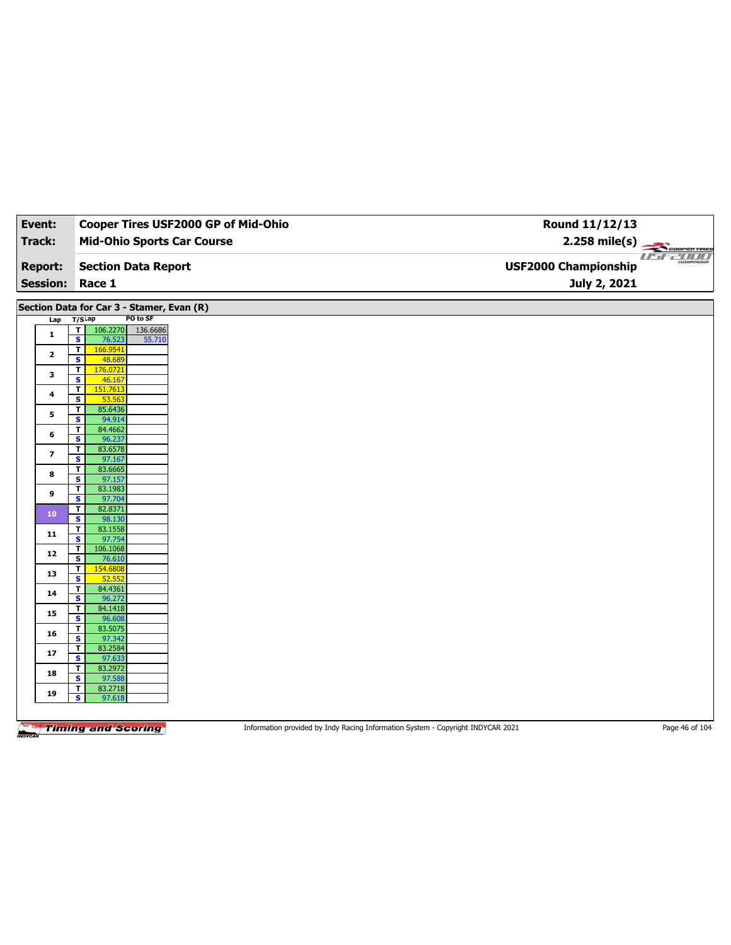| Event:                  | Cooper Tires USF2000 GP of Mid-Ohio                                      | Round 11/12/13                         |  |
|-------------------------|--------------------------------------------------------------------------|----------------------------------------|--|
| Track:                  | <b>Mid-Ohio Sports Car Course</b>                                        | $2.258$ mile(s)<br>COOPERTIRES         |  |
| <b>Report:</b>          | <b>Section Data Report</b>                                               | use and<br><b>USF2000 Championship</b> |  |
| <b>Session:</b>         | Race 1                                                                   | July 2, 2021                           |  |
|                         |                                                                          |                                        |  |
|                         | Section Data for Car 3 - Stamer, Evan (R)                                |                                        |  |
| Lap                     | PO to SF<br>$T/S$ Lap                                                    |                                        |  |
| $\mathbf{1}$            | T<br>136.6686<br>106.2270<br>$\overline{\mathbf{s}}$<br>76.523<br>55.710 |                                        |  |
| $\mathbf{2}$            | 166.9541<br>T<br>S<br>48.689                                             |                                        |  |
| 3                       | T<br>176.0721                                                            |                                        |  |
| 4                       | $\overline{\mathbf{s}}$<br>46.167<br>T<br>151.7613                       |                                        |  |
| 5                       | S<br>53.563<br>T.<br>85.6436                                             |                                        |  |
|                         | 94.914<br>s<br>84.4662<br>T                                              |                                        |  |
| 6                       | s<br>96.237                                                              |                                        |  |
| $\overline{\mathbf{z}}$ | 83.6578<br>T<br>s<br>97.167                                              |                                        |  |
| 8                       | 83.6665<br>T<br>s.<br>97.157                                             |                                        |  |
| 9                       | 83.1983<br>T                                                             |                                        |  |
| 10                      | $\overline{\mathbf{s}}$<br>97.704<br>82.8371<br>T                        |                                        |  |
|                         | $\overline{\mathbf{s}}$<br>98.130<br>83.1558<br>T                        |                                        |  |
| 11                      | $\overline{\mathbf{s}}$<br>97.754                                        |                                        |  |
| 12                      | 106.1068<br>T<br>$\overline{\mathbf{s}}$<br>76.610                       |                                        |  |
| 13                      | 154.6808<br>T.<br>$\overline{\mathbf{s}}$<br>52.552                      |                                        |  |
| 14                      | 84.4361<br>T<br>S<br>96.272                                              |                                        |  |
| 15                      | 84.1418<br>T                                                             |                                        |  |
|                         | $\overline{\mathbf{s}}$<br>96.608<br>83.5075<br>T                        |                                        |  |
| 16                      | S<br>97.342<br>83.2584                                                   |                                        |  |
| 17                      | T.<br>$\overline{\mathbf{s}}$<br>97.633                                  |                                        |  |
| 18                      | 83.2972<br>T<br>S<br>97.588                                              |                                        |  |
| 19                      | 83.2718<br>T.<br>$\overline{\mathbf{s}}$<br>97.618                       |                                        |  |
|                         |                                                                          |                                        |  |

Information provided by Indy Racing Information System - Copyright INDYCAR 2021 Page 46 of 104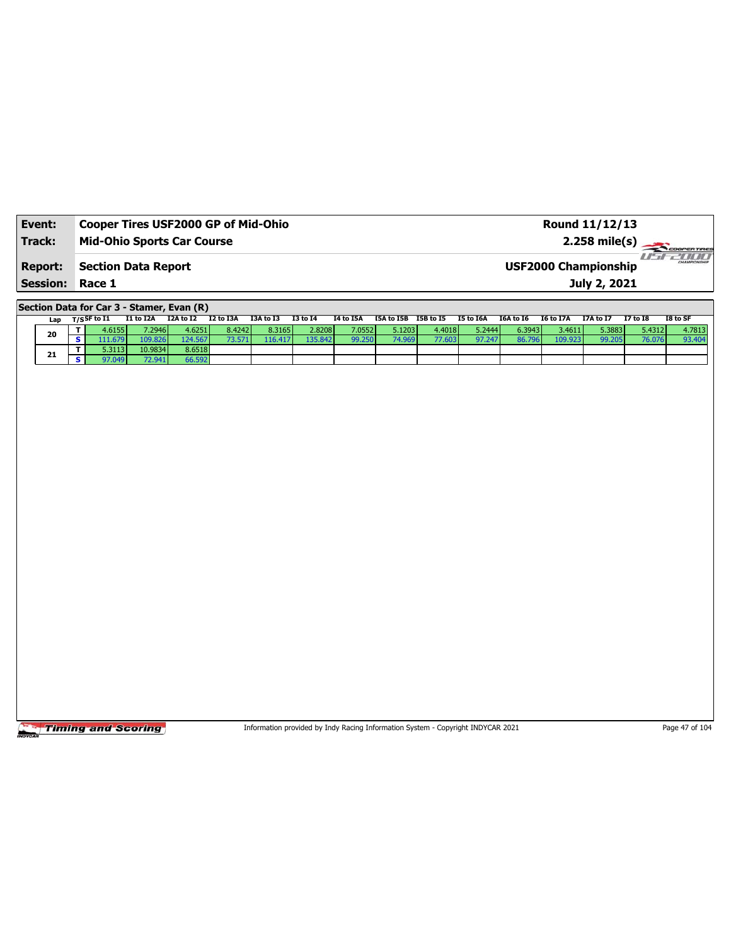| Event:          | Cooper Tires USF2000 GP of Mid-Ohio | Round 11/12/13              |                             |
|-----------------|-------------------------------------|-----------------------------|-----------------------------|
| Track:          | <b>Mid-Ohio Sports Car Course</b>   | $2.258 \text{ mile(s)}$     |                             |
| <b>Report:</b>  | Section Data Report                 | <b>USF2000 Championship</b> | <b>HIMI</b><br>CHAMPSONSHIP |
| <b>Session:</b> | Race 1                              | July 2, 2021                |                             |

**Section Data for Car 3 - Stamer, Evan (R)**

| Lap | T/SSF to I1 | I1 to I2A | I2A to I2 | I2 to I3A | I3A to I3 | <b>I3 to I4</b> | I4 to I5A | I5A to I5B | I5B to I5 | I5 to I6A | I6A to I6 | I6 to I7A | <b>I7A to I7</b> | <b>I7 to I8</b> | I8 to SF |
|-----|-------------|-----------|-----------|-----------|-----------|-----------------|-----------|------------|-----------|-----------|-----------|-----------|------------------|-----------------|----------|
|     | 1.6155 l    | 7.2946    | 4.6251    | 8.4242    | 8.3165    | 2.8208          | 7.0552    | 5.1203 l   | 4.4018    | 5.2444    | 6.3943    | 3.4611    | 5.3883           | 5.4312          | 4.7813   |
| 20  |             | 109.826   | 124.567   |           | 16.417    | 135.842         | 99.250    | 74.969 l   | 77.603    | 97.247    | 86.796    | 109.923   | 99.205           | 76.076          | 93.404   |
| 21  | 5.3113 l    | 10.9834   | 8.6518    |           |           |                 |           |            |           |           |           |           |                  |                 |          |
|     | 97.049 L    | 72.941    | 66.592    |           |           |                 |           |            |           |           |           |           |                  |                 |          |

Timing and Scoring

Information provided by Indy Racing Information System - Copyright INDYCAR 2021 Page 47 of 104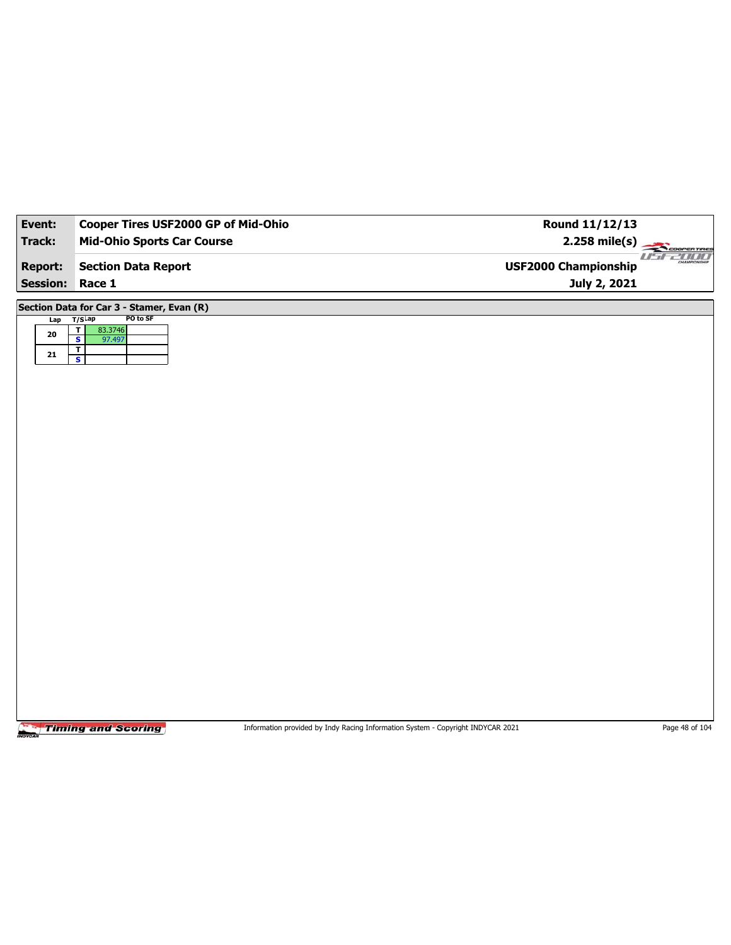| Event:          | Cooper Tires USF2000 GP of Mid-Ohio                             | Round 11/12/13              |                                                                                                                                                 |
|-----------------|-----------------------------------------------------------------|-----------------------------|-------------------------------------------------------------------------------------------------------------------------------------------------|
| <b>Track:</b>   | <b>Mid-Ohio Sports Car Course</b>                               | $2.258$ mile(s)             | COOPERTIRES                                                                                                                                     |
| <b>Report:</b>  | <b>Section Data Report</b>                                      | <b>USF2000 Championship</b> | $II - I$<br><u>2000 - 2000 - 2000 - 2000 - 2000 - 2000 - 2000 - 2000 - 2000 - 2000 - 2000 - 2000 - 2000 - 2000 - 2000 - 2000 </u><br>CHAMPSONSH |
| <b>Session:</b> | Race 1                                                          | July 2, 2021                |                                                                                                                                                 |
| Lap             | Section Data for Car 3 - Stamer, Evan (R)<br>PO to SF<br>T/SLap |                             |                                                                                                                                                 |
| 20              | $\mathbf T$<br>83.3746                                          |                             |                                                                                                                                                 |
| ${\bf 21}$      | $\overline{\mathbf{s}}$<br>97.497<br>$\overline{\mathsf{r}}$    |                             |                                                                                                                                                 |
|                 | $\overline{\mathbf{s}}$                                         |                             |                                                                                                                                                 |
|                 |                                                                 |                             |                                                                                                                                                 |
|                 |                                                                 |                             |                                                                                                                                                 |
|                 |                                                                 |                             |                                                                                                                                                 |
|                 |                                                                 |                             |                                                                                                                                                 |
|                 |                                                                 |                             |                                                                                                                                                 |
|                 |                                                                 |                             |                                                                                                                                                 |
|                 |                                                                 |                             |                                                                                                                                                 |
|                 |                                                                 |                             |                                                                                                                                                 |
|                 |                                                                 |                             |                                                                                                                                                 |
|                 |                                                                 |                             |                                                                                                                                                 |
|                 |                                                                 |                             |                                                                                                                                                 |
|                 |                                                                 |                             |                                                                                                                                                 |
|                 |                                                                 |                             |                                                                                                                                                 |
|                 |                                                                 |                             |                                                                                                                                                 |
|                 |                                                                 |                             |                                                                                                                                                 |
|                 |                                                                 |                             |                                                                                                                                                 |
|                 |                                                                 |                             |                                                                                                                                                 |
|                 |                                                                 |                             |                                                                                                                                                 |
|                 |                                                                 |                             |                                                                                                                                                 |

Information provided by Indy Racing Information System - Copyright INDYCAR 2021 Page 48 of 104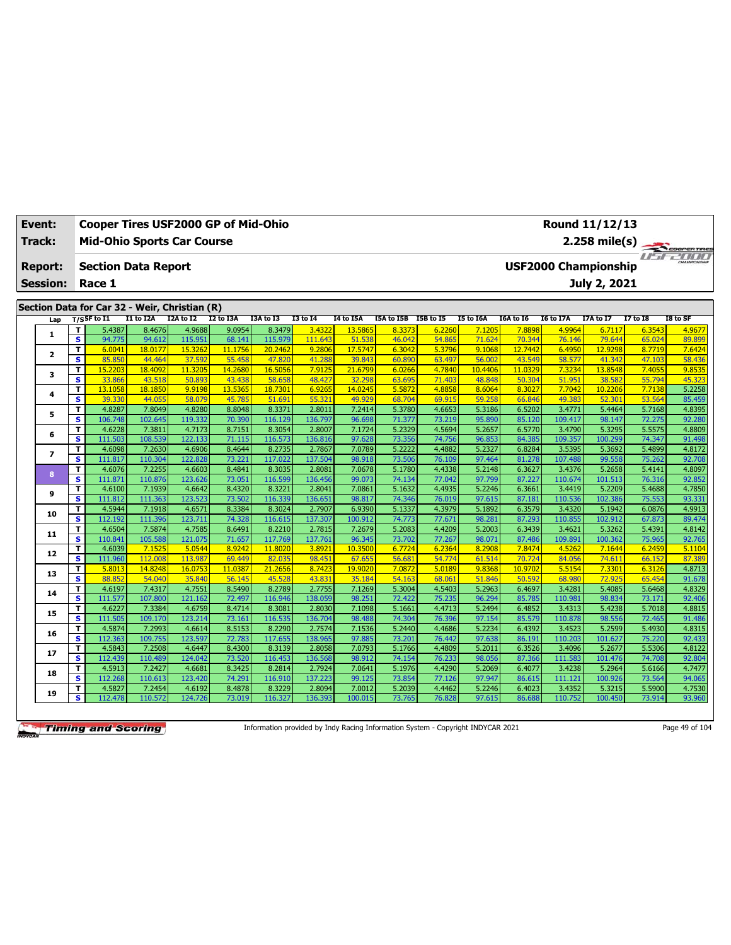| <b>Event:</b>   |                              | Cooper Tires USF2000 GP of Mid-Ohio<br>Round 11/12/13 |                   |                   |                   |                   |                   |                   |                      |                  |                   |                   |                             |                   |                  |                    |
|-----------------|------------------------------|-------------------------------------------------------|-------------------|-------------------|-------------------|-------------------|-------------------|-------------------|----------------------|------------------|-------------------|-------------------|-----------------------------|-------------------|------------------|--------------------|
| Track:          |                              | <b>Mid-Ohio Sports Car Course</b>                     |                   |                   |                   |                   |                   |                   |                      |                  |                   |                   |                             | $2.258$ mile(s)   |                  | COOPERTIRES        |
| <b>Report:</b>  |                              | <b>Section Data Report</b>                            |                   |                   |                   |                   |                   |                   |                      |                  |                   |                   | <b>USF2000 Championship</b> |                   |                  | <b>IF-F-PILITI</b> |
| <b>Session:</b> |                              | Race 1                                                |                   |                   |                   |                   |                   |                   |                      |                  |                   |                   |                             | July 2, 2021      |                  |                    |
|                 |                              |                                                       |                   |                   |                   |                   |                   |                   |                      |                  |                   |                   |                             |                   |                  |                    |
|                 |                              | Section Data for Car 32 - Weir, Christian (R)         |                   |                   |                   |                   |                   |                   |                      |                  |                   |                   |                             |                   |                  |                    |
| Lap             |                              | $T/S$ SF to $I1$                                      | <b>I1 to I2A</b>  | I2A to I2         | I2 to I3A         | I3A to I3         | <b>I3 to 14</b>   | I4 to I5A         | I5A to I5B I5B to I5 |                  | <b>I5 to I6A</b>  | I6A to I6         | <b>I6 to I7A</b>            | I7A to I7         | 17 to 18         | I8 to SF           |
| 1               | T                            | 5.4387                                                | 8.4676            | 4.9688            | 9.0954            | 8.3479            | 3.4322            | 13.5865           | 8.3373               | 6.2260           | 7.1205            | 7.8898            | 4.9964                      | 6.7117            | 6.3543           | 4.9677             |
|                 | $\overline{\mathbf{s}}$      | 94.775                                                | 94.612            | 115.951           | 68.141            | 115.979           | 111.643           | 51.538            | 46.042               | 54.865           | 71.624            | 70.344            | 76.146                      | 79.644            | 65.024           | 89.899             |
| $\mathbf{z}$    | T<br>$\overline{\mathbf{s}}$ | 6.0041<br>85,850                                      | 18.0177           | 15.3262<br>37.592 | 11.1756           | 20.2462<br>47.820 | 9.2806            | 17.5747           | 6.3042               | 5.3796           | 9.1068            | 12.7442           | 6.4950                      | 12.9298<br>41.342 | 8.7719<br>47.103 | 7.6424             |
|                 | T                            | 15,2203                                               | 44.464<br>18.4092 | 11.3205           | 55.458<br>14.2680 | 16.5056           | 41.288<br>7.9125  | 39.843<br>21,6799 | 60.890<br>6.0266     | 63.497<br>4.7840 | 56.002<br>10,4406 | 43.549<br>11.0329 | 58.577<br>7.3234            | 13,8548           | 7.4055           | 58.436<br>9.8535   |
| 3               | $\overline{\mathbf{s}}$      | 33.866                                                | 43.518            | 50.893            | 43.438            | 58.658            | 48.427            | 32.298            | 63.695               | 71.403           | 48.848            | 50.304            | 51.951                      | 38.582            | 55.794           | 45.323             |
|                 | T                            | 13.1058                                               | 18.1850           | 9.9198            | 13.5365           | 18.7301           | 6.9265            | 14.0245           | 5.5872               | 4.8858           | 8.6064            | 8.3027            | 7.7042                      | 10,2206           | 7.7138           | 5.2258             |
| 4               | $\overline{\mathbf{s}}$      | 39.330                                                | 44.055            | 58.079            | 45.785            | 51.691            | 55.321            | 49.929            | 68.704               | 69.915           | 59.258            | 66.846            | 49.383                      | 52.301            | 53.564           | 85.459             |
|                 | T                            | 4.8287                                                | 7.8049            | 4.8280            | 8.8048            | 8.3371            | 2.8011            | 7.2414            | 5.3780               | 4.6653           | 5.3186            | 6.5202            | 3.4771                      | 5.4464            | 5.7168           | 4.8395             |
| 5               | $\overline{\mathbf{s}}$      | 106.748                                               | 102.645           | 119.332           | 70.390            | 116.129           | 136.797           | 96.698            | 71.377               | 73.219           | 95.890            | 85.120            | 109.417                     | 98.147            | 72.275           | 92.280             |
| 6               | T                            | 4.6228                                                | 7.3811            | 4.7173            | 8.7151            | 8.3054            | 2.8007            | 7.1724            | 5.2329               | 4.5694           | 5.2657            | 6.5770            | 3.4790                      | 5.3295            | 5.5575           | 4.8809             |
|                 | S                            | 111.503                                               | 108.539           | 122.133           | 71.115            | 116.573           | 136.816           | 97.628            | 73.356               | 74.756           | 96.853            | 84.385            | 109.357                     | 100.299           | 74.347           | 91.498             |
| 7               | T                            | 4.6098                                                | 7.2630            | 4.6906            | 8.4644            | 8.2735            | 2.7867            | 7.0789            | 5.2222               | 4.4882           | 5.2327            | 6.8284            | 3.5395                      | 5.3692            | 5.4899           | 4.8172             |
|                 | $\overline{\mathbf{s}}$      | 111.817                                               | 110.304           | 122.828           | 73.221            | 117.022           | 137.504           | 98.918            | 73.506               | 76.109           | 97.464            | 81.278            | 107.488                     | 99.558            | 75.262           | 92.708             |
| 8               | T                            | 4.6076                                                | 7.2255            | 4.6603            | 8.4841            | 8.3035            | 2.8081            | 7.0678            | 5.1780               | 4.4338           | 5.2148            | 6.3627            | 3.4376                      | 5.2658            | 5.4141           | 4.8097             |
|                 | S                            | 111.871                                               | 110.876           | 123.626           | 73.051            | 116.599           | 136.456           | 99.073            | 74.134               | 77.042           | 97.799            | 87.227            | 110.674                     | 101.513           | 76.316           | 92.852             |
| 9               | T                            | 4.6100                                                | 7.1939            | 4.6642            | 8.4320            | 8.3221            | 2.8041            | 7.0861            | 5.1632               | 4.4935           | 5.2246            | 6.3661            | 3.4419                      | 5.2209            | 5.4688           | 4.7850             |
|                 | $\overline{\mathbf{s}}$      | 111.812                                               | 111.363           | 123.523           | 73.502            | 116.339           | 136.651           | 98.817            | 74.346               | 76.019           | 97.615            | 87.181            | 110.536                     | 102.386           | 75.553           | 93.331             |
| 10              | т<br>S                       | 4.5944<br>112.192                                     | 7.1918<br>111.396 | 4.6571<br>123.711 | 8.3384<br>74.328  | 8.3024<br>116.615 | 2.7907<br>137.307 | 6.9390<br>100.912 | 5.1337<br>74.773     | 4.3979<br>77.671 | 5.1892<br>98.281  | 6.3579<br>87.293  | 3.4320<br>110.855           | 5.1942<br>102.912 | 6.0876<br>67.873 | 4.9913<br>89.474   |
|                 | T                            | 4.6504                                                | 7.5874            | 4.7585            | 8.6491            | 8.2210            | 2.7815            | 7.2679            | 5.2083               | 4.4209           | 5.2003            | 6.3439            | 3.4621                      | 5.3262            | 5.4391           | 4.8142             |
| 11              | s                            | 110.841                                               | 105.588           | 121.075           | 71.657            | 117.769           | 137.761           | 96.345            | 73.702               | 77.267           | 98.071            | 87.486            | 109.891                     | 100.362           | 75.965           | 92.765             |
|                 | T                            | 4.6039                                                | 7.1525            | 5.0544            | 8.9242            | 11.8020           | 3.8921            | 10.3500           | 6.7724               | 6.2364           | 8.2908            | 7.8474            | 4.5262                      | 7.1644            | 6.2459           | 5.1104             |
| 12              | s                            | 111.960                                               | 112.008           | 113.987           | 69.449            | 82.035            | 98.451            | 67.655            | 56.681               | 54.774           | 61.514            | 70.724            | 84.056                      | 74.611            | 66.152           | 87.389             |
|                 | T                            | 5.8013                                                | 14.8248           | 16.0753           | 11.0387           | 21.2656           | 8.7423            | 19.9020           | 7.0872               | 5.0189           | 9.8368            | 10.9702           | 5.5154                      | 7.3301            | 6.3126           | 4.8713             |
| 13              | s                            | 88.852                                                | 54.040            | 35.840            | 56.145            | 45.528            | 43.831            | 35.184            | 54.163               | 68.06:           | 51.846            | 50.592            | 68.980                      | 72.925            | 65.454           | 91.678             |
| 14              | T                            | 4.6197                                                | 7.4317            | 4.7551            | 8.5490            | 8.2789            | 2.7755            | 7.1269            | 5.3004               | 4.5403           | 5.2963            | 6.4697            | 3.4281                      | 5.4085            | 5.6468           | 4.8329             |
|                 | S                            | 111.577                                               | 107.800           | 121.162           | 72.497            | 116.946           | 138.059           | 98.251            | 72.422               | 75.235           | 96.294            | 85.785            | 110.981                     | 98.834            | 73.171           | 92.406             |
| 15              | T                            | 4.6227                                                | 7.3384            | 4.6759            | 8.4714            | 8.3081            | 2.8030            | 7.1098            | 5.1661               | 4.4713           | 5.2494            | 6.4852            | 3.4313                      | 5.4238            | 5.7018           | 4.8815             |
|                 | s                            | 111.505                                               | 109.170           | 123.214           | 73.161            | 116.535           | 136.704           | 98.488            | 74.304               | 76.396           | 97.154            | 85.579            | 110.878                     | 98.556            | 72.465           | 91.486             |
| 16              | T                            | 4.5874                                                | 7.2993            | 4.6614            | 8.5153            | 8.2290            | 2.7574            | 7.1536            | 5.2440               | 4.4686           | 5.2234            | 6.4392            | 3.4523                      | 5.2599            | 5.4930           | 4.8315             |
|                 | $\overline{\mathbf{s}}$<br>T | 112.363<br>4.5843                                     | 109.755<br>7.2508 | 123.597<br>4.6447 | 72.783<br>8.4300  | 117.655<br>8.3139 | 138.965<br>2.8058 | 97.885<br>7.0793  | 73.201<br>5.1766     | 76.442<br>4.4809 | 97.638            | 86.191<br>6.3526  | 110.203<br>3.4096           | 101.627<br>5.2677 | 75.220<br>5.5306 | 92.433<br>4.8122   |
| 17              | s                            | 112.439                                               | 110.489           | 124.042           | 73.520            | 116.453           | 136.568           | 98.912            | 74.154               | 76.233           | 5.2011<br>98.056  | 87.366            | 111.583                     | 101.476           | 74.708           | 92.804             |
|                 | T                            | 4.5913                                                | 7.2427            | 4.6681            | 8.3425            | 8.2814            | 2.7924            | 7.0641            | 5.1976               | 4.4290           | 5.2069            | 6.4077            | 3.4238                      | 5.2964            | 5.6166           | 4.7477             |
| 18              | s                            | 112.268                                               | 110.613           | 123.420           | 74.291            | 116.910           | 137.22            | 99.125            | 73.854               | 77.126           | 97.947            | 86.615            | 111.121                     | 100.926           | 73.564           | 94.065             |
|                 | T                            | 4.5827                                                | 7.2454            | 4.6192            | 8.4878            | 8.3229            | 2.8094            | 7.0012            | 5.2039               | 4.4462           | 5.2246            | 6.4023            | 3.4352                      | 5.3215            | 5.5900           | 4.7530             |
| 19              | s.                           | 112.478                                               | 110.572           | 124.726           | 73.019            | 116.327           | 136.393           | 100.015           | 73.765               | 76.828           | 97.615            | 86.688            | 110.752                     | 100.450           | 73.914           | 93.960             |

Information provided by Indy Racing Information System - Copyright INDYCAR 2021 Page 49 of 104

**Timing and Scoring** 

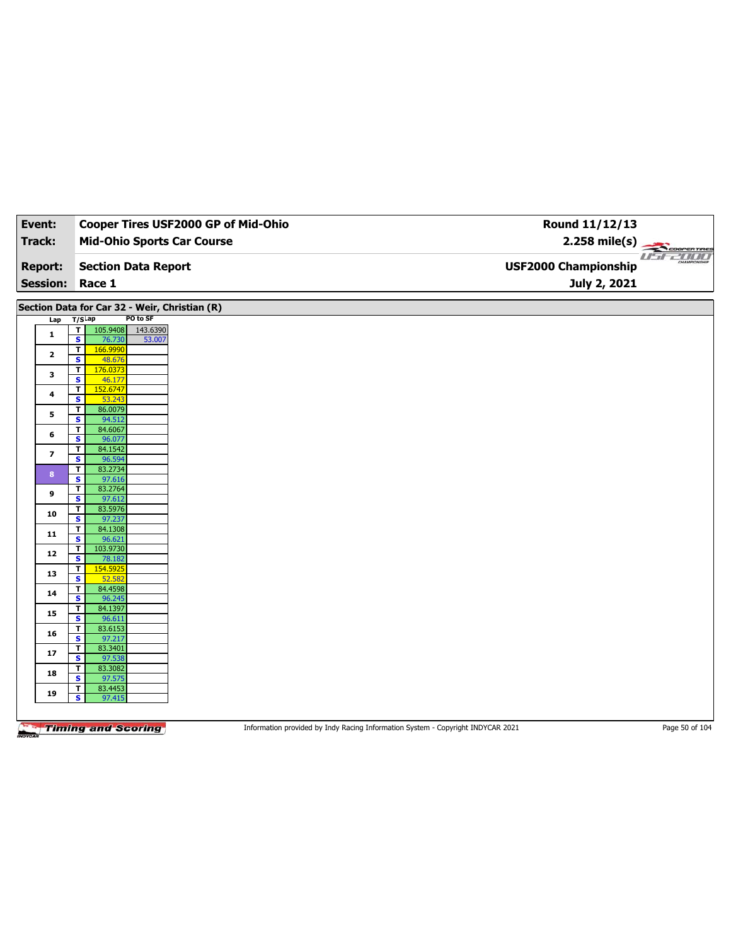| <b>Track:</b><br><b>Mid-Ohio Sports Car Course</b><br>$2.258 \text{ mile(s)}$<br><b>USE2000</b><br>CHAMPIONSHIP<br><b>Section Data Report</b><br><b>USF2000 Championship</b><br><b>Report:</b><br><b>Session:</b><br>Race 1<br>July 2, 2021<br>Section Data for Car 32 - Weir, Christian (R)<br>PO to SF<br>$T/S$ Lap<br>Lap<br>$\overline{\mathbf{r}}$<br>105.9408<br>143.6390<br>$\mathbf{1}$<br>$\overline{\mathbf{s}}$<br>53.007<br>76.730<br>166.9990<br>T<br>$\mathbf{2}$<br>S<br>48.676<br>176.0373<br>$\mathbf{T}$<br>3<br>$\overline{\mathbf{s}}$<br>46.177<br>152.6747<br>T<br>4<br>S<br>53.243<br>T.<br>86.0079<br>5<br>$\overline{\mathbf{s}}$<br>94.512<br>T<br>84.6067<br>6<br>S<br>96.077<br>84.1542<br>T<br>$\overline{\mathbf{z}}$<br>$\overline{\mathbf{s}}$<br>96.594<br>T<br>83.2734<br>8<br>S<br>97.616<br>83.2764<br>T<br>9<br>$\overline{\mathbf{s}}$<br>97.612<br>83.5976<br>T<br>10<br>$\mathbf{s}$<br>97.237<br>84.1308<br>T<br>11<br>$\overline{\mathbf{s}}$<br>96.621<br>103.9730<br>T<br>12<br>S<br>78.182<br>T<br>154.5925<br>13<br>$\overline{\mathbf{s}}$<br>52.582<br>T<br>84.4598<br>14<br>S<br>96.245<br>84.1397<br>T<br>15<br>$\overline{\mathbf{s}}$<br>96.611<br>83.6153<br>T<br>16<br>$\overline{\mathbf{s}}$<br>97.217<br>T<br>83.3401<br>17<br>$\overline{\mathbf{s}}$<br>97.538<br>T<br>83.3082<br>18<br>S<br>97.575<br>83.4453<br>T<br>19<br>$\overline{\mathbf{s}}$<br>97.415 | Event: | Cooper Tires USF2000 GP of Mid-Ohio | Round 11/12/13 |  |
|---------------------------------------------------------------------------------------------------------------------------------------------------------------------------------------------------------------------------------------------------------------------------------------------------------------------------------------------------------------------------------------------------------------------------------------------------------------------------------------------------------------------------------------------------------------------------------------------------------------------------------------------------------------------------------------------------------------------------------------------------------------------------------------------------------------------------------------------------------------------------------------------------------------------------------------------------------------------------------------------------------------------------------------------------------------------------------------------------------------------------------------------------------------------------------------------------------------------------------------------------------------------------------------------------------------------------------------------------------------------------------------------------------------------------|--------|-------------------------------------|----------------|--|
|                                                                                                                                                                                                                                                                                                                                                                                                                                                                                                                                                                                                                                                                                                                                                                                                                                                                                                                                                                                                                                                                                                                                                                                                                                                                                                                                                                                                                           |        |                                     |                |  |
|                                                                                                                                                                                                                                                                                                                                                                                                                                                                                                                                                                                                                                                                                                                                                                                                                                                                                                                                                                                                                                                                                                                                                                                                                                                                                                                                                                                                                           |        |                                     |                |  |
|                                                                                                                                                                                                                                                                                                                                                                                                                                                                                                                                                                                                                                                                                                                                                                                                                                                                                                                                                                                                                                                                                                                                                                                                                                                                                                                                                                                                                           |        |                                     |                |  |
|                                                                                                                                                                                                                                                                                                                                                                                                                                                                                                                                                                                                                                                                                                                                                                                                                                                                                                                                                                                                                                                                                                                                                                                                                                                                                                                                                                                                                           |        |                                     |                |  |
|                                                                                                                                                                                                                                                                                                                                                                                                                                                                                                                                                                                                                                                                                                                                                                                                                                                                                                                                                                                                                                                                                                                                                                                                                                                                                                                                                                                                                           |        |                                     |                |  |
|                                                                                                                                                                                                                                                                                                                                                                                                                                                                                                                                                                                                                                                                                                                                                                                                                                                                                                                                                                                                                                                                                                                                                                                                                                                                                                                                                                                                                           |        |                                     |                |  |
|                                                                                                                                                                                                                                                                                                                                                                                                                                                                                                                                                                                                                                                                                                                                                                                                                                                                                                                                                                                                                                                                                                                                                                                                                                                                                                                                                                                                                           |        |                                     |                |  |
|                                                                                                                                                                                                                                                                                                                                                                                                                                                                                                                                                                                                                                                                                                                                                                                                                                                                                                                                                                                                                                                                                                                                                                                                                                                                                                                                                                                                                           |        |                                     |                |  |
|                                                                                                                                                                                                                                                                                                                                                                                                                                                                                                                                                                                                                                                                                                                                                                                                                                                                                                                                                                                                                                                                                                                                                                                                                                                                                                                                                                                                                           |        |                                     |                |  |
|                                                                                                                                                                                                                                                                                                                                                                                                                                                                                                                                                                                                                                                                                                                                                                                                                                                                                                                                                                                                                                                                                                                                                                                                                                                                                                                                                                                                                           |        |                                     |                |  |
|                                                                                                                                                                                                                                                                                                                                                                                                                                                                                                                                                                                                                                                                                                                                                                                                                                                                                                                                                                                                                                                                                                                                                                                                                                                                                                                                                                                                                           |        |                                     |                |  |
|                                                                                                                                                                                                                                                                                                                                                                                                                                                                                                                                                                                                                                                                                                                                                                                                                                                                                                                                                                                                                                                                                                                                                                                                                                                                                                                                                                                                                           |        |                                     |                |  |
|                                                                                                                                                                                                                                                                                                                                                                                                                                                                                                                                                                                                                                                                                                                                                                                                                                                                                                                                                                                                                                                                                                                                                                                                                                                                                                                                                                                                                           |        |                                     |                |  |
|                                                                                                                                                                                                                                                                                                                                                                                                                                                                                                                                                                                                                                                                                                                                                                                                                                                                                                                                                                                                                                                                                                                                                                                                                                                                                                                                                                                                                           |        |                                     |                |  |
|                                                                                                                                                                                                                                                                                                                                                                                                                                                                                                                                                                                                                                                                                                                                                                                                                                                                                                                                                                                                                                                                                                                                                                                                                                                                                                                                                                                                                           |        |                                     |                |  |
|                                                                                                                                                                                                                                                                                                                                                                                                                                                                                                                                                                                                                                                                                                                                                                                                                                                                                                                                                                                                                                                                                                                                                                                                                                                                                                                                                                                                                           |        |                                     |                |  |
|                                                                                                                                                                                                                                                                                                                                                                                                                                                                                                                                                                                                                                                                                                                                                                                                                                                                                                                                                                                                                                                                                                                                                                                                                                                                                                                                                                                                                           |        |                                     |                |  |
|                                                                                                                                                                                                                                                                                                                                                                                                                                                                                                                                                                                                                                                                                                                                                                                                                                                                                                                                                                                                                                                                                                                                                                                                                                                                                                                                                                                                                           |        |                                     |                |  |
|                                                                                                                                                                                                                                                                                                                                                                                                                                                                                                                                                                                                                                                                                                                                                                                                                                                                                                                                                                                                                                                                                                                                                                                                                                                                                                                                                                                                                           |        |                                     |                |  |
|                                                                                                                                                                                                                                                                                                                                                                                                                                                                                                                                                                                                                                                                                                                                                                                                                                                                                                                                                                                                                                                                                                                                                                                                                                                                                                                                                                                                                           |        |                                     |                |  |
|                                                                                                                                                                                                                                                                                                                                                                                                                                                                                                                                                                                                                                                                                                                                                                                                                                                                                                                                                                                                                                                                                                                                                                                                                                                                                                                                                                                                                           |        |                                     |                |  |
|                                                                                                                                                                                                                                                                                                                                                                                                                                                                                                                                                                                                                                                                                                                                                                                                                                                                                                                                                                                                                                                                                                                                                                                                                                                                                                                                                                                                                           |        |                                     |                |  |
|                                                                                                                                                                                                                                                                                                                                                                                                                                                                                                                                                                                                                                                                                                                                                                                                                                                                                                                                                                                                                                                                                                                                                                                                                                                                                                                                                                                                                           |        |                                     |                |  |
|                                                                                                                                                                                                                                                                                                                                                                                                                                                                                                                                                                                                                                                                                                                                                                                                                                                                                                                                                                                                                                                                                                                                                                                                                                                                                                                                                                                                                           |        |                                     |                |  |
|                                                                                                                                                                                                                                                                                                                                                                                                                                                                                                                                                                                                                                                                                                                                                                                                                                                                                                                                                                                                                                                                                                                                                                                                                                                                                                                                                                                                                           |        |                                     |                |  |
|                                                                                                                                                                                                                                                                                                                                                                                                                                                                                                                                                                                                                                                                                                                                                                                                                                                                                                                                                                                                                                                                                                                                                                                                                                                                                                                                                                                                                           |        |                                     |                |  |
|                                                                                                                                                                                                                                                                                                                                                                                                                                                                                                                                                                                                                                                                                                                                                                                                                                                                                                                                                                                                                                                                                                                                                                                                                                                                                                                                                                                                                           |        |                                     |                |  |
|                                                                                                                                                                                                                                                                                                                                                                                                                                                                                                                                                                                                                                                                                                                                                                                                                                                                                                                                                                                                                                                                                                                                                                                                                                                                                                                                                                                                                           |        |                                     |                |  |
|                                                                                                                                                                                                                                                                                                                                                                                                                                                                                                                                                                                                                                                                                                                                                                                                                                                                                                                                                                                                                                                                                                                                                                                                                                                                                                                                                                                                                           |        |                                     |                |  |
|                                                                                                                                                                                                                                                                                                                                                                                                                                                                                                                                                                                                                                                                                                                                                                                                                                                                                                                                                                                                                                                                                                                                                                                                                                                                                                                                                                                                                           |        |                                     |                |  |
|                                                                                                                                                                                                                                                                                                                                                                                                                                                                                                                                                                                                                                                                                                                                                                                                                                                                                                                                                                                                                                                                                                                                                                                                                                                                                                                                                                                                                           |        |                                     |                |  |
|                                                                                                                                                                                                                                                                                                                                                                                                                                                                                                                                                                                                                                                                                                                                                                                                                                                                                                                                                                                                                                                                                                                                                                                                                                                                                                                                                                                                                           |        |                                     |                |  |
|                                                                                                                                                                                                                                                                                                                                                                                                                                                                                                                                                                                                                                                                                                                                                                                                                                                                                                                                                                                                                                                                                                                                                                                                                                                                                                                                                                                                                           |        |                                     |                |  |
|                                                                                                                                                                                                                                                                                                                                                                                                                                                                                                                                                                                                                                                                                                                                                                                                                                                                                                                                                                                                                                                                                                                                                                                                                                                                                                                                                                                                                           |        |                                     |                |  |
|                                                                                                                                                                                                                                                                                                                                                                                                                                                                                                                                                                                                                                                                                                                                                                                                                                                                                                                                                                                                                                                                                                                                                                                                                                                                                                                                                                                                                           |        |                                     |                |  |
|                                                                                                                                                                                                                                                                                                                                                                                                                                                                                                                                                                                                                                                                                                                                                                                                                                                                                                                                                                                                                                                                                                                                                                                                                                                                                                                                                                                                                           |        |                                     |                |  |

Information provided by Indy Racing Information System - Copyright INDYCAR 2021 Page 50 of 104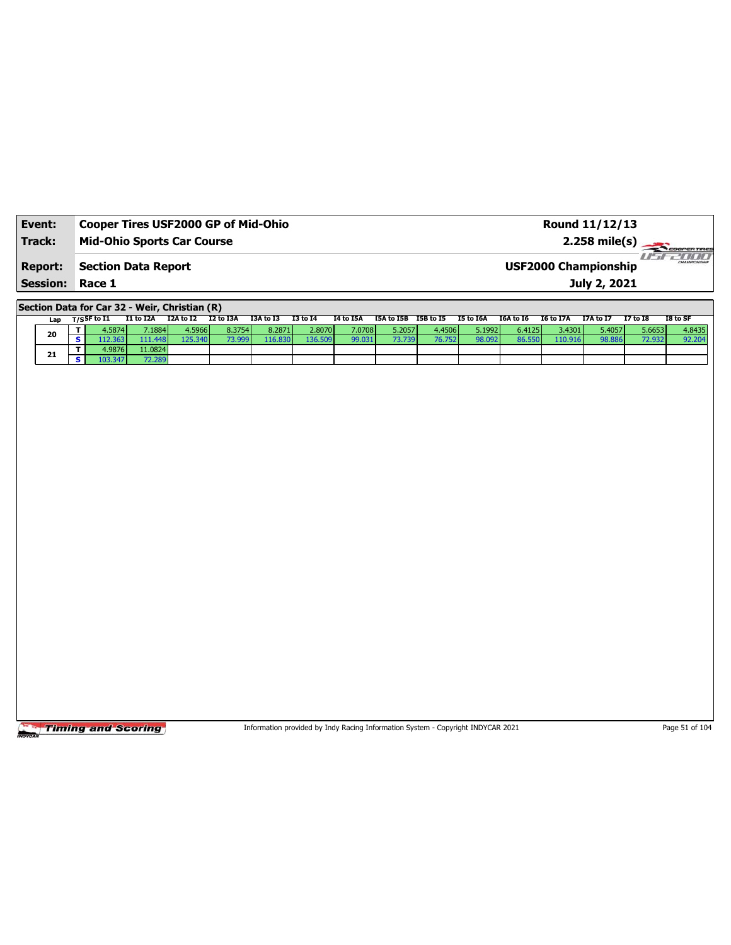| Event:                 | Cooper Tires USF2000 GP of Mid-Ohio | Round 11/12/13              |                             |
|------------------------|-------------------------------------|-----------------------------|-----------------------------|
| Track:                 | <b>Mid-Ohio Sports Car Course</b>   | $2.258 \text{ mile(s)}$     |                             |
| <b>Report:</b>         | Section Data Report                 | <b>USF2000 Championship</b> | <b>HILL</b><br>CHAMPSONSHIP |
| <b>Session: Race 1</b> |                                     | July 2, 2021                |                             |

**Section Data for Car 32 - Weir, Christian (R)**

|    | Lap | ד/sSF to I1 | I1 to I2A | I2A to I2 | I2 to I3A | I3A to I3 | <b>I3 to 14</b> | I4 to I5A | I5A to I5B | I5B to I5 | <b>I5 to I6A</b> | I6A to I6 | I6 to I7A | <b>I7A to I7</b> | 17 to 18 | I8 to SF |
|----|-----|-------------|-----------|-----------|-----------|-----------|-----------------|-----------|------------|-----------|------------------|-----------|-----------|------------------|----------|----------|
|    |     | 1.5874      | 7.1884    | 4.5966 l  | 8.3754    | 8.2871    | 2.8070          | 7.0708    | 5.2057     | 4.4506    | 5.1992           | 6.4125    | 3.4301    | 5.4057           | 5.6653   | 4.8435   |
| 20 |     |             | 111.448 I | 25.340    | 73.999    | 16.830    | 136.509         | 99.031    | 3.739      | 76.752    | 98.092           | 86.550    | 110.916   | 98.886           | 72.93.   | 92.204   |
|    | 21  | 1.9876      | 11.0824   |           |           |           |                 |           |            |           |                  |           |           |                  |          |          |
|    |     | 103.347     | 72.289    |           |           |           |                 |           |            |           |                  |           |           |                  |          |          |

Timing and Scoring

Information provided by Indy Racing Information System - Copyright INDYCAR 2021 Page 51 of 104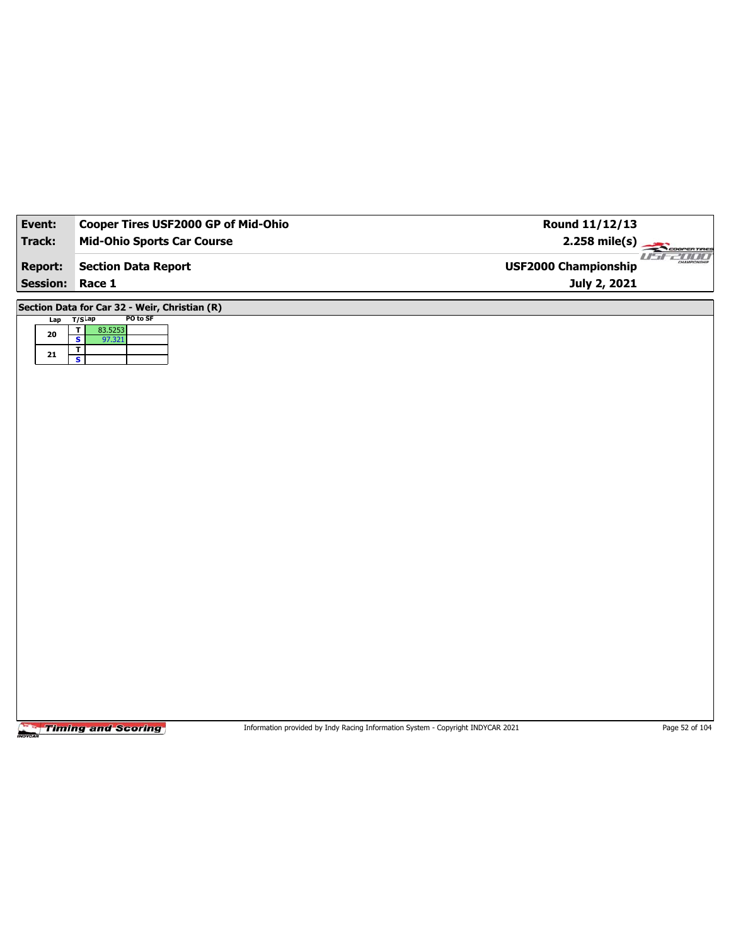| Event:          | Cooper Tires USF2000 GP of Mid-Ohio                         | Round 11/12/13              |                          |
|-----------------|-------------------------------------------------------------|-----------------------------|--------------------------|
| <b>Track:</b>   | <b>Mid-Ohio Sports Car Course</b>                           | $2.258$ mile(s)             | COOPERTIRES              |
| <b>Report:</b>  | <b>Section Data Report</b>                                  | <b>USF2000 Championship</b> | $II^-$<br><u>2000 - </u> |
| <b>Session:</b> | Race 1                                                      | July 2, 2021                |                          |
|                 | Section Data for Car 32 - Weir, Christian (R)               |                             |                          |
| Lap             | PO to SF<br>$T/S$ Lap<br>$\overline{\mathbf{r}}$<br>83.5253 |                             |                          |
| ${\bf 20}$      | $\overline{\mathbf{s}}$<br>97.321                           |                             |                          |
| ${\bf 21}$      | $\overline{\mathbf{r}}$<br>$\overline{\mathbf{s}}$          |                             |                          |
|                 |                                                             |                             |                          |
|                 |                                                             |                             |                          |
|                 |                                                             |                             |                          |
|                 |                                                             |                             |                          |
|                 |                                                             |                             |                          |
|                 |                                                             |                             |                          |
|                 |                                                             |                             |                          |
|                 |                                                             |                             |                          |
|                 |                                                             |                             |                          |
|                 |                                                             |                             |                          |
|                 |                                                             |                             |                          |
|                 |                                                             |                             |                          |
|                 |                                                             |                             |                          |
|                 |                                                             |                             |                          |
|                 |                                                             |                             |                          |
|                 |                                                             |                             |                          |
|                 |                                                             |                             |                          |
|                 |                                                             |                             |                          |
|                 |                                                             |                             |                          |
|                 |                                                             |                             |                          |

Information provided by Indy Racing Information System - Copyright INDYCAR 2021 Page 52 of 104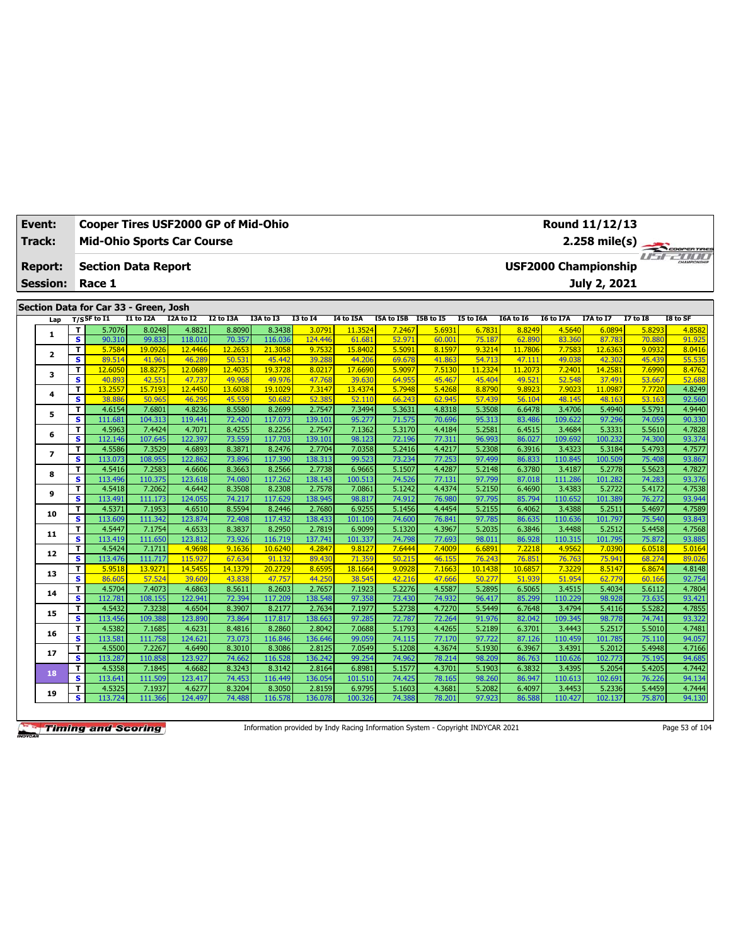| Event: |                 | Cooper Tires USF2000 GP of Mid-Ohio<br>Round 11/12/13<br><b>Mid-Ohio Sports Car Course</b> |                   |                                       |                    |                   |                    |                   |                   |                      |                  |                   |                   |                             |                   |                  |                  |
|--------|-----------------|--------------------------------------------------------------------------------------------|-------------------|---------------------------------------|--------------------|-------------------|--------------------|-------------------|-------------------|----------------------|------------------|-------------------|-------------------|-----------------------------|-------------------|------------------|------------------|
| Track: |                 |                                                                                            |                   |                                       |                    |                   |                    |                   |                   |                      |                  |                   |                   |                             | 2.258 mile(s)     |                  | COOPER TIRES     |
|        | <b>Report:</b>  |                                                                                            |                   | <b>Section Data Report</b>            |                    |                   |                    |                   |                   |                      |                  |                   |                   | <b>USF2000 Championship</b> |                   |                  | <b>FF-POOL</b>   |
|        | <b>Session:</b> |                                                                                            | Race 1            |                                       |                    |                   |                    |                   |                   |                      |                  |                   |                   |                             | July 2, 2021      |                  |                  |
|        |                 |                                                                                            |                   |                                       |                    |                   |                    |                   |                   |                      |                  |                   |                   |                             |                   |                  |                  |
|        |                 |                                                                                            |                   | Section Data for Car 33 - Green, Josh |                    |                   |                    |                   |                   |                      |                  |                   |                   |                             |                   |                  |                  |
|        | Lap             |                                                                                            | $T/S$ SF to I1    | I1 to I2A                             | I2A to I2          | I2 to I3A         | I3A to I3          | <b>I3 to I4</b>   | <b>I4 to I5A</b>  | I5A to I5B I5B to I5 |                  | I5 to I6A         | I6A to I6         | <b>I6 to I7A</b>            | <b>I7A to I7</b>  | <b>I7 to I8</b>  | I8 to SF         |
|        | $\mathbf{1}$    | т                                                                                          | 5.7076            | 8.0248                                | 4.8821             | 8.8090            | 8.3438             | 3.0791            | 11.3524           | 7.2467               | 5.693            | 6.7831            | 8.8249            | 4.5640                      | 6.0894            | 5.8293           | 4.8582           |
|        |                 | s<br>T                                                                                     | 90.310<br>5.7584  | 99.833<br>19.0926                     | 118.010<br>12,4466 | 70.357<br>12.2653 | 116.036<br>21.3058 | 124.446<br>9.7532 | 61.681<br>15,840  | 52.971<br>5.5091     | 60.001<br>8.1597 | 75.187<br>9.3214  | 62.890<br>11.7806 | 83.360<br>7.7583            | 87.783<br>12.6363 | 70.880<br>9.0932 | 91.925<br>8.0416 |
|        | 2               | s                                                                                          | 89.514            | 41.961                                | 46.289             | 50.531            | 45.442             | 39.288            | 44.206            | 69.678               | 41.863           | 54.713            | 47.111            | 49.038                      | 42.302            | 45.439           | 55.535           |
|        |                 | т                                                                                          | 12.6050           | 18.8275                               | 12.0689            | 12,4035           | 19.3728            | 8.0217            | 17,669            | 5.9097               | 7.5130           | 11.2324           | 11.2073           | 7.2401                      | 14.2581           | 7.6990           | 8.4762           |
|        | з               | $\overline{\mathbf{s}}$                                                                    | 40.893            | 42.551                                | 47.737             | 49.968            | 49.976             | 47.768            | 39.63             | 64.955               | 45.467           | 45.404            | 49.521            | 52.548                      | 37.491            | 53.667           | 52.688           |
|        |                 | T                                                                                          | 13.2557           | 15.7193                               | 12.4450            | 13.6038           | 19.1029            | 7.3147            | 13.4374           | 5.7948               | 5.4268           | 8.8790            | 9.8923            | 7.9023                      | 11.0987           | 7.7720           | 4.8249           |
|        | 4               | S                                                                                          | 38.886            | 50.965                                | 46.295             | 45.559            | 50.682             | 52.385            | 52.11             | 66.243               | 62.945           | 57.439            | 56.104            | 48.145                      | 48.163            | 53.163           | 92.560           |
|        |                 | т                                                                                          | 4.6154            | 7.6801                                | 4.8236             | 8.5580            | 8.2699             | 2.7547            | 7.3494            | 5.3631               | 4.8318           | 5.3508            | 6.6478            | 3.4706                      | 5.4940            | 5.5791           | 4.9440           |
|        | 5               | $\overline{\mathbf{s}}$                                                                    | 111.681           | 104.313                               | 119.441            | 72.420            | 117.073            | 139.101           | 95.277            | 71.575               | 70.696           | 95.313            | 83.486            | 109.622                     | 97.296            | 74.059           | 90.330           |
|        | 6               | т                                                                                          | 4.5963            | 7.4424                                | 4.7071             | 8.4255            | 8.2256             | 2.7547            | 7.1362            | 5.3170               | 4.4184           | 5.2581            | 6.4515            | 3.4684                      | 5.3331            | 5.5610           | 4.7828           |
|        |                 | $\overline{\mathbf{s}}$                                                                    | 112.146           | 107.645                               | 122.397            | 73.559            | 117.703            | 139.101           | 98.123            | 72.196               | 77.311           | 96.993            | 86.027            | 109.692                     | 100.232           | 74.300           | 93.374           |
|        | 7               | т                                                                                          | 4.5586            | 7.3529                                | 4.6893             | 8.3871            | 8.2476             | 2.7704            | 7.0358            | 5.2416               | 4.4217           | 5.2308            | 6.3916            | 3.4323                      | 5.3184            | 5.4793           | 4.7577           |
|        |                 | $\overline{\mathbf{s}}$                                                                    | 113.073           | 108.955                               | 122.862            | 73.896            | 117.390            | 138.313           | 99.523            | 73.234               | 77.253           | 97.499            | 86.833            | 110.845                     | 100.509           | 75.408           | 93.867           |
|        | 8               | т                                                                                          | 4.5416            | 7.2583                                | 4.6606             | 8.3663            | 8.2566             | 2.7738            | 6.9665            | 5.1507               | 4.4287           | 5.2148            | 6.3780            | 3.4187                      | 5.2778            | 5.5623           | 4.7827           |
|        |                 | $\overline{\mathbf{s}}$                                                                    | 113.496           | 110.375                               | 123.618            | 74.080            | 117.262            | 138.143           | 100.513           | 74.526               | 77.131           | 97.799            | 87.018            | 111.286                     | 101.282           | 74.283           | 93.376           |
|        | 9               | т                                                                                          | 4.5418            | 7.2062                                | 4.6442             | 8.3508            | 8.2308             | 2.7578            | 7.0861            | 5.1242               | 4.4374           | 5.2150            | 6.4690            | 3.4383                      | 5.2722            | 5.4172           | 4.7538           |
|        |                 | $\overline{\mathbf{s}}$                                                                    | 113.491           | 111.173                               | 124.055            | 74.217            | 117.629            | 138.945           | 98.817            | 74.912               | 76.980           | 97.795            | 85.794            | 110.652                     | 101.389           | 76.272           | 93.944           |
|        | 10              | T                                                                                          | 4.5371            | 7.1953                                | 4.6510             | 8.5594            | 8.2446             | 2.7680            | 6.9255            | 5.1456               | 4.4454           | 5.2155            | 6.4062            | 3.4388                      | 5.2511            | 5.4697           | 4.7589           |
|        |                 | $\overline{\mathbf{s}}$                                                                    | 113.609           | 111.342                               | 123.874            | 72.408            | 117.432            | 138.433           | 101.109           | 74.600               | 76.841           | 97.785            | 86.635            | 110.636                     | 101.797           | 75.540           | 93.843           |
|        | 11              | T                                                                                          | 4.5447            | 7.1754                                | 4.6533             | 8.3837            | 8.2950             | 2.7819            | 6.9099            | 5.1320               | 4.3967           | 5.2035            | 6.3846            | 3.4488                      | 5.2512            | 5.4458           | 4.7568           |
|        |                 | $\overline{\mathbf{s}}$                                                                    | 113.419           | 111.650                               | 123.812            | 73.926            | 116.719            | 137.741           | 101.337           | 74.798               | 77.693           | 98.011            | 86.928            | 110.315                     | 101.795           | 75.872           | 93.885           |
|        | 12              | T<br>$\overline{\mathbf{s}}$                                                               | 4.5424            | 7.1711                                | 4.9698             | 9.1636            | 10.6240            | 4.2847            | 9.8127            | 7.6444               | 7.4009           | 6.6891            | 7.2218            | 4.9562                      | 7.0390            | 6.0518           | 5.0164           |
|        |                 | T                                                                                          | 113.476<br>5.9518 | 111.717                               | 115.927<br>14.5455 | 67.634<br>14.1379 | 91.132<br>20,2729  | 89.430<br>8.6595  | 71.359<br>18.1664 | 50.215<br>9.0928     | 46.155<br>7.1663 | 76.243<br>10.1438 | 76.851<br>10.6857 | 76.763<br>7.3229            | 75.941<br>8.5147  | 68.274<br>6.8674 | 89.026           |
|        | 13              | $\overline{\mathbf{s}}$                                                                    | 86.605            | 13.9271<br>57.524                     | 39.609             | 43.838            | 47.757             | 44.250            | 38.545            | 42.216               | 47.666           | 50.277            | 51.939            | 51,954                      | 62.779            | 60.166           | 4.8148<br>92.754 |
|        |                 | т                                                                                          | 4.5704            | 7.4073                                | 4.6863             | 8.5611            | 8.2603             | 2.7657            | 7.1923            | 5.2276               | 4.5587           | 5.2895            | 6.5065            | 3.4515                      | 5.4034            | 5.6112           | 4.7804           |
|        | 14              | $\overline{\mathbf{s}}$                                                                    | 112.781           | 108.155                               | 122.941            | 72.394            | 117.209            | 138.548           | 97.358            | 73.430               | 74.932           | 96.417            | 85.299            | 110.229                     | 98.928            | 73.635           | 93.421           |
|        |                 | T                                                                                          | 4.5432            | 7.3238                                | 4.6504             | 8.3907            | 8.2177             | 2.7634            | 7.1977            | 5.2738               | 4.7270           | 5.5449            | 6.7648            | 3.4794                      | 5.4116            | 5.5282           | 4.7855           |
|        | 15              | $\overline{\mathbf{s}}$                                                                    | 113.456           | 109.388                               | 123.890            | 73.864            | 117.817            | 138.663           | 97.285            | 72.787               | 72.264           | 91.976            | 82.042            | 109.345                     | 98.778            | 74.741           | 93.322           |
|        |                 | т                                                                                          | 4.5382            | 7.1685                                | 4.6231             | 8.4816            | 8.2860             | 2.8042            | 7.0688            | 5.1793               | 4.4265           | 5.2189            | 6.3701            | 3.4443                      | 5.2517            | 5.5010           | 4.7481           |
|        | 16              | $\overline{\mathbf{s}}$                                                                    | 113.581           | 111.758                               | 124.621            | 73.073            | 116.846            | 136.646           | 99.059            | 74.115               | 77.170           | 97.722            | 87.126            | 110.459                     | 101.785           | 75.110           | 94.057           |
|        |                 | T                                                                                          | 4.5500            | 7.2267                                | 4.6490             | 8.3010            | 8.3086             | 2.8125            | 7.0549            | 5.1208               | 4.3674           | 5.1930            | 6.3967            | 3.4391                      | 5.2012            | 5.4948           | 4.7166           |
|        | 17              | s                                                                                          | 113.287           | 110.858                               | 123.927            | 74.662            | 116.528            | 136.242           | 99.254            | 74.962               | 78.214           | 98.209            | 86.763            | 110.626                     | 102.773           | 75.195           | 94.685           |
|        |                 | T                                                                                          | 4.5358            | 7.1845                                | 4.6682             | 8.3243            | 8.3142             | 2.8164            | 6.8981            | 5.1577               | 4.3701           | 5.1903            | 6.3832            | 3.4395                      | 5.2054            | 5.4205           | 4.7442           |
|        | 18              | s                                                                                          | 113.641           | 111.509                               | 123.417            | 74.453            | 116,449            | 136.054           | 101.510           | 74.425               | 78.165           | 98.260            | 86.947            | 110.613                     | 102.691           | 76.226           | 94.134           |
|        |                 | T                                                                                          | 4.5325            | 7.1937                                | 4.6277             | 8.3204            | 8.3050             | 2.8159            | 6.9795            | 5.1603               | 4.3681           | 5.2082            | 6.4097            | 3.4453                      | 5.2336            | 5.4459           | 4.7444           |
|        | 19              | s                                                                                          | 113.724           | 111.366                               | 124.497            | 74.488            | 116.578            | 136.078           | 100.326           | 74.388               | 78.201           | 97.923            | 86.588            | 110.427                     | 102.137           | 75.870           | 94.130           |

Information provided by Indy Racing Information System - Copyright INDYCAR 2021 Page 53 of 104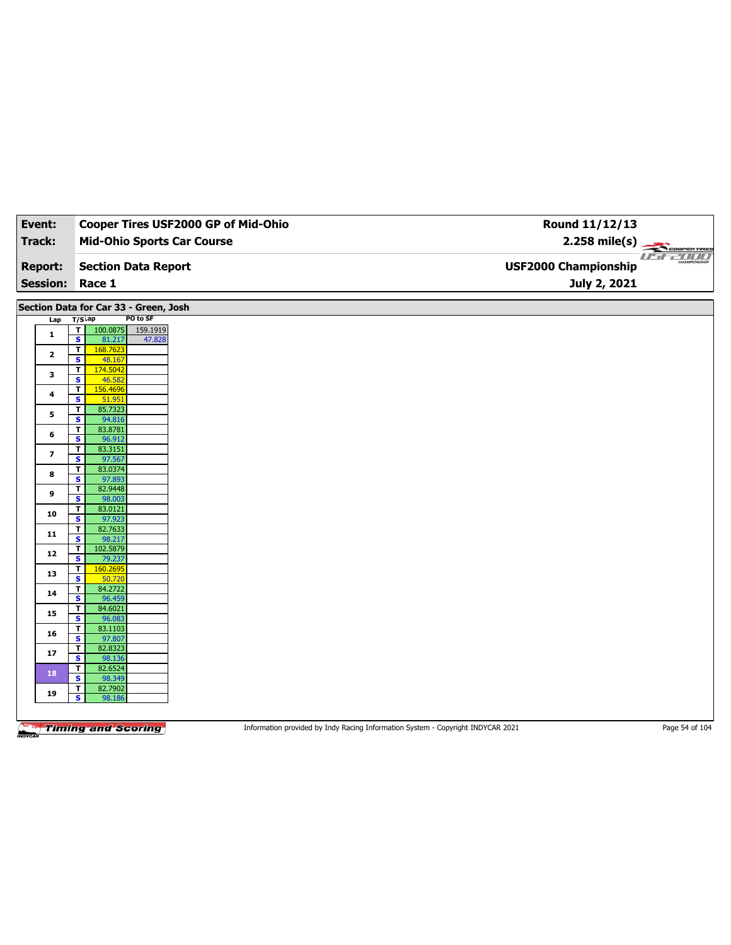| Event:                  | Cooper Tires USF2000 GP of Mid-Ohio                                      | Round 11/12/13                |
|-------------------------|--------------------------------------------------------------------------|-------------------------------|
| Track:                  | <b>Mid-Ohio Sports Car Course</b>                                        | 2.258 mile(s)                 |
|                         |                                                                          | COOPERTIRES<br><b>USE2000</b> |
| <b>Report:</b>          | <b>Section Data Report</b>                                               | <b>USF2000 Championship</b>   |
| <b>Session:</b>         | Race 1                                                                   | July 2, 2021                  |
|                         |                                                                          |                               |
|                         | Section Data for Car 33 - Green, Josh<br>PO to SF                        |                               |
| Lap                     | $T/S$ Lap<br>$\overline{\mathbf{r}}$<br>100.0875<br>159.1919             |                               |
| $\mathbf{1}$            | $\overline{\mathbf{s}}$<br>81.217<br>47.828                              |                               |
| $\mathbf{2}$            | T<br>168.7623                                                            |                               |
|                         | S<br>48.167                                                              |                               |
| 3                       | $\overline{\mathbf{r}}$<br>174.5042<br>$\overline{\mathbf{s}}$<br>46.582 |                               |
|                         | T<br>156.4696                                                            |                               |
| 4                       | S<br>51.951                                                              |                               |
| 5                       | T.<br>85.7323                                                            |                               |
|                         | $\overline{\mathbf{s}}$<br>94.816<br>$\overline{\mathsf{r}}$<br>83.8781  |                               |
| 6                       | S<br>96.912                                                              |                               |
| $\overline{\mathbf{z}}$ | $\overline{\mathbf{r}}$<br>83.3151                                       |                               |
|                         | $\overline{\mathbf{s}}$<br>97.567                                        |                               |
| 8                       | 83.0374<br>T<br>$\overline{\mathbf{s}}$<br>97.893                        |                               |
|                         | $\overline{\mathbf{r}}$<br>82.9448                                       |                               |
| 9                       | $\overline{\mathbf{s}}$<br>98.003                                        |                               |
| 10                      | 83.0121<br>T.<br>$\overline{\mathbf{s}}$<br>97.923                       |                               |
|                         | $\mathbf{T}$<br>82.7633                                                  |                               |
| 11                      | $\overline{\mathbf{s}}$<br>98.217                                        |                               |
| 12                      | 102.5879<br>T                                                            |                               |
|                         | $\overline{\mathbf{s}}$<br>79.237                                        |                               |
| 13                      | $\overline{1}$<br>160.2695<br>$\overline{\mathbf{s}}$<br>50.720          |                               |
|                         | 84.2722<br>T                                                             |                               |
| 14                      | S<br>96.459                                                              |                               |
| 15                      | T<br>84.6021<br>$\overline{\mathbf{s}}$<br>96.083                        |                               |
|                         | 83.1103<br>T.                                                            |                               |
| 16                      | S<br>97.807                                                              |                               |
| 17                      | 82.8323<br>T                                                             |                               |
|                         | $\overline{\mathbf{s}}$<br>98.136<br>$\overline{\mathsf{r}}$<br>82.6524  |                               |
| 18                      | $\mathbf{s}$<br>98.349                                                   |                               |
| 19                      | $\mathbf{T}$<br>82.7902                                                  |                               |
|                         | $\overline{\mathbf{s}}$<br>98.186                                        |                               |
|                         |                                                                          |                               |

Information provided by Indy Racing Information System - Copyright INDYCAR 2021 Page 54 of 104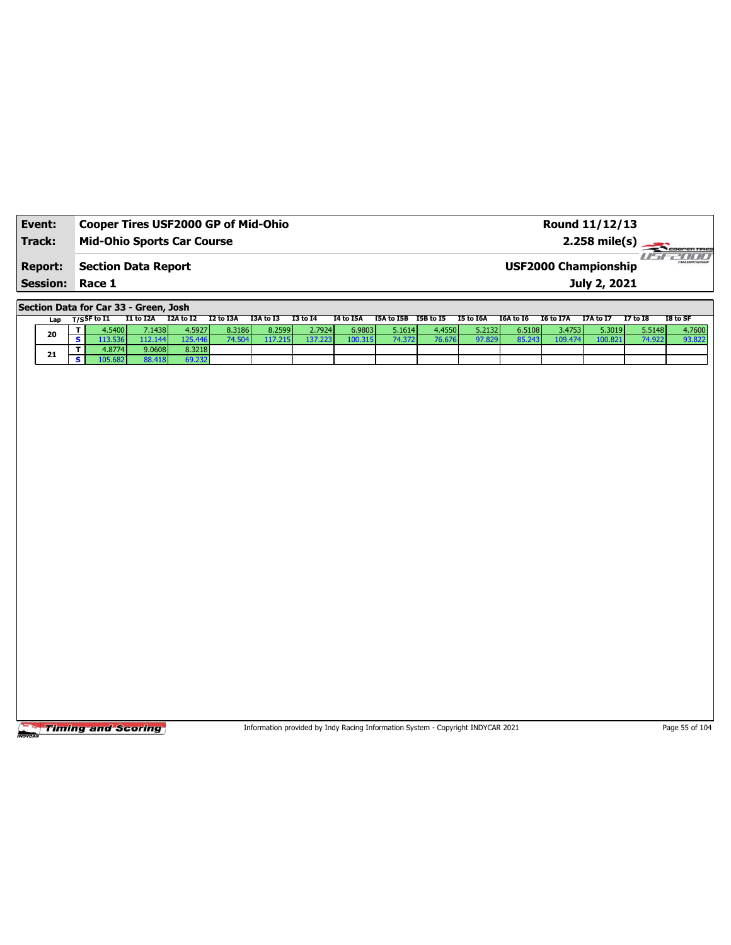| Event:                 | <b>Cooper Tires USF2000 GP of Mid-Ohio</b> | Round 11/12/13              |                         |
|------------------------|--------------------------------------------|-----------------------------|-------------------------|
| Track:                 | <b>Mid-Ohio Sports Car Course</b>          | $2.258 \text{ mile(s)}$     |                         |
| <b>Report:</b>         | Section Data Report                        | <b>USF2000 Championship</b> | -777777<br>CHAMPSONSHIP |
| <b>Session: Race 1</b> |                                            | July 2, 2021                |                         |

**Section Data for Car 33 - Green, Josh**

|    | Lap | T/SSF to I1 | I1 to I2A | I2A to I2 | I2 to I3A | I3A to I3 | <b>I3 to I4</b> | I4 to I5A | [5A to I5B I5B to I5 |        | I5 to I6A | I6A to I6 | I6 to I7A | <b>I7A to I7</b> | <b>I7 to I8</b> | I8 to SF |
|----|-----|-------------|-----------|-----------|-----------|-----------|-----------------|-----------|----------------------|--------|-----------|-----------|-----------|------------------|-----------------|----------|
|    |     | I.5400 I    | 7.1438    | 4.5927    | 8.3186    | 8.2599    | 2.7924          | 6.9803    | 5.1614               | 4.4550 | 5.2132    | 6.5108    | 3.4753    | 5.3019           | 5.5148          | 4.7600   |
| 20 |     | .536        | 112.144   | 125.446   |           | 17.215    | 137.223         | 100.315   | 74.372               | 76.676 | 97.829    | 85.243    | 109.474   | 100.821          | 74.922.         | 93.822   |
|    | 21  | 1.8774      | 9.0608    | 8.3218    |           |           |                 |           |                      |        |           |           |           |                  |                 |          |
|    |     | 105.682     | 88.418    | 69.232    |           |           |                 |           |                      |        |           |           |           |                  |                 |          |

Timing and Scoring

Information provided by Indy Racing Information System - Copyright INDYCAR 2021 Page 55 of 104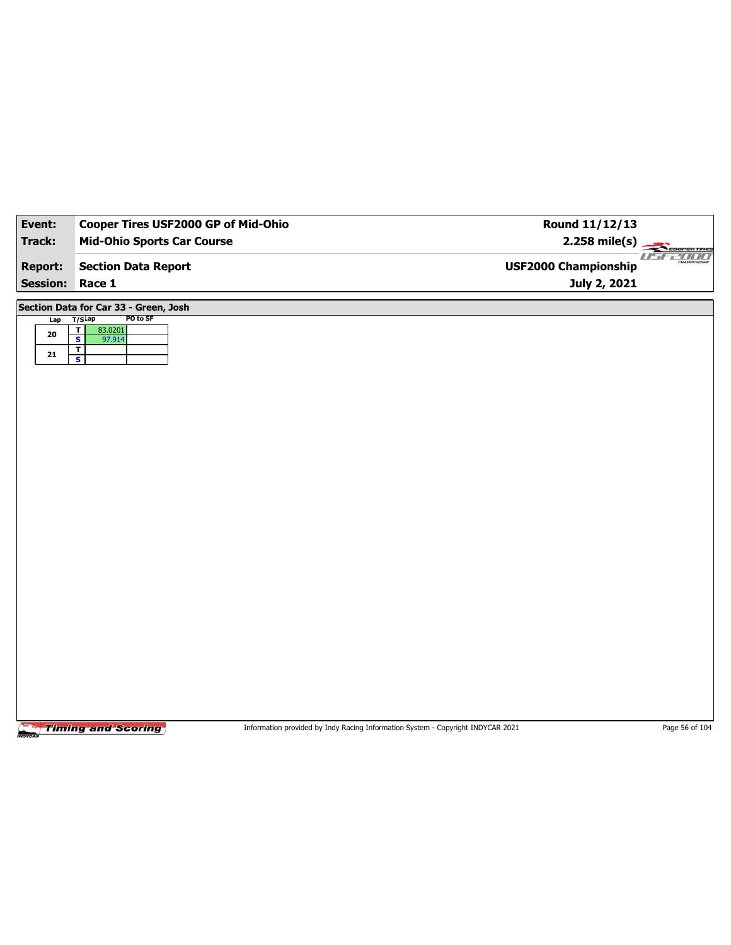| Event:          | Cooper Tires USF2000 GP of Mid-Ohio                | Round 11/12/13              |                      |
|-----------------|----------------------------------------------------|-----------------------------|----------------------|
| <b>Track:</b>   | <b>Mid-Ohio Sports Car Course</b>                  | $2.258$ mile(s)             | COOPERTIRES          |
| <b>Report:</b>  | <b>Section Data Report</b>                         | <b>USF2000 Championship</b> | <b>2000</b><br>1 I T |
| <b>Session:</b> | Race 1                                             | July 2, 2021                |                      |
|                 | Section Data for Car 33 - Green, Josh              |                             |                      |
| Lap T/SLap      | PO to SF<br>$\mathbf T$<br>83.0201                 |                             |                      |
| ${\bf 20}$      | $\overline{\mathbf{s}}$<br>97.914                  |                             |                      |
| 21              | $\overline{\mathbf{r}}$<br>$\overline{\mathbf{s}}$ |                             |                      |
|                 |                                                    |                             |                      |
|                 |                                                    |                             |                      |
|                 |                                                    |                             |                      |
|                 |                                                    |                             |                      |
|                 |                                                    |                             |                      |
|                 |                                                    |                             |                      |
|                 |                                                    |                             |                      |
|                 |                                                    |                             |                      |
|                 |                                                    |                             |                      |
|                 |                                                    |                             |                      |
|                 |                                                    |                             |                      |
|                 |                                                    |                             |                      |
|                 |                                                    |                             |                      |
|                 |                                                    |                             |                      |
|                 |                                                    |                             |                      |
|                 |                                                    |                             |                      |
|                 |                                                    |                             |                      |
|                 |                                                    |                             |                      |
|                 |                                                    |                             |                      |
|                 |                                                    |                             |                      |
|                 |                                                    |                             |                      |

Information provided by Indy Racing Information System - Copyright INDYCAR 2021 Page 56 of 104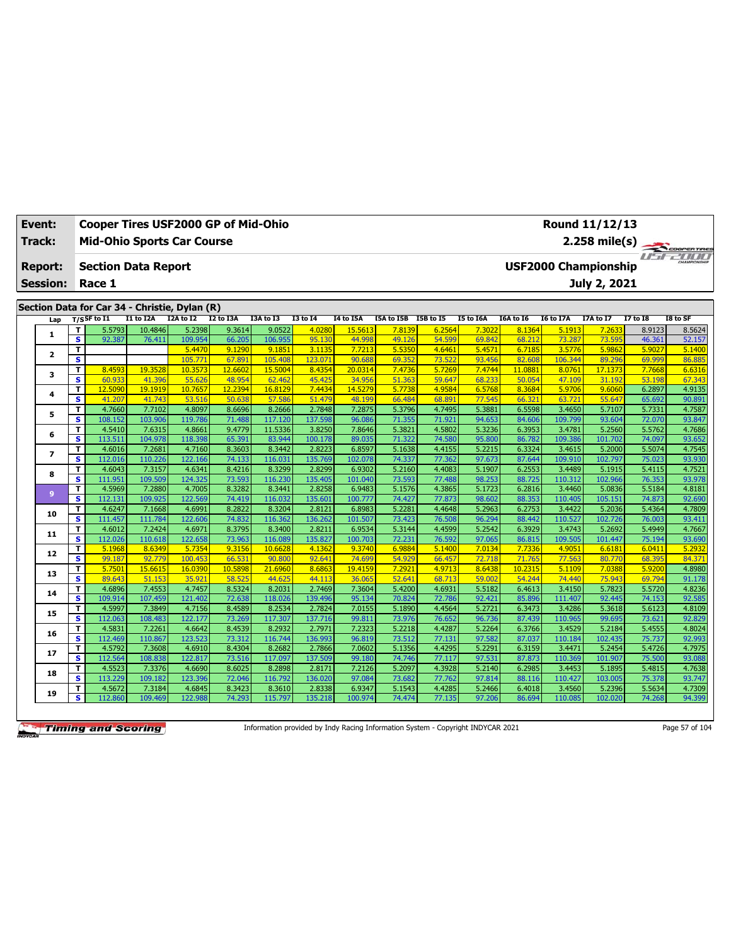| <b>Event:</b>   | Cooper Tires USF2000 GP of Mid-Ohio<br>Round 11/12/13 |                  |                                               |                   |                   |                    |                   |                  |                      |                  |                  |                   |                             |                   |                  |                  |
|-----------------|-------------------------------------------------------|------------------|-----------------------------------------------|-------------------|-------------------|--------------------|-------------------|------------------|----------------------|------------------|------------------|-------------------|-----------------------------|-------------------|------------------|------------------|
| Track:          |                                                       |                  | <b>Mid-Ohio Sports Car Course</b>             |                   |                   |                    |                   |                  |                      |                  |                  |                   |                             | $2.258$ mile(s)   |                  | COOPERTIRES      |
| <b>Report:</b>  |                                                       |                  | <b>Section Data Report</b>                    |                   |                   |                    |                   |                  |                      |                  |                  |                   | <b>USF2000 Championship</b> |                   |                  | <b>FF-POOL</b>   |
| <b>Session:</b> |                                                       | Race 1           |                                               |                   |                   |                    |                   |                  |                      |                  |                  |                   |                             | July 2, 2021      |                  |                  |
|                 |                                                       |                  |                                               |                   |                   |                    |                   |                  |                      |                  |                  |                   |                             |                   |                  |                  |
|                 |                                                       |                  | Section Data for Car 34 - Christie, Dylan (R) |                   |                   |                    |                   |                  |                      |                  |                  |                   |                             |                   |                  |                  |
| Lap             |                                                       | $T/S$ SF to $I1$ | I1 to I2A                                     | I2A to I2         | I2 to I3A         | I3A to I3          | <b>I3 to I4</b>   | <b>I4 to I5A</b> | I5A to I5B I5B to I5 |                  | I5 to I6A        | I6A to I6         | <b>I6 to I7A</b>            | I7A to I7         | <b>I7 to I8</b>  | I8 to SF         |
| $\mathbf{1}$    | т                                                     | 5.5793           | 10.4846                                       | 5.2398            | 9.3614            | 9.0522             | 4.0280            | 15,5613          | 7.8139               | 6.2564           | 7.3022           | 8.1364            | 5.1913                      | 7.2633            | 8.9123           | 8.5624           |
|                 | S                                                     | 92.387           | 76.411                                        | 109.954           | 66.205            | 106.955            | 95.130            | 44.998           | 49.126               | 54.599           | 69.842           | 68.212            | 73.287                      | 73.595            | 46.361           | 52.157           |
| $\mathbf{2}$    | T<br>S                                                |                  |                                               | 5.4470<br>105.771 | 9.1290            | 9.1851             | 3.1135            | 7.7213<br>90.688 | 5.5350               | 4.6461<br>73.522 | 5.4571           | 6.7185            | 3.5776<br>106.344           | 5.9862            | 5.9027           | 5.1400           |
|                 | T                                                     | 8.4593           | 19.3528                                       | 10.3573           | 67.891<br>12,6602 | 105.408<br>15.5004 | 123.071<br>8.4354 | 20.0314          | 69.352<br>7.4736     | 5.7269           | 93.456<br>7.4744 | 82.608<br>11.0881 | 8.0761                      | 89.296<br>17.1373 | 69.999<br>7.7668 | 86.885<br>6.6316 |
| з               | $\overline{\mathbf{s}}$                               | 60.933           | 41.396                                        | 55.626            | 48.954            | 62.462             | 45.425            | 34.956           | 51.363               | 59.647           | 68.233           | 50.054            | 47.109                      | 31.192            | 53.198           | 67.343           |
|                 | T                                                     | 12.5090          | 19.1919                                       | 10.7657           | 12.2394           | 16.8129            | 7.4434            | 14.5279          | 5.7738               | 4.958            | 6.5768           | 8.3684            | 5.9706                      | 9.6060            | 6.2897           | 4.9135           |
| 4               | S                                                     | 41.207           | 41.743                                        | 53.516            | 50.638            | 57.586             | 51.479            | 48.199           | 66.484               | 68.89            | 77.545           | 66.321            | 63.721                      | 55.647            | 65.692           | 90.891           |
|                 | T                                                     | 4.7660           | 7.7102                                        | 4.8097            | 8.6696            | 8.2666             | 2.7848            | 7.2875           | 5.3796               | 4.7495           | 5.3881           | 6.5598            | 3.4650                      | 5.7107            | 5.7331           | 4.7587           |
| 5               | s                                                     | 108.152          | 103.906                                       | 119.786           | 71.488            | 117.120            | 137.598           | 96.086           | 71.355               | 71.921           | 94.653           | 84.606            | 109.799                     | 93.604            | 72.070           | 93.847           |
|                 | T                                                     | 4.5410           | 7.6315                                        | 4.8661            | 9.4779            | 11.5336            | 3.8250            | 7.8646           | 5.3821               | 4.5802           | 5.3236           | 6.3953            | 3.4781                      | 5.2560            | 5.5762           | 4.7686           |
| 6               | S                                                     | 113.511          | 104.978                                       | 118.398           | 65.391            | 83.944             | 100.178           | 89.035           | 71.322               | 74.580           | 95.800           | 86.782            | 109.386                     | 101.702           | 74.097           | 93.652           |
| $\overline{ }$  | T                                                     | 4.6016           | 7.2681                                        | 4.7160            | 8.3603            | 8.3442             | 2.8223            | 6.8597           | 5.1638               | 4.4155           | 5.2215           | 6.3324            | 3.4615                      | 5.2000            | 5.5074           | 4.7545           |
|                 | $\overline{\mathbf{s}}$                               | 112.016          | 110.226                                       | 122.166           | 74.133            | 116.031            | 135.769           | 102.078          | 74.337               | 77.362           | 97.673           | 87.644            | 109.910                     | 102.797           | 75.023           | 93.930           |
| 8               | т                                                     | 4.6043           | 7.3157                                        | 4.6341            | 8.4216            | 8.3299             | 2.8299            | 6.9302           | 5.2160               | 4.4083           | 5.1907           | 6.2553            | 3.4489                      | 5.1915            | 5.4115           | 4.7521           |
|                 | S                                                     | 111.951          | 109.509                                       | 124.325           | 73.593            | 116.230            | 135.405           | 101.040          | 73.593               | 77.488           | 98.253           | 88.725            | 110.312                     | 102.966           | 76.353           | 93.978           |
| 9               | T                                                     | 4.5969           | 7.2880                                        | 4.7005            | 8.3282            | 8.3441             | 2.8258            | 6.9483           | 5.1576               | 4.3865           | 5.1723           | 6.2816            | 3.4460                      | 5.0836            | 5.5184           | 4.8181           |
|                 | s                                                     | 112.131          | 109.925                                       | 122.569           | 74.419            | 116.032            | 135.601           | 100.777          | 74.427               | 77.873           | 98.602           | 88.353            | 110.405                     | 105.151           | 74.873           | 92.690           |
| 10              | T                                                     | 4.6247           | 7.1668                                        | 4.6991            | 8.2822            | 8.3204             | 2.8121            | 6.8983           | 5.2281               | 4.4648           | 5.2963           | 6.2753            | 3.4422                      | 5.2036            | 5.4364           | 4.7809           |
|                 | $\overline{\mathbf{s}}$                               | 111.457          | 111.784                                       | 122.606           | 74.832            | 116.362            | 136.262           | 101.507          | 73.423               | 76.508           | 96.294           | 88.442            | 110.527                     | 102.726           | 76.003           | 93.411           |
| 11              | T                                                     | 4.6012           | 7.2424                                        | 4.6971            | 8.3795            | 8.3400             | 2.8211            | 6.9534           | 5.3144               | 4.4599           | 5.2542           | 6.3929            | 3.4743                      | 5.2692            | 5.4949           | 4.7667           |
|                 | $\overline{\mathbf{s}}$                               | 112.026          | 110.618                                       | 122.658           | 73.963            | 116.089            | 135.827           | 100.703          | 72.231               | 76.592           | 97.065           | 86.815            | 109.505                     | 101.447           | 75.194           | 93.690           |
| 12              | T<br>$\overline{\mathbf{s}}$                          | 5.1968<br>99.187 | 8.6349<br>92.779                              | 5.7354<br>100.453 | 9.3156<br>66.531  | 10.6628<br>90.800  | 4.1362<br>92.641  | 9.3740<br>74.699 | 6.9884<br>54.929     | 5.1400<br>66.457 | 7.0134<br>72.718 | 7.7336<br>71.765  | 4.9051<br>77.563            | 6.6181<br>80.770  | 6.0411<br>68.395 | 5.2932<br>84.371 |
|                 | T                                                     | 5.7501           | 15.6615                                       | 16.0390           | 10.5898           | 21.6960            | 8.6863            | 19.4159          | 7.2921               | 4.9713           | 8.6438           | 10.2315           | 5.1109                      | 7.0388            | 5.9200           | 4.8980           |
| 13              | $\overline{\mathbf{s}}$                               | 89.643           | 51.153                                        | 35.921            | 58.525            | 44.625             | 44.11             | 36.06            | 52.641               | 68.713           | 59.002           | 54.244            | 74.440                      | 75.943            | 69.794           | 91.178           |
|                 | T                                                     | 4.6896           | 7.4553                                        | 4.7457            | 8.5324            | 8.2031             | 2.7469            | 7.3604           | 5.4200               | 4.6931           | 5.5182           | 6.4613            | 3.4150                      | 5.7823            | 5.5720           | 4.8236           |
| 14              | $\overline{\mathbf{s}}$                               | 109.914          | 107.459                                       | 121.402           | 72.638            | 118.026            | 139.496           | 95.134           | 70.824               | 72.786           | 92.421           | 85.896            | 111.407                     | 92.445            | 74.153           | 92.585           |
|                 | T                                                     | 4.5997           | 7.3849                                        | 4.7156            | 8.4589            | 8.2534             | 2.7824            | 7.0155           | 5.1890               | 4.4564           | 5.2721           | 6.3473            | 3.4286                      | 5.3618            | 5.6123           | 4.8109           |
| 15              | $\overline{\mathbf{s}}$                               | 112.063          | 108.483                                       | 122.177           | 73.269            | 117.307            | 137.716           | 99.811           | 73.976               | 76.652           | 96.736           | 87.439            | 110.965                     | 99.695            | 73.621           | 92.829           |
|                 | T                                                     | 4.5831           | 7.2261                                        | 4.6642            | 8.4539            | 8.2932             | 2.7971            | 7.2323           | 5.2218               | 4.4287           | 5.2264           | 6.3766            | 3.4529                      | 5.2184            | 5.4555           | 4.8024           |
| 16              | $\overline{\mathbf{s}}$                               | 112.469          | 110.867                                       | 123.523           | 73.312            | 116.744            | 136.993           | 96.819           | 73.512               | 77.13            | 97.582           | 87.037            | 110.184                     | 102.435           | 75.737           | 92.993           |
|                 | T                                                     | 4.5792           | 7.3608                                        | 4.6910            | 8.4304            | 8.2682             | 2.7866            | 7.0602           | 5.1356               | 4.4295           | 5.2291           | 6.3159            | 3.4471                      | 5.2454            | 5.4726           | 4.7975           |
| 17              | s                                                     | 112.564          | 108.838                                       | 122.817           | 73.516            | 117.097            | 137.509           | 99.180           | 74.746               | 77.117           | 97.531           | 87.873            | 110.369                     | 101.907           | 75.500           | 93.088           |
| 18              | T                                                     | 4.5523           | 7.3376                                        | 4.6690            | 8.6025            | 8.2898             | 2.8171            | 7.2126           | 5.2097               | 4.3928           | 5.2140           | 6.2985            | 3.4453                      | 5.1895            | 5.4815           | 4.7638           |
|                 | s                                                     | 113.229          | 109.182                                       | 123.396           | 72.046            | 116.792            | 136.020           | 97.084           | 73.682               | 77.762           | 97.814           | 88.116            | 110.427                     | 103.005           | 75.378           | 93.747           |
| 19              | T.                                                    | 4.5672           | 7.3184                                        | 4.6845            | 8.3423            | 8.3610             | 2.8338            | 6.9347           | 5.1543               | 4.4285           | 5.2466           | 6.4018            | 3.4560                      | 5.2396            | 5.5634           | 4.7309           |
|                 | s                                                     | 112.860          | 109.469                                       | 122.988           | 74.293            | 115.797            | 135.218           | 100.974          | 74.474               | 77.135           | 97.206           | 86.694            | 110.085                     | 102.020           | 74.268           | 94.399           |

Information provided by Indy Racing Information System - Copyright INDYCAR 2021 Page 57 of 104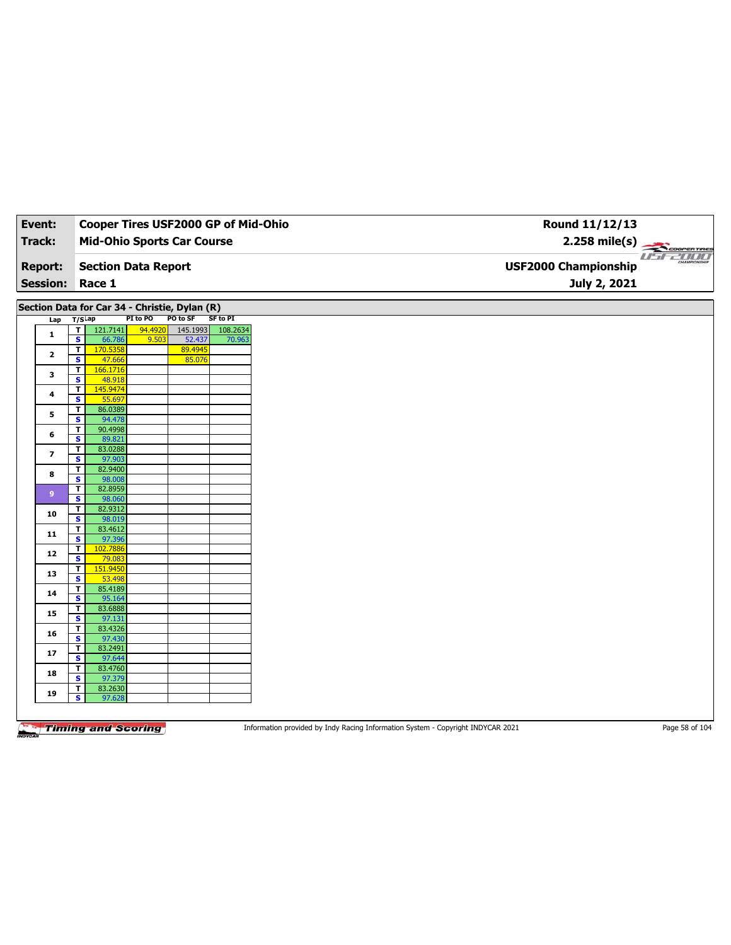| Event:                  |                                         | Cooper Tires USF2000 GP of Mid-Ohio           |                     |                      |                             | Round 11/12/13              |
|-------------------------|-----------------------------------------|-----------------------------------------------|---------------------|----------------------|-----------------------------|-----------------------------|
| Track:                  |                                         | <b>Mid-Ohio Sports Car Course</b>             |                     |                      |                             | $2.258 \text{ mile(s)}$     |
|                         |                                         |                                               |                     |                      |                             |                             |
| <b>Report:</b>          |                                         | <b>Section Data Report</b>                    |                     |                      |                             | <b>USF2000 Championship</b> |
|                         |                                         | Session: Race 1                               |                     |                      |                             | July 2, 2021                |
|                         |                                         |                                               |                     |                      |                             |                             |
|                         |                                         | Section Data for Car 34 - Christie, Dylan (R) |                     |                      |                             |                             |
| Lap                     | T/SLap<br>$\overline{\mathbf{r}}$       | 121.7141                                      | PI to PO<br>94.4920 | PO to SF<br>145.1993 | <b>SF to PI</b><br>108.2634 |                             |
| $\mathbf{1}$            | $\overline{\mathbf{s}}$                 | 66.786                                        | 9.503               | 52.437               | 70.963                      |                             |
|                         | $\mathbf T$                             | 170.5358                                      |                     | 89.4945              |                             |                             |
| $\mathbf{2}$            | $\overline{\mathbf{s}}$                 | 47.666                                        |                     | 85.076               |                             |                             |
| 3                       | T                                       | 166.1716                                      |                     |                      |                             |                             |
|                         | $\overline{\mathbf{s}}$                 | 48.918                                        |                     |                      |                             |                             |
| 4                       | $\overline{\mathsf{r}}$                 | 145.9474<br>55.697                            |                     |                      |                             |                             |
|                         | S<br>T                                  | 86.0389                                       |                     |                      |                             |                             |
| 5                       | $\overline{\mathbf{s}}$                 | 94.478                                        |                     |                      |                             |                             |
|                         | T                                       | 90.4998                                       |                     |                      |                             |                             |
| 6                       | S                                       | 89.821                                        |                     |                      |                             |                             |
| $\overline{\mathbf{z}}$ | $\mathbf T$                             | 83.0288                                       |                     |                      |                             |                             |
|                         | $\overline{\mathbf{s}}$                 | 97.903                                        |                     |                      |                             |                             |
| 8                       | T                                       | 82.9400                                       |                     |                      |                             |                             |
|                         | $\overline{\mathbf{s}}$                 | 98.008<br>82.8959                             |                     |                      |                             |                             |
| 9 <sup>°</sup>          | T<br>$\overline{\mathbf{s}}$            | 98.060                                        |                     |                      |                             |                             |
|                         | T                                       | 82.9312                                       |                     |                      |                             |                             |
| 10                      | $\overline{\mathbf{s}}$                 | 98.019                                        |                     |                      |                             |                             |
| $11$                    | T                                       | 83.4612                                       |                     |                      |                             |                             |
|                         | $\overline{\mathbf{s}}$                 | 97.396                                        |                     |                      |                             |                             |
| 12                      | T                                       | 102.7886                                      |                     |                      |                             |                             |
|                         | S                                       | 79.083<br>151.9450                            |                     |                      |                             |                             |
| 13                      | $\mathbf T$<br>$\overline{\mathbf{s}}$  | 53.498                                        |                     |                      |                             |                             |
|                         | T                                       | 85.4189                                       |                     |                      |                             |                             |
| 14                      | <b>S</b>                                | 95.164                                        |                     |                      |                             |                             |
| 15                      | T                                       | 83.6888                                       |                     |                      |                             |                             |
|                         | $\overline{\mathbf{s}}$                 | 97.131                                        |                     |                      |                             |                             |
| 16                      | $\overline{\mathbf{r}}$                 | 83.4326                                       |                     |                      |                             |                             |
|                         | $\mathbf{s}$                            | 97.430                                        |                     |                      |                             |                             |
| 17                      | $\mathbf{T}$<br>$\overline{\mathbf{s}}$ | 83.2491<br>97.644                             |                     |                      |                             |                             |
|                         | $\overline{\mathbf{r}}$                 | 83.4760                                       |                     |                      |                             |                             |
| 18                      | S                                       | 97.379                                        |                     |                      |                             |                             |
|                         | $\mathbf{T}$                            | 83.2630                                       |                     |                      |                             |                             |
| 19                      | $\overline{\mathbf{s}}$                 | 97.628                                        |                     |                      |                             |                             |

Information provided by Indy Racing Information System - Copyright INDYCAR 2021 Page 58 of 104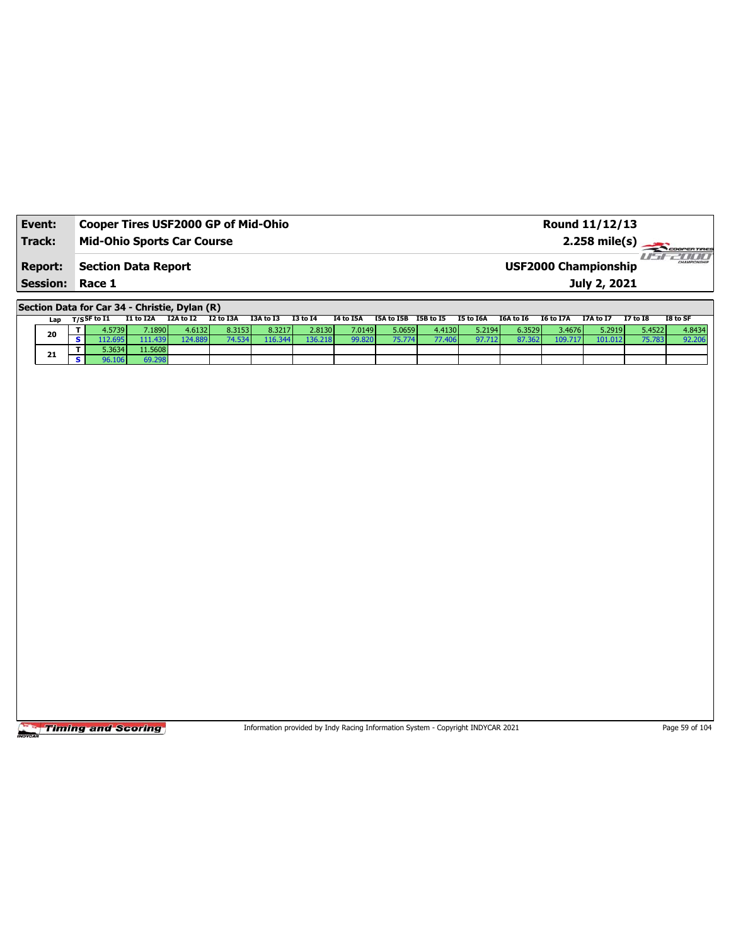| Event:                 | <b>Cooper Tires USF2000 GP of Mid-Ohio</b> | Round 11/12/13              |                             |
|------------------------|--------------------------------------------|-----------------------------|-----------------------------|
| Track:                 | <b>Mid-Ohio Sports Car Course</b>          | $2.258 \text{ mile(s)}$     |                             |
| <b>Report:</b>         | Section Data Report                        | <b>USF2000 Championship</b> | <b>HILL</b><br>CHAMPIONSHIP |
| <b>Session: Race 1</b> |                                            | July 2, 2021                |                             |

**Section Data for Car 34 - Christie, Dylan (R)**

| Lap | $T/S$ SF to I1 | I1 to I2A | I2A to I2 | I2 to I3A | I3A to I3 | <b>I3 to I4</b> | I4 to I5A | I5A to I5B | I5B to I5 | <b>I5 to I6A</b> | I6A to I6 | I6 to I7A | I7A to I7 | <b>I7 to I8</b> | I8 to SF |
|-----|----------------|-----------|-----------|-----------|-----------|-----------------|-----------|------------|-----------|------------------|-----------|-----------|-----------|-----------------|----------|
| 20  | <b>∤.5739⊮</b> | 7.1890    | 4.6132    | 8.3153    | 8.3217    | 2.8130          | 7.0149    | 5.0659     | 4.4130    | 5.2194           | 6.3529    | 3.4676    | 5.2919    | 5.4522          | 4.8434   |
|     |                | 11.439    | 124.889   | .5341     | 16.344    | 136.218         | 99.820    | 75.774     | 77.406    | 97.712           | 87.362    | 109.71.   | 101.012   |                 | 92.206   |
| 21  | 5.3634         | 11.5608   |           |           |           |                 |           |            |           |                  |           |           |           |                 |          |
|     |                | 69.298    |           |           |           |                 |           |            |           |                  |           |           |           |                 |          |

Timing and Scoring

Information provided by Indy Racing Information System - Copyright INDYCAR 2021 Page 59 of 104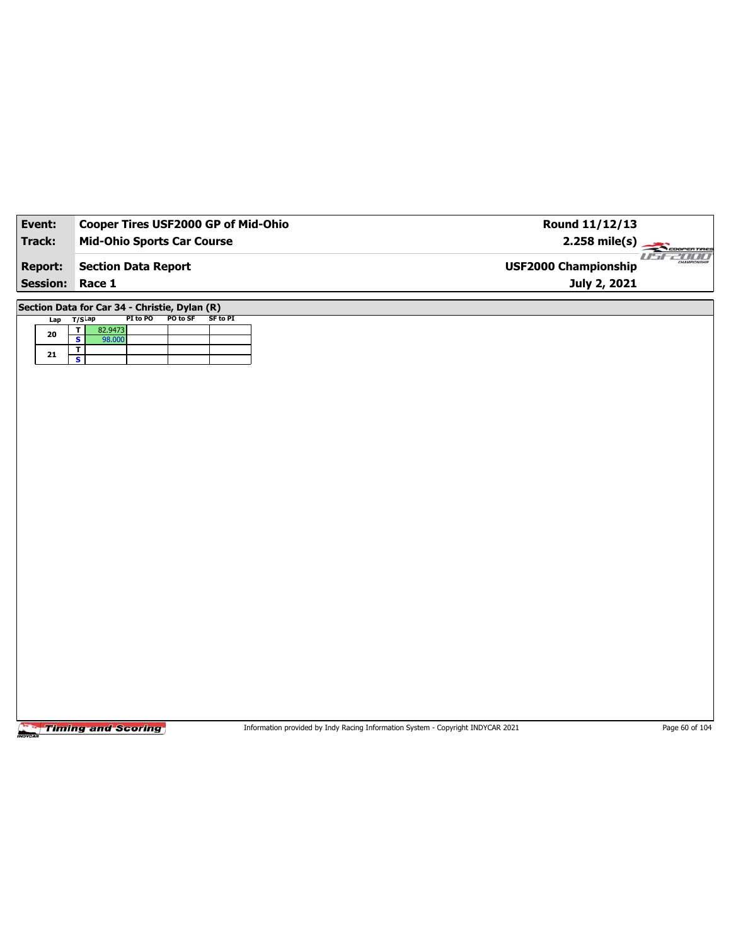| Event:          | Cooper Tires USF2000 GP of Mid-Ohio                               | Round 11/12/13                                    |
|-----------------|-------------------------------------------------------------------|---------------------------------------------------|
| Track:          | <b>Mid-Ohio Sports Car Course</b>                                 | 2.258 mile(s)<br>COOPER TIRES                     |
| <b>Report:</b>  | <b>Section Data Report</b>                                        | $H - H - \epsilon$<br><b>USF2000 Championship</b> |
| <b>Session:</b> | Race 1                                                            | July 2, 2021                                      |
|                 |                                                                   |                                                   |
|                 | Section Data for Car 34 - Christie, Dylan (R)                     |                                                   |
| Lap             | PI to PO<br>PO to SF<br><b>SF to PI</b><br>T/SLap<br>T<br>82.9473 |                                                   |
| 20              | $\overline{\mathbf{s}}$<br>98.000                                 |                                                   |
| ${\bf 21}$      | $\mathbf{I}$<br>$\overline{\mathbf{s}}$                           |                                                   |
|                 |                                                                   |                                                   |
|                 |                                                                   |                                                   |
|                 |                                                                   |                                                   |
|                 |                                                                   |                                                   |
|                 |                                                                   |                                                   |
|                 |                                                                   |                                                   |
|                 |                                                                   |                                                   |
|                 |                                                                   |                                                   |
|                 |                                                                   |                                                   |
|                 |                                                                   |                                                   |
|                 |                                                                   |                                                   |
|                 |                                                                   |                                                   |
|                 |                                                                   |                                                   |
|                 |                                                                   |                                                   |
|                 |                                                                   |                                                   |
|                 |                                                                   |                                                   |
|                 |                                                                   |                                                   |
|                 |                                                                   |                                                   |
|                 |                                                                   |                                                   |
|                 |                                                                   |                                                   |
|                 |                                                                   |                                                   |
|                 |                                                                   |                                                   |

Information provided by Indy Racing Information System - Copyright INDYCAR 2021 Page 60 of 104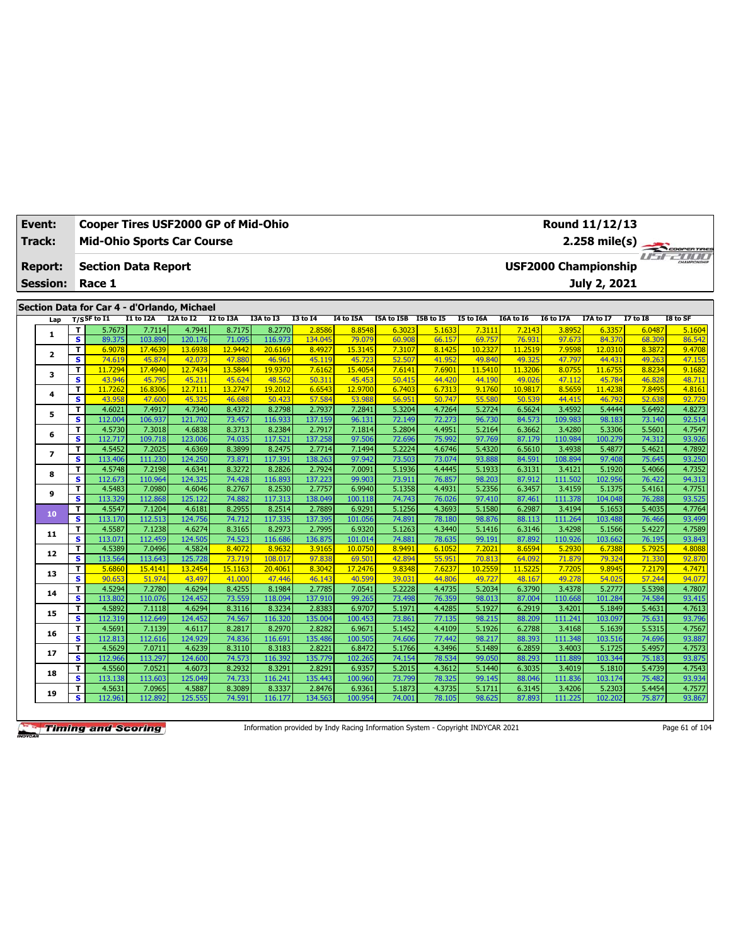| <b>Event:</b>   | Cooper Tires USF2000 GP of Mid-Ohio<br>Round 11/12/13 |                   |                            |                                             |                   |                   |                  |                   |                      |                  |                   |                   |                  |                             |                  |                  |
|-----------------|-------------------------------------------------------|-------------------|----------------------------|---------------------------------------------|-------------------|-------------------|------------------|-------------------|----------------------|------------------|-------------------|-------------------|------------------|-----------------------------|------------------|------------------|
| Track:          |                                                       |                   |                            | <b>Mid-Ohio Sports Car Course</b>           |                   |                   |                  |                   |                      |                  |                   |                   |                  | $2.258$ mile(s)             |                  | COOPER TIRES     |
| <b>Report:</b>  |                                                       |                   | <b>Section Data Report</b> |                                             |                   |                   |                  |                   |                      |                  |                   |                   |                  | <b>USF2000 Championship</b> |                  | <b>FF-POOL</b>   |
| <b>Session:</b> |                                                       | Race 1            |                            |                                             |                   |                   |                  |                   |                      |                  |                   |                   |                  | July 2, 2021                |                  |                  |
|                 |                                                       |                   |                            |                                             |                   |                   |                  |                   |                      |                  |                   |                   |                  |                             |                  |                  |
|                 |                                                       |                   |                            | Section Data for Car 4 - d'Orlando, Michael |                   |                   |                  |                   |                      |                  |                   |                   |                  |                             |                  |                  |
| Lap             |                                                       | $T/S$ SF to $I1$  | I1 to I2A                  | I2A to I2                                   | I2 to I3A         | I3A to I3         | <b>I3 to I4</b>  | <b>I4 to I5A</b>  | I5A to I5B I5B to I5 |                  | I5 to I6A         | I6A to I6         | <b>I6 to I7A</b> | I7A to I7                   | <b>I7 to I8</b>  | I8 to SF         |
| $\mathbf{1}$    | т                                                     | 5.7673            | 7.7114                     | 4.7941                                      | 8.7175            | 8.2770            | 2.8586           | 8.8548            | 6.3023               | 5.1633           | 7.3111            | 7.2143            | 3.8952           | 6.3357                      | 6.0487           | 5.1604           |
|                 | $\overline{\mathbf{s}}$                               | 89.375            | 103.890                    | 120.176                                     | 71.095            | 116.973           | 134.045          | 79.079            | 60.908               | 66.157           | 69.757            | 76.931            | 97.673           | 84.370                      | 68.309           | 86.542           |
| $\mathbf{2}$    | T.<br>$\overline{\mathbf{s}}$                         | 6.9078<br>74.619  | 17,4639<br>45.874          | 13,6938<br>42.073                           | 12.9442<br>47.880 | 20.6169<br>46.961 | 8.4927<br>45.119 | 15.3145<br>45.723 | 7.3107<br>52.507     | 8.1425<br>41.952 | 10.2327<br>49.840 | 11.2519<br>49.325 | 7.9598<br>47.797 | 12.0310<br>44.431           | 8.3872<br>49.263 | 9.4708<br>47.155 |
|                 | T                                                     | 11.7294           | 17,4940                    | 12.7434                                     | 13.5844           | 19,9370           | 7.6162           | 15,4054           | 7.6141               | 7.6901           | 11.5410           | 11.3206           | 8.0755           | 11.6755                     | 8.8234           | 9.1682           |
| з               | $\overline{\mathbf{s}}$                               | 43.946            | 45.795                     | 45.211                                      | 45.624            | 48.562            | 50.311           | 45.453            | 50.415               | 44.420           | 44.190            | 49.026            | 47.112           | 45.784                      | 46.828           | 48.711           |
|                 | T                                                     | 11.7262           | 16.8306                    | 12.7111                                     | 13.2747           | 19.2012           | 6.6543           | 12.9700           | 6.7403               | 6.7313           | 9.1760            | 10.9817           | 8.5659           | 11.4238                     | 7.8495           | 4.8161           |
| 4               | S                                                     | 43.958            | 47.600                     | 45.325                                      | 46.688            | 50.423            | 57.584           | 53.988            | 56.951               | 50.747           | 55.580            | 50.539            | 44.415           | 46.792                      | 52.638           | 92.729           |
|                 | T                                                     | 4.6021            | 7.4917                     | 4.7340                                      | 8.4372            | 8.2798            | 2.7937           | 7.2841            | 5.3204               | 4.7264           | 5.2724            | 6.5624            | 3.4592           | 5.4444                      | 5.6492           | 4.8273           |
| 5               | s                                                     | 112.004           | 106.937                    | 121.702                                     | 73.457            | 116.933           | 137.159          | 96.131            | 72.149               | 72.273           | 96.730            | 84.573            | 109.983          | 98.183                      | 73.140           | 92.514           |
|                 | T                                                     | 4.5730            | 7.3018                     | 4.6838                                      | 8.3713            | 8.2384            | 2.7917           | 7.1814            | 5.2804               | 4.495            | 5.2164            | 6.3662            | 3.4280           | 5.3306                      | 5.5601           | 4.7547           |
| 6               | S                                                     | 112.717           | 109.718                    | 123.006                                     | 74.035            | 117.521           | 137.258          | 97.506            | 72.696               | 75.992           | 97.769            | 87.179            | 110.984          | 100.279                     | 74.312           | 93.926           |
| $\overline{ }$  | T                                                     | 4.5452            | 7.2025                     | 4.6369                                      | 8.3899            | 8.2475            | 2.7714           | 7.1494            | 5.2224               | 4.6746           | 5.4320            | 6.5610            | 3.4938           | 5.4877                      | 5.4621           | 4.7892           |
|                 | $\overline{\mathbf{s}}$                               | 113.406           | 111.230                    | 124.250                                     | 73.871            | 117.391           | 138.263          | 97.942            | 73.503               | 73.074           | 93.888            | 84.591            | 108.894          | 97.408                      | 75.645           | 93.250           |
| 8               | т                                                     | 4.5748            | 7.2198                     | 4.6341                                      | 8.3272            | 8.2826            | 2.7924           | 7.0091            | 5.1936               | 4.4445           | 5.1933            | 6.3131            | 3.4121           | 5.1920                      | 5.4066           | 4.7352           |
|                 | S                                                     | 112.673           | 110.964                    | 124.325                                     | 74.428            | 116.893           | 137.223          | 99.903            | 73.911               | 76.857           | 98.203            | 87.912            | 111.502          | 102.956                     | 76.422           | 94.313           |
| 9               | T                                                     | 4.5483            | 7.0980                     | 4.6046                                      | 8.2767            | 8.2530            | 2.7757           | 6.9940            | 5.1358               | 4.4931           | 5.2356            | 6.3457            | 3.4159           | 5.1375                      | 5.4161           | 4.7751           |
|                 | s                                                     | 113.329           | 112.868                    | 125.122                                     | 74.882            | 117.313           | 138.049          | 100.118           | 74.743               | 76.026           | 97.410            | 87.461            | 111.378          | 104.048                     | 76.288           | 93.525           |
| 10              | T                                                     | 4.5547            | 7.1204                     | 4.6181                                      | 8.2955            | 8.2514            | 2.7889           | 6.9291            | 5.1256               | 4.3693           | 5.1580            | 6.2987            | 3.4194           | 5.1653                      | 5.4035           | 4.7764           |
|                 | $\overline{\mathbf{s}}$                               | 113.170           | 112.513                    | 124.756                                     | 74.712            | 117.335           | 137.395          | 101.056           | 74.891               | 78.180           | 98.876            | 88.113            | 111.264          | 103.488                     | 76.466           | 93.499           |
| 11              | T                                                     | 4.5587            | 7.1238                     | 4.6274                                      | 8.3165            | 8.2973            | 2.7995           | 6.9320            | 5.1263               | 4.3440           | 5.1416            | 6.3146            | 3.4298           | 5.1566                      | 5.4227           | 4.7589           |
|                 | $\overline{\mathbf{s}}$                               | 113.071           | 112.459                    | 124.505                                     | 74.523            | 116.686           | 136.875          | 101.014           | 74.881               | 78.635           | 99.191            | 87.892            | 110.926          | 103.662                     | 76.195           | 93.843           |
| 12              | T<br>$\overline{\mathbf{s}}$                          | 4.5389<br>113.564 | 7.0496<br>113.643          | 4.5824<br>125.728                           | 8.4072<br>73,719  | 8.9632<br>108.017 | 3.9165<br>97.838 | 10.0750<br>69.501 | 8.9491<br>42.894     | 6.1052<br>55.951 | 7.2021<br>70.813  | 8.6594<br>64.092  | 5.2930<br>71,879 | 6.7388<br>79.324            | 5.7925<br>71.330 | 4.8088<br>92.870 |
|                 | T                                                     | 5.6860            | 15.4141                    | 13.2454                                     | 15.1163           | 20.4061           | 8.3042           | 17.2476           | 9.8348               | 7.6237           | 10.2559           | 11.5225           | 7.7205           | 9.8945                      | 7.2179           | 4.7471           |
| 13              | $\overline{\mathbf{s}}$                               | 90.653            | 51.974                     | 43.497                                      | 41,000            | 47.446            | 46.143           | 40.599            | 39.031               | 44.806           | 49.727            | 48.167            | 49.278           | 54.025                      | 57.244           | 94.077           |
|                 | T                                                     | 4.5294            | 7.2780                     | 4.6294                                      | 8.4255            | 8.1984            | 2.7785           | 7.0541            | 5.2228               | 4.4735           | 5.2034            | 6.3790            | 3.4378           | 5.2777                      | 5.5398           | 4.7807           |
| 14              | $\overline{\mathbf{s}}$                               | 113.802           | 110.076                    | 124.452                                     | 73.559            | 118.094           | 137.910          | 99.265            | 73.498               | 76.359           | 98.013            | 87.004            | 110.668          | 101.284                     | 74.584           | 93.415           |
|                 | T                                                     | 4.5892            | 7.1118                     | 4.6294                                      | 8.3116            | 8.3234            | 2.8383           | 6.9707            | 5.1971               | 4.4285           | 5.1927            | 6.2919            | 3.4201           | 5.1849                      | 5.4631           | 4.7613           |
| 15              | $\overline{\mathbf{s}}$                               | 112.319           | 112.649                    | 124.452                                     | 74.567            | 116.320           | 135.004          | 100.453           | 73.861               | 77.135           | 98.215            | 88.209            | 111.241          | 103.097                     | 75.631           | 93.796           |
|                 | T                                                     | 4.5691            | 7.1139                     | 4.6117                                      | 8.2817            | 8.2970            | 2.8282           | 6.9671            | 5.1452               | 4.4109           | 5.1926            | 6.2788            | 3.4168           | 5.1639                      | 5.5315           | 4.7567           |
| 16              | $\overline{\mathbf{s}}$                               | 112.813           | 112.616                    | 124.929                                     | 74.836            | 116.691           | 135.486          | 100.505           | 74.606               | 77.442           | 98.217            | 88.393            | 111.348          | 103.516                     | 74.696           | 93.887           |
|                 | T                                                     | 4.5629            | 7.0711                     | 4.6239                                      | 8.3110            | 8.3183            | 2.8221           | 6.8472            | 5.1766               | 4.3496           | 5.1489            | 6.2859            | 3.4003           | 5.1725                      | 5.4957           | 4.7573           |
| 17              | s                                                     | 112.966           | 113.297                    | 124.600                                     | 74.573            | 116.392           | 135.779          | 102.265           | 74.154               | 78.534           | 99.050            | 88.293            | 111.889          | 103.344                     | 75.183           | 93.875           |
| 18              | T                                                     | 4.5560            | 7.0521                     | 4.6073                                      | 8.2932            | 8.3291            | 2.8291           | 6.9357            | 5.2015               | 4.3612           | 5.1440            | 6.3035            | 3.4019           | 5.1810                      | 5.4739           | 4.7543           |
|                 | s                                                     | 113.138           | 113.603                    | 125.049                                     | 74.733            | 116.241           | 135.443          | 100.960           | 73.799               | 78.325           | 99.145            | 88.046            | 111.836          | 103.174                     | 75.482           | 93.934           |
| 19              | T.                                                    | 4.5631            | 7.0965                     | 4.5887                                      | 8.3089            | 8.3337            | 2.8476           | 6.9361            | 5.1873               | 4.3735           | 5.1711            | 6.3145            | 3.4206           | 5.2303                      | 5.4454           | 4.7577           |
|                 | s                                                     | 112.961           | 112.892                    | 125.555                                     | 74.591            | 116.177           | 134.563          | 100.954           | 74.001               | 78.105           | 98.625            | 87.893            | 111.225          | 102.202                     | 75.877           | 93.867           |

Information provided by Indy Racing Information System - Copyright INDYCAR 2021 Page 61 of 104

## **Round 11/12/13**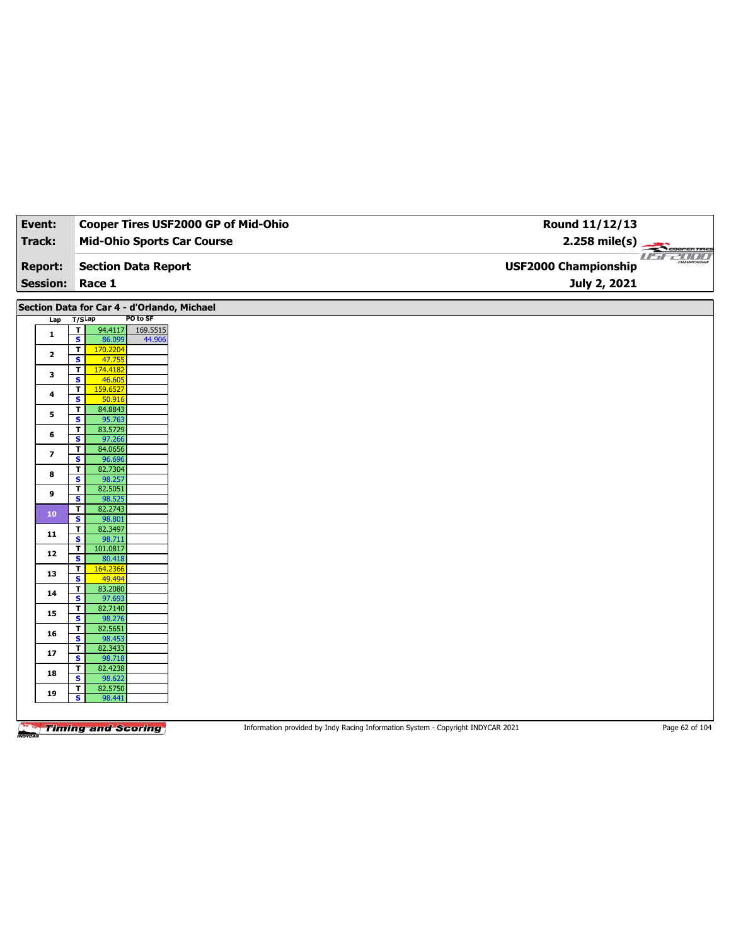| Event:                  | Cooper Tires USF2000 GP of Mid-Ohio               | Round 11/12/13              |                                |
|-------------------------|---------------------------------------------------|-----------------------------|--------------------------------|
| <b>Track:</b>           | <b>Mid-Ohio Sports Car Course</b>                 | $2.258 \text{ mile(s)}$     |                                |
| <b>Report:</b>          | <b>Section Data Report</b>                        | <b>USF2000 Championship</b> | <b>USE2000</b><br>CHAMPIONSHIP |
|                         |                                                   |                             |                                |
| <b>Session:</b>         | Race 1                                            | July 2, 2021                |                                |
|                         | Section Data for Car 4 - d'Orlando, Michael       |                             |                                |
|                         | PO to SF<br>$T/S$ Lap                             |                             |                                |
| Lap                     | $\overline{\mathbf{r}}$<br>169.5515<br>94.4117    |                             |                                |
| $\mathbf{1}$            | $\overline{\mathbf{s}}$<br>86.099<br>44.906       |                             |                                |
| $\mathbf{2}$            | 170.2204<br>T                                     |                             |                                |
|                         | S<br>47.755<br>174.4182<br>T                      |                             |                                |
| 3                       | $\overline{\mathbf{s}}$<br>46.605                 |                             |                                |
| 4                       | 159.6527<br>$\overline{\mathsf{r}}$               |                             |                                |
|                         | $\mathbf{s}$<br>50.916                            |                             |                                |
| 5                       | T<br>84.8843<br>$\overline{\mathbf{s}}$<br>95.763 |                             |                                |
|                         | 83.5729<br>T                                      |                             |                                |
| 6                       | S<br>97.266                                       |                             |                                |
| $\overline{\mathbf{z}}$ | 84.0656<br>T                                      |                             |                                |
|                         | $\overline{\mathbf{s}}$<br>96.696<br>82.7304<br>T |                             |                                |
| 8                       | S<br>98.257                                       |                             |                                |
| 9                       | T.<br>82.5051                                     |                             |                                |
|                         | $\overline{\mathbf{s}}$<br>98.525                 |                             |                                |
| 10                      | 82.2743<br>T<br>$\mathbf{s}$<br>98.801            |                             |                                |
|                         | T<br>82.3497                                      |                             |                                |
| 11                      | $\overline{\mathbf{s}}$<br>98.711                 |                             |                                |
| 12                      | 101.0817<br>T                                     |                             |                                |
|                         | S<br>80.418<br>164.2366<br>T                      |                             |                                |
| 13                      | $\overline{\mathbf{s}}$<br>49.494                 |                             |                                |
| 14                      | 83.2080<br>T                                      |                             |                                |
|                         | S<br>97.693                                       |                             |                                |
| 15                      | 82.7140<br>T<br>$\overline{\mathbf{s}}$<br>98.276 |                             |                                |
|                         | 82.5651<br>T                                      |                             |                                |
| 16                      | S<br>98.453                                       |                             |                                |
| 17                      | 82.3433<br>T<br>s<br>98.718                       |                             |                                |
|                         | 82.4238<br>T.                                     |                             |                                |
| 18                      | s<br>98.622                                       |                             |                                |
| 19                      | 82.5750<br>T                                      |                             |                                |
|                         | s<br>98.441                                       |                             |                                |
|                         |                                                   |                             |                                |

Information provided by Indy Racing Information System - Copyright INDYCAR 2021 Page 62 of 104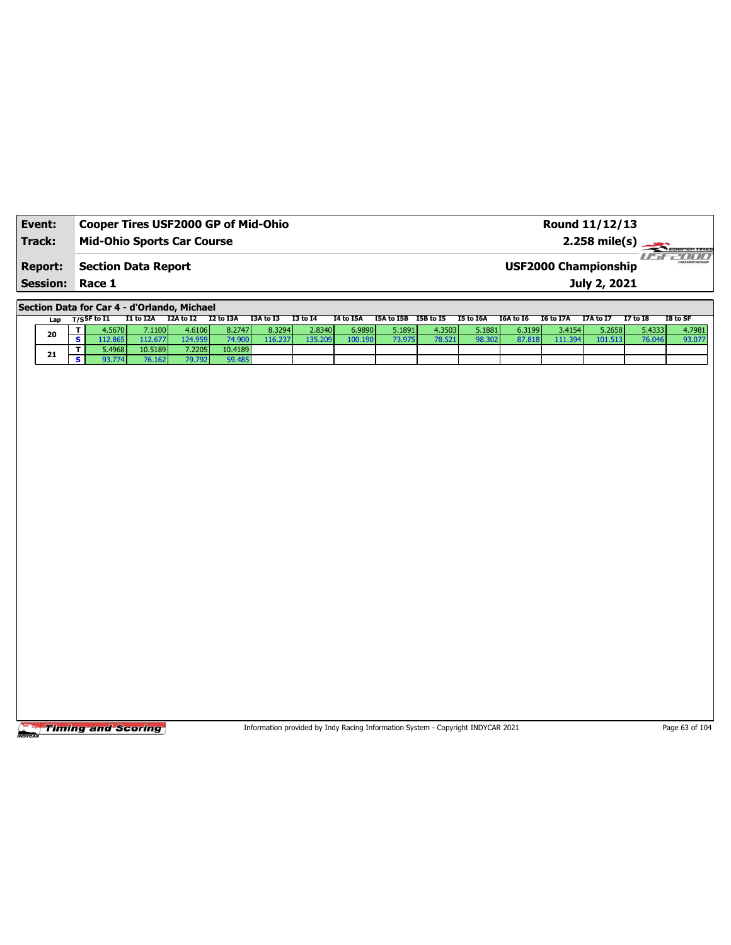| Event:                 | Cooper Tires USF2000 GP of Mid-Ohio | Round 11/12/13                                            |
|------------------------|-------------------------------------|-----------------------------------------------------------|
| Track:                 | <b>Mid-Ohio Sports Car Course</b>   | $2.258 \text{ mile(s)}$                                   |
| <b>Report:</b>         | Section Data Report                 | 77 II II I<br>CHAMPIONSHIP<br><b>USF2000 Championship</b> |
| <b>Session: Race 1</b> |                                     | July 2, 2021                                              |

**Section Data for Car 4 - d'Orlando, Michael**

| Lap | T/SSF to I1 | I1 to I2A | I2A to I2 | I2 to I3A | I3A to I3 | <b>I3 to I4</b> | I4 to I5A | I5A to I5B | I5B to I5 | I5 to I6A       | I6A to I6 | I6 to I7A | <b>I7A to I7</b> | <b>I7 to I8</b> | I8 to SF |
|-----|-------------|-----------|-----------|-----------|-----------|-----------------|-----------|------------|-----------|-----------------|-----------|-----------|------------------|-----------------|----------|
| 20  | I.5670 I    | 7.1100    | 4.6106    | 8.2747    | 8.3294    | 2.8340          | 6.9890    | 5.1891     | 4.3503    | 5.1881 <b>I</b> | 6.3199    | 3.4154    | 5.2658           | 5.4333 L        | 4.7981   |
|     | $-12.865$   | 112.677   | 24.959    |           |           | 135.209         | LOO.190   | 73.975     | 78.521    | 98.302          | 87.818    | 111.394.  | 101.513          | 76.04           | 93.077   |
| 21  | ا 4968.د    | 10.5189   | 7.2205    | 10.4189   |           |                 |           |            |           |                 |           |           |                  |                 |          |
|     | 93.774 I    | 76.162    | 79.792    | 59.485    |           |                 |           |            |           |                 |           |           |                  |                 |          |

Timing and Scoring

Information provided by Indy Racing Information System - Copyright INDYCAR 2021 Page 63 of 104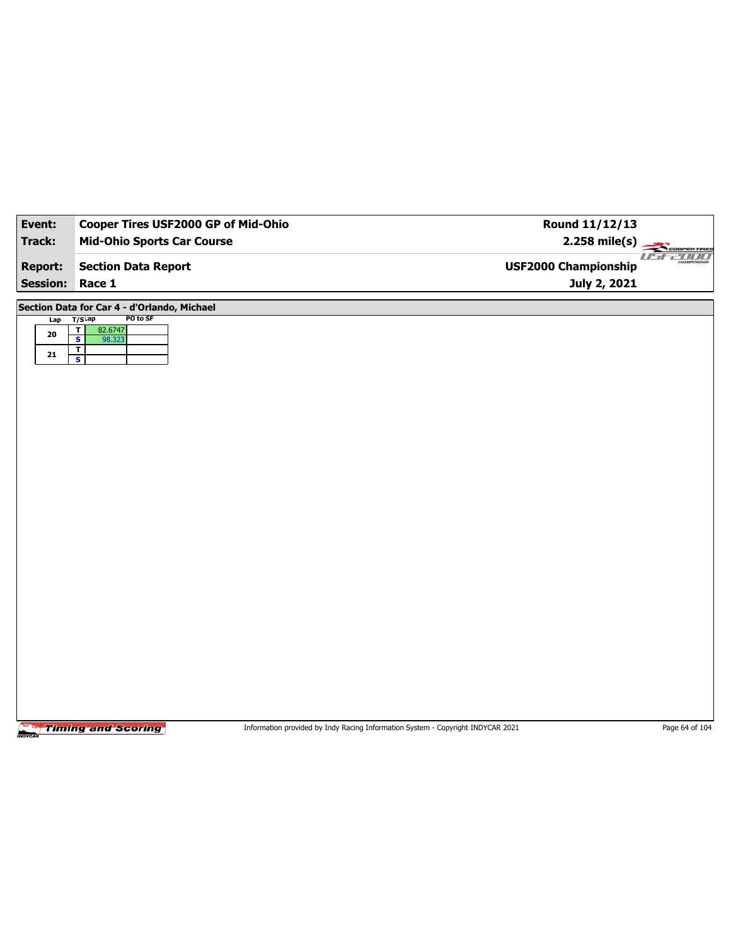| Event:          | Cooper Tires USF2000 GP of Mid-Ohio         | Round 11/12/13                      |       |
|-----------------|---------------------------------------------|-------------------------------------|-------|
| <b>Track:</b>   | <b>Mid-Ohio Sports Car Course</b>           | $2.258$ mile(s)<br>COOPERTIRES      |       |
| <b>Report:</b>  | <b>Section Data Report</b>                  | 11 T<br><b>USF2000 Championship</b> | 20000 |
| <b>Session:</b> | Race 1                                      | July 2, 2021                        |       |
|                 | Section Data for Car 4 - d'Orlando, Michael |                                     |       |
| Lap T/SLap      | PO to SF<br>T<br>82.6747                    |                                     |       |
| ${\bf 20}$      | $\overline{\mathbf{s}}$<br>98.323           |                                     |       |
| ${\bf 21}$      | Τ<br>$\overline{\mathbf{s}}$                |                                     |       |
|                 |                                             |                                     |       |
|                 |                                             |                                     |       |
|                 |                                             |                                     |       |
|                 |                                             |                                     |       |
|                 |                                             |                                     |       |
|                 |                                             |                                     |       |
|                 |                                             |                                     |       |
|                 |                                             |                                     |       |
|                 |                                             |                                     |       |
|                 |                                             |                                     |       |
|                 |                                             |                                     |       |
|                 |                                             |                                     |       |
|                 |                                             |                                     |       |
|                 |                                             |                                     |       |
|                 |                                             |                                     |       |
|                 |                                             |                                     |       |
|                 |                                             |                                     |       |
|                 |                                             |                                     |       |
|                 |                                             |                                     |       |
|                 |                                             |                                     |       |
|                 |                                             |                                     |       |
|                 |                                             |                                     |       |

Information provided by Indy Racing Information System - Copyright INDYCAR 2021 Page 64 of 104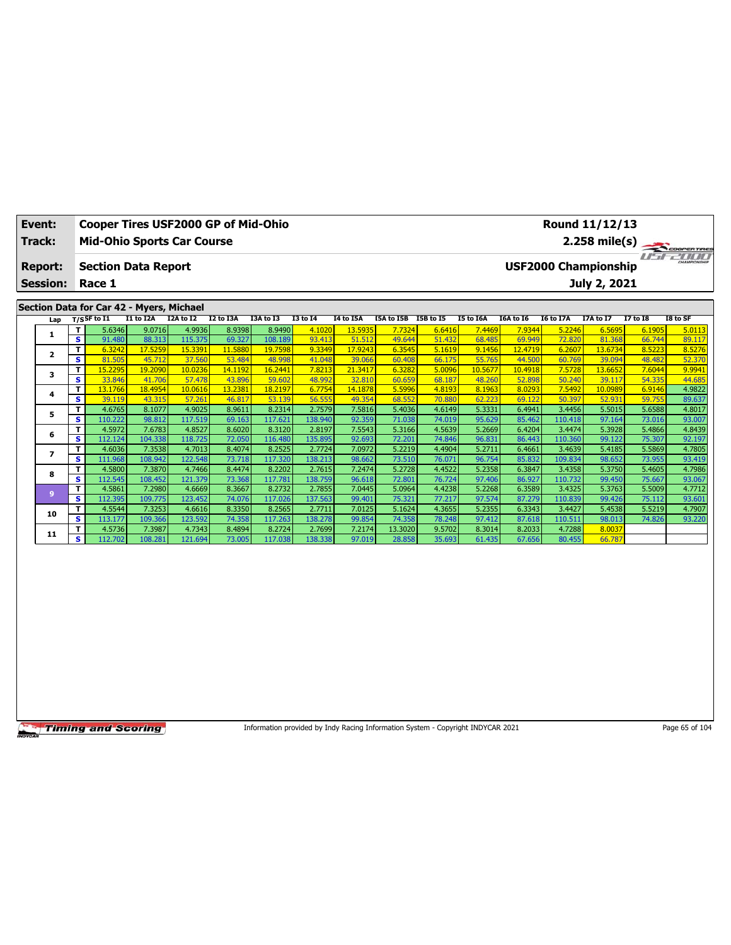| Event:          |              | Cooper Tires USF2000 GP of Mid-Ohio      |                     |                     |                     |                     |                           |                      |                                |                  |                            |                     |                            | Round 11/12/13              |                  |                         |
|-----------------|--------------|------------------------------------------|---------------------|---------------------|---------------------|---------------------|---------------------------|----------------------|--------------------------------|------------------|----------------------------|---------------------|----------------------------|-----------------------------|------------------|-------------------------|
| Track:          |              | <b>Mid-Ohio Sports Car Course</b>        |                     |                     |                     |                     |                           |                      |                                |                  |                            |                     |                            |                             |                  | $2.258 \text{ mile(s)}$ |
| <b>Report:</b>  |              | <b>Section Data Report</b>               |                     |                     |                     |                     |                           |                      |                                |                  |                            |                     |                            | <b>USF2000 Championship</b> |                  | CHAMPIONSHIP            |
| <b>Session:</b> |              | Race 1                                   |                     |                     |                     |                     |                           |                      |                                |                  |                            |                     |                            | July 2, 2021                |                  |                         |
|                 |              | Section Data for Car 42 - Myers, Michael |                     |                     |                     |                     |                           |                      |                                |                  |                            |                     |                            |                             | <b>I7 to I8</b>  |                         |
| Lap             | T            | $T/S$ SF to $I1$<br>5.6346               | I1 to I2A<br>9.0716 | I2A to I2<br>4.9936 | I2 to I3A<br>8.9398 | I3A to I3<br>8.9490 | <b>I3 to I4</b><br>4.1020 | I4 to I5A<br>13.5935 | I5A to I5B I5B to I5<br>7.7324 | 6.6416           | <b>I5 to I6A</b><br>7.4469 | I6A to I6<br>7.9344 | <b>I6 to I7A</b><br>5.2246 | I7A to I7<br>6.5695         | 6.1905           | I8 to SF<br>5.0113      |
| 1               | <b>S</b>     | 91.480                                   | 88.313              | 115.375             | 69.327              | 108.189             | 93.413                    | 51.512               | 49.644                         | 51.432           | 68.485                     | 69.949              | 72.820                     | 81.368                      | 66.744           | 89.117                  |
|                 | T            | 6.3242                                   | 17.5259             | 15.3391             | 11.5880             | 19.7598             | 9.3349                    | 17.9243              | 6.3545                         | 5.1619           | 9.1456                     | 12.4719             | 6.2607                     | 13.6734                     | 8.5223           | 8.5276                  |
| $\mathbf{z}$    | s            | 81.505                                   | 45.712              | 37.560              | 53.484              | 48.998              | 41.048                    | 39.066               | 60.408                         | 66.175           | 55.765                     | 44.500              | 60.769                     | 39.094                      | 48.482           | 52.370                  |
| 3               | $\mathbf{T}$ | 15.2295                                  | 19,2090             | 10.0236             | 14.1192             | 16.2441             | 7.8213                    | 21.3417              | 6.3282                         | 5.0096           | 10.5677                    | 10.4918             | 7.5728                     | 13.6652                     | 7.6044           | 9.9941                  |
|                 | s            | 33.846                                   | 41.706              | 57.478              | 43.896              | 59.602              | 48.992                    | 32,810               | 60.659                         | 68.187           | 48.260                     | 52.898              | 50.240                     | 39.117                      | 54.335           | 44.685                  |
| 4               | T            | 13.1766                                  | 18,4954             | 10.0616             | 13.2381             | 18.2197             | 6.7754                    | 14.1878              | 5.5996                         | 4.8193           | 8.1963                     | 8.0293              | 7.5492                     | 10.0989                     | 6.9146           | 4.9822                  |
|                 | <b>S</b>     | 39.119                                   | 43.315              | 57.261              | 46.817              | 53.139              | 56.555                    | 49.354               | 68.552                         | 70,880           | 62.223                     | 69.122              | 50.397                     | 52.931                      | 59.755           | 89.637                  |
| 5.              | т            | 4.6765                                   | 8.1077              | 4.9025              | 8.9611              | 8.2314              | 2.7579                    | 7.5816               | 5.4036                         | 4.6149           | 5.3331                     | 6.4941              | 3.4456                     | 5.5015                      | 5.6588           | 4.8017                  |
|                 | $\mathbf{s}$ | 110.222                                  | 98.812              | 117.519             | 69.163              | 117.621             | 138.940                   | 92.359               | 71.038                         | 74.019           | 95.629                     | 85.462              | 110.418                    | 97.164                      | 73.016           | 93.007                  |
| 6               | T            | 4.5972                                   | 7.6783              | 4.8527              | 8.6020              | 8.3120              | 2.8197                    | 7.5543               | 5.3166                         | 4.5639           | 5.2669                     | 6.4204              | 3.4474                     | 5.3928                      | 5.4866           | 4.8439                  |
|                 | <b>S</b>     | 112.124                                  | 104.338             | 118.725             | 72.050              | 116.480             | 135.895                   | 92.693               | 72.201                         | 74.846           | 96.831                     | 86.443              | 110.360                    | 99.122                      | 75.307           | 92.197                  |
| 7               | T<br>s       | 4.6036<br>111.968                        | 7.3538<br>108.942   | 4.7013<br>122.548   | 8.4074<br>73.718    | 8.2525<br>117.320   | 2.7724<br>138.213         | 7.0972<br>98.662     | 5.2219<br>73.510               | 4.4904<br>76.071 | 5.2711<br>96.754           | 6.4661<br>85.832    | 3.4639<br>109.834          | 5.4185<br>98.652            | 5.5869<br>73.955 | 4.7805<br>93.419        |
|                 | $\mathbf{T}$ | 4.5800                                   | 7.3870              | 4.7466              | 8.4474              | 8.2202              | 2.7615                    | 7.2474               | 5.2728                         | 4.4522           | 5.2358                     | 6.3847              | 3.4358                     | 5.3750                      | 5.4605           | 4.7986                  |
| 8               | <b>S</b>     | 112.545                                  | 108.452             | 121.379             | 73.368              | 117.781             | 138.759                   | 96.618               | 72.801                         | 76.724           | 97.406                     | 86.927              | 110.732                    | 99.450                      | 75.667           | 93.067                  |
|                 | $\mathbf{T}$ | 4.5861                                   | 7.2980              | 4.6669              | 8.3667              | 8.2732              | 2.7855                    | 7.0445               | 5.0964                         | 4.4238           | 5.2268                     | 6.3589              | 3.4325                     | 5.3763                      | 5.5009           | 4.7712                  |
| 9               | <b>S</b>     | 112.395                                  | 109.775             | 123.452             | 74.076              | 117.026             | 137.563                   | 99.401               | 75.321                         | 77.217           | 97.574                     | 87.279              | 110.839                    | 99.426                      | 75.112           | 93.601                  |
|                 | T            | 4.5544                                   | 7.3253              | 4.6616              | 8.3350              | 8.2565              | 2.7711                    | 7.0125               | 5.1624                         | 4.3655           | 5.2355                     | 6.3343              | 3.4427                     | 5.4538                      | 5.5219           | 4.7907                  |
| 10              | <b>S</b>     | 113.177                                  | 109.366             | 123.592             | 74.358              | 117.263             | 138.278                   | 99.854               | 74.358                         | 78.248           | 97.412                     | 87.618              | 110.511                    | 98.013                      | 74.826           | 93.220                  |
|                 | T            | 4.5736                                   | 7.3987              | 4.7343              | 8.4894              | 8.2724              | 2.7699                    | 7.2174               | 13,3020                        | 9.5702           | 8.3014                     | 8.2033              | 4.7288                     | 8.0037                      |                  |                         |
| 11              | s            | 112.702                                  | 108.281             | 121.694             | 73.005              | 117.038             | 138.338                   | 97.019               | 28.858                         | 35.693           | 61.435                     | 67.656              | 80.455                     | 66.787                      |                  |                         |

Information provided by Indy Racing Information System - Copyright INDYCAR 2021 Page 65 of 104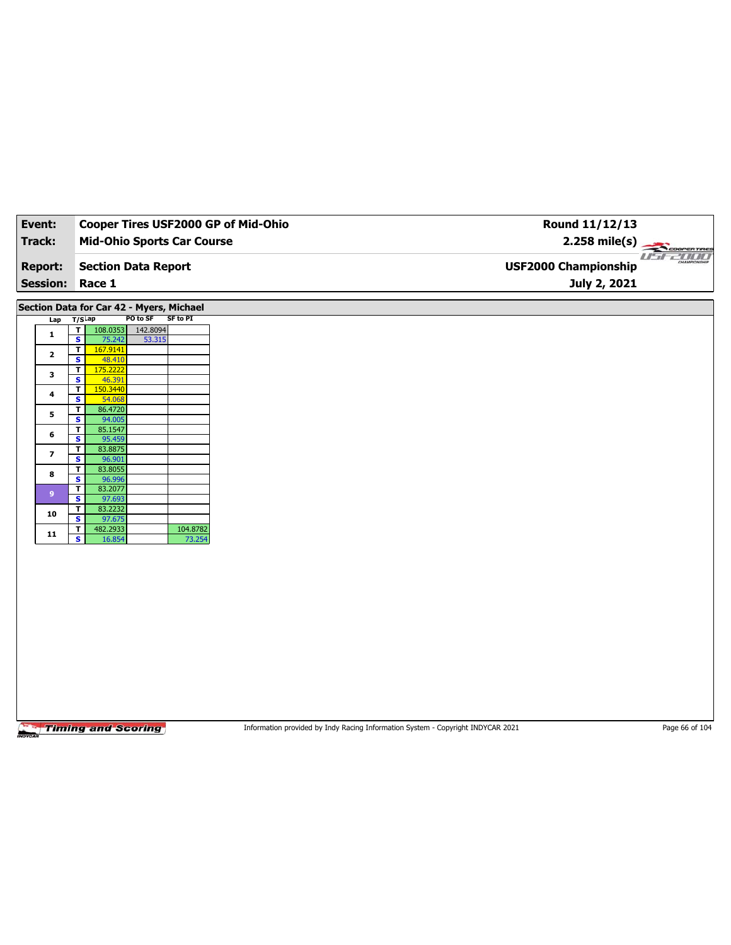| Event:                   | Cooper Tires USF2000 GP of Mid-Ohio                                                  |                    | Round 11/12/13                                 |
|--------------------------|--------------------------------------------------------------------------------------|--------------------|------------------------------------------------|
| <b>Track:</b>            | <b>Mid-Ohio Sports Car Course</b>                                                    |                    | $2.258$ mile(s)<br>COOPERTIRES                 |
| <b>Report:</b>           | <b>Section Data Report</b>                                                           |                    | <b>USE ZOOD</b><br><b>USF2000 Championship</b> |
| <b>Session:</b>          | Race 1                                                                               |                    | July 2, 2021                                   |
|                          |                                                                                      |                    |                                                |
| Lap                      | Section Data for Car 42 - Myers, Michael<br>PO to SF<br><b>SF to PI</b><br>$T/S$ Lap |                    |                                                |
| $\mathbf 1$              | $\mathbf{T}$<br>108.0353 142.8094                                                    |                    |                                                |
|                          | $\overline{\mathbf{s}}$<br>75.242<br>53.315<br>167.9141<br>$\mathbf{I}$              |                    |                                                |
| $\mathbf{2}$             | S<br>48.410                                                                          |                    |                                                |
| $\mathbf{3}$             | 175.2222<br>$\mathbf T$<br>$\overline{\mathbf{s}}$<br>46.391                         |                    |                                                |
| 4                        | Н<br>150.3440                                                                        |                    |                                                |
|                          | S<br>54.068                                                                          |                    |                                                |
| 5                        | 86.4720<br>$\mathbf{T}$<br>$\overline{\mathbf{s}}$<br>94.005                         |                    |                                                |
| $\bf{6}$                 | 85.1547<br>T                                                                         |                    |                                                |
|                          | S<br>95.459<br>83.8875<br>$\mathbf T$                                                |                    |                                                |
| $\overline{\phantom{a}}$ | $\overline{\mathbf{s}}$<br>96.901                                                    |                    |                                                |
| 8                        | T<br>83.8055<br>s<br>96.996                                                          |                    |                                                |
| $9\,$                    | $\overline{\mathbf{r}}$<br>83.2077                                                   |                    |                                                |
|                          | $\overline{\mathbf{s}}$<br>97.693<br>83.2232<br>T                                    |                    |                                                |
| 10                       | S<br>97.675                                                                          |                    |                                                |
| 11                       | 482.2933<br>T.<br>$\overline{\mathbf{s}}$<br>16.854                                  | 104.8782<br>73.254 |                                                |
|                          |                                                                                      |                    |                                                |
|                          |                                                                                      |                    |                                                |
|                          |                                                                                      |                    |                                                |
|                          |                                                                                      |                    |                                                |
|                          |                                                                                      |                    |                                                |
|                          |                                                                                      |                    |                                                |
|                          |                                                                                      |                    |                                                |
|                          |                                                                                      |                    |                                                |
|                          |                                                                                      |                    |                                                |
|                          |                                                                                      |                    |                                                |
|                          |                                                                                      |                    |                                                |

Information provided by Indy Racing Information System - Copyright INDYCAR 2021 Page 66 of 104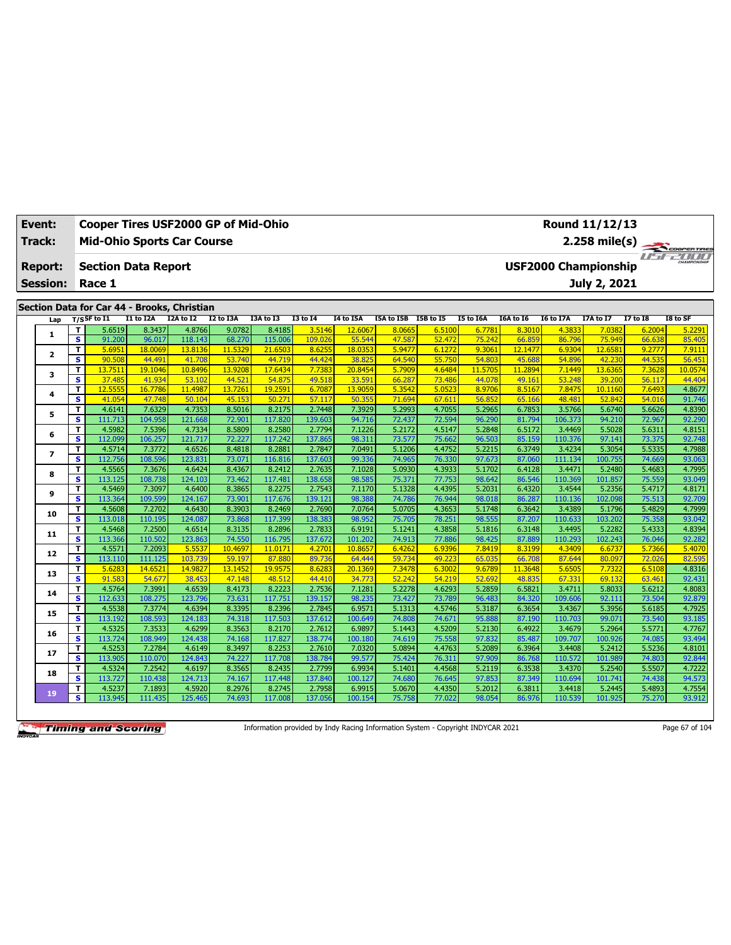| <b>Event:</b>   |                                                      | Round 11/12/13<br>Cooper Tires USF2000 GP of Mid-Ohio |                   |                   |                   |                   |                   |                   |                    |                  |                   |                   |                             |                   |                  |                   |
|-----------------|------------------------------------------------------|-------------------------------------------------------|-------------------|-------------------|-------------------|-------------------|-------------------|-------------------|--------------------|------------------|-------------------|-------------------|-----------------------------|-------------------|------------------|-------------------|
| Track:          | $2.258$ mile(s)<br><b>Mid-Ohio Sports Car Course</b> |                                                       |                   |                   |                   |                   |                   |                   | <b>TECOGRETING</b> |                  |                   |                   |                             |                   |                  |                   |
| <b>Report:</b>  |                                                      | <b>Section Data Report</b>                            |                   |                   |                   |                   |                   |                   |                    |                  |                   |                   | <b>USF2000 Championship</b> |                   |                  |                   |
| <b>Session:</b> |                                                      | Race 1                                                |                   |                   |                   |                   |                   |                   |                    |                  |                   |                   |                             | July 2, 2021      |                  |                   |
|                 |                                                      |                                                       |                   |                   |                   |                   |                   |                   |                    |                  |                   |                   |                             |                   |                  |                   |
|                 |                                                      | Section Data for Car 44 - Brooks, Christian           |                   |                   |                   |                   |                   |                   |                    |                  |                   |                   |                             |                   |                  |                   |
| Lap             |                                                      | $T/S$ SF to I1                                        | I1 to I2A         | I2A to I2         | I2 to I3A         | I3A to I3         | <b>I3 to 14</b>   | I4 to I5A         | I5A to I5B         | I5B to I5        | I5 to I6A         | I6A to I6         | I6 to I7A                   | <b>I7A to I7</b>  | 17 to 18         | I8 to SF          |
| 1               | T                                                    | 5.6519                                                | 8.3437            | 4.8766            | 9.0782            | 8.4185            | 3.5146            | 12,6067           | 8.0665             | 6.5100           | 6.7781            | 8.3010            | 4.3833                      | 7.0382            | 6.2004           | 5.2291            |
|                 | $\overline{\mathbf{s}}$                              | 91.200                                                | 96.017            | 118.143           | 68.270            | 115.006           | 109.026           | 55.544            | 47.587             | 52.472           | 75.242            | 66.859            | 86.796                      | 75.949            | 66.638           | 85.405            |
| $\mathbf{z}$    | T<br>$\overline{\mathbf{s}}$                         | 5.6951<br>90.508                                      | 18.0069           | 13.8136           | 11.5329           | 21.6503<br>44.719 | 8.6255            | 18.0353           | 5.9477             | 6.1272           | 9.3061            | 12.1477           | 6.9304                      | 12.6581           | 9.2777           | 7.9111            |
|                 | T                                                    | 13,7511                                               | 44.491<br>19.1046 | 41.708<br>10.8496 | 53.740<br>13.9208 | 17.6434           | 44.424<br>7.7383  | 38.825<br>20.8454 | 64.540<br>5.7909   | 55.750<br>4.6484 | 54.803<br>11.5705 | 45.688<br>11.2894 | 54.896<br>7.1449            | 42.230<br>13.6365 | 44.535<br>7.3628 | 56.451<br>10.0574 |
| з               | $\overline{\mathbf{s}}$                              | 37,485                                                | 41.934            | 53.102            | 44.521            | 54.875            | 49.518            | 33.591            | 66.287             | 73.486           | 44.078            | 49.161            | 53.248                      | 39,200            | 56.117           | 44.404            |
|                 | T                                                    | 12.5555                                               | 16,7786           | 11,4987           | 13.7261           | 19.2591           | 6.7087            | 13.9059           | 5.3542             | 5.0523           | 8.9706            | 8.5167            | 7.8475                      | 10.1160           | 7.6493           | 4.8677            |
| 4               | S                                                    | 41.054                                                | 47.748            | 50.104            | 45.153            | 50.271            | 57.117            | 50.355            | 71.694             | 67.611           | 56.852            | 65.166            | 48.481                      | 52.842            | 54.016           | 91.746            |
|                 | T                                                    | 4.6141                                                | 7.6329            | 4.7353            | 8.5016            | 8.2175            | 2.7448            | 7.3929            | 5.2993             | 4.7055           | 5.2965            | 6.7853            | 3.5766                      | 5.6740            | 5.6626           | 4.8390            |
| 5               | $\overline{\mathbf{s}}$                              | 111.713                                               | 104.958           | 121.668           | 72.901            | 117.820           | 139.603           | 94.716            | 72.437             | 72.594           | 96.290            | 81.794            | 106.373                     | 94.210            | 72.967           | 92.290            |
| 6               | T                                                    | 4.5982                                                | 7.5396            | 4.7334            | 8.5809            | 8.2580            | 2.7794            | 7.1226            | 5.2172             | 4.5147           | 5.2848            | 6.5172            | 3.4469                      | 5.5028            | 5.6311           | 4.8151            |
|                 | S                                                    | 112.099                                               | 106.257           | 121.717           | 72.227            | 117.242           | 137.865           | 98.311            | 73.577             | 75.662           | 96.503            | 85.159            | 110.376                     | 97.141            | 73.375           | 92.748            |
| $\overline{ }$  | T                                                    | 4.5714                                                | 7.3772            | 4.6526            | 8.4818            | 8.2881            | 2.7847            | 7.0491            | 5.1206             | 4.4752           | 5.2215            | 6.3749            | 3.4234                      | 5.3054            | 5.5335           | 4.7988            |
|                 | $\overline{\mathbf{s}}$                              | 112.756                                               | 108.596           | 123.831           | 73.071            | 116.816           | 137.603           | 99.336            | 74.965             | 76.330           | 97.673            | 87.060            | 111.134                     | 100.755           | 74.669           | 93.063            |
| 8               | т                                                    | 4.5565                                                | 7.3676            | 4.6424            | 8.4367            | 8.2412            | 2.7635            | 7.1028            | 5.0930             | 4.3933           | 5.1702            | 6.4128            | 3.4471                      | 5.2480            | 5.4683           | 4.7995            |
|                 | S                                                    | 113.125                                               | 108.738           | 124.103           | 73.462            | 117.481           | 138.658           | 98.585            | 75.371             | 77.753           | 98.642            | 86.546            | 110.369                     | 101.857           | 75.559           | 93.049            |
| 9               | T                                                    | 4.5469                                                | 7.3097            | 4.6400            | 8.3865            | 8.2275            | 2.7543            | 7.1170            | 5.1328             | 4.4395           | 5.2031            | 6.4320            | 3.4544                      | 5.2356            | 5.4717           | 4.8171            |
|                 | $\overline{\mathbf{s}}$                              | 113.364                                               | 109.599           | 124.167           | 73.901            | 117.676           | 139.121           | 98.388            | 74.786             | 76.944           | 98.018            | 86.287            | 110.136                     | 102.098           | 75.513           | 92.709            |
| 10              | т<br>S                                               | 4.5608<br>113.018                                     | 7.2702<br>110.195 | 4.6430<br>124.087 | 8.3903<br>73.868  | 8.2469<br>117.399 | 2.7690<br>138.383 | 7.0764<br>98.952  | 5.0705<br>75.705   | 4.3653<br>78.251 | 5.1748<br>98.555  | 6.3642<br>87.207  | 3.4389<br>110.633           | 5.1796<br>103.202 | 5.4829<br>75.358 | 4.7999<br>93.042  |
|                 | T                                                    | 4.5468                                                | 7.2500            | 4.6514            | 8.3135            | 8.2896            | 2.7833            | 6.9191            | 5.1241             | 4.3858           | 5.1816            | 6.3148            | 3.4495                      | 5.2282            | 5.4333           | 4.8394            |
| 11              | s                                                    | 113.366                                               | 110.502           | 123.863           | 74.550            | 116.795           | 137.672           | 101.202           | 74.913             | 77.886           | 98.425            | 87.889            | 110.293                     | 102.243           | 76.046           | 92.282            |
|                 | T                                                    | 4.5571                                                | 7.2093            | 5.5537            | 10.4697           | 11.0171           | 4.2701            | 10.8657           | 6.4262             | 6.9396           | 7.8419            | 8.3199            | 4.3409                      | 6.6737            | 5.7366           | 5.4070            |
| 12              | $\overline{\mathbf{s}}$                              | 113.110                                               | 111.125           | 103.739           | 59.197            | 87.880            | 89.736            | 64.444            | 59.734             | 49.223           | 65.035            | 66.708            | 87.644                      | 80.097            | 72.026           | 82.595            |
|                 | T                                                    | 5.6283                                                | 14.6521           | 14.9827           | 13.1452           | 19.9575           | 8.6283            | 20.1369           | 7.3478             | 6.3002           | 9.6789            | 11.3648           | 5.6505                      | 7.7322            | 6.5108           | 4.8316            |
| 13              | s                                                    | 91.583                                                | 54.677            | 38.453            | 47.148            | 48.512            | 44.410            | 34,773            | 52.242             | 54.219           | 52.692            | 48.835            | 67.331                      | 69.132            | 63.461           | 92.431            |
| 14              | T                                                    | 4.5764                                                | 7.3991            | 4.6539            | 8.4173            | 8.2223            | 2.7536            | 7.1281            | 5.2278             | 4.6293           | 5.2859            | 6.5821            | 3.4711                      | 5.8033            | 5.6212           | 4.8083            |
|                 | S                                                    | 112.633                                               | 108.275           | 123.796           | 73.631            | 117.751           | 139.157           | 98.235            | 73.427             | 73.789           | 96.483            | 84.320            | 109.606                     | 92.111            | 73.504           | 92.879            |
| 15              | T                                                    | 4.5538                                                | 7.3774            | 4.6394            | 8.3395            | 8.2396            | 2.7845            | 6.9571            | 5.1313             | 4.5746           | 5.3187            | 6.3654            | 3.4367                      | 5.3956            | 5.6185           | 4.7925            |
|                 | s                                                    | 113.192                                               | 108.593           | 124.183           | 74.318            | 117.503           | 137.612           | 100.649           | 74.808             | 74.671           | 95.888            | 87.190            | 110.703                     | 99.071            | 73.540           | 93.185            |
| 16              | T                                                    | 4.5325                                                | 7.3533            | 4.6299            | 8.3563            | 8.2170            | 2.7612            | 6.9897            | 5.1443             | 4.5209           | 5.2130            | 6.4922            | 3.4679                      | 5.2964            | 5.5771           | 4.7767            |
|                 | $\overline{\mathbf{s}}$                              | 113.724                                               | 108.949           | 124.438           | 74.168            | 117.827           | 138.774           | 100.180           | 74.619             | 75.558           | 97.832            | 85.487            | 109.707                     | 100.926           | 74.085           | 93.494            |
| 17              | T<br>s                                               | 4.5253<br>113.905                                     | 7.2784<br>110.070 | 4.6149<br>124.843 | 8.3497<br>74.227  | 8.2253<br>117.708 | 2.7610<br>138.784 | 7.0320<br>99.577  | 5.0894<br>75.424   | 4.4763<br>76.311 | 5.2089<br>97.909  | 6.3964<br>86.768  | 3.4408<br>110.572           | 5.2412<br>101.989 | 5.5236<br>74.803 | 4.8101<br>92.844  |
|                 | T                                                    | 4.5324                                                | 7.2542            | 4.6197            | 8.3565            | 8.2435            | 2.7799            | 6.9934            | 5.1401             | 4.4568           | 5.2119            | 6.3538            | 3.4370                      | 5.2540            | 5.5507           | 4.7222            |
| 18              | s                                                    | 113.727                                               | 110.438           | 124.713           | 74.167            | 117.448           | 137.840           | 100.127           | 74.680             | 76.645           | 97.853            | 87.349            | 110.694                     | 101.741           | 74.438           | 94.573            |
|                 | T                                                    | 4.5237                                                | 7.1893            | 4.5920            | 8.2976            | 8.2745            | 2.7958            | 6.9915            | 5.0670             | 4.4350           | 5.2012            | 6.3811            | 3.4418                      | 5.2445            | 5.4893           | 4.7554            |
| 19              | s                                                    | 113.945                                               | 111.435           | 125.465           | 74.693            | 117,008           | 137.056           | 100.154           | 75.758             | 77.022           | 98.054            | 86.976            | 110.539                     | 101.925           | 75.270           | 93.912            |

Information provided by Indy Racing Information System - Copyright INDYCAR 2021 Page 67 of 104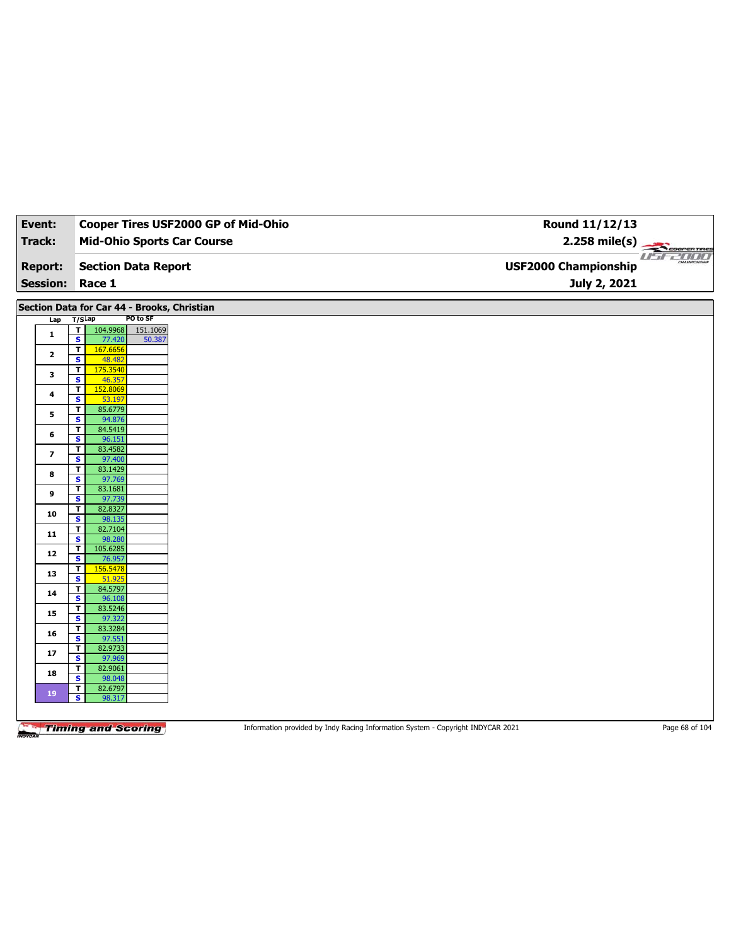| Event:                   | Cooper Tires USF2000 GP of Mid-Ohio                                                            | Round 11/12/13              |                                |  |
|--------------------------|------------------------------------------------------------------------------------------------|-----------------------------|--------------------------------|--|
| Track:                   | <b>Mid-Ohio Sports Car Course</b>                                                              | $2.258 \text{ mile(s)}$     |                                |  |
| <b>Report:</b>           | <b>Section Data Report</b>                                                                     | <b>USF2000 Championship</b> | <b>USE2000</b><br>CHAMPSONSHIP |  |
|                          |                                                                                                |                             |                                |  |
|                          | Session: Race 1                                                                                | July 2, 2021                |                                |  |
|                          | Section Data for Car 44 - Brooks, Christian                                                    |                             |                                |  |
| Lap                      | PO to SF<br>$T/S$ Lap                                                                          |                             |                                |  |
| $\mathbf{1}$             | $\overline{\mathbf{r}}$<br>104.9968<br>151.1069<br>$\overline{\mathbf{s}}$<br>50.387<br>77.420 |                             |                                |  |
| $\mathbf{2}$             | 167.6656<br>T<br>$\mathbf{s}$<br>48.482                                                        |                             |                                |  |
| 3                        | 175.3540<br>$\mathbf T$                                                                        |                             |                                |  |
| 4                        | $\overline{\mathbf{s}}$<br>46.357<br>$\overline{\mathbf{r}}$<br>152.8069                       |                             |                                |  |
| 5                        | $\mathbf{s}$<br>53.197<br>85.6779<br>$\mathbf T$                                               |                             |                                |  |
|                          | $\overline{\mathbf{s}}$<br>94.876<br>T<br>84.5419                                              |                             |                                |  |
| 6                        | $\mathbf{s}$<br>96.151<br>83.4582<br>$\mathbf{T}$                                              |                             |                                |  |
| $\overline{\phantom{a}}$ | $\overline{\mathbf{s}}$<br>97.400                                                              |                             |                                |  |
| 8                        | 83.1429<br>T<br>$\overline{\mathbf{s}}$<br>97.769                                              |                             |                                |  |
| 9                        | 83.1681<br>T<br>$\overline{\mathbf{s}}$<br>97.739                                              |                             |                                |  |
| 10                       | 82.8327<br>T                                                                                   |                             |                                |  |
|                          | $\mathbf{s}$<br>98.135                                                                         |                             |                                |  |
| 11                       | 82.7104<br>$\mathbf{T}$<br>$\overline{\mathbf{s}}$<br>98.280                                   |                             |                                |  |
| 12                       | 105.6285<br>T<br>$\mathbf{s}$<br>76.957                                                        |                             |                                |  |
| 13                       | 156.5478<br>$\overline{\mathbf{r}}$                                                            |                             |                                |  |
|                          | $\overline{\mathbf{s}}$<br>51.925                                                              |                             |                                |  |
| 14                       | $\overline{\mathbf{r}}$<br>84.5797<br>$\overline{\mathbf{s}}$<br>96.108                        |                             |                                |  |
| 15                       | 83.5246<br>$\overline{\mathbf{r}}$<br>$\overline{\mathbf{s}}$<br>97.322                        |                             |                                |  |
| 16                       | 83.3284<br>T                                                                                   |                             |                                |  |
| 17                       | $\overline{\mathbf{s}}$<br>97.551<br>$\overline{\mathbf{r}}$<br>82.9733                        |                             |                                |  |
|                          | $\overline{\mathbf{s}}$<br>97.969<br>82.9061<br>T.                                             |                             |                                |  |
| 18                       | $\mathbf{s}$<br>98.048                                                                         |                             |                                |  |
| 19                       | 82.6797<br>$\mathbf{T}$<br>s<br>98.317                                                         |                             |                                |  |
|                          |                                                                                                |                             |                                |  |

Information provided by Indy Racing Information System - Copyright INDYCAR 2021 Page 68 of 104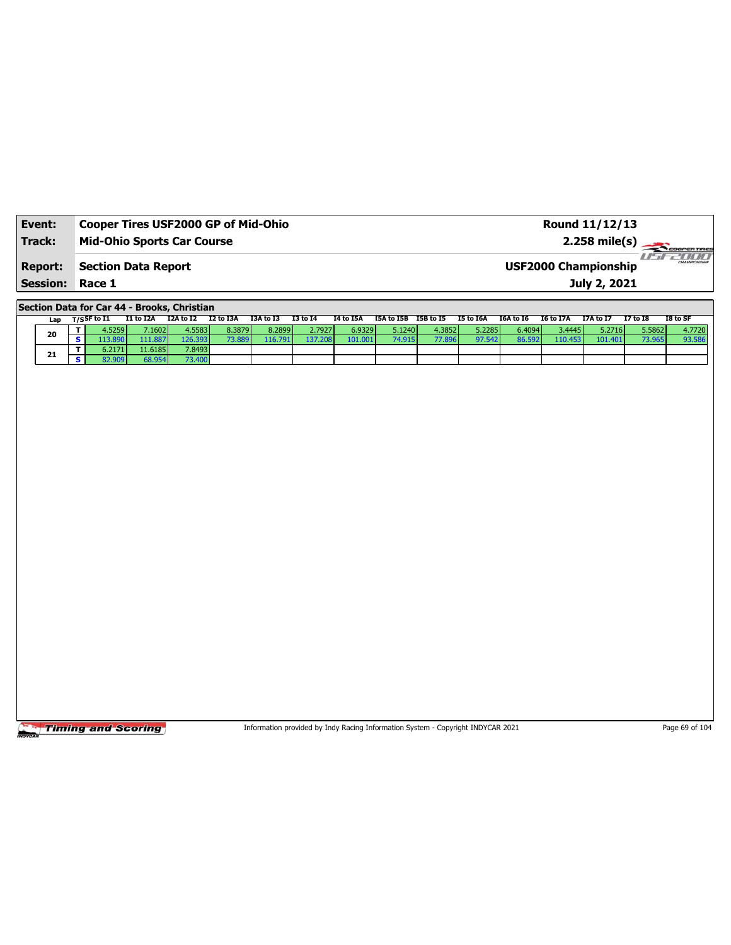| Event:                 | Cooper Tires USF2000 GP of Mid-Ohio | Round 11/12/13                                         |
|------------------------|-------------------------------------|--------------------------------------------------------|
| Track:                 | <b>Mid-Ohio Sports Car Course</b>   | $2.258 \text{ mile(s)}$                                |
| <b>Report:</b>         | Section Data Report                 | -777777<br>CHAMPIONSHIP<br><b>USF2000 Championship</b> |
| <b>Session: Race 1</b> |                                     | July 2, 2021                                           |

**Section Data for Car 44 - Brooks, Christian**

| Lap | T/SSF to I1 | I1 to I2A | I2A to I2 | I2 to I3A | I3A to I3 | <b>I3 to I4</b> | I4 to I5A | I5A to I5B | I5B to I5 | I5 to I6A | I6A to I6 | I6 to I7A | <b>I7A to I7</b> | <b>I7 to I8</b> | I8 to SF |
|-----|-------------|-----------|-----------|-----------|-----------|-----------------|-----------|------------|-----------|-----------|-----------|-----------|------------------|-----------------|----------|
| 20  | 1.5259 l    | 7.1602    | 4.5583    | 8.3879    | 8.2899    | 2.7927          | 6.9329    | 5.1240     | 4.3852    | 5.2285    | 6.4094    | 3.4445    | 5.2716           | 5.5862          | 4.7720   |
|     | $-13.890$   | 111.887   | 126.393   | ו מפפי כי | 16.791    | 137.208         | 101.001   | 74.915     | 77.896    | 97.542    | 86.592    | 110.453   | 101.401          | 73.965          | 93.586   |
| 21  | 6.2171      | 1.6185    | 7.8493    |           |           |                 |           |            |           |           |           |           |                  |                 |          |
|     |             | 58.954    | 73.400    |           |           |                 |           |            |           |           |           |           |                  |                 |          |

Timing and Scoring

Information provided by Indy Racing Information System - Copyright INDYCAR 2021 Page 69 of 104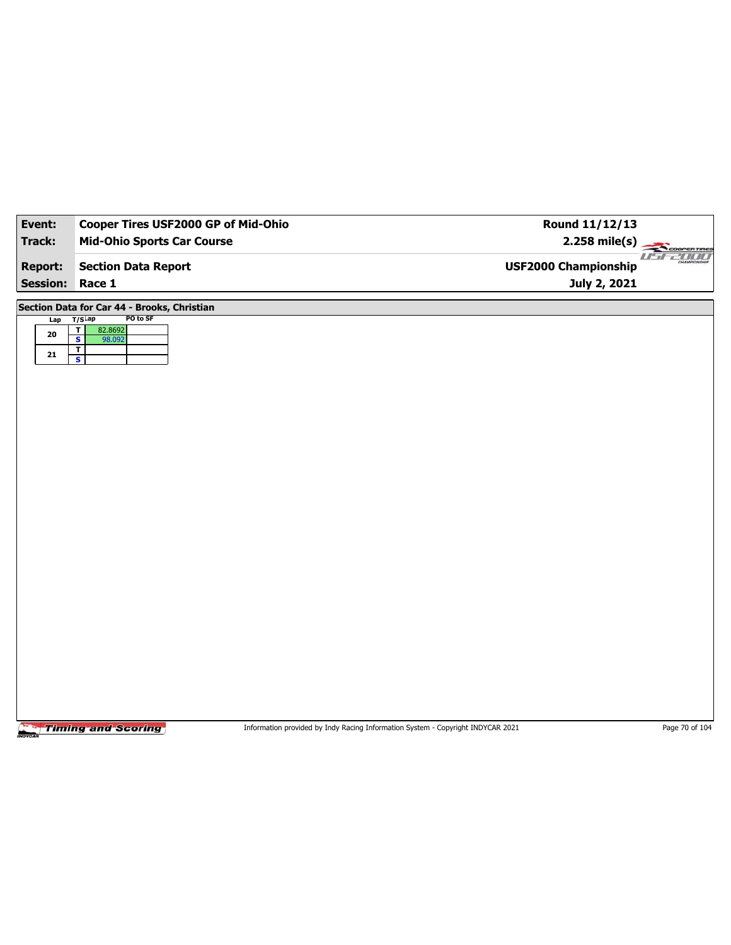| Event:          | Cooper Tires USF2000 GP of Mid-Ohio         | Round 11/12/13                  |  |
|-----------------|---------------------------------------------|---------------------------------|--|
| <b>Track:</b>   | <b>Mid-Ohio Sports Car Course</b>           | $2.258$ mile(s)<br>TELECOPENING |  |
| <b>Report:</b>  | <b>Section Data Report</b>                  | <b>USF2000 Championship</b>     |  |
| <b>Session:</b> | Race 1                                      | July 2, 2021                    |  |
|                 | Section Data for Car 44 - Brooks, Christian |                                 |  |
| Lap             | PO to SF<br>$T/S$ Lap<br>T<br>82.8692       |                                 |  |
| 20              | $\overline{\mathbf{s}}$<br>98.092           |                                 |  |
| 21              | Τ<br>$\overline{\mathbf{s}}$                |                                 |  |
|                 |                                             |                                 |  |
|                 |                                             |                                 |  |
|                 |                                             |                                 |  |
|                 |                                             |                                 |  |
|                 |                                             |                                 |  |
|                 |                                             |                                 |  |
|                 |                                             |                                 |  |
|                 |                                             |                                 |  |
|                 |                                             |                                 |  |
|                 |                                             |                                 |  |
|                 |                                             |                                 |  |
|                 |                                             |                                 |  |
|                 |                                             |                                 |  |
|                 |                                             |                                 |  |
|                 |                                             |                                 |  |
|                 |                                             |                                 |  |
|                 |                                             |                                 |  |
|                 |                                             |                                 |  |
|                 |                                             |                                 |  |
|                 |                                             |                                 |  |
|                 |                                             |                                 |  |
|                 |                                             |                                 |  |

Information provided by Indy Racing Information System - Copyright INDYCAR 2021 Page 70 of 104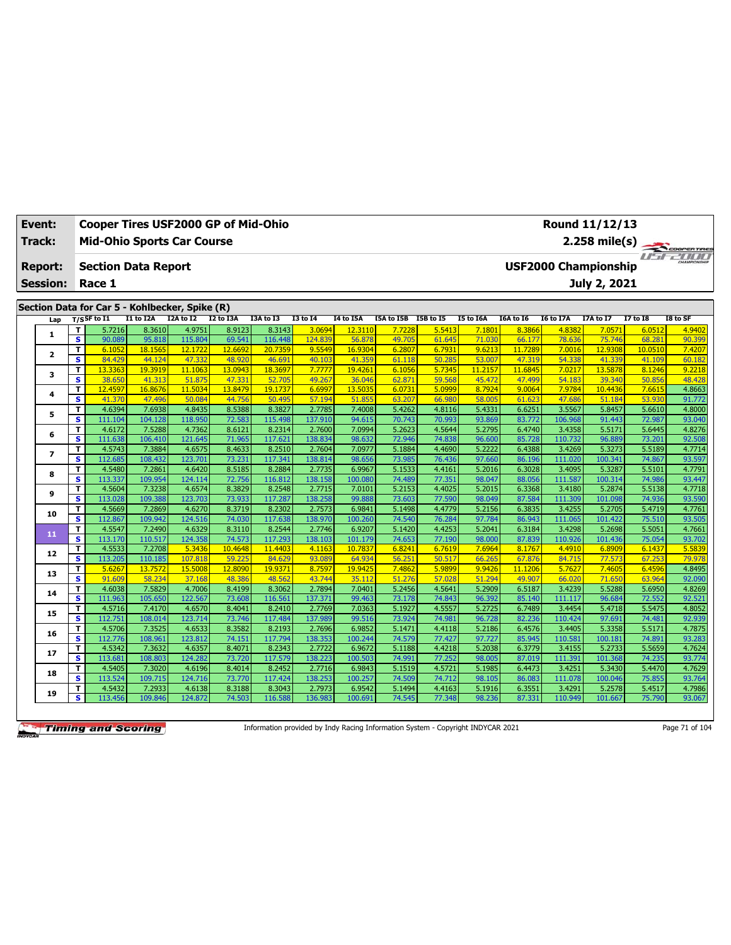| Track:<br><b>Mid-Ohio Sports Car Course</b><br><b>Section Data Report</b><br><b>Report:</b><br><b>Session:</b><br>Race 1<br>Section Data for Car 5 - Kohlbecker, Spike (R)                                                                                 | $2.258$ mile(s)<br><b>USF2000 Championship</b><br>July 2, 2021<br>I7A to I7<br><b>I6 to I7A</b><br>4.8382<br>7.0571<br>78.636<br>75.746<br>7.0016<br>12.9308<br>54.338<br>41.339<br>7.0217<br>13,5878 | COOPERTIRES<br>use and<br><b>I7 to I8</b><br>I8 to SF<br>6.0512<br>4.9402<br>90.399<br>68.281<br>7.4207<br>10.0510 |
|------------------------------------------------------------------------------------------------------------------------------------------------------------------------------------------------------------------------------------------------------------|-------------------------------------------------------------------------------------------------------------------------------------------------------------------------------------------------------|--------------------------------------------------------------------------------------------------------------------|
|                                                                                                                                                                                                                                                            |                                                                                                                                                                                                       |                                                                                                                    |
|                                                                                                                                                                                                                                                            |                                                                                                                                                                                                       |                                                                                                                    |
|                                                                                                                                                                                                                                                            |                                                                                                                                                                                                       |                                                                                                                    |
|                                                                                                                                                                                                                                                            |                                                                                                                                                                                                       |                                                                                                                    |
|                                                                                                                                                                                                                                                            |                                                                                                                                                                                                       |                                                                                                                    |
| $T/S$ SF to I1<br>I1 to I2A<br>I2A to I2<br>I2 to I3A<br>I3A to I3<br><b>I3 to I4</b><br><b>I4 to I5A</b><br>I5A to I5B I5B to I5<br>I5 to I6A<br>I6A to I6<br>Lap                                                                                         |                                                                                                                                                                                                       |                                                                                                                    |
| 5.7216<br>8.3610<br>4.9751<br>8.9123<br>8.3143<br>7.1801<br>3.0694<br>12.3110<br>7.7228<br>5.5413<br>8.3866<br>T<br>1                                                                                                                                      |                                                                                                                                                                                                       |                                                                                                                    |
| $\overline{\mathbf{s}}$<br>90.089<br>95.818<br>115.804<br>69.541<br>116.448<br>124.839<br>56.878<br>49.705<br>61.645<br>71.030<br>66.177                                                                                                                   |                                                                                                                                                                                                       |                                                                                                                    |
| 18.1565<br>12.6692<br>16.9304<br>6.7931<br>9.6213<br>11.7289<br>T<br>6.1052<br>12.1722<br>20.7359<br>9.5549<br>6.2807<br>$\overline{2}$                                                                                                                    |                                                                                                                                                                                                       |                                                                                                                    |
| s<br>47.332<br>47.319<br>84.429<br>44.124<br>48.920<br>46.691<br>40.103<br>41.359<br>61.118<br>50.285<br>53.007                                                                                                                                            |                                                                                                                                                                                                       | 60.182<br>41.109                                                                                                   |
| 19.3919<br>T<br>13.3363<br>11.1063<br>13.0943<br>18.3697<br>7.7777<br>19.4261<br>6.1056<br>5.7345<br>11.2157<br>11.6845<br>3<br>$\mathbf{s}$<br>41.313<br>51.875<br>47.331<br>49.267<br>59.568<br>45,472<br>47.499<br>38.650<br>52.705<br>36.046<br>62.871 | 54.183<br>39.340                                                                                                                                                                                      | 8.1246<br>9.2218<br>48.428<br>50.856                                                                               |
| 11.5034<br>6.6997<br>13.5035<br>5.0999<br>9.0064<br>T<br>12.4597<br>16.8676<br>13.8479<br>19.1737<br>6.0731<br>8.7924                                                                                                                                      | 7.9784<br>10.4436                                                                                                                                                                                     | 7.6615<br>4.8663                                                                                                   |
| 4<br>S<br>41.370<br>47.496<br>50.084<br>44.756<br>50,495<br>57.194<br>51.855<br>63.207<br>66.980<br>58.005<br>61.623                                                                                                                                       | 47.686<br>51.184                                                                                                                                                                                      | 53.930<br>91.772                                                                                                   |
| 4.8435<br>T<br>4.6394<br>7.6938<br>8.5388<br>8.3827<br>2.7785<br>7.4008<br>5.4262<br>4.8116<br>5.4331<br>6.6251                                                                                                                                            | 3.5567<br>5.8457                                                                                                                                                                                      | 5.6610<br>4.8000                                                                                                   |
| 5<br>s<br>104.128<br>118.950<br>72.583<br>115.498<br>137.910<br>94.615<br>70.743<br>93.869<br>83.772<br>111.104<br>70.993                                                                                                                                  | 106.968<br>91.443                                                                                                                                                                                     | 72.987<br>93.040                                                                                                   |
| 7.5288<br>7.0994<br>5.2623<br>4.6172<br>4.7362<br>8.6121<br>8.2314<br>2.7600<br>4.5644<br>5.2795<br>6.4740<br>T                                                                                                                                            | 3.4358<br>5.5171                                                                                                                                                                                      | 4.8276<br>5.6445                                                                                                   |
| 6<br>s<br>106.410<br>121.645<br>71.965<br>117.621<br>138.834<br>98.632<br>72.946<br>74.838<br>96.600<br>85.728<br>111.638                                                                                                                                  | 110.732<br>96.889                                                                                                                                                                                     | 92.508<br>73.201                                                                                                   |
| T<br>7.3884<br>4.6575<br>7.0977<br>5.1884<br>5.2222<br>6.4388<br>4.5743<br>8.4633<br>8.2510<br>2.7604<br>4.4690<br>$\overline{ }$                                                                                                                          | 3.4269<br>5.3273                                                                                                                                                                                      | 5.5189<br>4.7714                                                                                                   |
| 108.432<br>123.701<br>73.231<br>138.814<br>98.656<br>73.985<br>s<br>112.685<br>117.341<br>76.436<br>97.660<br>86.196                                                                                                                                       | 111.020<br>100.341                                                                                                                                                                                    | 93.597<br>74.867                                                                                                   |
| 7.2861<br>4.6420<br>8.5185<br>8.2884<br>2.7735<br>6.9967<br>5.1533<br>4.4161<br>5.2016<br>6.3028<br>T<br>4.5480<br>8                                                                                                                                       | 3.4095<br>5.3287                                                                                                                                                                                      | 5.5101<br>4.7791                                                                                                   |
| s<br>113.337<br>109.954<br>72.756<br>138.158<br>100.080<br>77.351<br>124.114<br>116.812<br>74.489<br>98.047<br>88.056                                                                                                                                      | 111.587<br>100.314                                                                                                                                                                                    | 93.447<br>74.986                                                                                                   |
| 7.3238<br>5.2153<br>T<br>4.5604<br>4.6574<br>8.3829<br>8.2548<br>2.7715<br>7.0101<br>4.4025<br>5.2015<br>6.3368<br>9                                                                                                                                       | 3.4180<br>5.2874                                                                                                                                                                                      | 5.5138<br>4.7718                                                                                                   |
| S<br>113.028<br>109.388<br>123.703<br>73.933<br>117.287<br>138.258<br>99.888<br>73.603<br>77.590<br>98.049<br>87.584<br>7.2869<br>8.3719<br>6.9841<br>6.3835<br>T<br>4.5669<br>4.6270<br>8.2302<br>2.7573<br>5.1498<br>4.4779<br>5.2156                    | 111.309<br>101.098<br>3.4255<br>5.2705                                                                                                                                                                | 74.936<br>93.590<br>4.7761                                                                                         |
| 10<br>74.540<br>s<br>112.867<br>109.942<br>124.516<br>74.030<br>117.638<br>138.970<br>100.260<br>76.284<br>97.784<br>86.943                                                                                                                                | 111.065<br>101.422                                                                                                                                                                                    | 5.4719<br>75.510<br>93.505                                                                                         |
| 4.5547<br>7.2490<br>4.6329<br>8.3110<br>8.2544<br>2.7746<br>6.9207<br>5.1420<br>4.4253<br>5.2041<br>6.3184<br>T                                                                                                                                            | 3.4298<br>5.2698                                                                                                                                                                                      | 5.5051<br>4.7661                                                                                                   |
| 11<br>$\overline{\mathbf{s}}$<br>110.517<br>124.358<br>74.573<br>138.103<br>74.653<br>113.170<br>117.293<br>101.179<br>77.190<br>98.000<br>87.839                                                                                                          | 110.926<br>101.436                                                                                                                                                                                    | 75.054<br>93.702                                                                                                   |
| 4.5533<br>7.2708<br>5.3436<br>T<br>10.4648<br>11.4403<br>4.1163<br>10.7837<br>6.8241<br>6.7619<br>7.6964<br>8.1767                                                                                                                                         | 4.4910<br>6.8909                                                                                                                                                                                      | 5.5839<br>6.1437                                                                                                   |
| 12<br>s<br>113.205<br>110.185<br>107.818<br>59.225<br>84.629<br>93.089<br>64.934<br>56.251<br>50.517<br>67.876<br>66.265                                                                                                                                   | 84.715<br>77.573                                                                                                                                                                                      | 67.253<br>79.978                                                                                                   |
| 15.5008<br>9.9426<br>T<br>5.6267<br>13.7572<br>12,8090<br>19.9371<br>8.7597<br>19.9425<br>7.4862<br>5.9899<br>11.1206                                                                                                                                      | 5.7627<br>7.4605                                                                                                                                                                                      | 6.4596<br>4.8495                                                                                                   |
| 13<br>$\overline{\mathbf{s}}$<br>91.609<br>58.234<br>37.168<br>48.386<br>48.562<br>43.744<br>35.112<br>57.028<br>51.294<br>49.907<br>51.276                                                                                                                | 66.020<br>71.650                                                                                                                                                                                      | 92.090<br>63.964                                                                                                   |
| 7.5829<br>4.6038<br>4.7006<br>8.4199<br>8.3062<br>2.7894<br>7.0401<br>5.2456<br>4.5641<br>5.2909<br>6.5187<br>T.<br>14                                                                                                                                     | 3.4239<br>5.5288                                                                                                                                                                                      | 5.6950<br>4.8269                                                                                                   |
| s<br>105.650<br>122.567<br>73.608<br>137.371<br>99.463<br>73.178<br>74.843<br>111.963<br>116.561<br>96.392<br>85.140                                                                                                                                       | 111.117<br>96.684                                                                                                                                                                                     | 72.552<br>92.521                                                                                                   |
| 4.6570<br>7.0363<br>5.1927<br>6.7489<br>4.5716<br>7.4170<br>8.4041<br>8.2410<br>2.7769<br>4.5557<br>5.2725<br>T<br>15                                                                                                                                      | 3.4454<br>5.4718                                                                                                                                                                                      | 5.5475<br>4.8052                                                                                                   |
| s<br>112.751<br>108.014<br>123.714<br>73.746<br>117.484<br>137.989<br>99.516<br>73.924<br>74.98<br>96.728<br>82.236                                                                                                                                        | 110.424<br>97.691                                                                                                                                                                                     | 74.481<br>92.939                                                                                                   |
| 7.3525<br>4.6533<br>6.9852<br>5.1471<br>4.5706<br>8.3582<br>8.2193<br>2.7696<br>4.4118<br>5.2186<br>6.4576<br>т<br>16<br>S<br>123.812<br>112.776<br>108.961<br>74.151<br>117.794<br>138.353<br>100.244<br>74.579<br>77.427<br>97.727<br>85.945             | 5.3358<br>3.4405<br>110.581<br>100.181                                                                                                                                                                | 4.7875<br>5.5171<br>93.283<br>74.891                                                                               |
| 4.5342<br>7.3632<br>4.6357<br>8.4071<br>8.2343<br>2.7722<br>6.9672<br>5.1188<br>4.4218<br>5.2038<br>6.3779<br>T                                                                                                                                            | 3.4155<br>5.2733                                                                                                                                                                                      | 5.5659<br>4.7624                                                                                                   |
| 17<br>$\overline{\mathbf{s}}$<br>124.282<br>117.579<br>138.223<br>74.991<br>77.252<br>113.681<br>108.803<br>73.720<br>100.503<br>98.005<br>87.019                                                                                                          | 101.368<br>111.391                                                                                                                                                                                    | 93.774<br>74.235                                                                                                   |
| 4.5721<br>4.5405<br>7.3020<br>4.6196<br>8.4014<br>8.2452<br>2.7716<br>6.9843<br>5.1519<br>5.1985<br>6.4473<br>т                                                                                                                                            | 3.4251<br>5.3430                                                                                                                                                                                      | 5.4470<br>4.7629                                                                                                   |
| 18<br>s<br>109.715<br>117.424<br>138.253<br>74.712<br>113.524<br>124.716<br>73.770<br>100.257<br>74.509<br>98.105<br>86.083                                                                                                                                | 100.046<br>111.078                                                                                                                                                                                    | 93.764<br>75.855                                                                                                   |
| 7.2933<br>4.6138<br>8.3188<br>6.9542<br>5.1494<br>4.4163<br>4.5432<br>8.3043<br>2.7973<br>5.1916<br>6.3551<br>T                                                                                                                                            | 3.4291<br>5.2578                                                                                                                                                                                      | 5.4517<br>4.7986                                                                                                   |
| 19<br>$\overline{\mathbf{s}}$<br>113.456<br>109.846<br>124.872<br>74.503<br>116.588<br>136.983<br>100.691<br>74.545<br>77.348<br>98.236<br>87.331                                                                                                          | 110.949<br>101.667                                                                                                                                                                                    | 93.067<br>75.790                                                                                                   |

Information provided by Indy Racing Information System - Copyright INDYCAR 2021 Page 71 of 104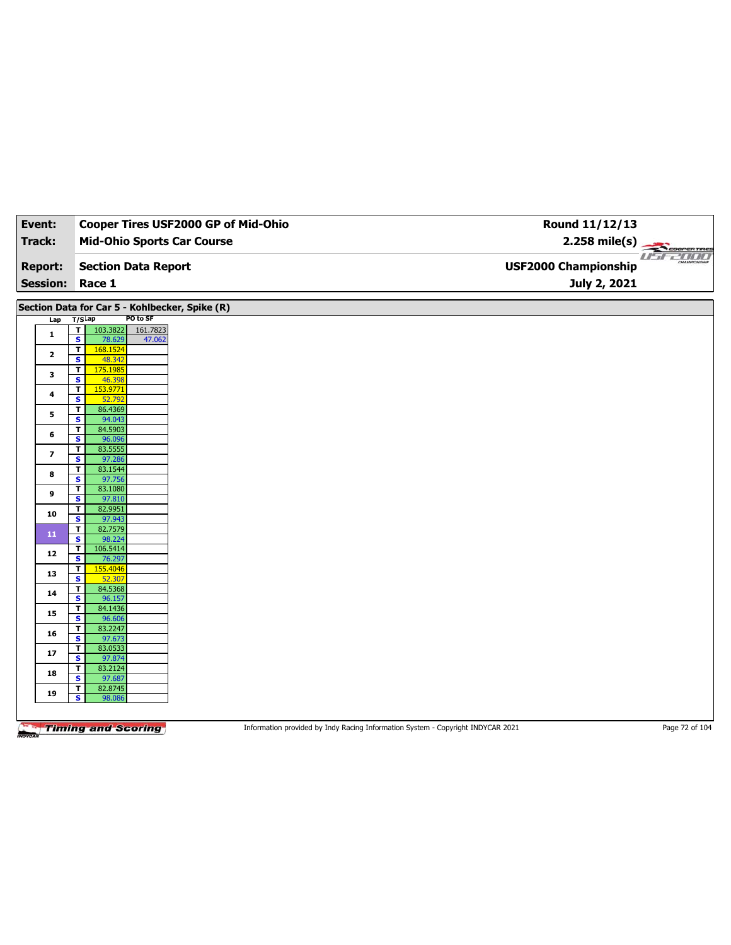| Event:                  | Cooper Tires USF2000 GP of Mid-Ohio                                                            | Round 11/12/13              |  |  |  |  |  |
|-------------------------|------------------------------------------------------------------------------------------------|-----------------------------|--|--|--|--|--|
| <b>Track:</b>           | <b>Mid-Ohio Sports Car Course</b>                                                              | $2.258$ mile(s)             |  |  |  |  |  |
|                         |                                                                                                | COOPERTIRES<br>usrzum       |  |  |  |  |  |
| <b>Report:</b>          | <b>Section Data Report</b>                                                                     | <b>USF2000 Championship</b> |  |  |  |  |  |
| <b>Session:</b>         | Race 1                                                                                         | July 2, 2021                |  |  |  |  |  |
|                         |                                                                                                |                             |  |  |  |  |  |
|                         | Section Data for Car 5 - Kohlbecker, Spike (R)                                                 |                             |  |  |  |  |  |
| Lap                     | PO to SF<br>T/SLap                                                                             |                             |  |  |  |  |  |
| $\mathbf{1}$            | $\overline{\mathbf{r}}$<br>161.7823<br>103.3822<br>$\overline{\mathbf{s}}$<br>78.629<br>47.062 |                             |  |  |  |  |  |
|                         | $\overline{\mathsf{r}}$<br>168.1524                                                            |                             |  |  |  |  |  |
| $\mathbf{2}$            | S<br>48.342                                                                                    |                             |  |  |  |  |  |
| 3                       | 175.1985<br>$\overline{\mathbf{r}}$                                                            |                             |  |  |  |  |  |
|                         | $\overline{\mathbf{s}}$<br>46.398<br>$\overline{\mathsf{r}}$<br>153.9771                       |                             |  |  |  |  |  |
| 4                       | S<br>52.792                                                                                    |                             |  |  |  |  |  |
| 5                       | 86.4369<br>T                                                                                   |                             |  |  |  |  |  |
|                         | $\overline{\mathbf{s}}$<br>94.043<br>84.5903<br>T                                              |                             |  |  |  |  |  |
| 6                       | s<br>96.096                                                                                    |                             |  |  |  |  |  |
| $\overline{\mathbf{z}}$ | 83.5555<br>$\mathbf{T}$                                                                        |                             |  |  |  |  |  |
|                         | $\overline{\mathbf{s}}$<br>97.286<br>83.1544<br>T                                              |                             |  |  |  |  |  |
| 8                       | S<br>97.756                                                                                    |                             |  |  |  |  |  |
| 9                       | $\mathbf{T}$<br>83.1080                                                                        |                             |  |  |  |  |  |
|                         | $\overline{\mathbf{s}}$<br>97.810<br>82.9951                                                   |                             |  |  |  |  |  |
| 10                      | T<br>S<br>97.943                                                                               |                             |  |  |  |  |  |
| 11                      | $\mathbf{T}$<br>82.7579                                                                        |                             |  |  |  |  |  |
|                         | $\overline{\mathbf{s}}$<br>98.224                                                              |                             |  |  |  |  |  |
| 12                      | 106.5414<br>T<br>S<br>76.297                                                                   |                             |  |  |  |  |  |
|                         | 155.4046<br>T                                                                                  |                             |  |  |  |  |  |
| 13                      | $\overline{\mathbf{s}}$<br>52.307                                                              |                             |  |  |  |  |  |
| 14                      | 84.5368<br>T<br>96.157<br>S                                                                    |                             |  |  |  |  |  |
|                         | 84.1436<br>T                                                                                   |                             |  |  |  |  |  |
| 15                      | $\overline{\mathbf{s}}$<br>96.606                                                              |                             |  |  |  |  |  |
| 16                      | 83.2247<br>т<br>S<br>97.673                                                                    |                             |  |  |  |  |  |
|                         | 83.0533<br>T                                                                                   |                             |  |  |  |  |  |
| 17                      | $\overline{\mathbf{s}}$<br>97.874                                                              |                             |  |  |  |  |  |
| 18                      | 83.2124<br>T                                                                                   |                             |  |  |  |  |  |
|                         | 97.687<br>s<br>82.8745<br>T                                                                    |                             |  |  |  |  |  |
| 19                      | $\overline{\mathbf{s}}$<br>98.086                                                              |                             |  |  |  |  |  |
|                         |                                                                                                |                             |  |  |  |  |  |

Information provided by Indy Racing Information System - Copyright INDYCAR 2021 Page 72 of 104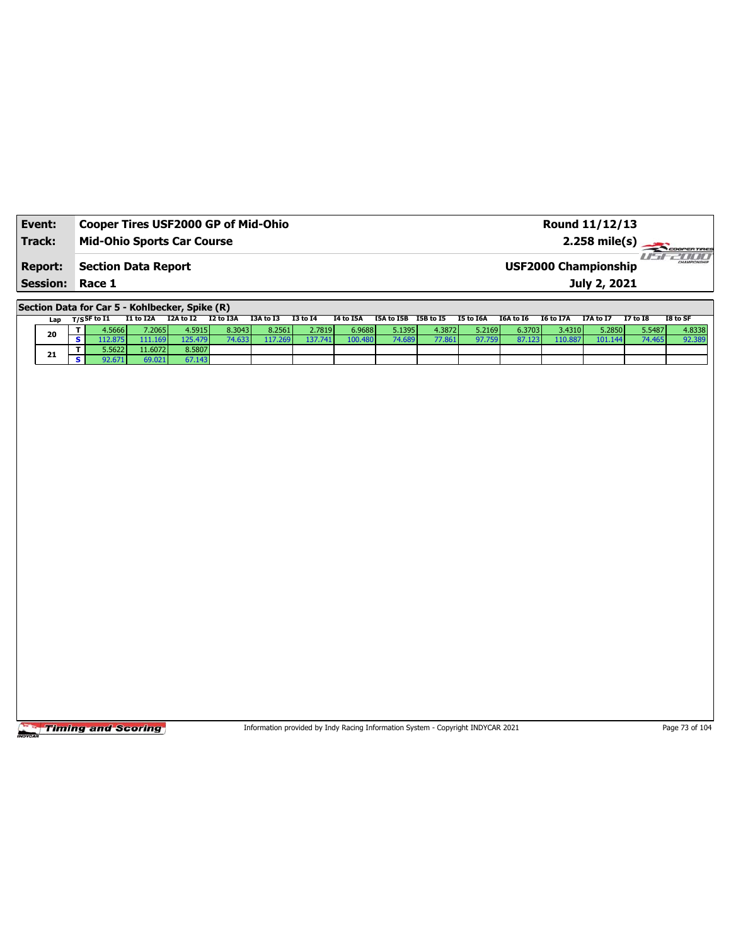| Event:                 | Cooper Tires USF2000 GP of Mid-Ohio | Round 11/12/13              |                             |
|------------------------|-------------------------------------|-----------------------------|-----------------------------|
| Track:                 | <b>Mid-Ohio Sports Car Course</b>   | $2.258 \text{ mile(s)}$     |                             |
| <b>Report:</b>         | Section Data Report                 | <b>USF2000 Championship</b> | <b>HILL</b><br>CHAMPSONSHIP |
| <b>Session: Race 1</b> |                                     | July 2, 2021                |                             |

**Section Data for Car 5 - Kohlbecker, Spike (R)**

| Lap | T/S <sup>SF to I1</sup> | I1 to I2A        | I2A to I2 | I2 to I3A | I3A to I3 | <b>I3 to I4</b> | I4 to I5A | I5A to I5B | I5B to I5 | I5 to I6A | I6A to I6 | I6 to I7A | I7A to I7 | <b>I7 to I8</b> | I8 to SF |
|-----|-------------------------|------------------|-----------|-----------|-----------|-----------------|-----------|------------|-----------|-----------|-----------|-----------|-----------|-----------------|----------|
|     |                         |                  |           |           |           |                 |           |            |           |           |           |           |           |                 |          |
| 20  | 1.5666 l                | 7.2065           | 4.5915    | 8.3043    | 8.2561    | 2.7819          | 6.9688    | 5.1395     | 4.3872    | 5.2169    | 6.3703    | 3.4310    | 5.2850    | 5.5487          | 4.8338   |
|     |                         | 111.169          | 125.479   |           | 17.269    | 137.741         | 100.480   | 74.689     | 77.861    | 97.759    | 87.1231   | 110.887   | 101.144   | 74.465          | 92.389   |
| 21  | ا 5622.                 | 11.6072 <b>I</b> | 8.5807    |           |           |                 |           |            |           |           |           |           |           |                 |          |
|     | 32.671                  | 69.021           | 67.143    |           |           |                 |           |            |           |           |           |           |           |                 |          |

Timing and Scoring

Information provided by Indy Racing Information System - Copyright INDYCAR 2021 Page 73 of 104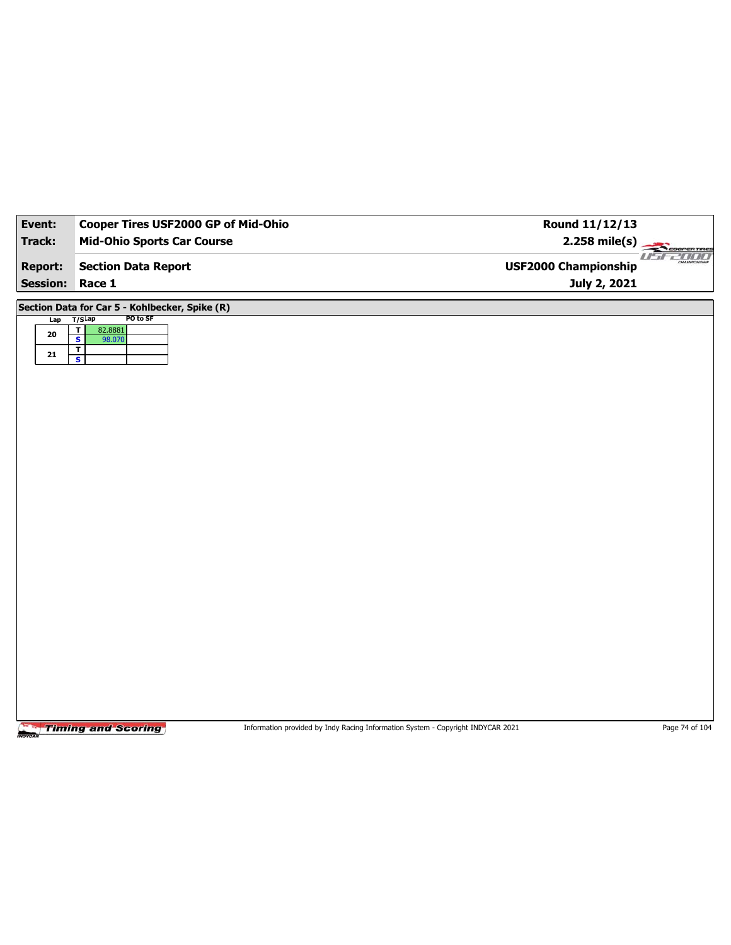| Event:          | Cooper Tires USF2000 GP of Mid-Ohio            | Round 11/12/13                                         |
|-----------------|------------------------------------------------|--------------------------------------------------------|
| <b>Track:</b>   | <b>Mid-Ohio Sports Car Course</b>              | $2.258$ mile(s)<br>COOPERTIRES                         |
| <b>Report:</b>  | <b>Section Data Report</b>                     | $II - I$<br><b>2000</b><br><b>USF2000 Championship</b> |
| Session: Race 1 |                                                | July 2, 2021                                           |
|                 | Section Data for Car 5 - Kohlbecker, Spike (R) |                                                        |
| Lap $T/S$ Lap   | PO to SF<br>$\overline{\mathbf{r}}$<br>82.8881 |                                                        |
| ${\bf 20}$      | $\overline{\mathbf{s}}$<br>98.070              |                                                        |
| 21              | $rac{1}{s}$                                    |                                                        |
|                 |                                                |                                                        |
|                 |                                                |                                                        |
|                 |                                                |                                                        |
|                 |                                                |                                                        |
|                 |                                                |                                                        |
|                 |                                                |                                                        |
|                 |                                                |                                                        |
|                 |                                                |                                                        |
|                 |                                                |                                                        |
|                 |                                                |                                                        |
|                 |                                                |                                                        |
|                 |                                                |                                                        |
|                 |                                                |                                                        |
|                 |                                                |                                                        |
|                 |                                                |                                                        |
|                 |                                                |                                                        |
|                 |                                                |                                                        |
|                 |                                                |                                                        |
|                 |                                                |                                                        |
|                 |                                                |                                                        |

Information provided by Indy Racing Information System - Copyright INDYCAR 2021 Page 74 of 104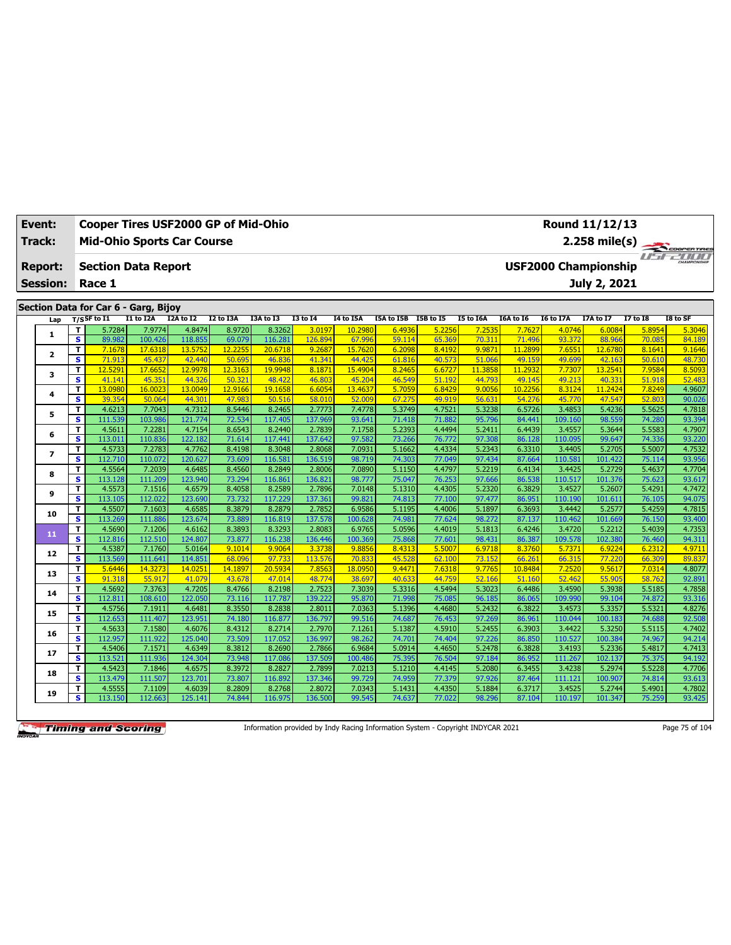| Event:          |                              |                                      |                   | Cooper Tires USF2000 GP of Mid-Ohio |                   |                   |                   |                  |                      |                  |                  |                   |                   | Round 11/12/13              |                  |                  |
|-----------------|------------------------------|--------------------------------------|-------------------|-------------------------------------|-------------------|-------------------|-------------------|------------------|----------------------|------------------|------------------|-------------------|-------------------|-----------------------------|------------------|------------------|
| Track:          |                              |                                      |                   | <b>Mid-Ohio Sports Car Course</b>   |                   |                   |                   |                  |                      |                  |                  |                   |                   | 2.258 mile(s)               |                  | COOPER TIRES     |
| <b>Report:</b>  |                              | <b>Section Data Report</b>           |                   |                                     |                   |                   |                   |                  |                      |                  |                  |                   |                   | <b>USF2000 Championship</b> |                  | <b>FF-POOL</b>   |
| <b>Session:</b> |                              | Race 1                               |                   |                                     |                   |                   |                   |                  |                      |                  |                  |                   |                   | July 2, 2021                |                  |                  |
|                 |                              |                                      |                   |                                     |                   |                   |                   |                  |                      |                  |                  |                   |                   |                             |                  |                  |
|                 |                              | Section Data for Car 6 - Garg, Bijoy |                   |                                     |                   |                   |                   |                  |                      |                  |                  |                   |                   |                             |                  |                  |
| Lap             |                              | $T/S$ SF to I1                       | I1 to I2A         | I2A to I2                           | I2 to I3A         | I3A to I3         | <b>I3 to I4</b>   | <b>I4 to I5A</b> | I5A to I5B I5B to I5 |                  | I5 to I6A        | I6A to I6         | <b>I6 to I7A</b>  | <b>I7A to I7</b>            | <b>I7 to I8</b>  | I8 to SF         |
| $\mathbf{1}$    | т                            | 5.7284                               | 7.9774            | 4.8474                              | 8.9720            | 8.3262            | 3.0197            | 10.2980          | 6.4936               | 5.2256           | 7.2535           | 7.7627            | 4.0746            | 6.0084                      | 5.8954           | 5.3046           |
|                 | s                            | 89.982                               | 100.426           | 118.855                             | 69.079            | 116.281           | 126.894           | 67.996           | 59.114               | 65.369           | 70.311           | 71.496            | 93.372            | 88.966                      | 70.085           | 84.189           |
| 2               | T                            | 7.1678                               | 17,6318           | 13.5752                             | 12.2255           | 20.6718           | 9.2687            | 15,762           | 6.2098               | 8.4192           | 9.9871           | 11.2899           | 7.6551            | 12.6780                     | 8.1641           | 9.1646           |
|                 | s                            | 71.913                               | 45.437            | 42.440                              | 50.695            | 46.836            | 41.341            | 44.425           | 61.816               | 40.573           | 51.066           | 49.159            | 49.699            | 42.163                      | 50.610           | 48.730           |
| з               | т                            | 12.5291                              | 17.6652           | 12.9978                             | 12.3163           | 19.9948           | 8.1871            | 15.4904          | 8.2465               | 6.6727           | 11.3858          | 11.2932           | 7.7307            | 13.2541                     | 7.9584           | 8.5093           |
|                 | $\overline{\mathbf{s}}$      | 41.141                               | 45.351            | 44.326                              | 50.321            | 48.422            | 46.803            | 45.204           | 46.549               | 51.192           | 44.793           | 49.145            | 49.213            | 40.331                      | 51.918           | 52.483           |
| 4               | T<br>S                       | 13.0980<br>39.354                    | 16.0023<br>50.064 | 13.0049<br>44.301                   | 12.9166<br>47.983 | 19.1658<br>50.516 | 6.6054<br>58.010  | 13.463<br>52.009 | 5.7059<br>67.275     | 6.8429<br>49.919 | 9.0056<br>56.631 | 10.2256<br>54.276 | 8.3124<br>45.770  | 11.2424<br>47.547           | 7.8249<br>52.80  | 4.9607<br>90.026 |
|                 | т                            | 4.6213                               | 7.7043            | 4.7312                              | 8.5446            | 8.2465            | 2.7773            | 7.4778           | 5.3749               | 4.7521           | 5.3238           | 6.5726            | 3.4853            | 5.4236                      | 5.5625           | 4.7818           |
| 5               | $\overline{\mathbf{s}}$      | 111.539                              | 103.986           | 121.774                             | 72.534            | 117.405           | 137.969           | 93.641           | 71.418               | 71.882           | 95.796           | 84.441            | 109.160           | 98.559                      | 74.280           | 93.394           |
|                 | т                            | 4.5611                               | 7.2281            | 4.7154                              | 8.6543            | 8.2440            | 2.7839            | 7.1758           | 5.2393               | 4.4494           | 5.2411           | 6.4439            | 3.4557            | 5.3644                      | 5.5583           | 4.7907           |
| 6               | $\overline{\mathbf{s}}$      | 113.011                              | 110.836           | 122.182                             | 71.614            | 117.441           | 137.642           | 97.582           | 73.266               | 76.772           | 97.308           | 86.128            | 110.095           | 99.647                      | 74.336           | 93.220           |
|                 | т                            | 4.5733                               | 7.2783            | 4.7762                              | 8.4198            | 8.3048            | 2.8068            | 7.0931           | 5.1662               | 4.4334           | 5.2343           | 6.3310            | 3.4405            | 5.2705                      | 5.5007           | 4.7532           |
| 7               | $\overline{\mathbf{s}}$      | 112.710                              | 110.072           | 120.627                             | 73.609            | 116.581           | 136.519           | 98.719           | 74.303               | 77.049           | 97.434           | 87.664            | 110.581           | 101.422                     | 75.114           | 93.956           |
|                 | т                            | 4.5564                               | 7.2039            | 4.6485                              | 8.4560            | 8.2849            | 2.8006            | 7.0890           | 5.1150               | 4.4797           | 5.2219           | 6.4134            | 3.4425            | 5.2729                      | 5.4637           | 4.7704           |
| 8               | $\overline{\mathbf{s}}$      | 113.128                              | 111.209           | 123.940                             | 73.294            | 116.861           | 136.821           | 98.777           | 75.047               | 76.253           | 97.666           | 86.538            | 110.517           | 101.376                     | 75.623           | 93.617           |
|                 | т                            | 4.5573                               | 7.1516            | 4.6579                              | 8.4058            | 8.2589            | 2.7896            | 7.0148           | 5.1310               | 4.4305           | 5.2320           | 6.3829            | 3.4527            | 5.2607                      | 5.4291           | 4.7472           |
| 9               | $\overline{\mathbf{s}}$      | 113.105                              | 112.022           | 123.690                             | 73.732            | 117.229           | 137.361           | 99.821           | 74.813               | 77.100           | 97.477           | 86.951            | 110.190           | 101.611                     | 76.105           | 94.075           |
|                 | T                            | 4.5507                               | 7.1603            | 4.6585                              | 8.3879            | 8.2879            | 2.7852            | 6.9586           | 5.1195               | 4.4006           | 5.1897           | 6.3693            | 3.4442            | 5.2577                      | 5.4259           | 4.7815           |
| 10              | $\overline{\mathbf{s}}$      | 113.269                              | 111.886           | 123.674                             | 73.889            | 116.819           | 137.578           | 100.628          | 74.981               | 77.624           | 98.272           | 87.137            | 110.462           | 101.669                     | 76.150           | 93.400           |
| 11              | T                            | 4.5690                               | 7.1206            | 4.6162                              | 8.3893            | 8.3293            | 2.8083            | 6.9765           | 5.0596               | 4.4019           | 5.1813           | 6.4246            | 3.4720            | 5.2212                      | 5.4039           | 4.7353           |
|                 | $\overline{\mathbf{s}}$      | 112.816                              | 112.510           | 124.807                             | 73.877            | 116.238           | 136.446           | 100.369          | 75.868               | 77.601           | 98.431           | 86.387            | 109.578           | 102.380                     | 76.460           | 94.311           |
| 12              | т                            | 4.5387                               | 7.1760            | 5.0164                              | 9.1014            | 9.9064            | 3.3738            | 9.8856           | 8.4313               | 5.5007           | 6.9718           | 8.3760            | 5.7371            | 6.9224                      | 6.2312           | 4.9711           |
|                 | $\overline{\mathbf{s}}$      | 113.569                              | 111.641           | 114.851                             | 68.096            | 97.733            | 113.576           | 70.833           | 45.528               | 62.100           | 73.152           | 66.261            | 66.315            | 77.220                      | 66.309           | 89.837           |
| 13              | T                            | 5.6446                               | 14.3273           | 14.0251                             | 14.1897           | 20.5934           | 7.8563            | 18.095           | 9.4471               | 7.6318           | 9.7765           | 10.8484           | 7.2520            | 9.5617                      | 7.0314           | 4.8077           |
|                 | $\overline{\mathbf{s}}$      | 91.318                               | 55.917            | 41.079                              | 43.678            | 47.014            | 48.774            | 38.697           | 40.633               | 44.759           | 52.166           | 51.160            | 52.462            | 55.905                      | 58.762           | 92.891           |
| 14              | т                            | 4.5692                               | 7.3763            | 4.7205                              | 8.4766            | 8.2198            | 2.7523            | 7.3039           | 5.3316               | 4.5494           | 5.3023           | 6.4486            | 3.4590            | 5.3938                      | 5.5185           | 4.7858           |
|                 | $\overline{\mathbf{s}}$      | 112.811                              | 108.610           | 122.050                             | 73.116            | 117.787           | 139.222           | 95.870           | 71.998               | 75.085           | 96.185           | 86.065            | 109.990           | 99.104                      | 74.872           | 93.316           |
| 15              | T                            | 4.5756                               | 7.1911            | 4.6481                              | 8.3550            | 8.2838            | 2.8011            | 7.0363           | 5.1396               | 4.4680           | 5.2432           | 6.3822            | 3.4573            | 5.3357                      | 5.5321           | 4.8276           |
|                 | $\overline{\mathbf{s}}$      | 112.653                              | 111.407           | 123.951                             | 74.180            | 116.877           | 136.797           | 99.516           | 74.687               | 76.453           | 97.269           | 86.961            | 110.044           | 100.183                     | 74.688           | 92.508           |
| 16              | т<br>$\overline{\mathbf{s}}$ | 4.5633<br>112.957                    | 7.1580            | 4.6076<br>125.040                   | 8.4312<br>73.509  | 8.2714<br>117.052 | 2.7970<br>136.997 | 7.1261<br>98.262 | 5.1387<br>74.701     | 4.5910           | 5.2455           | 6.3903<br>86.850  | 3.4422<br>110.527 | 5.3250<br>100.384           | 5.5115<br>74.967 | 4.7402<br>94.214 |
|                 | T                            | 4.5406                               | 111.922<br>7.1571 | 4.6349                              | 8.3812            | 8.2690            | 2.7866            | 6.9684           | 5.0914               | 74.404<br>4.4650 | 97.226<br>5.2478 | 6.3828            | 3.4193            | 5.2336                      | 5.4817           | 4.7413           |
| 17              | s                            | 113.521                              | 111.936           | 124.304                             | 73.948            | 117.086           | 137.509           | 100.486          | 75.395               | 76.504           | 97.184           | 86.952            | 111.267           | 102.137                     | 75.375           | 94.192           |
|                 | T                            | 4.5423                               | 7.1846            | 4.6575                              | 8.3972            | 8.2827            | 2.7899            | 7.0213           | 5.1210               | 4.4145           | 5.2080           | 6.3455            | 3.4238            | 5.2974                      | 5.5228           | 4.7706           |
| 18              | s                            | 113.479                              | 111.507           | 123.701                             | 73.807            | 116.892           | 137.346           | 99.729           | 74.959               | 77.379           | 97.926           | 87.464            | 111.121           | 100.907                     | 74.814           | 93.613           |
|                 | T                            | 4.5555                               | 7.1109            | 4.6039                              | 8.2809            | 8.2768            | 2.8072            | 7.0343           | 5.1431               | 4.4350           | 5.1884           | 6.3717            | 3.4525            | 5.2744                      | 5.4901           | 4.7802           |
| 19              | s                            | 113.150                              | 112.663           | 125.141                             | 74.844            | 116.975           | 136.500           | 99.545           | 74.637               | 77.022           | 98.296           | 87.104            | 110.197           | 101.347                     | 75.259           | 93.425           |
|                 |                              |                                      |                   |                                     |                   |                   |                   |                  |                      |                  |                  |                   |                   |                             |                  |                  |

Information provided by Indy Racing Information System - Copyright INDYCAR 2021 Page 75 of 104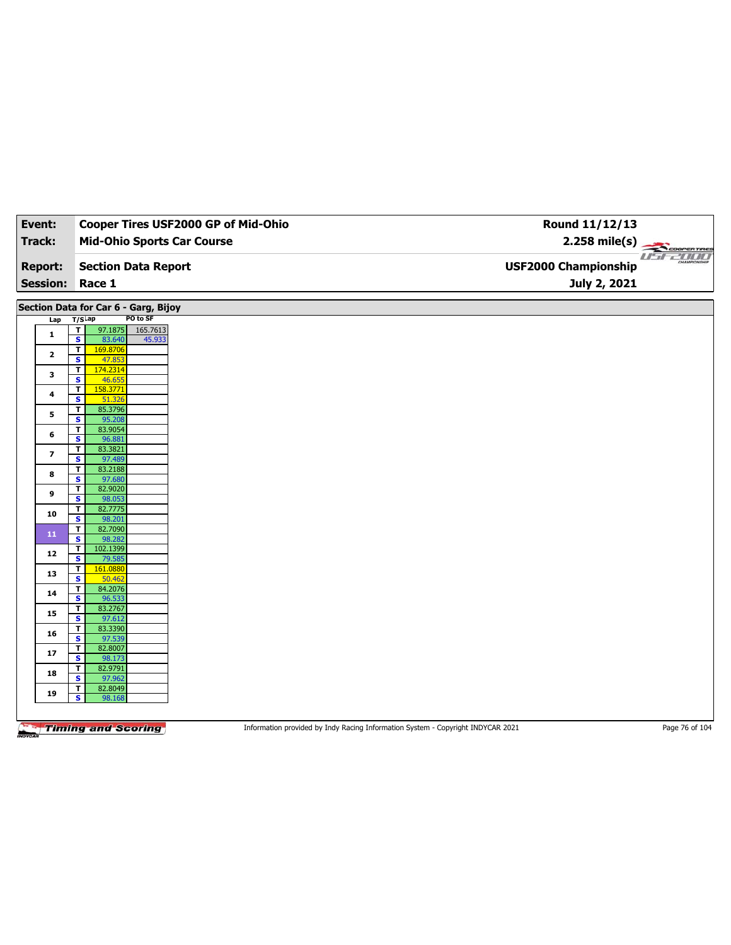| Event:                  |                                                    |                                      | Cooper Tires USF2000 GP of Mid-Ohio | Round 11/12/13              |                               |
|-------------------------|----------------------------------------------------|--------------------------------------|-------------------------------------|-----------------------------|-------------------------------|
| Track:                  |                                                    | <b>Mid-Ohio Sports Car Course</b>    |                                     | $2.258$ mile(s)             |                               |
|                         |                                                    |                                      |                                     |                             | COOPERTIRES<br><b>USF2000</b> |
| <b>Report:</b>          |                                                    | <b>Section Data Report</b>           |                                     | <b>USF2000 Championship</b> |                               |
| <b>Session:</b>         |                                                    | Race 1                               |                                     | July 2, 2021                |                               |
|                         |                                                    |                                      |                                     |                             |                               |
|                         |                                                    | Section Data for Car 6 - Garg, Bijoy |                                     |                             |                               |
|                         | $T/S$ Lap<br>Lap<br>T                              | PO to SF<br>97.1875<br>165.7613      |                                     |                             |                               |
| $\mathbf{1}$            | $\overline{\mathbf{s}}$                            | 83.640<br>45.933                     |                                     |                             |                               |
| $\mathbf{2}$            | $\overline{\mathsf{r}}$                            | 169.8706                             |                                     |                             |                               |
|                         | S<br>$\overline{\mathbf{r}}$                       | 47.853<br>174.2314                   |                                     |                             |                               |
| 3                       | $\overline{\mathbf{s}}$                            | 46.655                               |                                     |                             |                               |
| 4                       | T                                                  | 158.3771                             |                                     |                             |                               |
|                         | $\overline{\mathbf{s}}$                            | 51.326                               |                                     |                             |                               |
| 5                       | T.<br>$\overline{\mathbf{s}}$                      | 85.3796<br>95.208                    |                                     |                             |                               |
|                         | T                                                  | 83.9054                              |                                     |                             |                               |
| 6                       | S.                                                 | 96.881                               |                                     |                             |                               |
| $\overline{\mathbf{z}}$ | T                                                  | 83.3821                              |                                     |                             |                               |
|                         | S.                                                 | 97.489                               |                                     |                             |                               |
| 8                       | T<br>S                                             | 83.2188<br>97.680                    |                                     |                             |                               |
|                         | T.                                                 | 82.9020                              |                                     |                             |                               |
| 9                       | $\overline{\mathbf{s}}$                            | 98.053                               |                                     |                             |                               |
| 10                      | $\overline{\mathbf{r}}$                            | 82.7775                              |                                     |                             |                               |
|                         | S<br>$\overline{\mathbf{r}}$                       | 98.201<br>82.7090                    |                                     |                             |                               |
| 11                      | $\overline{\mathbf{s}}$                            | 98.282                               |                                     |                             |                               |
| 12                      | $\overline{1}$                                     | 102.1399                             |                                     |                             |                               |
|                         | $\overline{\mathbf{s}}$                            | 79.585                               |                                     |                             |                               |
| 13                      | $\overline{\mathbf{r}}$<br>$\overline{\mathbf{s}}$ | 161.0880<br>50.462                   |                                     |                             |                               |
|                         | T.                                                 | 84.2076                              |                                     |                             |                               |
| 14                      | $\overline{\mathbf{s}}$                            | 96.533                               |                                     |                             |                               |
| 15                      | $\mathbf{T}$                                       | 83.2767                              |                                     |                             |                               |
|                         | $\overline{\mathbf{s}}$                            | 97.612                               |                                     |                             |                               |
| 16                      | T.<br>$\overline{\mathbf{s}}$                      | 83.3390<br>97.539                    |                                     |                             |                               |
|                         | $\mathbf{T}$                                       | 82.8007                              |                                     |                             |                               |
| 17                      | $\overline{\mathbf{s}}$                            | 98.173                               |                                     |                             |                               |
| 18                      | T                                                  | 82.9791                              |                                     |                             |                               |
|                         | $\overline{\mathbf{s}}$<br>$\mathbf T$             | 97.962<br>82.8049                    |                                     |                             |                               |
| 19                      | $\overline{\mathbf{s}}$                            | 98.168                               |                                     |                             |                               |
|                         |                                                    |                                      |                                     |                             |                               |

Information provided by Indy Racing Information System - Copyright INDYCAR 2021 Page 76 of 104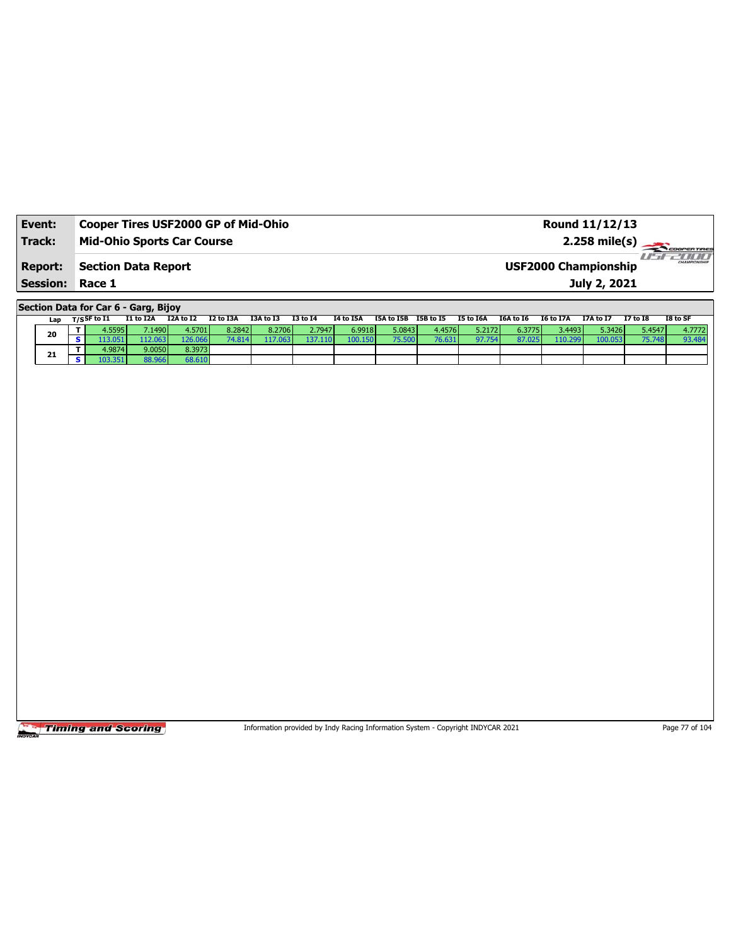| Event:                 | <b>Cooper Tires USF2000 GP of Mid-Ohio</b> | Round 11/12/13              |              |
|------------------------|--------------------------------------------|-----------------------------|--------------|
| Track:                 | <b>Mid-Ohio Sports Car Course</b>          | $2.258 \text{ mile(s)}$     |              |
| <b>Report:</b>         | Section Data Report                        | <b>USF2000 Championship</b> | 711111       |
| <b>Session: Race 1</b> |                                            | July 2, 2021                | CHAMPSONSHIP |

**Section Data for Car 6 - Garg, Bijoy**

| Lan | $T/S$ SF to I1 | I1 to I2A | I2A to I2       | I2 to I3A | I3A to I3 | I3 to I4 | I4 to I5A | I5A to I5B | I5B to I5 | <b>I5 to I6A</b> | I6A to I6 | I6 to I7A | I7A to I7 | <b>I7 to I8</b> | I8 to SF |
|-----|----------------|-----------|-----------------|-----------|-----------|----------|-----------|------------|-----------|------------------|-----------|-----------|-----------|-----------------|----------|
| 20  | .55951         | .1490     | 4.5701 <b>l</b> | 8.2842    | 8.2706    | 2.7947   | 6.9918    | 5.0843     | 4.4576    | 5.2172           | 6.3775    | 3.4493    | 5.3426    | 5.4547          | 4.7772   |
|     |                | 12.063    | 126.066         | .814      | 17.063    | 137.110  | 00.150    | 75.500     | 76.631    | 97.754           | 87.025    | 110.299   | 100.053   | 75.748          | 93.484   |
| 54  | 1.9874         | 9.0050    | 8.3973          |           |           |          |           |            |           |                  |           |           |           |                 |          |
| 41  | .351           | 88.966    | 68.610          |           |           |          |           |            |           |                  |           |           |           |                 |          |

**Timing and Scoring** 

Information provided by Indy Racing Information System - Copyright INDYCAR 2021 Page 77 of 104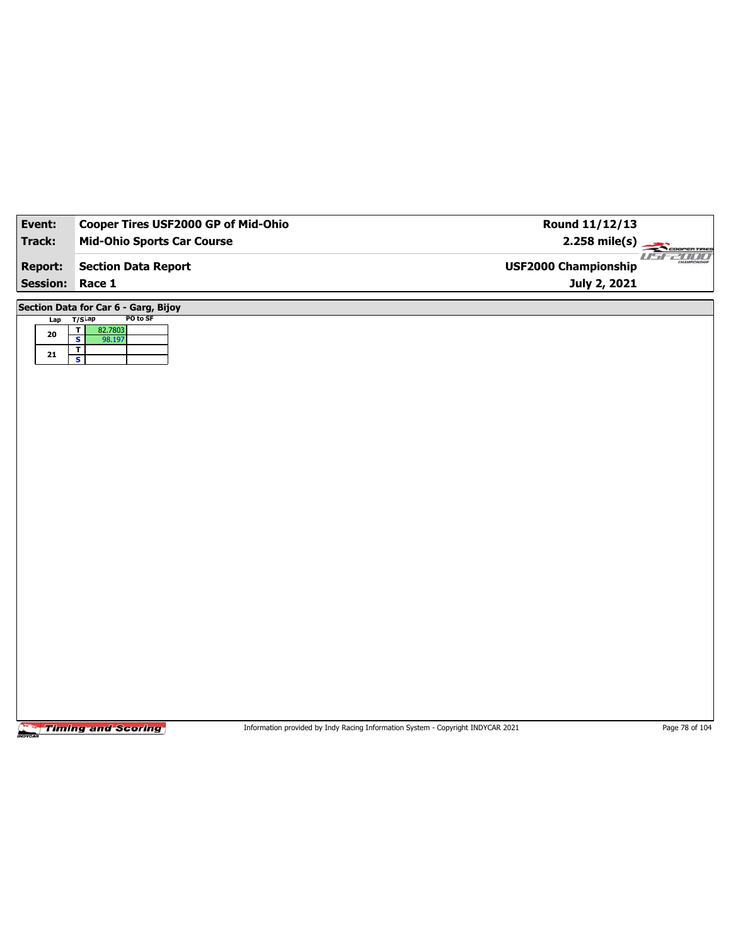| Event:                            | Cooper Tires USF2000 GP of Mid-Ohio                           | Round 11/12/13                              |                              |
|-----------------------------------|---------------------------------------------------------------|---------------------------------------------|------------------------------|
| <b>Track:</b>                     | <b>Mid-Ohio Sports Car Course</b>                             | $2.258$ mile(s)                             | COOPERTIRES                  |
| <b>Report:</b><br><b>Session:</b> | <b>Section Data Report</b><br>Race 1                          | <b>USF2000 Championship</b><br>July 2, 2021 | <b>USEZOOL</b><br>CHAMPIONSH |
|                                   |                                                               |                                             |                              |
| Lap                               | Section Data for Car 6 - Garg, Bijoy<br>PO to SF<br>$T/S$ Lap |                                             |                              |
| ${\bf 20}$                        | $\overline{\mathbf{r}}$<br>82.7803                            |                                             |                              |
|                                   | $\overline{\mathbf{s}}$<br>98.197                             |                                             |                              |
| ${\bf 21}$                        | $rac{1}{s}$                                                   |                                             |                              |
|                                   |                                                               |                                             |                              |
|                                   |                                                               |                                             |                              |
|                                   |                                                               |                                             |                              |
|                                   |                                                               |                                             |                              |
|                                   |                                                               |                                             |                              |
|                                   |                                                               |                                             |                              |
|                                   |                                                               |                                             |                              |
|                                   |                                                               |                                             |                              |
|                                   |                                                               |                                             |                              |
|                                   |                                                               |                                             |                              |
|                                   |                                                               |                                             |                              |
|                                   |                                                               |                                             |                              |
|                                   |                                                               |                                             |                              |
|                                   |                                                               |                                             |                              |
|                                   |                                                               |                                             |                              |
|                                   |                                                               |                                             |                              |
|                                   |                                                               |                                             |                              |
|                                   |                                                               |                                             |                              |
|                                   |                                                               |                                             |                              |
|                                   |                                                               |                                             |                              |
|                                   |                                                               |                                             |                              |
|                                   |                                                               |                                             |                              |

Information provided by Indy Racing Information System - Copyright INDYCAR 2021 Page 78 of 104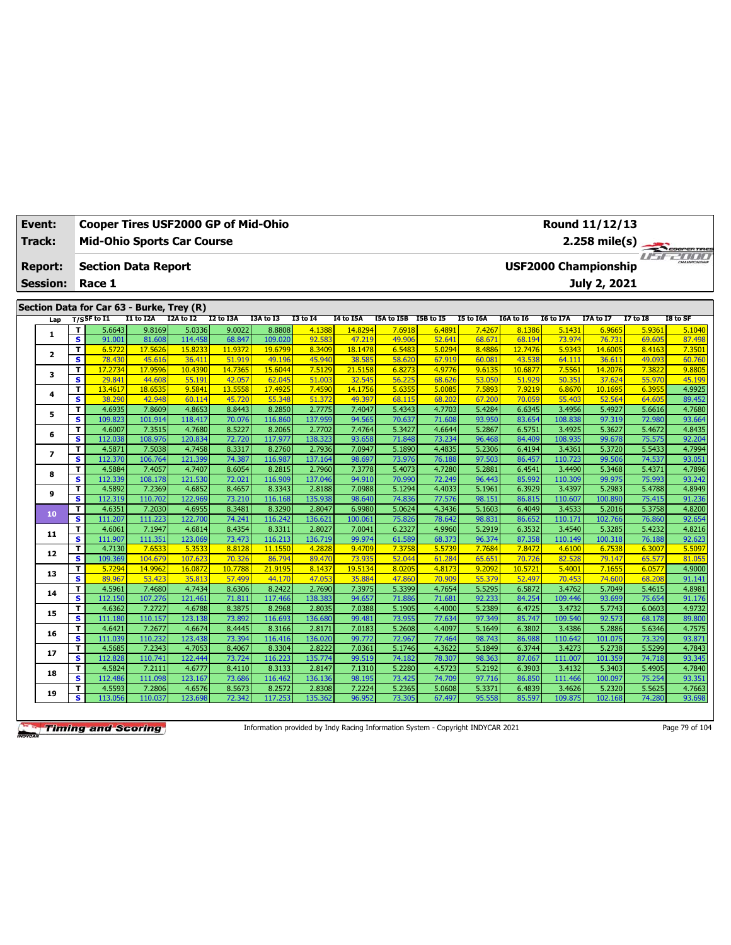| Event:          |                              | Cooper Tires USF2000 GP of Mid-Ohio       |                   |                    |                  |                   |                   |                   |                  |                  |                  |                   |                   | Round 11/12/13              |                  |                  |
|-----------------|------------------------------|-------------------------------------------|-------------------|--------------------|------------------|-------------------|-------------------|-------------------|------------------|------------------|------------------|-------------------|-------------------|-----------------------------|------------------|------------------|
| Track:          |                              | <b>Mid-Ohio Sports Car Course</b>         |                   |                    |                  |                   |                   |                   |                  |                  |                  |                   |                   | 2.258 mile(s)               |                  | COOPERTIRES      |
| <b>Report:</b>  |                              | <b>Section Data Report</b>                |                   |                    |                  |                   |                   |                   |                  |                  |                  |                   |                   | <b>USF2000 Championship</b> |                  | usean a          |
|                 |                              |                                           |                   |                    |                  |                   |                   |                   |                  |                  |                  |                   |                   |                             |                  |                  |
| <b>Session:</b> |                              | Race 1                                    |                   |                    |                  |                   |                   |                   |                  |                  |                  |                   |                   | July 2, 2021                |                  |                  |
|                 |                              |                                           |                   |                    |                  |                   |                   |                   |                  |                  |                  |                   |                   |                             |                  |                  |
|                 |                              | Section Data for Car 63 - Burke, Trey (R) |                   |                    |                  |                   |                   |                   |                  |                  |                  |                   |                   |                             |                  |                  |
| Lap             |                              | $T/S$ SF to I1                            | I1 to I2A         | I2A to I2          | I2 to I3A        | I3A to I3         | <b>I3 to 14</b>   | <b>I4 to I5A</b>  | I5A to I5B       | I5B to I5        | I5 to I6A        | I6A to I6         | <b>I6 to I7A</b>  | I7A to I7                   | <b>I7 to I8</b>  | I8 to SF         |
| 1               | т<br>$\overline{\mathbf{s}}$ | 5.6643                                    | 9.8169            | 5.0336             | 9.0022<br>68.847 | 8.8808<br>109.020 | 4.1388<br>92.583  | 14.8294<br>47.219 | 7.6918           | 6.489<br>52.641  | 7.4267           | 8.1386            | 5.1431            | 6.9665<br>76.731            | 5.9361           | 5.1040<br>87.498 |
|                 | T                            | 91.001<br>6.5722                          | 81.608<br>17.5626 | 114.458<br>15.8233 | 11.9372          | 19.6799           | 8.3409            | 18.1478           | 49.906<br>6.5483 | 5.0294           | 68.671<br>8.4886 | 68.194<br>12.7476 | 73.974<br>5.9343  | 14.6005                     | 69.605<br>8.4163 | 7.3501           |
| 2               | s                            | 78.430                                    | 45.616            | 36.411             | 51.919           | 49.196            | 45.940            | 38.585            | 58.620           | 67.919           | 60.081           | 43.538            | 64.111            | 36.611                      | 49.093           | 60.760           |
|                 | T                            | 17.2734                                   | 17.9596           | 10.4390            | 14.7365          | 15.6044           | 7.5129            | 21,5158           | 6.8273           | 4.9776           | 9.6135           | 10.6877           | 7.5561            | 14.2076                     | 7.3822           | 9.8805           |
| 3               | s                            | 29.841                                    | 44.608            | 55.191             | 42.057           | 62.045            | 51.003            | 32.545            | 56.225           | 68.626           | 53.050           | 51.929            | 50.351            | 37.624                      | 55,970           | 45.199           |
|                 | т                            | 13.4617                                   | 18.6535           | 9.5841             | 13.5558          | 17.4925           | 7.4590            | 14.1756           | 5.6355           | 5.0085           | 7.5893           | 7.9219            | 6.8670            | 10.1695                     | 6.3955           | 4.9925           |
| 4               | $\overline{\mathbf{s}}$      | 38.290                                    | 42.948            | 60.114             | 45.720           | 55.348            | 51.372            | 49.397            | 68.115           | 68.202           | 67.200           | 70.059            | 55,403            | 52.564                      | 64.605           | 89.452           |
| 5               | T                            | 4.6935                                    | 7.8609            | 4.8653             | 8.8443           | 8.2850            | 2.7775            | 7.4047            | 5.4343           | 4.7703           | 5.4284           | 6.6345            | 3.4956            | 5.4927                      | 5.6616           | 4.7680           |
|                 | s                            | 109.823                                   | 101.914           | 118,417            | 70.076           | 116.860           | 137.959           | 94.565            | 70.637           | 71.608           | 93.950           | 83.654            | 108.838           | 97.319                      | 72,980           | 93.664           |
| 6               | т                            | 4.6007                                    | 7.3515            | 4.7680             | 8.5227           | 8.2065            | 2.7702            | 7.4764            | 5.3427           | 4.6644           | 5.2867           | 6.5751            | 3.4925            | 5.3627                      | 5.4672           | 4.8435           |
|                 | $\overline{\mathbf{s}}$      | 112.038                                   | 108.976           | 120.834            | 72.720           | 117.977           | 138.323           | 93.658            | 71.848           | 73.234           | 96.468           | 84.409            | 108.935           | 99.678                      | 75.575           | 92.204           |
| 7               | T                            | 4.5871                                    | 7.5038            | 4.7458             | 8.3317           | 8.2760            | 2.7936            | 7.0947            | 5.1890           | 4.4835           | 5.2306           | 6.4194            | 3.4361            | 5.3720                      | 5.5433           | 4.7994           |
|                 | s<br>T                       | 112.370<br>4.5884                         | 106.764<br>7.4057 | 121.399<br>4.7407  | 74.387<br>8.6054 | 116.987<br>8.2815 | 137.164<br>2.7960 | 98.697<br>7.3778  | 73.976<br>5.4073 | 76.188<br>4.7280 | 97.503<br>5.2881 | 86.457<br>6.4541  | 110.723<br>3.4490 | 99.506<br>5.3468            | 74.537<br>5.4371 | 93.051<br>4.7896 |
| 8               | s                            | 112.339                                   | 108.178           | 121.530            | 72.021           | 116.909           | 137.046           | 94.910            | 70.990           | 72.249           | 96.443           | 85.992            | 110.309           | 99.975                      | 75.993           | 93.242           |
|                 | T                            | 4.5892                                    | 7.2369            | 4.6852             | 8.4657           | 8.3343            | 2.8188            | 7.0988            | 5.1294           | 4.4033           | 5.1961           | 6.3929            | 3.4397            | 5.2983                      | 5.4788           | 4.8949           |
| 9               | s                            | 112.319                                   | 110.702           | 122.969            | 73.210           | 116.168           | 135.938           | 98.640            | 74.836           | 77.576           | 98.151           | 86.815            | 110.607           | 100.890                     | 75.415           | 91.236           |
|                 | T                            | 4.6351                                    | 7.2030            | 4.6955             | 8.3481           | 8.3290            | 2.8047            | 6.9980            | 5.0624           | 4.3436           | 5.1603           | 6.4049            | 3.4533            | 5.2016                      | 5.3758           | 4.8200           |
| 10              | $\overline{\mathbf{s}}$      | 111.207                                   | 111.223           | 122.700            | 74.241           | 116.242           | 136.621           | 100.061           | 75.826           | 78.642           | 98.831           | 86.652            | 110.171           | 102.766                     | 76.860           | 92.654           |
|                 | т                            | 4.6061                                    | 7.1947            | 4.6814             | 8.4354           | 8.3311            | 2.8027            | 7.0041            | 6.2327           | 4.9960           | 5.2919           | 6.3532            | 3.4540            | 5.3285                      | 5.4232           | 4.8216           |
| 11              | $\overline{\mathbf{s}}$      | 111.907                                   | 111.351           | 123.069            | 73.473           | 116.213           | 136.719           | 99.974            | 61.589           | 68.373           | 96.374           | 87.358            | 110.149           | 100.318                     | 76.188           | 92.623           |
| 12              | T                            | 4.7130                                    | 7.6533            | 5.3533             | 8.8128           | 11.1550           | 4.2828            | 9.4709            | 7.3758           | 5.5739           | 7.7684           | 7.8472            | 4.6100            | 6.7538                      | 6.3007           | 5.5097           |
|                 | s                            | 109.369                                   | 104.679           | 107.623            | 70.326           | 86.794            | 89.470            | 73.935            | 52.044           | 61.284           | 65.651           | 70.726            | 82.528            | 79.147                      | 65.577           | 81.055           |
| 13              | T                            | 5.7294                                    | 14.9962           | 16.0872            | 10.7788          | 21.9195           | 8.1437            | 19.5134           | 8.0205           | 4.8173           | 9.2092           | 10.5721           | 5.4001            | 7.1655                      | 6.057            | 4.9000           |
|                 | s                            | 89.967                                    | 53.423            | 35.813             | 57,499           | 44.170            | 47.05             | 35.884            | 47,860           | 70.909           | 55.379           | 52.497            | 70.453            | 74,600                      | 68.208           | 91.141           |
| 14              | т<br>$\overline{\mathbf{s}}$ | 4.5961                                    | 7.4680            | 4.7434<br>121.461  | 8.6306           | 8.2422            | 2.7690            | 7.3975            | 5.3399           | 4.7654           | 5.5295           | 6.5872            | 3.4762            | 5.7049                      | 5.4615           | 4.8981           |
|                 | T                            | 112.150<br>4.6362                         | 107.276<br>7.2727 | 4.6788             | 71.811<br>8.3875 | 117.466<br>8.2968 | 138.383<br>2.8035 | 94.657<br>7.0388  | 71.886<br>5.1905 | 71.681<br>4.4000 | 92.233<br>5.2389 | 84.254<br>6.4725  | 109.446<br>3.4732 | 93.699<br>5.7743            | 75.654<br>6.0603 | 91.176<br>4.9732 |
| 15              | $\overline{\mathbf{s}}$      | 111.180                                   | 110.157           | 123.138            | 73.892           | 116.693           | 136.680           | 99.481            | 73.955           | 77.634           | 97.349           | 85.747            | 109.540           | 92.573                      | 68.178           | 89.800           |
|                 | т                            | 4.6421                                    | 7.2677            | 4.6674             | 8.4445           | 8.3166            | 2.8171            | 7.0183            | 5.2608           | 4.4097           | 5.1649           | 6.3802            | 3.4386            | 5.2886                      | 5.6346           | 4.7575           |
| 16              | $\overline{\mathbf{s}}$      | 111.039                                   | 110.232           | 123.438            | 73.394           | 116.416           | 136.020           | 99.772            | 72.967           | 77.464           | 98.743           | 86.988            | 110.642           | 101.075                     | 73.329           | 93.871           |
|                 | T                            | 4.5685                                    | 7.2343            | 4.7053             | 8.4067           | 8.3304            | 2.8222            | 7.0361            | 5.1746           | 4.3622           | 5.1849           | 6.3744            | 3.4273            | 5.2738                      | 5.5299           | 4.7843           |
| 17              | $\overline{\mathbf{s}}$      | 112.828                                   | 110.741           | 122.444            | 73.724           | 116.223           | 135.774           | 99.519            | 74.182           | 78.307           | 98.363           | 87.067            | 111.007           | 101.359                     | 74.718           | 93.345           |
|                 | T                            | 4.5824                                    | 7.2111            | 4.6777             | 8.4110           | 8.3133            | 2.8147            | 7.1310            | 5.2280           | 4.5723           | 5.2192           | 6.3903            | 3.4132            | 5.3403                      | 5.4905           | 4.7840           |
| 18              | s                            | 112.486                                   | 111.098           | 123.167            | 73.686           | 116.462           | 136.136           | 98.195            | 73.425           | 74.709           | 97.716           | 86.850            | 111.466           | 100.097                     | 75.254           | 93.351           |
| 19              | т                            | 4.5593                                    | 7.2806            | 4.6576             | 8.5673           | 8.2572            | 2.8308            | 7.2224            | 5.2365           | 5.0608           | 5.3371           | 6.4839            | 3.4626            | 5.2320                      | 5.5625           | 4.7663           |
|                 | s                            | 113.056                                   | 110.037           | 123.698            | 72.342           | 117.253           | 135.362           | 96.952            | 73.305           | 67.497           | 95.558           | 85.597            | 109.875           | 102.168                     | 74.280           | 93.698           |

Information provided by Indy Racing Information System - Copyright INDYCAR 2021 Page 79 of 104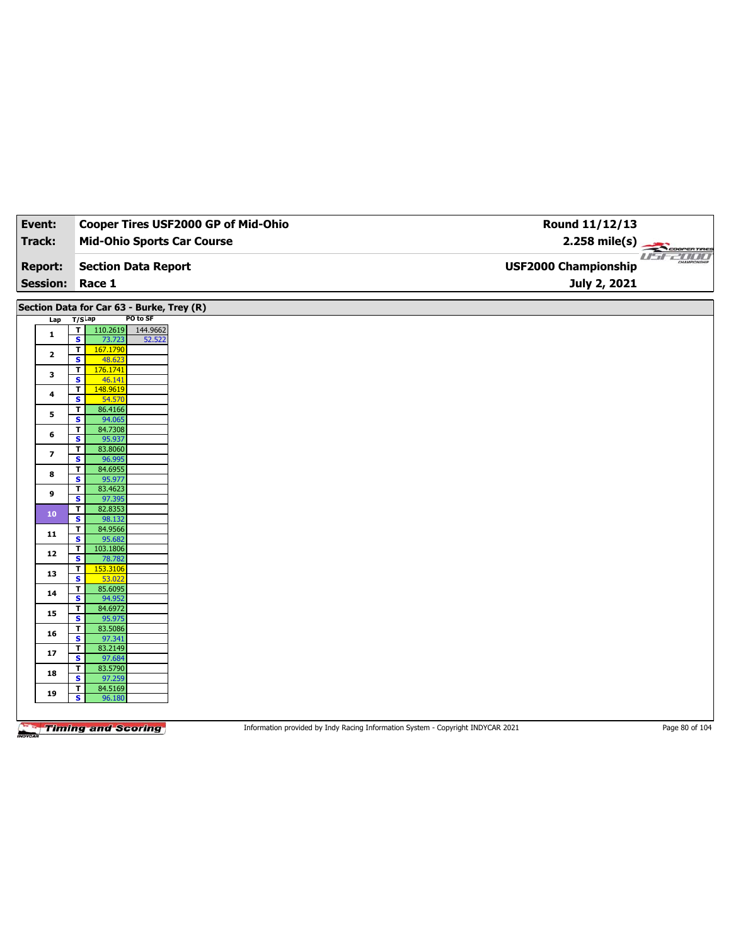| Event:        |                          |                                                                                       | <b>Cooper Tires USF2000 GP of Mid-Ohio</b> | Round 11/12/13              |          |
|---------------|--------------------------|---------------------------------------------------------------------------------------|--------------------------------------------|-----------------------------|----------|
| <b>Track:</b> |                          | <b>Mid-Ohio Sports Car Course</b>                                                     |                                            | $2.258 \text{ mile(s)}$     |          |
|               |                          |                                                                                       |                                            |                             | USE ZOOD |
|               | <b>Report:</b>           | <b>Section Data Report</b>                                                            |                                            | <b>USF2000 Championship</b> |          |
|               |                          | Session: Race 1                                                                       |                                            | July 2, 2021                |          |
|               |                          |                                                                                       |                                            |                             |          |
|               |                          | Section Data for Car 63 - Burke, Trey (R)                                             |                                            |                             |          |
|               | Lap                      | PO to SF<br>T/SLap                                                                    |                                            |                             |          |
|               | $\mathbf{1}$             | $\overline{r}$<br>110.2619<br>144.9662<br>$\overline{\mathbf{s}}$<br>73.723<br>52.522 |                                            |                             |          |
|               |                          | $\overline{\mathbf{r}}$<br>167.1790                                                   |                                            |                             |          |
|               | $\mathbf{2}$             | $\mathbf{s}$<br>48.623                                                                |                                            |                             |          |
|               | 3                        | $\overline{\mathbf{r}}$<br>176.1741<br>$\overline{\mathbf{s}}$<br>46.141              |                                            |                             |          |
|               | 4                        | $\overline{\mathsf{r}}$<br>148.9619                                                   |                                            |                             |          |
|               |                          | $\overline{\mathbf{s}}$<br>54.570                                                     |                                            |                             |          |
|               | 5                        | 86.4166<br>$\overline{\mathbf{r}}$<br>$\overline{\mathbf{s}}$<br>94.065               |                                            |                             |          |
|               |                          | 84.7308<br>T                                                                          |                                            |                             |          |
|               | 6                        | $\overline{\mathbf{s}}$<br>95.937                                                     |                                            |                             |          |
|               | $\overline{\phantom{a}}$ | $\mathbf{T}$<br>83.8060                                                               |                                            |                             |          |
|               |                          | $\overline{\mathbf{s}}$<br>96.995                                                     |                                            |                             |          |
|               | 8                        | 84.6955<br>T<br>$\mathbf{s}$<br>95.977                                                |                                            |                             |          |
|               |                          | T<br>83.4623                                                                          |                                            |                             |          |
|               | 9                        | $\overline{\mathbf{s}}$<br>97.395                                                     |                                            |                             |          |
|               | 10                       | $\overline{\mathsf{r}}$<br>82.8353                                                    |                                            |                             |          |
|               |                          | $\overline{\mathbf{s}}$<br>98.132<br>84.9566<br>$\mathbf{T}$                          |                                            |                             |          |
|               | 11                       | $\overline{\mathbf{s}}$<br>95.682                                                     |                                            |                             |          |
|               | 12                       | T<br>103.1806                                                                         |                                            |                             |          |
|               |                          | $\mathbf{s}$<br>78.782                                                                |                                            |                             |          |
|               | 13                       | 153.3106<br>T<br>53.022                                                               |                                            |                             |          |
|               |                          | $\overline{\mathbf{s}}$<br>T<br>85.6095                                               |                                            |                             |          |
|               | 14                       | $\mathbf{s}$<br>94.952                                                                |                                            |                             |          |
|               | 15                       | 84.6972<br>T                                                                          |                                            |                             |          |
|               |                          | $\overline{\mathbf{s}}$<br>95.975                                                     |                                            |                             |          |
|               | 16                       | T<br>83.5086<br>S<br>97.341                                                           |                                            |                             |          |
|               |                          | 83.2149<br>$\mathbf{T}$                                                               |                                            |                             |          |
|               | 17                       | $\overline{\mathbf{s}}$<br>97.684                                                     |                                            |                             |          |
|               | 18                       | 83.5790<br>T                                                                          |                                            |                             |          |
|               |                          | 97.259<br>s                                                                           |                                            |                             |          |
|               | 19                       | 84.5169<br>Τ<br>s<br>96.180                                                           |                                            |                             |          |
|               |                          |                                                                                       |                                            |                             |          |

Information provided by Indy Racing Information System - Copyright INDYCAR 2021 Page 80 of 104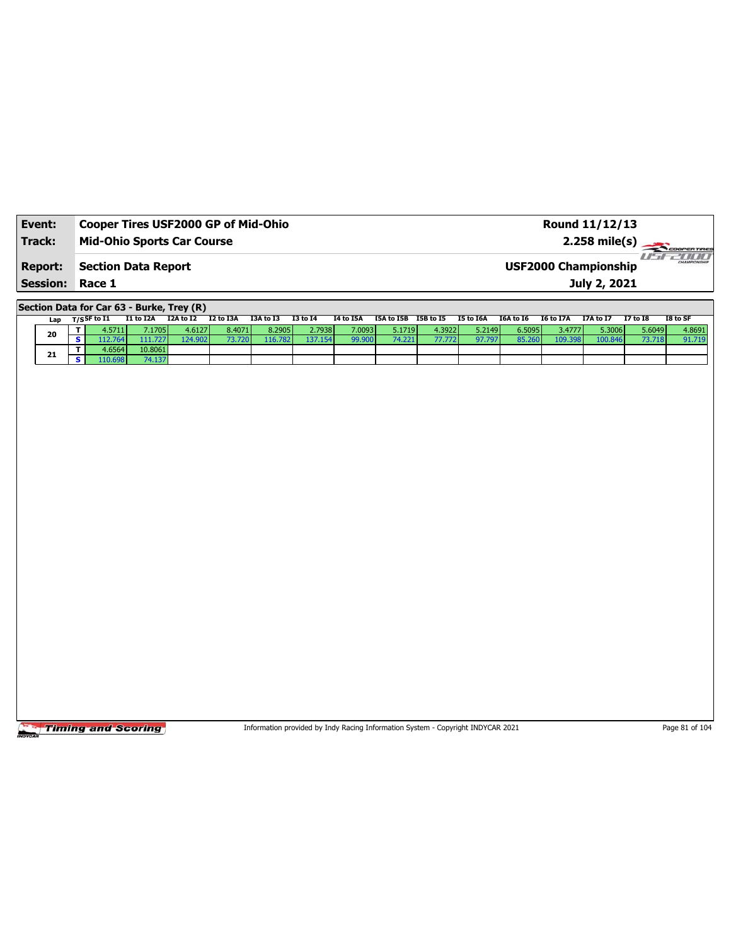| Event:                 | Cooper Tires USF2000 GP of Mid-Ohio | Round 11/12/13              |                                |
|------------------------|-------------------------------------|-----------------------------|--------------------------------|
| Track:                 | <b>Mid-Ohio Sports Car Course</b>   |                             |                                |
| <b>Report:</b>         | Section Data Report                 | <b>USF2000 Championship</b> | <b>HI HI H</b><br>CHAMPSONSHIP |
| <b>Session: Race 1</b> |                                     | July 2, 2021                |                                |

**Section Data for Car 63 - Burke, Trey (R)**

| Lan | $T/S$ SF to I1 | I1 to I2A | I2A to I2 | I2 to I3A | I3A to I3 | I3 to I4 | I4 to I5A | I5A to I5B | I5B to I5 | I5 to I6A | I6A to I6 | I6 to I7A | I7A to I7 | <b>I7 to I8</b> | I8 to SF |
|-----|----------------|-----------|-----------|-----------|-----------|----------|-----------|------------|-----------|-----------|-----------|-----------|-----------|-----------------|----------|
| 20  | .57111         | .1705     | 4.6127    | 8.4071    | 8.2905    | 2.7938   | 7.0093    | 5.1719 l   | 4.3922    | 5.2149    | 6.5095    | 3.4777    | 5.3006    | 5.6049          | 4.8691   |
|     |                |           | '24.902   | '3.720    | 16.782    | 137.154  | 99.900    | 74.221     | 77.772    | 97.797    | 85 260    | 109.398   | 100.846   |                 | 91.719   |
|     | .6564          | 10.8061   |           |           |           |          |           |            |           |           |           |           |           |                 |          |
| -4  | 10.698         | 4.137     |           |           |           |          |           |            |           |           |           |           |           |                 |          |

Timing and Scoring

Information provided by Indy Racing Information System - Copyright INDYCAR 2021 Page 81 of 104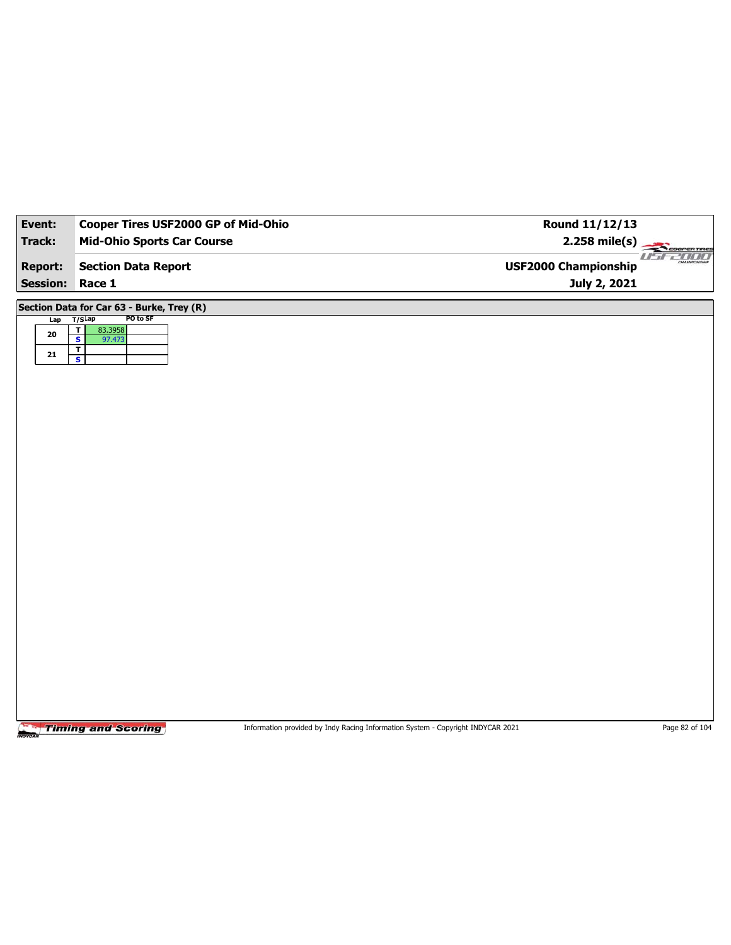| Event:                  | Cooper Tires USF2000 GP of Mid-Ohio                                                                                                                                                     | Round 11/12/13              |                                                                                                                                   |
|-------------------------|-----------------------------------------------------------------------------------------------------------------------------------------------------------------------------------------|-----------------------------|-----------------------------------------------------------------------------------------------------------------------------------|
| <b>Track:</b>           | <b>Mid-Ohio Sports Car Course</b>                                                                                                                                                       | $2.258$ mile(s)             | COOPERTIRES                                                                                                                       |
| <b>Report:</b>          | <b>Section Data Report</b>                                                                                                                                                              | <b>USF2000 Championship</b> | $II - I$<br><u>2000 - 2000 - 2000 - 2000 - 2000 - 2000 - 2000 - 2000 - 2000 - 2000 - 2000 - 2000 - 2000 - 2000 - 2000 - 2000 </u> |
| <b>Session:</b>         | Race 1                                                                                                                                                                                  | July 2, 2021                |                                                                                                                                   |
| Lap<br>20<br>${\bf 21}$ | Section Data for Car 63 - Burke, Trey (R)<br>PO to SF<br>$T/S$ Lap<br>83.3958<br>$\mathbf T$<br>$\overline{\mathbf{s}}$<br>97.473<br>$\overline{\mathsf{r}}$<br>$\overline{\mathbf{s}}$ |                             |                                                                                                                                   |
|                         |                                                                                                                                                                                         |                             |                                                                                                                                   |
|                         |                                                                                                                                                                                         |                             |                                                                                                                                   |
|                         |                                                                                                                                                                                         |                             |                                                                                                                                   |

Information provided by Indy Racing Information System - Copyright INDYCAR 2021 Page 82 of 104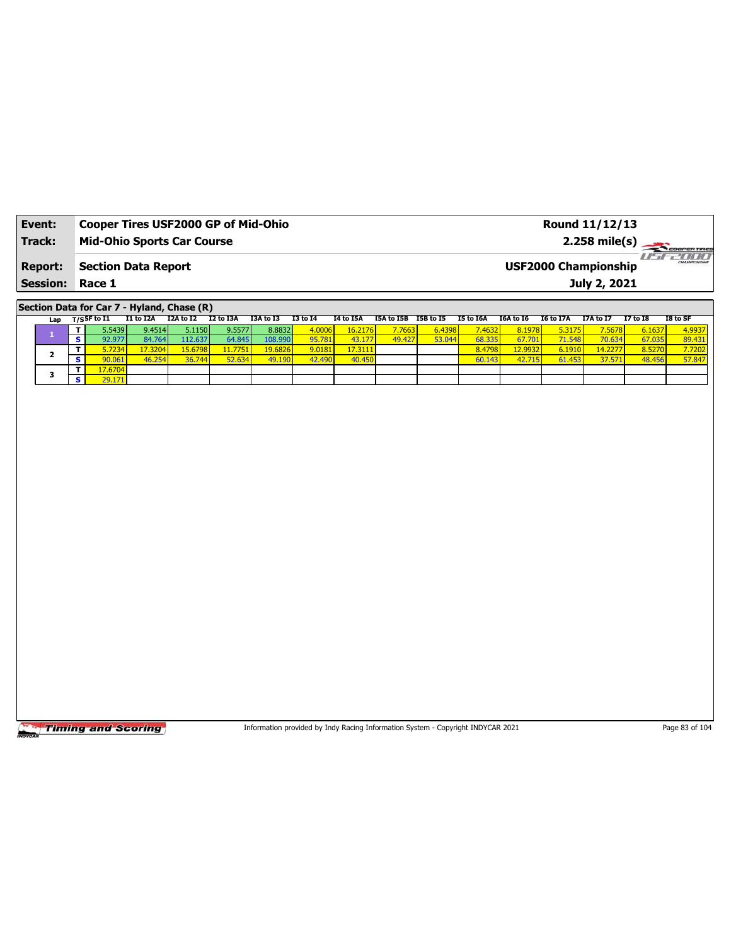| Track:<br><b>Report:</b> | <b>Mid-Ohio Sports Car Course</b><br>Section Data Report | $2.258 \text{ mile(s)}$<br>-777777<br>CHAMPSONSHIP<br><b>USF2000 Championship</b> |  |
|--------------------------|----------------------------------------------------------|-----------------------------------------------------------------------------------|--|
| <b>Session: Race 1</b>   |                                                          | July 2, 2021                                                                      |  |

**Section Data for Car 7 - Hyland, Chase (R)**

| Lap | $T/S$ SF to I1   | I1 to I2A | I2A to I2 | I2 to I3A | I3A to I3        | <b>I3 to 14</b> | I4 to I5A | I5A to I5B | I5B to I5 | I5 to I6A | I6A to I6 | I6 to I7A | <b>I7A to I7</b> | <b>I7 to I8</b> | I8 to SF |
|-----|------------------|-----------|-----------|-----------|------------------|-----------------|-----------|------------|-----------|-----------|-----------|-----------|------------------|-----------------|----------|
|     | 5.5439V          | 9.4514    | 5.1150    | 9.5577    | 8.8832           | 4.0006          | 16.2176   | 7.7663     | 6.4398    | 7.4632    | 8.1978    | 5.3175    | 7.5678           | 6.1637          | 4.9937   |
|     | 92.977           | 84.764    | 112.637   | 64.845    | 108.990          | 95.781          | 43.177    | 49.427     | 53.044    | 68.335    | 67.701    | 71.548    | 70.634           | 67.035          | 89.431   |
|     | 5.7234           | 17.3204   | 15.6798   | 11.77511  | 19.6826 <b> </b> | 9.0181          | 17.3111   |            |           | 8.4798    | 12.9932   | 6.1910    | 14.2277          | 8.5270          | 7.7202   |
|     | 90.061           | 46.254    | 36.744    | 52.634    | 49.190           | 42,490          | 40.450    |            |           | 60.143    | 42.715    | 61.453    | 37.57            | 48.456          | 57.847   |
|     | 17.6704          |           |           |           |                  |                 |           |            |           |           |           |           |                  |                 |          |
|     | 20.474<br>29.171 |           |           |           |                  |                 |           |            |           |           |           |           |                  |                 |          |

Timing and Scoring

Information provided by Indy Racing Information System - Copyright INDYCAR 2021 Page 83 of 104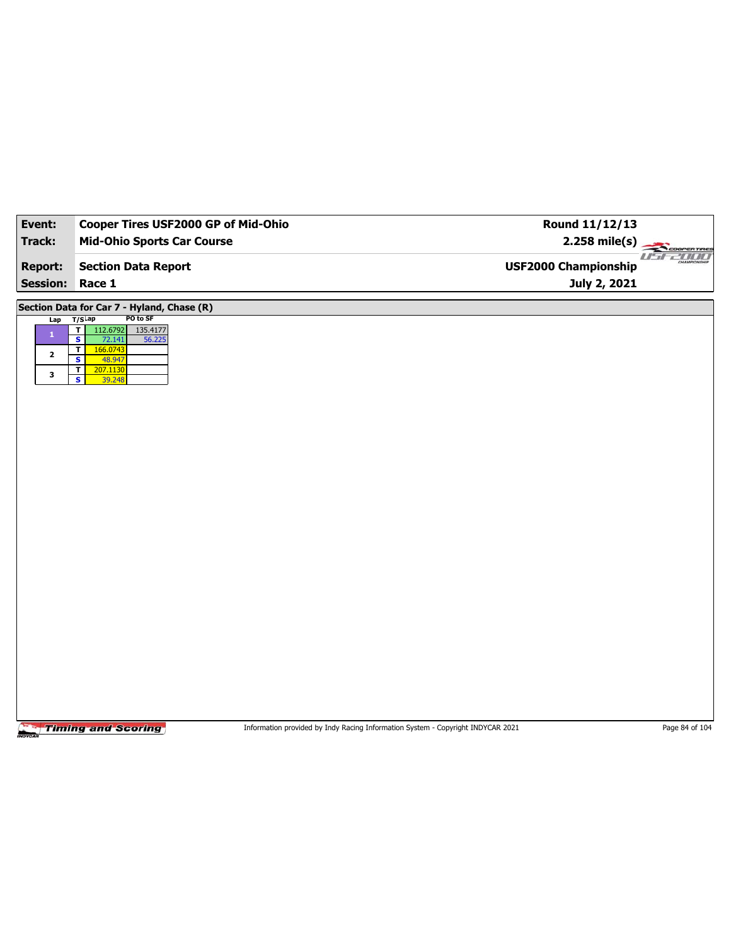| Event:                                                     | Cooper Tires USF2000 GP of Mid-Ohio                                                                                                                                                                                                                                                                  | Round 11/12/13              |                   |
|------------------------------------------------------------|------------------------------------------------------------------------------------------------------------------------------------------------------------------------------------------------------------------------------------------------------------------------------------------------------|-----------------------------|-------------------|
| <b>Track:</b>                                              | <b>Mid-Ohio Sports Car Course</b>                                                                                                                                                                                                                                                                    | $2.258$ mile(s)             | COOPERTIRES       |
| <b>Report:</b>                                             | <b>Section Data Report</b>                                                                                                                                                                                                                                                                           | <b>USF2000 Championship</b> | 7 II II<br>1 I al |
| <b>Session:</b>                                            | Race 1                                                                                                                                                                                                                                                                                               | July 2, 2021                |                   |
| Lap T/SLap<br>$\mathbf{1}$<br>$\mathbf{2}$<br>$\mathbf{3}$ | Section Data for Car 7 - Hyland, Chase (R)<br>PO to SF<br>$\overline{\mathbf{r}}$<br>135.4177<br>112.6792<br>$\overline{\mathbf{s}}$<br>56.225<br>72.141<br>$\overline{\mathbf{r}}$<br>166.0743<br>$\overline{\mathbf{s}}$<br>48.947<br>207.1130<br>$\mathbf T$<br>$\overline{\mathbf{s}}$<br>39.248 |                             |                   |
|                                                            |                                                                                                                                                                                                                                                                                                      |                             |                   |
|                                                            |                                                                                                                                                                                                                                                                                                      |                             |                   |
|                                                            |                                                                                                                                                                                                                                                                                                      |                             |                   |

Information provided by Indy Racing Information System - Copyright INDYCAR 2021 Page 84 of 104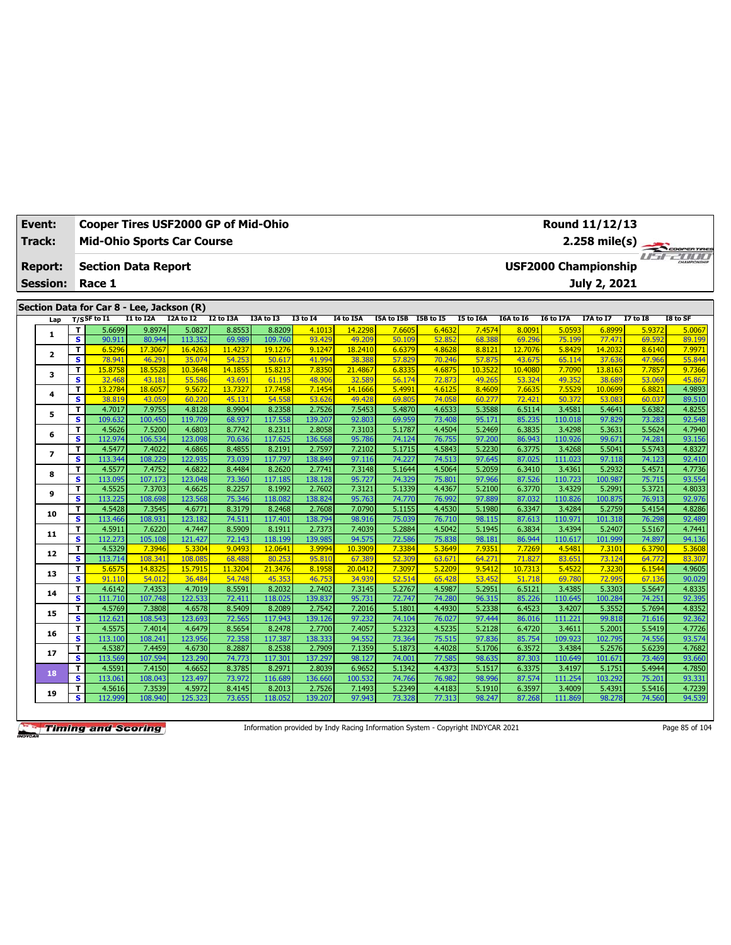| <b>Event:</b>   |                               | Cooper Tires USF2000 GP of Mid-Ohio<br>Round 11/12/13<br><b>Mid-Ohio Sports Car Course</b><br>$2.258$ mile(s) |                                           |                   |                   |                    |                   |                   |                      |                  |                  |                   |                             |                   |                  |                  |
|-----------------|-------------------------------|---------------------------------------------------------------------------------------------------------------|-------------------------------------------|-------------------|-------------------|--------------------|-------------------|-------------------|----------------------|------------------|------------------|-------------------|-----------------------------|-------------------|------------------|------------------|
| Track:          |                               |                                                                                                               |                                           |                   |                   |                    |                   |                   |                      |                  |                  |                   |                             |                   |                  | COOPER TIRES     |
| <b>Report:</b>  |                               |                                                                                                               | <b>Section Data Report</b>                |                   |                   |                    |                   |                   |                      |                  |                  |                   | <b>USF2000 Championship</b> |                   |                  | <b>FF-POOL</b>   |
| <b>Session:</b> |                               | Race 1                                                                                                        |                                           |                   |                   |                    |                   |                   |                      |                  |                  |                   |                             | July 2, 2021      |                  |                  |
|                 |                               |                                                                                                               |                                           |                   |                   |                    |                   |                   |                      |                  |                  |                   |                             |                   |                  |                  |
|                 |                               |                                                                                                               | Section Data for Car 8 - Lee, Jackson (R) |                   |                   |                    |                   |                   |                      |                  |                  |                   |                             |                   |                  |                  |
| Lap             | T/SSF to I1                   |                                                                                                               | I1 to I2A                                 | I2A to I2         | <b>I2 to I3A</b>  | I3A to I3          | <b>I3 to I4</b>   | <b>I4 to I5A</b>  | I5A to I5B I5B to I5 |                  | I5 to I6A        | I6A to I6         | <b>I6 to I7A</b>            | I7A to I7         | <b>I7 to I8</b>  | I8 to SF         |
| $\mathbf{1}$    | т                             | 5.6699                                                                                                        | 9.8974                                    | 5.0827            | 8.8553            | 8.8209             | 4.1013            | 14.2298           | 7.6605               | 6.4632           | 7.4574           | 8.0091            | 5.0593                      | 6.8999            | 5.9372           | 5.0067           |
|                 | $\overline{\mathbf{s}}$<br>T. | 90.911                                                                                                        | 80.944                                    | 113.352           | 69.989            | 109.760            | 93.429            | 49.209            | 50.109               | 52.852           | 68.388           | 69.296            | 75.199<br>5.8429            | 77.471            | 69.592           | 89.199<br>7.9971 |
| $\mathbf{2}$    | $\overline{\mathbf{s}}$       | 6.5296<br>78.941                                                                                              | 17.3067<br>46.291                         | 16.4263<br>35.074 | 11,4237<br>54.253 | 19.1276<br>50.617  | 9.1247<br>41.994  | 18.2410<br>38.388 | 6.6379<br>57.829     | 4.8628<br>70.246 | 8.8121<br>57.875 | 12.7076<br>43.675 | 65.114                      | 14.2032<br>37.636 | 8.6140<br>47.966 | 55.844           |
|                 | T                             | 15,8758                                                                                                       | 18.5528                                   | 10.3648           | 14.1855           | 15,8213            | 7.8350            | 21,4867           | 6.8335               | 4.6875           | 10.3522          | 10.4080           | 7.7090                      | 13.8163           | 7.7857           | 9.7366           |
| з               | $\overline{\mathbf{s}}$       | 32.468                                                                                                        | 43.181                                    | 55.586            | 43.691            | 61.195             | 48.906            | 32.589            | 56.174               | 72.873           | 49.265           | 53.324            | 49.352                      | 38.689            | 53.069           | 45.867           |
|                 | T                             | 13.2784                                                                                                       | 18.6057                                   | 9.5672            | 13.7327           | 17.7458            | 7.1454            | 14.1666           | 5.4991               | 4.6125           | 8.4609           | 7.6635            | 7.5529                      | 10.0699           | 6.882            | 4.9893           |
| 4               | S                             | 38.819                                                                                                        | 43.059                                    | 60.220            | 45.131            | 54.558             | 53.626            | 49.428            | 69.805               | 74.058           | 60.277           | 72.421            | 50.372                      | 53.083            | 60.037           | 89.510           |
|                 | T                             | 4.7017                                                                                                        | 7.9755                                    | 4.8128            | 8.9904            | 8.2358             | 2.7526            | 7.5453            | 5.4870               | 4.6533           | 5.3588           | 6.5114            | 3.4581                      | 5.4641            | 5.6382           | 4.8255           |
| 5               | s                             | 109.632                                                                                                       | 100.450                                   | 119.709           | 68.937            | 117.558            | 139.207           | 92.803            | 69.959               | 73.408           | 95.171           | 85.235            | 110.018                     | 97.829            | 73.283           | 92.548           |
| 6               | T                             | 4.5626                                                                                                        | 7.5200                                    | 4.6803            | 8.7742            | 8.2311             | 2.8058            | 7.3103            | 5.1787               | 4.4504           | 5.2469           | 6.3835            | 3.4298                      | 5.3631            | 5.5624           | 4.7940           |
|                 | S                             | 112.974                                                                                                       | 106.534                                   | 123.098           | 70.636            | 117.625            | 136.568           | 95.786            | 74.124               | 76.755           | 97.200           | 86.943            | 110.926                     | 99.671            | 74.281           | 93.156           |
| $\overline{ }$  | T                             | 4.5477                                                                                                        | 7.4022                                    | 4.6865            | 8.4855            | 8.2191             | 2.7597            | 7.2102            | 5.1715               | 4.5843           | 5.2230           | 6.3775            | 3.4268                      | 5.5041            | 5.5743           | 4.8327           |
|                 | $\overline{\mathbf{s}}$       | 113.344                                                                                                       | 108.229                                   | 122.935           | 73.039            | 117.797            | 138.849           | 97.116            | 74.227               | 74.513           | 97.645           | 87.025            | 111.023                     | 97.118            | 74.123           | 92.410           |
| 8               | т                             | 4.5577                                                                                                        | 7.4752                                    | 4.6822            | 8.4484            | 8.2620             | 2.7741            | 7.3148            | 5.1644               | 4.5064           | 5.2059           | 6.3410            | 3.4361                      | 5.2932            | 5.4571           | 4.7736           |
|                 | S                             | 113.095                                                                                                       | 107.173                                   | 123.048           | 73.360            | 117.185            | 138.128           | 95.727            | 74.329               | 75.80            | 97.966           | 87.526            | 110.723                     | 100.987           | 75.715           | 93.554           |
| 9               | T                             | 4.5525                                                                                                        | 7.3703                                    | 4.6625            | 8.2257            | 8.1992             | 2.7602            | 7.3121            | 5.1339               | 4.4367           | 5.2100           | 6.3770            | 3.4329                      | 5.2991            | 5.3721           | 4.8033           |
|                 | s                             | 113.225                                                                                                       | 108.698                                   | 123.568           | 75.346            | 118.082            | 138.824           | 95.763            | 74.770               | 76.992           | 97.889           | 87.032            | 110.826                     | 100.875           | 76.913           | 92.976           |
| 10              | T                             | 4.5428                                                                                                        | 7.3545                                    | 4.6771            | 8.3179            | 8.2468             | 2.7608            | 7.0790            | 5.1155               | 4.4530           | 5.1980           | 6.3347            | 3.4284                      | 5.2759            | 5.4154           | 4.8286           |
|                 | $\overline{\mathbf{s}}$       | 113.466                                                                                                       | 108.931                                   | 123.182           | 74.511            | 117.401            | 138.794           | 98.916            | 75.039               | 76.710           | 98.115           | 87.613            | 110.971                     | 101.318           | 76.298           | 92.489           |
| 11              | T                             | 4.5911                                                                                                        | 7.6220                                    | 4.7447            | 8.5909            | 8.1911             | 2.7373            | 7.4039            | 5.2884               | 4.5042           | 5.1945           | 6.3834            | 3.4394                      | 5.2407            | 5.5167           | 4.7441           |
|                 | $\overline{\mathbf{s}}$       | 112.273<br>4.5329                                                                                             | 105.108<br>7.3946                         | 121.427<br>5.3304 | 72.143<br>9.0493  | 118.199<br>12.0641 | 139.985<br>3.9994 | 94.575<br>10.3909 | 72.586<br>7.3384     | 75.838<br>5.3649 | 98.181<br>7.9351 | 86.944<br>7.7269  | 110.617<br>4.5481           | 101.999           | 74.897<br>6.3790 | 94.136<br>5.3608 |
| 12              | T<br>$\overline{\mathbf{s}}$  | 113.714                                                                                                       | 108.341                                   | 108.085           | 68.488            | 80.253             | 95.810            | 67.389            | 52.309               | 63.671           | 64.271           | 71.827            | 83.651                      | 7.3101<br>73.124  | 64.772           | 83.307           |
|                 | T                             | 5.6575                                                                                                        | 14.8325                                   | 15.7915           | 11.3204           | 21.3476            | 8.1958            | 20.0412           | 7.3097               | 5.2209           | 9.5412           | 10.7313           | 5.4522                      | 7.3230            | 6.1544           | 4.9605           |
| 13              | $\overline{\mathbf{s}}$       | 91.110                                                                                                        | 54.012                                    | 36.484            | 54.748            | 45.353             | 46.75             | 34.939            | 52.514               | 65.428           | 53.452           | 51.718            | 69.780                      | 72.995            | 67.136           | 90.029           |
|                 | T                             | 4.6142                                                                                                        | 7.4353                                    | 4.7019            | 8.5591            | 8.2032             | 2.7402            | 7.3145            | 5.2767               | 4.5987           | 5.2951           | 6.5121            | 3.4385                      | 5.3303            | 5.5647           | 4.8335           |
| 14              | $\overline{\mathbf{s}}$       | 111.710                                                                                                       | 107.748                                   | 122.533           | 72.411            | 118.025            | 139.837           | 95.731            | 72.747               | 74.280           | 96.315           | 85.226            | 110.645                     | 100.284           | 74.251           | 92.395           |
|                 | T                             | 4.5769                                                                                                        | 7.3808                                    | 4.6578            | 8.5409            | 8.2089             | 2.7542            | 7.2016            | 5.1801               | 4.4930           | 5.2338           | 6.4523            | 3.4207                      | 5.3552            | 5.7694           | 4.8352           |
| 15              | $\overline{\mathbf{s}}$       | 112.621                                                                                                       | 108.543                                   | 123.693           | 72.565            | 117.943            | 139.126           | 97.232            | 74.104               | 76.027           | 97.444           | 86.016            | 111.221                     | 99.818            | 71.616           | 92.362           |
|                 | T                             | 4.5575                                                                                                        | 7.4014                                    | 4.6479            | 8.5654            | 8.2478             | 2.7700            | 7.4057            | 5.2323               | 4.5235           | 5.2128           | 6.4720            | 3.4611                      | 5.2001            | 5.5419           | 4.7726           |
| 16              | $\overline{\mathbf{s}}$       | 113.100                                                                                                       | 108.241                                   | 123.956           | 72.358            | 117.387            | 138.333           | 94.552            | 73.364               | 75.515           | 97.836           | 85.754            | 109.923                     | 102.795           | 74.556           | 93.574           |
| 17              | T                             | 4.5387                                                                                                        | 7.4459                                    | 4.6730            | 8.2887            | 8.2538             | 2.7909            | 7.1359            | 5.1873               | 4.4028           | 5.1706           | 6.3572            | 3.4384                      | 5.2576            | 5.6239           | 4.7682           |
|                 | s                             | 113.569                                                                                                       | 107.594                                   | 123.290           | 74.773            | 117.301            | 137.297           | 98.127            | 74.001               | 77.58            | 98.635           | 87.303            | 110.649                     | 101.671           | 73.469           | 93.660           |
| 18              | T                             | 4.5591                                                                                                        | 7.4150                                    | 4.6652            | 8.3785            | 8.2971             | 2.8039            | 6.9652            | 5.1342               | 4.4373           | 5.1517           | 6.3375            | 3.4197                      | 5.1751            | 5.4944           | 4.7850           |
|                 | s                             | 113.061                                                                                                       | 108.043                                   | 123.497           | 73.972            | 116,689            | 136.660           | 100.532           | 74.766               | 76.98            | 98.996           | 87.574            | 111.254                     | 103.292           | 75.201           | 93.331           |
| 19              | T.                            | 4.5616                                                                                                        | 7.3539                                    | 4.5972            | 8.4145            | 8.2013             | 2.7526            | 7.1493            | 5.2349               | 4.4183           | 5.1910           | 6.3597            | 3.4009                      | 5.4391            | 5.5416           | 4.7239           |
|                 | s                             | 112.999                                                                                                       | 108.940                                   | 125.323           | 73.655            | 118.052            | 139.207           | 97.943            | 73.328               | 77.313           | 98.247           | 87.268            | 111.869                     | 98.278            | 74.560           | 94.539           |

Information provided by Indy Racing Information System - Copyright INDYCAR 2021 Page 85 of 104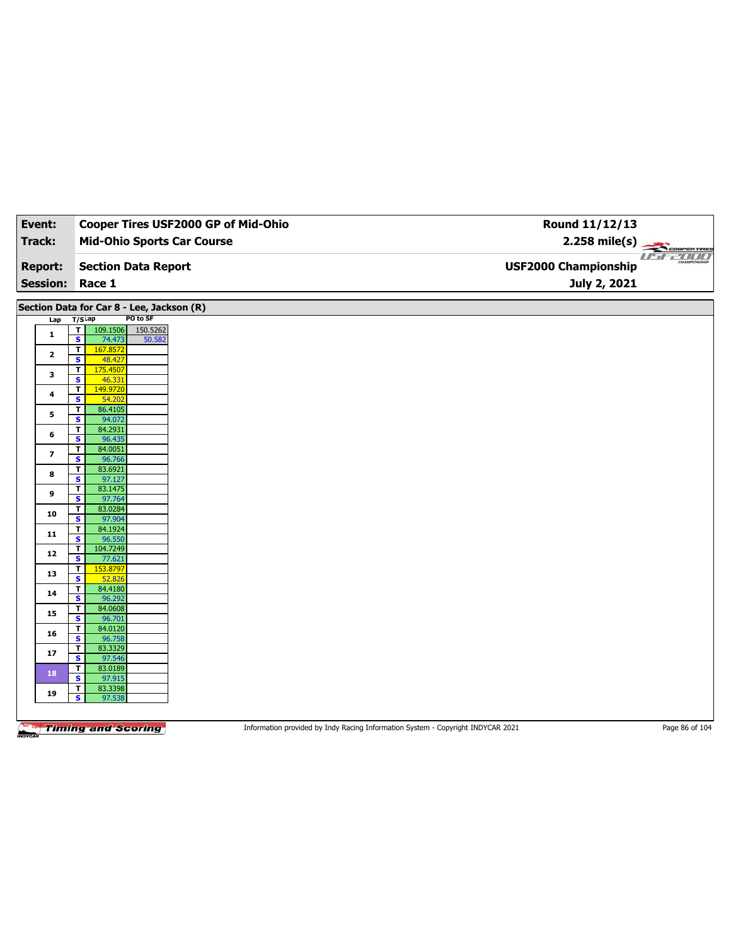| Event:                  | Cooper Tires USF2000 GP of Mid-Ohio                   | Round 11/12/13              |             |
|-------------------------|-------------------------------------------------------|-----------------------------|-------------|
| <b>Track:</b>           | <b>Mid-Ohio Sports Car Course</b>                     | $2.258$ mile(s)             | COOPERTIRES |
|                         |                                                       |                             | usrzum      |
| <b>Report:</b>          | <b>Section Data Report</b>                            | <b>USF2000 Championship</b> |             |
| <b>Session:</b>         | Race 1                                                | July 2, 2021                |             |
|                         |                                                       |                             |             |
|                         | Section Data for Car 8 - Lee, Jackson (R)<br>PO to SF |                             |             |
| Lap T/SLap              | $\overline{\mathbf{r}}$<br>109.1506<br>150.5262       |                             |             |
| $\mathbf{1}$            | $\overline{\mathbf{s}}$<br>74.473<br>50.582           |                             |             |
| $\mathbf{2}$            | 167.8572<br>T                                         |                             |             |
|                         | S<br>48.427<br>T.<br>175.4507                         |                             |             |
| 3                       | $\overline{\mathbf{s}}$<br>46.331                     |                             |             |
| 4                       | $\overline{\mathsf{r}}$<br>149.9720<br>S<br>54.202    |                             |             |
|                         | 86.4105<br>T                                          |                             |             |
| 5                       | $\overline{\mathbf{s}}$<br>94.072                     |                             |             |
| 6                       | T.<br>84.2931<br>s<br>96.435                          |                             |             |
|                         | 84.0051<br>T                                          |                             |             |
| $\overline{\mathbf{z}}$ | s<br>96.766                                           |                             |             |
| 8                       | 83.6921<br>T<br>s.<br>97.127                          |                             |             |
| 9                       | 83.1475<br>T                                          |                             |             |
|                         | $\overline{\mathbf{s}}$<br>97.764                     |                             |             |
| 10                      | 83.0284<br>T<br>$\overline{\mathbf{s}}$<br>97.904     |                             |             |
| 11                      | $\mathbf{T}$<br>84.1924                               |                             |             |
|                         | $\overline{\mathbf{s}}$<br>96.550<br>T<br>104.7249    |                             |             |
| 12                      | s<br>77.621                                           |                             |             |
| 13                      | 153.8797<br>T                                         |                             |             |
|                         | $\overline{\mathbf{s}}$<br>52.826<br>84.4180<br>T     |                             |             |
| 14                      | $\overline{\mathbf{s}}$<br>96.292                     |                             |             |
| 15                      | 84.0608<br>T                                          |                             |             |
|                         | $\overline{\mathbf{s}}$<br>96.701<br>84.0120<br>T     |                             |             |
| 16                      | S<br>96.758                                           |                             |             |
| 17                      | 83.3329<br>T<br>$\overline{\mathbf{s}}$<br>97.546     |                             |             |
|                         | 83.0189<br>T                                          |                             |             |
| 18                      | s<br>97.915                                           |                             |             |
| 19                      | 83.3398<br>T.<br>S.<br>97.538                         |                             |             |
|                         |                                                       |                             |             |
|                         |                                                       |                             |             |

Information provided by Indy Racing Information System - Copyright INDYCAR 2021 Page 86 of 104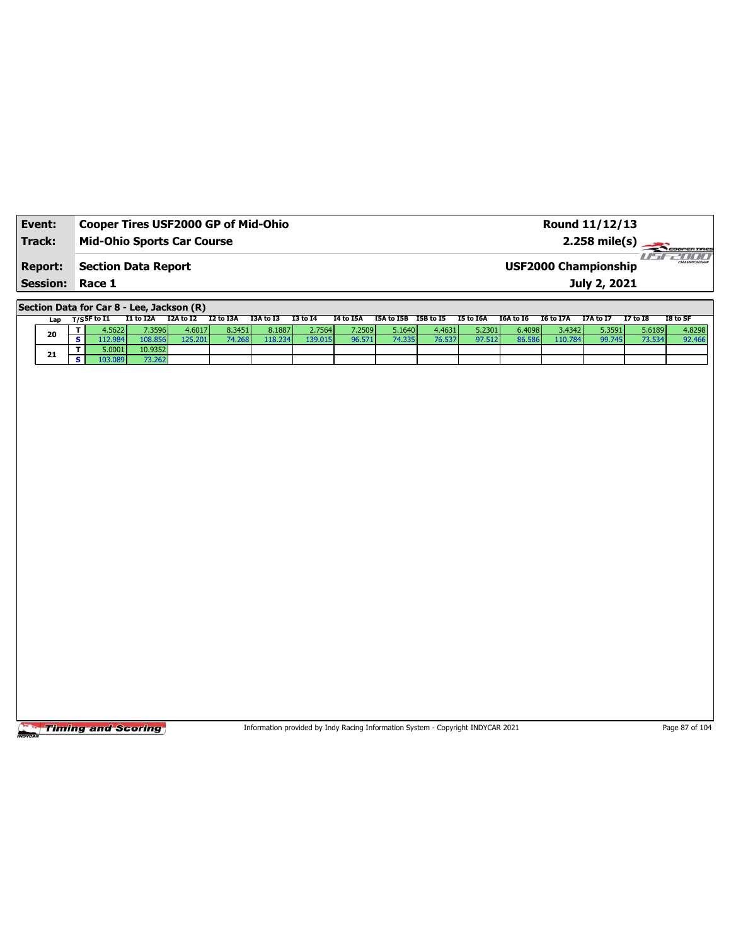| Event:                 | <b>Cooper Tires USF2000 GP of Mid-Ohio</b> | Round 11/12/13              |                             |
|------------------------|--------------------------------------------|-----------------------------|-----------------------------|
| Track:                 | <b>Mid-Ohio Sports Car Course</b>          | $2.258 \text{ mile(s)}$     |                             |
| <b>Report:</b>         | Section Data Report                        | <b>USF2000 Championship</b> | <b>HILL</b><br>CHAMPIONSHIP |
| <b>Session: Race 1</b> |                                            | July 2, 2021                |                             |

**Section Data for Car 8 - Lee, Jackson (R)**

| Lap | T/SSF to I1 | I1 to I2A | I2A to I2 | I2 to I3A | I3A to I3 | <b>I3 to I4</b> | I4 to I5A | I5A to I5B | I5B to I5 | I5 to I6A | I6A to I6 | I6 to I7A | <b>I7A to I7</b> | <b>I7 to I8</b> | I8 to SF |
|-----|-------------|-----------|-----------|-----------|-----------|-----------------|-----------|------------|-----------|-----------|-----------|-----------|------------------|-----------------|----------|
|     | $+5622V$    | 7.35961   | 4.6017    | 8.3451    | 8.1887    | 2.7564          | 7.2509    | 5.1640     | 4.4631    | 5.2301    | 6.4098    | 3.4342    | 5.3591           | 5.6189          | 4.8298   |
| 20  |             |           | '25.201   | 4.268     | 18 234    | 139.015         | 96.571    | 74.335     | 76.537    | 97.512    | 86.5861   | 110.784   | 99.745           | 73.534          | 92.466   |
| 21  | 5.0001 l    | 10.9352   |           |           |           |                 |           |            |           |           |           |           |                  |                 |          |
|     |             | 73.262    |           |           |           |                 |           |            |           |           |           |           |                  |                 |          |

Timing and Scoring

Information provided by Indy Racing Information System - Copyright INDYCAR 2021 Page 87 of 104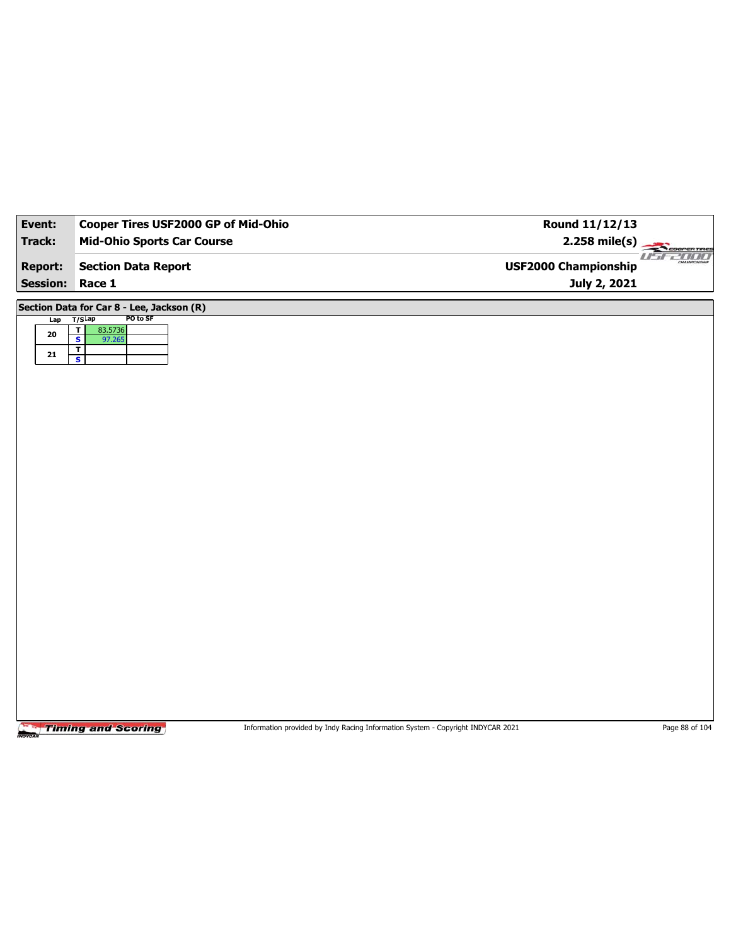| Event:          | Cooper Tires USF2000 GP of Mid-Ohio                          | Round 11/12/13              |                         |
|-----------------|--------------------------------------------------------------|-----------------------------|-------------------------|
| <b>Track:</b>   | <b>Mid-Ohio Sports Car Course</b>                            | $2.258$ mile(s)             | COOPERTIRES             |
| <b>Report:</b>  | <b>Section Data Report</b>                                   | <b>USF2000 Championship</b> | $II - I$<br><b>2000</b> |
| <b>Session:</b> | Race 1                                                       | July 2, 2021                |                         |
|                 | Section Data for Car 8 - Lee, Jackson (R)                    |                             |                         |
| Lap             | PO to SF<br>$T/S$ Lap<br>$\overline{\mathbf{r}}$<br>83.5736  |                             |                         |
| ${\bf 20}$      | $\overline{\mathbf{s}}$<br>97.265<br>$\overline{\mathbf{r}}$ |                             |                         |
| ${\bf 21}$      | $\overline{\mathbf{s}}$                                      |                             |                         |
|                 |                                                              |                             |                         |
|                 |                                                              |                             |                         |
|                 |                                                              |                             |                         |
|                 |                                                              |                             |                         |
|                 |                                                              |                             |                         |
|                 |                                                              |                             |                         |
|                 |                                                              |                             |                         |
|                 |                                                              |                             |                         |
|                 |                                                              |                             |                         |
|                 |                                                              |                             |                         |
|                 |                                                              |                             |                         |
|                 |                                                              |                             |                         |
|                 |                                                              |                             |                         |
|                 |                                                              |                             |                         |
|                 |                                                              |                             |                         |
|                 |                                                              |                             |                         |
|                 |                                                              |                             |                         |
|                 |                                                              |                             |                         |
|                 |                                                              |                             |                         |

Information provided by Indy Racing Information System - Copyright INDYCAR 2021 Page 88 of 104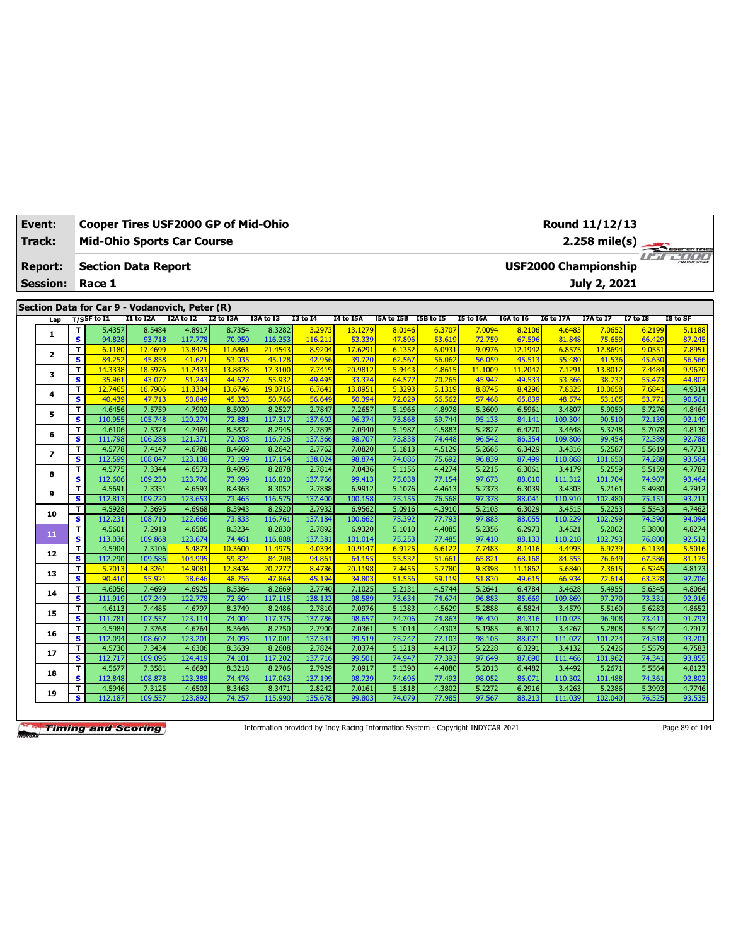| <b>Event:</b>   |                               |                   |                            | Cooper Tires USF2000 GP of Mid-Ohio            |                   |                   |                  |                   |                      |                  |                   |                   |                   | Round 11/12/13              |                  |                  |
|-----------------|-------------------------------|-------------------|----------------------------|------------------------------------------------|-------------------|-------------------|------------------|-------------------|----------------------|------------------|-------------------|-------------------|-------------------|-----------------------------|------------------|------------------|
| Track:          |                               |                   |                            | <b>Mid-Ohio Sports Car Course</b>              |                   |                   |                  |                   |                      |                  |                   |                   |                   | $2.258$ mile(s)             |                  | COOPERTIRES      |
| <b>Report:</b>  |                               |                   | <b>Section Data Report</b> |                                                |                   |                   |                  |                   |                      |                  |                   |                   |                   | <b>USF2000 Championship</b> |                  | <b>FF-POOL</b>   |
| <b>Session:</b> |                               | Race 1            |                            |                                                |                   |                   |                  |                   |                      |                  |                   |                   |                   | July 2, 2021                |                  |                  |
|                 |                               |                   |                            |                                                |                   |                   |                  |                   |                      |                  |                   |                   |                   |                             |                  |                  |
|                 |                               |                   |                            | Section Data for Car 9 - Vodanovich, Peter (R) |                   |                   |                  |                   |                      |                  |                   |                   |                   |                             |                  |                  |
| Lap             |                               | $T/S$ SF to $I1$  | I1 to I2A                  | I2A to I2                                      | <b>I2 to I3A</b>  | I3A to I3         | <b>I3 to I4</b>  | <b>I4 to I5A</b>  | I5A to I5B I5B to I5 |                  | I5 to I6A         | I6A to I6         | <b>I6 to I7A</b>  | I7A to I7                   | <b>I7 to I8</b>  | I8 to SF         |
| $\mathbf{1}$    | т                             | 5.4357            | 8.5484                     | 4.8917                                         | 8.7354            | 8.3282            | 3.2973           | 13.1279           | 8.0146               | 6.3707           | 7.0094            | 8.2106            | 4.6483            | 7.0652                      | 6.2199           | 5.1188           |
|                 | $\overline{\mathbf{s}}$       | 94.828            | 93.718                     | 117,778                                        | 70.950            | 116.253           | 116.211          | 53.339            | 47.896               | 53.619           | 72.759            | 67.596            | 81.848            | 75.659                      | 66.429           | 87.245           |
| $\mathbf{2}$    | T.<br>$\overline{\mathbf{s}}$ | 6.1180            | 17,4699<br>45.858          | 13.8425<br>41.621                              | 11.6861           | 21.4543           | 8.9204<br>42.956 | 17,6291           | 6.1352               | 6.0931           | 9.0976            | 12.1942<br>45.513 | 6.8575<br>55.480  | 12.8694                     | 9.0551           | 7.8951<br>56.566 |
|                 | T                             | 84.252<br>14.3338 | 18.5976                    | 11.2433                                        | 53.035<br>13.8878 | 45.128<br>17.3100 | 7.7419           | 39.720<br>20.9812 | 62.567<br>5.9443     | 56.062<br>4.8615 | 56.059<br>11.1009 | 11.2047           | 7.1291            | 41.536<br>13.8012           | 45.630<br>7.4484 | 9.9670           |
| з               | $\overline{\mathbf{s}}$       | 35.961            | 43.077                     | 51.243                                         | 44.627            | 55.932            | 49.495           | 33.374            | 64.577               | 70.265           | 45.942            | 49.533            | 53.366            | 38.732                      | 55.473           | 44.807           |
|                 | T                             | 12.7465           | 16.7906                    | 11.3304                                        | 13.6746           | 19.0716           | 6.7641           | 13.895            | 5.3293               | 5.1319           | 8.8745            | 8.4296            | 7.8325            | 10.0658                     | 7.684            | 4.9314           |
| 4               | S                             | 40.439            | 47.713                     | 50.849                                         | 45.323            | 50.766            | 56.649           | 50.394            | 72.029               | 66.562           | 57.468            | 65.839            | 48.574            | 53.105                      | 53.77            | 90.561           |
|                 | T                             | 4.6456            | 7.5759                     | 4.7902                                         | 8.5039            | 8.2527            | 2.7847           | 7.2657            | 5.1966               | 4.8978           | 5.3609            | 6.5961            | 3.4807            | 5.9059                      | 5.7276           | 4.8464           |
| 5               | s                             | 110.955           | 105.748                    | 120.274                                        | 72.881            | 117.317           | 137.603          | 96.374            | 73.868               | 69.744           | 95.133            | 84.141            | 109.304           | 90.510                      | 72.139           | 92.149           |
|                 | T                             | 4.6106            | 7.5374                     | 4.7469                                         | 8.5832            | 8.2945            | 2.7895           | 7.0940            | 5.1987               | 4.5883           | 5.2827            | 6.4270            | 3.4648            | 5.3748                      | 5.7078           | 4.8130           |
| 6               | S                             | 111.798           | 106.288                    | 121.371                                        | 72.208            | 116.726           | 137.366          | 98.707            | 73.838               | 74.448           | 96.542            | 86.354            | 109.806           | 99.454                      | 72.389           | 92.788           |
| $\overline{ }$  | T                             | 4.5778            | 7.4147                     | 4.6788                                         | 8.4669            | 8.2642            | 2.7762           | 7.0820            | 5.1813               | 4.5129           | 5.2665            | 6.3429            | 3.4316            | 5.2587                      | 5.5619           | 4.7731           |
|                 | $\overline{\mathbf{s}}$       | 112.599           | 108.047                    | 123.138                                        | 73.199            | 117.154           | 138.024          | 98.874            | 74.086               | 75.692           | 96.839            | 87.499            | 110.868           | 101.650                     | 74.288           | 93.564           |
| 8               | т                             | 4.5775            | 7.3344                     | 4.6573                                         | 8.4095            | 8.2878            | 2.7814           | 7.0436            | 5.1156               | 4.4274           | 5.2215            | 6.3061            | 3.4179            | 5.2559                      | 5.5159           | 4.7782           |
|                 | S                             | 112.606           | 109.230                    | 123.706                                        | 73.699            | 116.820           | 137.766          | 99.413            | 75.038               | 77.154           | 97.673            | 88.010            | 111.312           | 101.704                     | 74.907           | 93.464           |
| 9               | T                             | 4.5691            | 7.3351                     | 4.6593                                         | 8.4363            | 8.3052            | 2.7888           | 6.9912            | 5.1076               | 4.4613           | 5.2373            | 6.3039            | 3.4303            | 5.2161                      | 5.4980           | 4.7912           |
|                 | s                             | 112.813           | 109.220                    | 123.653                                        | 73.465            | 116.575           | 137.400          | 100.158           | 75.155               | 76.568           | 97.378            | 88.041            | 110.910           | 102.480                     | 75.151           | 93.211           |
| 10              | T                             | 4.5928            | 7.3695                     | 4.6968                                         | 8.3943            | 8.2920            | 2.7932           | 6.9562            | 5.0916               | 4.3910           | 5.2103            | 6.3029            | 3.4515            | 5.2253                      | 5.5543           | 4.7462           |
|                 | $\overline{\mathbf{s}}$       | 112.231           | 108.710                    | 122.666                                        | 73.833            | 116.761           | 137.184          | 100.662           | 75.392               | 77.793           | 97.883            | 88.055            | 110.229           | 102.299                     | 74.390           | 94.094           |
| 11              | T                             | 4.5601            | 7.2918                     | 4.6585                                         | 8.3234            | 8.2830            | 2.7892           | 6.9320            | 5.1010               | 4.4085           | 5.2356            | 6.2973            | 3.4521            | 5.2002                      | 5.3800           | 4.8274           |
|                 | s                             | 113.036           | 109.868                    | 123.674                                        | 74.461            | 116,888           | 137.381          | 101.014           | 75.253<br>6.9125     | 77.485           | 97.410            | 88.133            | 110.210<br>4.4995 | 102.793<br>6.9739           | 76.800<br>6.1134 | 92.512           |
| 12              | T<br>$\overline{\mathbf{s}}$  | 4.5904<br>112.290 | 7.3106<br>109.586          | 5.4873<br>104.995                              | 10.3600<br>59.824 | 11.4975<br>84.208 | 4.0394<br>94.861 | 10.9147<br>64.155 | 55.532               | 6.6122<br>51.661 | 7.7483<br>65.821  | 8.1416<br>68.168  | 84.555            | 76.649                      | 67.586           | 5.5016<br>81.175 |
|                 | T                             | 5.7013            | 14.3261                    | 14.9081                                        | 12.8434           | 20,2277           | 8.4786           | 20.1198           | 7.4455               | 5.7780           | 9.8398            | 11.1862           | 5.6840            | 7.3615                      | 6.5245           | 4.8173           |
| 13              | $\overline{\mathbf{s}}$       | 90.410            | 55.921                     | 38.646                                         | 48.256            | 47.864            | 45.194           | 34.803            | 51.556               | 59.119           | 51.830            | 49.615            | 66.934            | 72.614                      | 63.328           | 92.706           |
|                 | T                             | 4.6056            | 7.4699                     | 4.6925                                         | 8.5364            | 8.2669            | 2.7740           | 7.1025            | 5.2131               | 4.5744           | 5.2641            | 6.4784            | 3.4628            | 5.4955                      | 5.6345           | 4.8064           |
| 14              | $\overline{\mathbf{s}}$       | 111.919           | 107.249                    | 122.778                                        | 72.604            | 117.115           | 138.133          | 98.589            | 73.634               | 74.674           | 96.883            | 85.669            | 109.869           | 97.270                      | 73.331           | 92.916           |
|                 | T                             | 4.6113            | 7.4485                     | 4.6797                                         | 8.3749            | 8.2486            | 2.7810           | 7.0976            | 5.1383               | 4.5629           | 5.2888            | 6.5824            | 3.4579            | 5.5160                      | 5.6283           | 4.8652           |
| 15              | $\overline{\mathbf{s}}$       | 111.781           | 107.557                    | 123.114                                        | 74.004            | 117.375           | 137.786          | 98.657            | 74.706               | 74.863           | 96.430            | 84.316            | 110.025           | 96.908                      | 73.411           | 91.793           |
|                 | T                             | 4.5984            | 7.3768                     | 4.6764                                         | 8.3646            | 8.2750            | 2.7900           | 7.0361            | 5.1014               | 4.4303           | 5.1985            | 6.3017            | 3.4267            | 5.2808                      | 5.5447           | 4.7917           |
| 16              | $\overline{\mathbf{s}}$       | 112.094           | 108.602                    | 123.201                                        | 74.095            | 117.001           | 137.341          | 99.519            | 75.247               | 77.103           | 98.105            | 88.071            | 111.027           | 101.224                     | 74.518           | 93.201           |
| 17              | T                             | 4.5730            | 7.3434                     | 4.6306                                         | 8.3639            | 8.2608            | 2.7824           | 7.0374            | 5.1218               | 4.4137           | 5.2228            | 6.3291            | 3.4132            | 5.2426                      | 5.5579           | 4.7583           |
|                 | s                             | 112.717           | 109.096                    | 124.419                                        | 74.101            | 117.202           | 137.716          | 99.501            | 74.947               | 77.393           | 97.649            | 87.690            | 111.466           | 101.962                     | 74.341           | 93.855           |
| 18              | T                             | 4.5677            | 7.3581                     | 4.6693                                         | 8.3218            | 8.2706            | 2.7929           | 7.0917            | 5.1390               | 4.4080           | 5.2013            | 6.4482            | 3.4492            | 5.2671                      | 5.5564           | 4.8123           |
|                 | s                             | 112.848           | 108.878                    | 123.388                                        | 74.476            | 117.063           | 137.199          | 98.739            | 74.696               | 77,493           | 98.052            | 86.071            | 110.302           | 101.488                     | 74.361           | 92.802           |
| 19              | T.                            | 4.5946            | 7.3125                     | 4.6503                                         | 8.3463            | 8.3471            | 2.8242           | 7.0161            | 5.1818               | 4.3802           | 5.2272            | 6.2916            | 3.4263            | 5.2386                      | 5.3993           | 4.7746           |
|                 | s                             | 112.187           | 109.557                    | 123.892                                        | 74.257            | 115.990           | 135.678          | 99.803            | 74.079               | 77.985           | 97.567            | 88.213            | 111.039           | 102.040                     | 76.525           | 93.535           |

Information provided by Indy Racing Information System - Copyright INDYCAR 2021 Page 89 of 104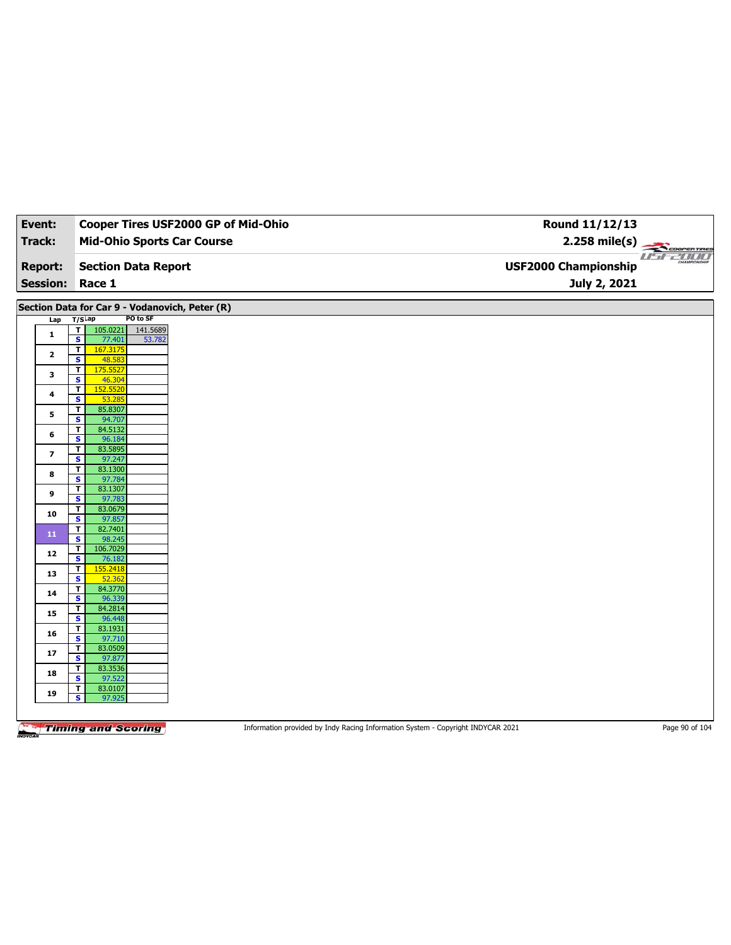| Event:                  | Cooper Tires USF2000 GP of Mid-Ohio                                                            | Round 11/12/13              |  |
|-------------------------|------------------------------------------------------------------------------------------------|-----------------------------|--|
| <b>Track:</b>           | <b>Mid-Ohio Sports Car Course</b>                                                              | $2.258$ mile(s)             |  |
|                         |                                                                                                | COOPERTIRES<br>usrzum       |  |
| <b>Report:</b>          | <b>Section Data Report</b>                                                                     | <b>USF2000 Championship</b> |  |
| <b>Session:</b>         | Race 1                                                                                         | July 2, 2021                |  |
|                         |                                                                                                |                             |  |
|                         | Section Data for Car 9 - Vodanovich, Peter (R)                                                 |                             |  |
| Lap                     | PO to SF<br>$T/S$ Lap                                                                          |                             |  |
| $\mathbf{1}$            | $\overline{\mathbf{r}}$<br>105.0221<br>141.5689<br>$\overline{\mathbf{s}}$<br>77.401<br>53.782 |                             |  |
|                         | $\overline{\mathsf{r}}$<br>167.3175                                                            |                             |  |
| $\mathbf{2}$            | S<br>48.583                                                                                    |                             |  |
| 3                       | 175.5527<br>$\overline{\mathbf{r}}$                                                            |                             |  |
|                         | $\overline{\mathbf{s}}$<br>46.304<br>$\overline{\mathbf{r}}$<br>152.5520                       |                             |  |
| 4                       | S<br>53.285                                                                                    |                             |  |
| 5                       | 85.8307<br>T                                                                                   |                             |  |
|                         | $\overline{\mathbf{s}}$<br>94.707<br>84.5132<br>T                                              |                             |  |
| 6                       | s<br>96.184                                                                                    |                             |  |
| $\overline{\mathbf{z}}$ | 83.5895<br>$\mathbf{T}$                                                                        |                             |  |
|                         | $\overline{\mathbf{s}}$<br>97.247<br>83.1300<br>T                                              |                             |  |
| 8                       | S<br>97.784                                                                                    |                             |  |
| 9                       | 83.1307<br>$\mathbf{T}$                                                                        |                             |  |
|                         | $\overline{\mathbf{s}}$<br>97.783<br>83.0679                                                   |                             |  |
| 10                      | T<br>S<br>97.857                                                                               |                             |  |
| 11                      | 82.7401<br>$\mathbf{T}$                                                                        |                             |  |
|                         | $\overline{\mathbf{s}}$<br>98.245                                                              |                             |  |
| 12                      | 106.7029<br>T<br>S<br>76.182                                                                   |                             |  |
|                         | 155.2418<br>T                                                                                  |                             |  |
| 13                      | $\overline{\mathbf{s}}$<br>52.362                                                              |                             |  |
| 14                      | 84.3770<br>т<br>96.339<br>S                                                                    |                             |  |
|                         | 84.2814<br>T                                                                                   |                             |  |
| 15                      | $\overline{\mathbf{s}}$<br>96.448                                                              |                             |  |
| 16                      | 83.1931<br>т<br>S<br>97.710                                                                    |                             |  |
|                         | T<br>83.0509                                                                                   |                             |  |
| 17                      | $\overline{\mathbf{s}}$<br>97.877                                                              |                             |  |
| 18                      | 83.3536<br>T                                                                                   |                             |  |
|                         | 97.522<br>s<br>83.0107<br>T                                                                    |                             |  |
| 19                      | $\overline{\mathbf{s}}$<br>97.925                                                              |                             |  |
|                         |                                                                                                |                             |  |

Information provided by Indy Racing Information System - Copyright INDYCAR 2021 Page 90 of 104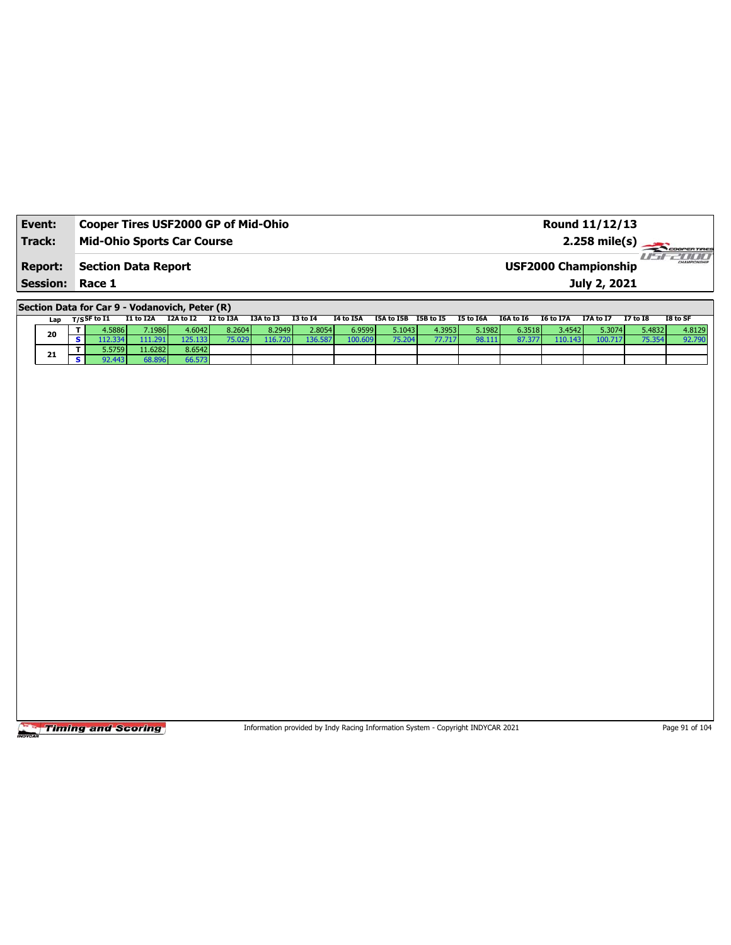| Event:                 | Cooper Tires USF2000 GP of Mid-Ohio | Round 11/12/13              |                              |
|------------------------|-------------------------------------|-----------------------------|------------------------------|
| Track:                 | <b>Mid-Ohio Sports Car Course</b>   | $2.258 \text{ mile(s)}$     |                              |
| <b>Report:</b>         | Section Data Report                 | <b>USF2000 Championship</b> | <b>HIMIN</b><br>CHAMPIONSHIP |
| <b>Session: Race 1</b> |                                     | July 2, 2021                |                              |

**Section Data for Car 9 - Vodanovich, Peter (R)**

| Lap | T/SSF to I1 | I1 to I2A | I2A to I2 | I2 to I3A | I3A to I3 | <b>I3 to 14</b> | I4 to I5A | I5A to I5B | I5B to I5 | I5 to I6A | I6A to I6 | I6 to I7A | <b>I7A to I7</b> | <b>I7 to I8</b> | I8 to SF |
|-----|-------------|-----------|-----------|-----------|-----------|-----------------|-----------|------------|-----------|-----------|-----------|-----------|------------------|-----------------|----------|
| 20  | .5886       | 7.1986    | 4.6042    | 8.2604    | 8.2949    | 2.8054          | 6.9599    | 5.1043     | 4.3953    | 5.1982    | 6.3518    | 3.4542    | 5.3074           | 5.4832          | 4.8129   |
|     | .2.334      | 111.291   | '25.133   | 75.029    | 16.720    | 136.587         | 100.609   | 75.204     | 77.717    | 98.111    | 87.377    | 110.143   | 100.717          |                 | 92.790   |
| 21  | 57591.ز     | 11.6282   | 8.6542    |           |           |                 |           |            |           |           |           |           |                  |                 |          |
|     | 92.443      | 68.896    | 66.573    |           |           |                 |           |            |           |           |           |           |                  |                 |          |

Timing and Scoring

Information provided by Indy Racing Information System - Copyright INDYCAR 2021 Page 91 of 104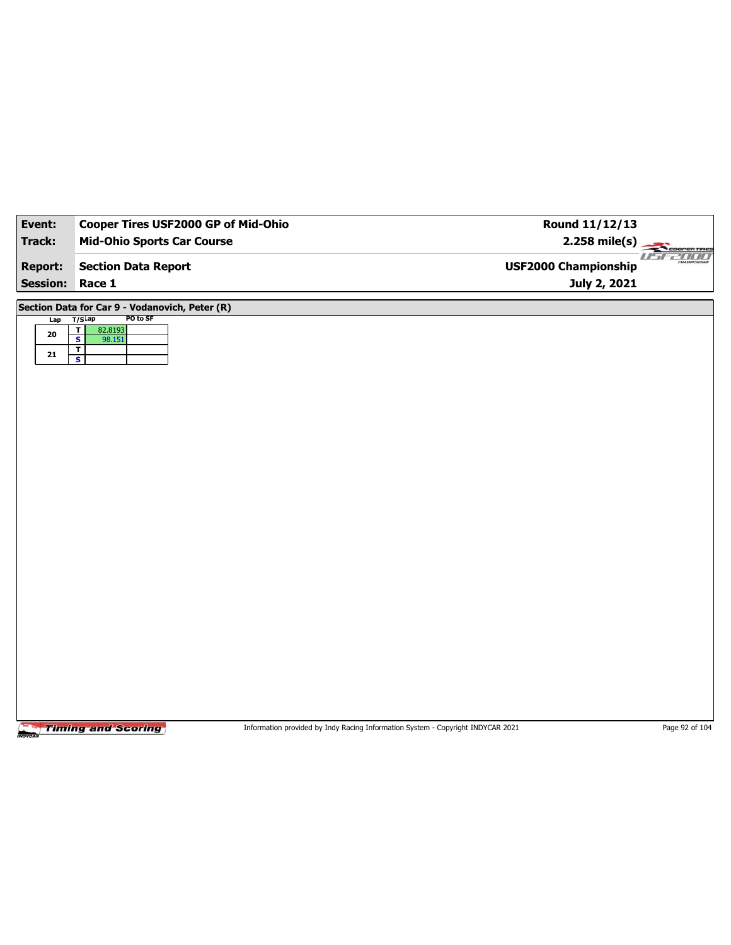| Event:          | Cooper Tires USF2000 GP of Mid-Ohio                         | Round 11/12/13                                         |
|-----------------|-------------------------------------------------------------|--------------------------------------------------------|
| <b>Track:</b>   | <b>Mid-Ohio Sports Car Course</b>                           | $2.258$ mile(s)<br>COOPERTIRES                         |
| <b>Report:</b>  | <b>Section Data Report</b>                                  | USF2000<br>CHAMPSONSHIL<br><b>USF2000 Championship</b> |
| <b>Session:</b> | Race 1                                                      | July 2, 2021                                           |
|                 | Section Data for Car 9 - Vodanovich, Peter (R)              |                                                        |
| Lap             | PO to SF<br>$T/S$ Lap<br>$\overline{\mathbf{r}}$<br>82.8193 |                                                        |
| 20              | $\overline{\mathbf{s}}$<br>98.151<br>$\mathbf{T}$           |                                                        |
| 21              | $\mathbf{s}$                                                |                                                        |
|                 |                                                             |                                                        |
|                 |                                                             |                                                        |
|                 |                                                             |                                                        |
|                 |                                                             |                                                        |
|                 |                                                             |                                                        |
|                 |                                                             |                                                        |
|                 |                                                             |                                                        |
|                 |                                                             |                                                        |
|                 |                                                             |                                                        |
|                 |                                                             |                                                        |
|                 |                                                             |                                                        |
|                 |                                                             |                                                        |
|                 |                                                             |                                                        |
|                 |                                                             |                                                        |
|                 |                                                             |                                                        |
|                 |                                                             |                                                        |
|                 |                                                             |                                                        |
|                 |                                                             |                                                        |
|                 |                                                             |                                                        |
|                 |                                                             |                                                        |

Information provided by Indy Racing Information System - Copyright INDYCAR 2021 Page 92 of 104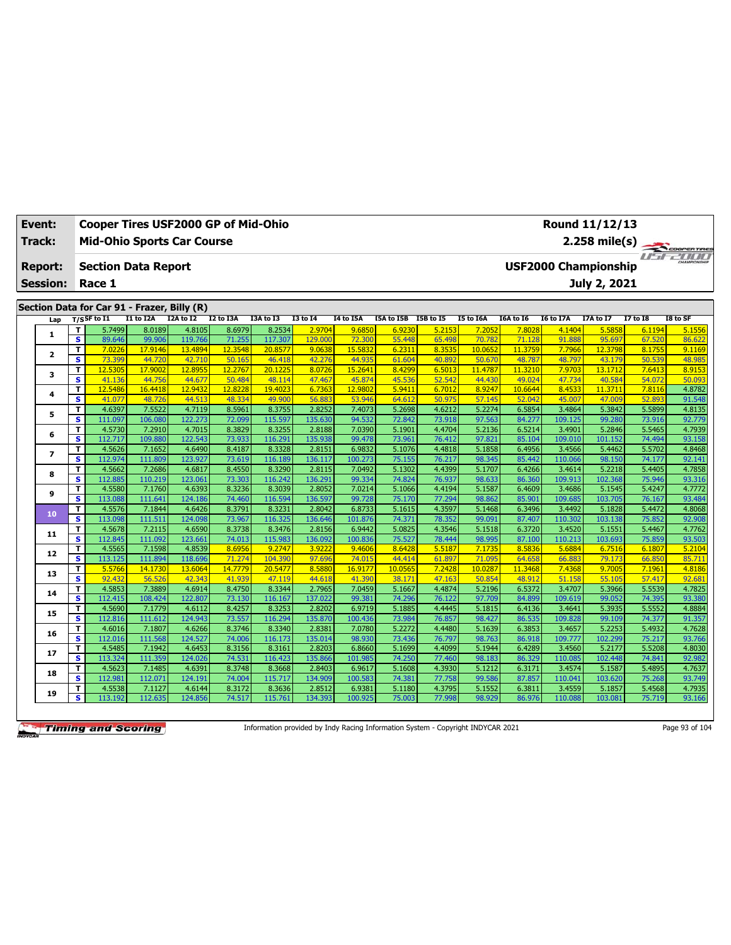| <b>Event:</b>   | Cooper Tires USF2000 GP of Mid-Ohio<br>Round 11/12/13 |                   |                                             |                                   |                   |                   |                  |                   |                      |                  |                   |                   |                             |                   |                  |                  |
|-----------------|-------------------------------------------------------|-------------------|---------------------------------------------|-----------------------------------|-------------------|-------------------|------------------|-------------------|----------------------|------------------|-------------------|-------------------|-----------------------------|-------------------|------------------|------------------|
| Track:          |                                                       |                   |                                             | <b>Mid-Ohio Sports Car Course</b> |                   |                   |                  |                   |                      |                  |                   |                   |                             | $2.258$ mile(s)   |                  | COOPER TIRES     |
| <b>Report:</b>  |                                                       |                   | <b>Section Data Report</b>                  |                                   |                   |                   |                  |                   |                      |                  |                   |                   | <b>USF2000 Championship</b> |                   |                  | <b>FF-POOL</b>   |
| <b>Session:</b> |                                                       | Race 1            |                                             |                                   |                   |                   |                  |                   |                      |                  |                   |                   |                             | July 2, 2021      |                  |                  |
|                 |                                                       |                   |                                             |                                   |                   |                   |                  |                   |                      |                  |                   |                   |                             |                   |                  |                  |
|                 |                                                       |                   | Section Data for Car 91 - Frazer, Billy (R) |                                   |                   |                   |                  |                   |                      |                  |                   |                   |                             |                   |                  |                  |
| Lap             |                                                       | $T/S$ SF to $I1$  | I1 to I2A                                   | I2A to I2                         | <b>I2 to I3A</b>  | I3A to I3         | <b>I3 to I4</b>  | <b>I4 to I5A</b>  | I5A to I5B I5B to I5 |                  | I5 to I6A         | I6A to I6         | <b>I6 to I7A</b>            | I7A to I7         | <b>I7 to I8</b>  | I8 to SF         |
| $\mathbf{1}$    | т                                                     | 5.7499            | 8.0189                                      | 4.8105                            | 8.6979            | 8.2534            | 2.9704           | 9.6850            | 6.9230               | 5.2153           | 7.2052            | 7.8028            | 4.1404                      | 5.5858            | 6.1194           | 5.1556           |
|                 | $\overline{\mathbf{s}}$                               | 89.646            | 99.906                                      | 119.766                           | 71.255            | 117.307           | 129.000          | 72,300            | 55,448               | 65.498           | 70.782            | 71.128            | 91.888                      | 95.697            | 67.520           | 86.622           |
| $\mathbf{2}$    | T.<br>$\overline{\mathbf{s}}$                         | 7.0226<br>73.399  | 17.9146<br>44.720                           | 13.4894<br>42.710                 | 12.3548           | 20.8577           | 9.0638           | 15,5832<br>44.935 | 6.2311               | 8.353            | 10.0652           | 11.3759           | 7.7966<br>48.797            | 12.3798           | 8.1755           | 9.1169           |
|                 | T                                                     | 12.5305           | 17,9002                                     | 12.8955                           | 50.165<br>12.2767 | 46.418<br>20.1225 | 42.276<br>8.0726 | 15,2641           | 61.604<br>8.4299     | 40.892<br>6.5013 | 50.670<br>11,4787 | 48.787<br>11,3210 | 7.9703                      | 43.179<br>13.1712 | 50.539<br>7.6413 | 48.985<br>8.9153 |
| з               | $\overline{\mathbf{s}}$                               | 41.136            | 44.756                                      | 44.677                            | 50.484            | 48.114            | 47.467           | 45.874            | 45.536               | 52.542           | 44.430            | 49.024            | 47.734                      | 40.584            | 54.072           | 50.093           |
|                 | T                                                     | 12.5486           | 16.4418                                     | 12.9432                           | 12.8228           | 19.4023           | 6.7363           | 12.980            | 5.9411               | 6.7012           | 8.9247            | 10.6644           | 8.4533                      | 11.3711           | 7.8116           | 4.8782           |
| 4               | S                                                     | 41.077            | 48.726                                      | 44.513                            | 48.334            | 49.900            | 56.883           | 53.946            | 64.612               | 50.975           | 57.145            | 52.042            | 45.007                      | 47,009            | 52.89            | 91.548           |
|                 | T                                                     | 4.6397            | 7.5522                                      | 4.7119                            | 8.5961            | 8.3755            | 2.8252           | 7.4073            | 5.2698               | 4.6212           | 5.2274            | 6.5854            | 3.4864                      | 5.3842            | 5.5899           | 4.8135           |
| 5               | s                                                     | 111.097           | 106.080                                     | 122.273                           | 72.099            | 115.597           | 135.630          | 94.532            | 72.842               | 73.918           | 97.563            | 84.277            | 109.125                     | 99.280            | 73.916           | 92.779           |
|                 | T                                                     | 4.5730            | 7.2910                                      | 4.7015                            | 8.3829            | 8.3255            | 2.8188           | 7.0390            | 5.1901               | 4.4704           | 5.2136            | 6.5214            | 3.4901                      | 5.2846            | 5.5465           | 4.7939           |
| 6               | S                                                     | 112.717           | 109.880                                     | 122.543                           | 73.933            | 116.291           | 135.938          | 99.478            | 73.961               | 76.412           | 97.821            | 85.104            | 109.010                     | 101.152           | 74.494           | 93.158           |
| $\overline{ }$  | т                                                     | 4.5626            | 7.1652                                      | 4.6490                            | 8.4187            | 8.3328            | 2.8151           | 6.9832            | 5.1076               | 4.4818           | 5.1858            | 6.4956            | 3.4566                      | 5.4462            | 5.5702           | 4.8468           |
|                 | $\overline{\mathbf{s}}$                               | 112.974           | 111.809                                     | 123.927                           | 73.619            | 116.189           | 136.117          | 100.273           | 75.155               | 76.217           | 98.345            | 85.442            | 110.066                     | 98.150            | 74.177           | 92.141           |
| 8               | т                                                     | 4.5662            | 7.2686                                      | 4.6817                            | 8.4550            | 8.3290            | 2.8115           | 7.0492            | 5.1302               | 4.4399           | 5.1707            | 6.4266            | 3.4614                      | 5.2218            | 5.4405           | 4.7858           |
|                 | S                                                     | 112.885           | 110.219                                     | 123.061                           | 73.303            | 116.242           | 136.291          | 99.334            | 74.824               | 76.937           | 98.633            | 86.360            | 109.913                     | 102.368           | 75.946           | 93.316           |
| 9               | T                                                     | 4.5580            | 7.1760                                      | 4.6393                            | 8.3236            | 8.3039            | 2.8052           | 7.0214            | 5.1066               | 4.4194           | 5.1587            | 6.4609            | 3.4686                      | 5.1545            | 5.4247           | 4.7772           |
|                 | s                                                     | 113.088           | 111.641                                     | 124.186                           | 74.460            | 116.594           | 136.597          | 99.728            | 75.170               | 77.294           | 98.862            | 85.901            | 109.685                     | 103.705           | 76.167           | 93.484           |
| 10              | T                                                     | 4.5576            | 7.1844                                      | 4.6426                            | 8.3791            | 8.3231            | 2.8042           | 6.8733            | 5.1615               | 4.3597           | 5.1468            | 6.3496            | 3.4492                      | 5.1828            | 5.4472           | 4.8068           |
|                 | $\overline{\mathbf{s}}$                               | 113.098           | 111.511                                     | 124.098                           | 73.967            | 116.325           | 136.646          | 101.876           | 74.371               | 78.352           | 99.091            | 87.407            | 110.302                     | 103.138           | 75.852           | 92.908           |
| 11              | T                                                     | 4.5678            | 7.2115                                      | 4.6590                            | 8.3738            | 8.3476            | 2.8156           | 6.9442            | 5.0825               | 4.3546           | 5.1518            | 6.3720            | 3.4520                      | 5.1551            | 5.4467           | 4.7762           |
|                 | $\overline{\mathbf{s}}$                               | 112.845           | 111.092                                     | 123.661                           | 74.013            | 115.983           | 136.092          | 100.836           | 75.527               | 78.444           | 98.995            | 87.100            | 110.213                     | 103.693           | 75.859           | 93.503           |
| 12              | T<br>$\overline{\mathbf{s}}$                          | 4.5565<br>113.125 | 7.1598<br>111.894                           | 4.8539<br>118.696                 | 8.6956<br>71.274  | 9.2747<br>104.390 | 3.922<br>97.696  | 9.4606<br>74.015  | 8.6428<br>44.414     | 5.5187<br>61.897 | 7.1735<br>71.095  | 8.5836<br>64.658  | 5.6884<br>66.883            | 6.7516<br>79.173  | 6.1807<br>66.850 | 5.2104<br>85.711 |
|                 | T                                                     | 5.5766            | 14.1730                                     | 13.6064                           | 14.7779           | 20.5477           | 8.5880           | 16.9177           | 10.0565              | 7.2428           | 10.0287           | 11.3468           | 7.4368                      | 9.7005            | 7.1961           | 4.8186           |
| 13              | $\overline{\mathbf{s}}$                               | 92.432            | 56.526                                      | 42.343                            | 41.939            | 47.119            | 44.618           | 41.390            | 38.171               | 47.163           | 50.854            | 48.912            | 51.158                      | 55.105            | 57.417           | 92.681           |
|                 | T                                                     | 4.5853            | 7.3889                                      | 4.6914                            | 8.4750            | 8.3344            | 2.7965           | 7.0459            | 5.1667               | 4.4874           | 5.2196            | 6.5372            | 3.4707                      | 5.3966            | 5.5539           | 4.7825           |
| 14              | $\overline{\mathbf{s}}$                               | 112.415           | 108.424                                     | 122.807                           | 73.130            | 116.167           | 137.022          | 99.381            | 74.296               | 76.122           | 97.709            | 84.899            | 109.619                     | 99.052            | 74.395           | 93.380           |
|                 | T                                                     | 4.5690            | 7.1779                                      | 4.6112                            | 8.4257            | 8.3253            | 2.8202           | 6.9719            | 5.1885               | 4.4445           | 5.1815            | 6.4136            | 3.4641                      | 5.3935            | 5.5552           | 4.8884           |
| 15              | $\overline{\mathbf{s}}$                               | 112.816           | 111.612                                     | 124.943                           | 73.557            | 116.294           | 135.870          | 100.436           | 73.984               | 76.857           | 98.427            | 86.535            | 109.828                     | 99.109            | 74.377           | 91.357           |
|                 | T                                                     | 4.6016            | 7.1807                                      | 4.6266                            | 8.3746            | 8.3340            | 2.8381           | 7.0780            | 5.2272               | 4.4480           | 5.1639            | 6.3853            | 3.4657                      | 5.2253            | 5.4932           | 4.7628           |
| 16              | $\overline{\mathbf{s}}$                               | 112.016           | 111.568                                     | 124.527                           | 74.006            | 116.173           | 135.014          | 98.930            | 73.436               | 76.797           | 98.763            | 86.918            | 109.777                     | 102.299           | 75.217           | 93.766           |
|                 | T                                                     | 4.5485            | 7.1942                                      | 4.6453                            | 8.3156            | 8.3161            | 2.8203           | 6.8660            | 5.1699               | 4.4099           | 5.1944            | 6.4289            | 3.4560                      | 5.2177            | 5.5208           | 4.8030           |
| 17              | s                                                     | 113.324           | 111.359                                     | 124.026                           | 74.531            | 116.423           | 135.866          | 101.985           | 74.250               | 77,460           | 98.183            | 86.329            | 110.085                     | 102.448           | 74.841           | 92.982           |
| 18              | T                                                     | 4.5623            | 7.1485                                      | 4.6391                            | 8.3748            | 8.3668            | 2.8403           | 6.9617            | 5.1608               | 4.3930           | 5.1212            | 6.3171            | 3.4574                      | 5.1587            | 5.4895           | 4.7637           |
|                 | s                                                     | 112.981           | 112.071                                     | 124.191                           | 74.004            | 115.717           | 134.909          | 100.583           | 74.381               | 77.758           | 99.586            | 87.857            | 110.041                     | 103.620           | 75.268           | 93.749           |
| 19              | T.                                                    | 4.5538            | 7.1127                                      | 4.6144                            | 8.3172            | 8.3636            | 2.8512           | 6.9381            | 5.1180               | 4.3795           | 5.1552            | 6.3811            | 3.4559                      | 5.1857            | 5.4568           | 4.7935           |
|                 | s                                                     | 113.192           | 112.635                                     | 124.856                           | 74.517            | 115.761           | 134.393          | 100.925           | 75.003               | 77.998           | 98.929            | 86.976            | 110.088                     | 103.081           | 75.719           | 93.166           |

Information provided by Indy Racing Information System - Copyright INDYCAR 2021 Page 93 of 104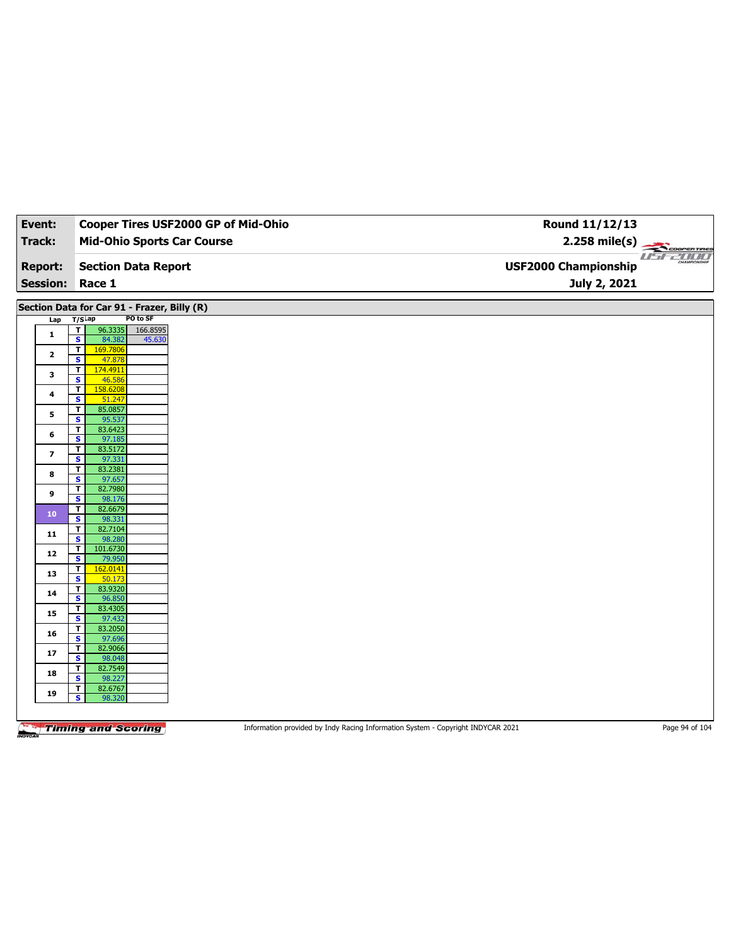| Event:                  | Cooper Tires USF2000 GP of Mid-Ohio                     | Round 11/12/13              |          |
|-------------------------|---------------------------------------------------------|-----------------------------|----------|
| <b>Track:</b>           | <b>Mid-Ohio Sports Car Course</b>                       | $2.258 \text{ mile(s)}$     |          |
| <b>Report:</b>          | <b>Section Data Report</b>                              | <b>USF2000 Championship</b> | USE ZOOD |
| <b>Session:</b>         | Race 1                                                  | July 2, 2021                |          |
|                         |                                                         |                             |          |
| Lap T/SLap              | Section Data for Car 91 - Frazer, Billy (R)<br>PO to SF |                             |          |
| $\mathbf{1}$            | $\overline{\mathbf{r}}$<br>96.3335<br>166.8595          |                             |          |
|                         | $\overline{\mathbf{s}}$<br>84.382<br>45.630             |                             |          |
| $\mathbf{2}$            | 169.7806<br>T<br>S<br>47.878                            |                             |          |
| 3                       | 174.4911<br>T.                                          |                             |          |
|                         | $\overline{\mathbf{s}}$<br>46.586<br>T<br>158.6208      |                             |          |
| 4                       | S<br>51.247                                             |                             |          |
| 5                       | 85.0857<br>T<br>$\overline{\mathbf{s}}$<br>95.537       |                             |          |
| 6                       | 83.6423<br>T                                            |                             |          |
|                         | s<br>97.185<br>83.5172<br>T                             |                             |          |
| $\overline{\mathbf{z}}$ | 97.331<br>$\overline{\mathbf{s}}$                       |                             |          |
| 8                       | 83.2381<br>T.                                           |                             |          |
|                         | S<br>97.657<br>82.7980<br>T                             |                             |          |
| 9                       | $\overline{\mathbf{s}}$<br>98.176                       |                             |          |
| 10                      | 82.6679<br>T<br>S<br>98.331                             |                             |          |
| 11                      | T<br>82.7104                                            |                             |          |
|                         | $\overline{\mathbf{s}}$<br>98.280<br>101.6730<br>T      |                             |          |
| 12                      | S<br>79.950                                             |                             |          |
| 13                      | 162.0141<br>T                                           |                             |          |
|                         | $\overline{\mathbf{s}}$<br>50.173<br>83.9320<br>T       |                             |          |
| 14                      | s<br>96.850                                             |                             |          |
| 15                      | 83.4305<br>T<br>$\overline{\mathbf{s}}$<br>97.432       |                             |          |
| 16                      | 83.2050<br>T                                            |                             |          |
|                         | s<br>97.696<br>82.9066<br>T                             |                             |          |
| 17                      | $\overline{\mathbf{s}}$<br>98.048                       |                             |          |
| 18                      | 82.7549<br>T.<br>98.227                                 |                             |          |
|                         | s<br>82.6767<br>T.                                      |                             |          |
| 19                      | s<br>98.320                                             |                             |          |
|                         |                                                         |                             |          |

Information provided by Indy Racing Information System - Copyright INDYCAR 2021 Page 94 of 104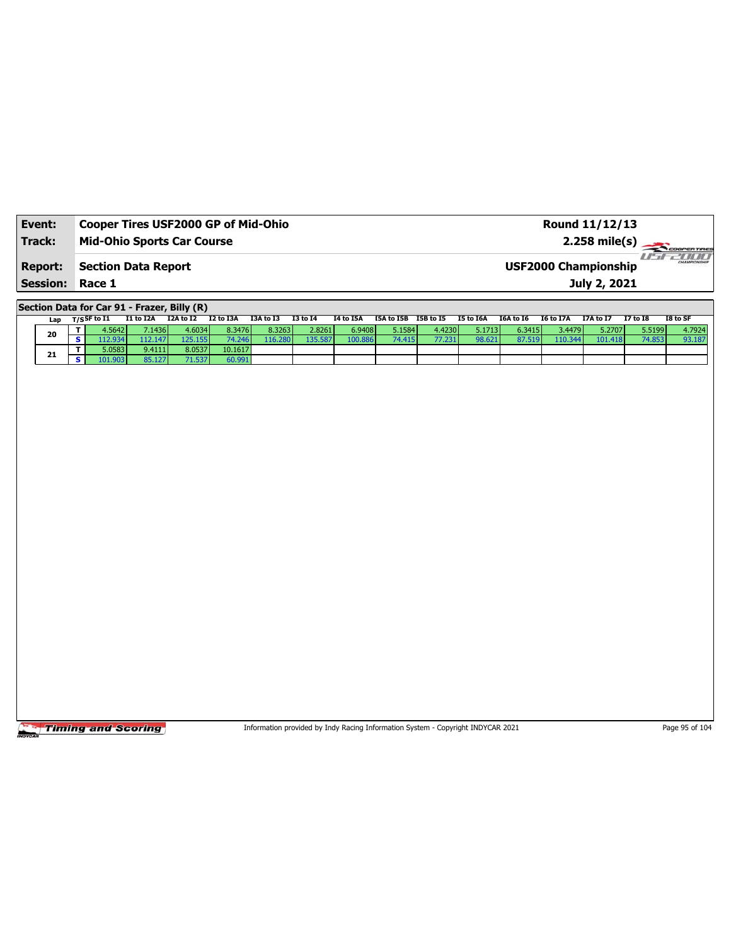| Event:                 | Cooper Tires USF2000 GP of Mid-Ohio | Round 11/12/13              |                         |
|------------------------|-------------------------------------|-----------------------------|-------------------------|
| Track:                 | <b>Mid-Ohio Sports Car Course</b>   | $2.258 \text{ mile(s)}$     |                         |
| <b>Report:</b>         | Section Data Report                 | <b>USF2000 Championship</b> | 7711717<br>CHAMPIONSHIP |
| <b>Session: Race 1</b> |                                     | July 2, 2021                |                         |

**Section Data for Car 91 - Frazer, Billy (R)**

| Lan | T/SSF to I1 | I1 to I2A I2A to I2 |         | I2 to I3A | I3A to I3 | I3 to I4 | I4 to I5A | [5A to I5B I5B to I5 |        | I5 to I6A | I6A to I6 | I6 to I7A | I7A to I7 | I7 to I8 | I8 to SF |
|-----|-------------|---------------------|---------|-----------|-----------|----------|-----------|----------------------|--------|-----------|-----------|-----------|-----------|----------|----------|
| 20  | 1.56421     | 7.1436              | 4.6034  | 8.3476 l  | 8.3263    | 2.8261   | 6.9408    | 5.1584               | 4.4230 | 5.1713    | 6.3415    | 3.4479    | 5.2707    | 5.5199   | 4.7924   |
|     |             |                     | 125.155 | 74.246    | 116.280   | 135.587  | 100.886   | 74.415               | 77.231 | 98.621    | 87.519    | 110.344   | 101.418   |          | 93.187   |
| 21  | 5.0583 l    | 9.4111              | 8.0537  | 10.1617   |           |          |           |                      |        |           |           |           |           |          |          |
|     |             | 85.127              | 71.537  | 60.991    |           |          |           |                      |        |           |           |           |           |          |          |

**Timing and Scoring** 

Information provided by Indy Racing Information System - Copyright INDYCAR 2021 Page 95 of 104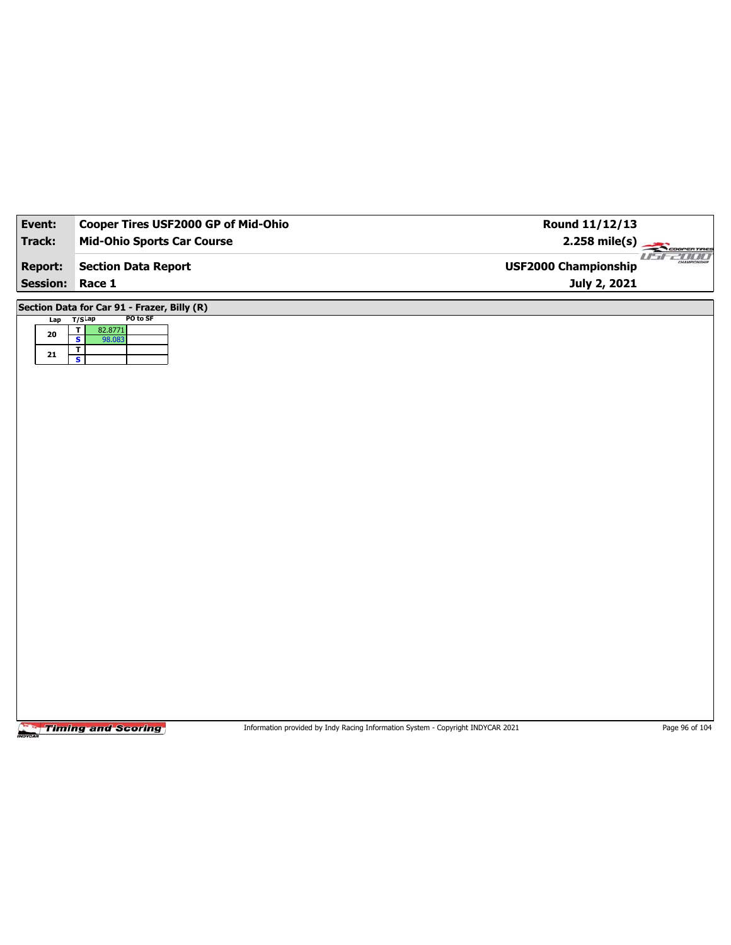| Event:          | Cooper Tires USF2000 GP of Mid-Ohio                         | Round 11/12/13              |                                       |
|-----------------|-------------------------------------------------------------|-----------------------------|---------------------------------------|
| <b>Track:</b>   | <b>Mid-Ohio Sports Car Course</b>                           | $2.258$ mile(s)             | COOPERTIRES                           |
| <b>Report:</b>  | <b>Section Data Report</b>                                  | <b>USF2000 Championship</b> | $II^{\prime\prime}$<br><u>2000 - </u> |
| <b>Session:</b> | Race 1                                                      | July 2, 2021                |                                       |
|                 | Section Data for Car 91 - Frazer, Billy (R)                 |                             |                                       |
| Lap             | PO to SF<br>$T/S$ Lap<br>$\overline{\mathbf{r}}$<br>82.8771 |                             |                                       |
| ${\bf 20}$      | $\overline{\mathbf{s}}$<br>98.083                           |                             |                                       |
| ${\bf 21}$      | $\overline{\mathbf{r}}$<br>$\overline{\mathbf{s}}$          |                             |                                       |
|                 |                                                             |                             |                                       |
|                 |                                                             |                             |                                       |
|                 |                                                             |                             |                                       |
|                 |                                                             |                             |                                       |
|                 |                                                             |                             |                                       |
|                 |                                                             |                             |                                       |
|                 |                                                             |                             |                                       |
|                 |                                                             |                             |                                       |
|                 |                                                             |                             |                                       |
|                 |                                                             |                             |                                       |
|                 |                                                             |                             |                                       |
|                 |                                                             |                             |                                       |
|                 |                                                             |                             |                                       |
|                 |                                                             |                             |                                       |
|                 |                                                             |                             |                                       |
|                 |                                                             |                             |                                       |
|                 |                                                             |                             |                                       |
|                 |                                                             |                             |                                       |
|                 |                                                             |                             |                                       |
|                 |                                                             |                             |                                       |

Information provided by Indy Racing Information System - Copyright INDYCAR 2021 Page 96 of 104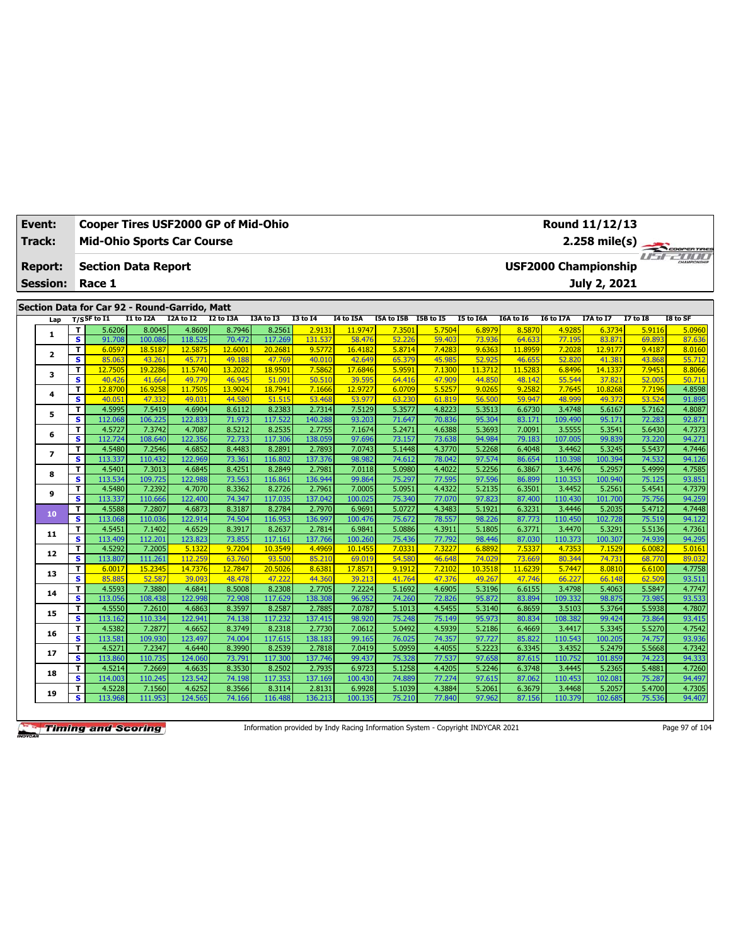| <b>Event:</b>   | Cooper Tires USF2000 GP of Mid-Ohio<br>Round 11/12/13 |                   |                            |                                               |                   |                   |                  |                   |                      |                  |                  |                   |                             |                   |                  |                  |
|-----------------|-------------------------------------------------------|-------------------|----------------------------|-----------------------------------------------|-------------------|-------------------|------------------|-------------------|----------------------|------------------|------------------|-------------------|-----------------------------|-------------------|------------------|------------------|
| Track:          |                                                       |                   |                            | <b>Mid-Ohio Sports Car Course</b>             |                   |                   |                  |                   |                      |                  |                  |                   |                             | 2.258 mile(s)     |                  | COOPER TIRES     |
| <b>Report:</b>  |                                                       |                   | <b>Section Data Report</b> |                                               |                   |                   |                  |                   |                      |                  |                  |                   | <b>USF2000 Championship</b> |                   |                  | <b>FF-POOL</b>   |
| <b>Session:</b> |                                                       | Race 1            |                            |                                               |                   |                   |                  |                   |                      |                  |                  |                   |                             | July 2, 2021      |                  |                  |
|                 |                                                       |                   |                            |                                               |                   |                   |                  |                   |                      |                  |                  |                   |                             |                   |                  |                  |
|                 |                                                       |                   |                            | Section Data for Car 92 - Round-Garrido, Matt |                   |                   |                  |                   |                      |                  |                  |                   |                             |                   |                  |                  |
| Lap             | T/SSF to I1                                           |                   | I1 to I2A                  | I2A to I2                                     | <b>I2 to I3A</b>  | I3A to I3         | <b>I3 to I4</b>  | <b>I4 to I5A</b>  | I5A to I5B I5B to I5 |                  | I5 to I6A        | I6A to I6         | <b>I6 to I7A</b>            | I7A to I7         | <b>I7 to I8</b>  | I8 to SF         |
| $\mathbf{1}$    | т                                                     | 5.6206            | 8.0045                     | 4.8609                                        | 8.7946            | 8.2561            | 2.9131           | 11.9747           | 7.3501               | 5.7504           | 6.8979           | 8.5870            | 4.9285                      | 6.3734            | 5.9116           | 5.0960           |
|                 | $\overline{\mathbf{s}}$                               | 91.708            | 100.086                    | 118.525                                       | 70.472            | 117.269           | 131.537          | 58.476            | 52.226               | 59.403           | 73.936           | 64.633            | 77.195                      | 83.871            | 69.893           | 87.636           |
| $\mathbf{2}$    | T.<br>$\overline{\mathbf{s}}$                         | 6.0597            | 18.5187                    | 12.5875<br>45.771                             | 12.6001           | 20.2681           | 9.5772           | 16,4182<br>42.649 | 5.8714               | 7.4283<br>45.985 | 9.6363<br>52.925 | 11.8959<br>46.655 | 7.2028<br>52.820            | 12.9177           | 9.4187           | 8.0160<br>55.712 |
|                 | T                                                     | 85.063<br>12.7505 | 43.261<br>19.2286          | 11.5740                                       | 49.188<br>13,2022 | 47.769<br>18.9501 | 40.010<br>7.586  | 17,6846           | 65.379<br>5.9591     | 7.1300           | 11.3712          | 11.5283           | 6.8496                      | 41.381<br>14.1337 | 43.868<br>7.945  | 8.8066           |
| з               | $\overline{\mathbf{s}}$                               | 40.426            | 41.664                     | 49.779                                        | 46.945            | 51.091            | 50.510           | 39.595            | 64.416               | 47.909           | 44.850           | 48.142            | 55.544                      | 37.821            | 52.005           | 50.711           |
|                 | T                                                     | 12.8700           | 16.9258                    | 11.7505                                       | 13.9024           | 18.7941           | 7.1666           | 12.9727           | 6.0709               | 5.525            | 9.0265           | 9.2582            | 7.7645                      | 10.8268           | 7.7196           | 4.8598           |
| 4               | S                                                     | 40.051            | 47.332                     | 49.031                                        | 44.580            | 51.515            | 53.468           | 53.977            | 63.230               | 61.819           | 56.500           | 59.947            | 48.999                      | 49.372            | 53.524           | 91.895           |
|                 | T                                                     | 4.5995            | 7.5419                     | 4.6904                                        | 8.6112            | 8.2383            | 2.7314           | 7.5129            | 5.3577               | 4.8223           | 5.3513           | 6.6730            | 3.4748                      | 5.6167            | 5.7162           | 4.8087           |
| 5               | s                                                     | 112.068           | 106.225                    | 122.833                                       | 71.973            | 117.522           | 140.288          | 93.203            | 71.647               | 70.836           | 95.304           | 83.171            | 109.490                     | 95.171            | 72.283           | 92.871           |
|                 | T                                                     | 4.5727            | 7.3742                     | 4.7087                                        | 8.5212            | 8.2535            | 2.7755           | 7.1674            | 5.2471               | 4.6388           | 5.3693           | 7.0091            | 3.5555                      | 5.3541            | 5.6430           | 4.7373           |
| 6               | S                                                     | 112.724           | 108.640                    | 122.356                                       | 72.733            | 117.306           | 138.059          | 97.696            | 73.157               | 73.638           | 94.984           | 79.183            | 107.005                     | 99.839            | 73.220           | 94.271           |
| $\overline{ }$  | T                                                     | 4.5480            | 7.2546                     | 4.6852                                        | 8.4483            | 8.2891            | 2.7893           | 7.0743            | 5.1448               | 4.3770           | 5.2268           | 6.4048            | 3.4462                      | 5.3245            | 5.5437           | 4.7446           |
|                 | $\overline{\mathbf{s}}$                               | 113.337           | 110.432                    | 122.969                                       | 73.361            | 116.802           | 137.376          | 98.982            | 74.612               | 78.042           | 97.574           | 86.654            | 110.398                     | 100.394           | 74.532           | 94.126           |
| 8               | т                                                     | 4.5401            | 7.3013                     | 4.6845                                        | 8.4251            | 8.2849            | 2.7981           | 7.0118            | 5.0980               | 4.4022           | 5.2256           | 6.3867            | 3.4476                      | 5.2957            | 5.4999           | 4.7585           |
|                 | S                                                     | 113.534           | 109.725                    | 122.988                                       | 73.563            | 116.861           | 136.944          | 99.864            | 75.297               | 77.595           | 97.596           | 86.899            | 110.353                     | 100.940           | 75.125           | 93.851           |
| 9               | T                                                     | 4.5480            | 7.2392                     | 4.7070                                        | 8.3362            | 8.2726            | 2.7961           | 7.0005            | 5.0951               | 4.4322           | 5.2135           | 6.3501            | 3.4452                      | 5.2561            | 5.4541           | 4.7379           |
|                 | s                                                     | 113.337           | 110.666                    | 122.400                                       | 74.347            | 117.035           | 137.042          | 100.025           | 75.340               | 77.070           | 97.823           | 87.400            | 110.430                     | 101.700           | 75.756           | 94.259           |
| 10              | T                                                     | 4.5588            | 7.2807                     | 4.6873                                        | 8.3187            | 8.2784            | 2.7970           | 6.9691            | 5.0727               | 4.3483           | 5.1921           | 6.3231            | 3.4446                      | 5.2035            | 5.4712           | 4.7448           |
|                 | $\overline{\mathbf{s}}$                               | 113.068           | 110.036                    | 122.914                                       | 74.504            | 116.953           | 136.997          | 100.476           | 75.672               | 78.557           | 98.226           | 87.773            | 110.450                     | 102.728           | 75.519           | 94.122           |
| 11              | T                                                     | 4.5451            | 7.1402                     | 4.6529                                        | 8.3917            | 8.2637            | 2.7814           | 6.9841            | 5.0886               | 4.3911           | 5.1805           | 6.3771            | 3.4470                      | 5.3291            | 5.5136           | 4.7361           |
|                 | $\overline{\mathbf{s}}$                               | 113,409           | 112.201<br>7.2005          | 123.823<br>5.1322                             | 73.855            | 117.161           | 137.766          | 100.260           | 75.436<br>7.0331     | 77.792           | 98.446           | 87.030            | 110.373<br>4.7353           | 100.307           | 74.939           | 94.295           |
| 12              | T<br>$\overline{\mathbf{s}}$                          | 4.5292<br>113.807 | 111.261                    | 112,259                                       | 9.7204<br>63.760  | 10.3549<br>93.500 | 4.4969<br>85.210 | 10.1455<br>69.019 | 54.580               | 7.3227<br>46.648 | 6.8892<br>74.029 | 7.5337<br>73.669  | 80.344                      | 7.1529<br>74.731  | 6.0082<br>68,770 | 5.0161<br>89.032 |
|                 | T                                                     | 6.0017            | 15.2345                    | 14.7376                                       | 12.7847           | 20.5026           | 8.6381           | 17.8571           | 9.1912               | 7.2102           | 10.3518          | 11.6239           | 5.7447                      | 8.0810            | 6.6100           | 4.7758           |
| 13              | $\overline{\mathbf{s}}$                               | 85.885            | 52.587                     | 39.093                                        | 48.478            | 47.222            | 44.360           | 39.213            | 41.764               | 47.376           | 49.267           | 47.746            | 66.227                      | 66.148            | 62.509           | 93.511           |
|                 | T                                                     | 4.5593            | 7.3880                     | 4.6841                                        | 8.5008            | 8.2308            | 2.7705           | 7.2224            | 5.1692               | 4.6905           | 5.3196           | 6.6155            | 3.4798                      | 5.4063            | 5.5847           | 4.7747           |
| 14              | $\overline{\mathbf{s}}$                               | 113.056           | 108.438                    | 122.998                                       | 72.908            | 117.629           | 138.308          | 96.952            | 74.260               | 72.826           | 95.872           | 83.894            | 109.332                     | 98.875            | 73.985           | 93.533           |
|                 | T                                                     | 4.5550            | 7.2610                     | 4.6863                                        | 8.3597            | 8.2587            | 2.7885           | 7.0787            | 5.1013               | 4.5455           | 5.3140           | 6.8659            | 3.5103                      | 5.3764            | 5.5938           | 4.7807           |
| 15              | $\overline{\mathbf{s}}$                               | 113.162           | 110.334                    | 122.941                                       | 74.138            | 117.232           | 137.415          | 98.920            | 75.248               | 75.149           | 95.973           | 80.834            | 108.382                     | 99.424            | 73.864           | 93.415           |
|                 | T                                                     | 4.5382            | 7.2877                     | 4.6652                                        | 8.3749            | 8.2318            | 2.7730           | 7.0612            | 5.0492               | 4.5939           | 5.2186           | 6.4669            | 3.4417                      | 5.3345            | 5.5270           | 4.7542           |
| 16              | $\overline{\mathbf{s}}$                               | 113.581           | 109.930                    | 123.497                                       | 74.004            | 117.615           | 138.183          | 99.165            | 76.025               | 74.357           | 97.727           | 85.822            | 110.543                     | 100.205           | 74.757           | 93.936           |
| 17              | T                                                     | 4.5271            | 7.2347                     | 4.6440                                        | 8.3990            | 8.2539            | 2.7818           | 7.0419            | 5.0959               | 4.4055           | 5.2223           | 6.3345            | 3.4352                      | 5.2479            | 5.5668           | 4.7342           |
|                 | s                                                     | 113,860           | 110.735                    | 124.060                                       | 73.791            | 117.300           | 137.746          | 99.437            | 75.328               | 77.537           | 97.658           | 87.615            | 110.752                     | 101.859           | 74.223           | 94.333           |
| 18              | T                                                     | 4.5214            | 7.2669                     | 4.6635                                        | 8.3530            | 8.2502            | 2.7935           | 6.9723            | 5.1258               | 4.4205           | 5.2246           | 6.3748            | 3.4445                      | 5.2365            | 5.4881           | 4.7260           |
|                 | s                                                     | 114.003           | 110.245                    | 123.542                                       | 74.198            | 117.353           | 137.169          | 100.430           | 74.889               | 77.274           | 97.615           | 87.062            | 110.453                     | 102.081           | 75.287           | 94.497           |
| 19              | T.                                                    | 4.5228            | 7.1560                     | 4.6252                                        | 8.3566            | 8.3114            | 2.8131           | 6.9928            | 5.1039               | 4.3884           | 5.2061           | 6.3679            | 3.4468                      | 5.2057            | 5.4700           | 4.7305           |
|                 | s                                                     | 113.968           | 111.953                    | 124.565                                       | 74.166            | 116.488           | 136.213          | 100.135           | 75.210               | 77.840           | 97.962           | 87.156            | 110.379                     | 102.685           | 75.536           | 94.407           |

Information provided by Indy Racing Information System - Copyright INDYCAR 2021 Page 97 of 104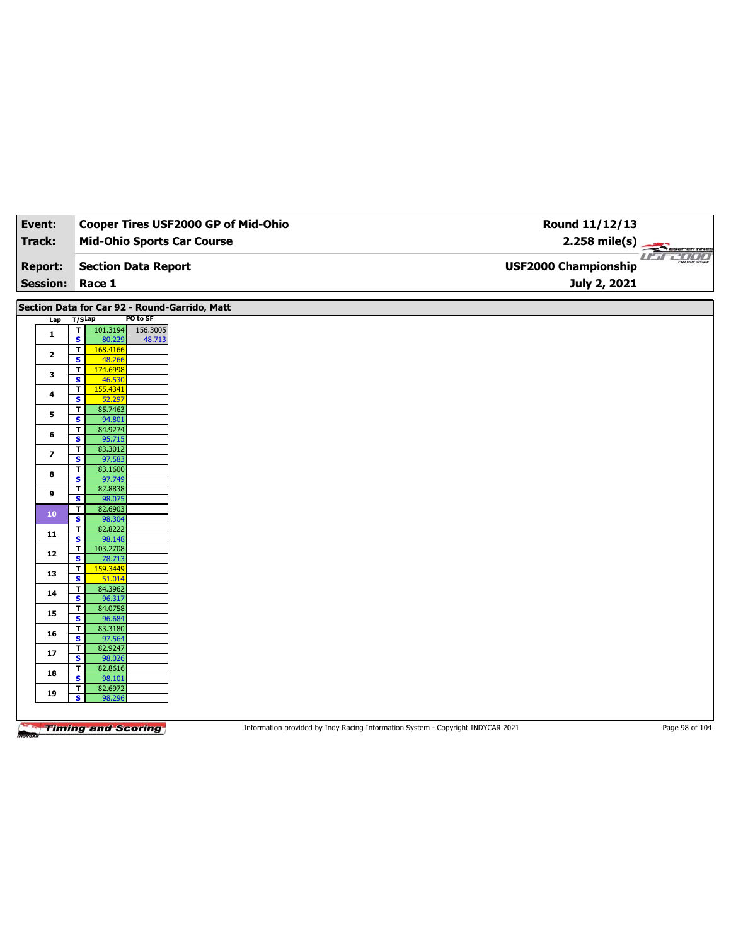| Event:                   | Cooper Tires USF2000 GP of Mid-Ohio                          | Round 11/12/13              |                         |
|--------------------------|--------------------------------------------------------------|-----------------------------|-------------------------|
| <b>Track:</b>            | <b>Mid-Ohio Sports Car Course</b>                            | $2.258 \text{ mile(s)}$     |                         |
| <b>Report:</b>           | <b>Section Data Report</b>                                   | <b>USF2000 Championship</b> | usr2000<br>CHAMPSONSHIP |
| <b>Session:</b>          | Race 1                                                       | July 2, 2021                |                         |
|                          |                                                              |                             |                         |
|                          | Section Data for Car 92 - Round-Garrido, Matt                |                             |                         |
| Lap                      | PO to SF<br>T/SLap                                           |                             |                         |
| $\mathbf{1}$             | $\overline{\mathbf{r}}$<br>101.3194<br>156.3005              |                             |                         |
|                          | $\overline{\mathbf{s}}$<br>80.229<br>48.713<br>168.4166<br>T |                             |                         |
| $\mathbf{2}$             | S<br>48.266                                                  |                             |                         |
| 3                        | T.<br>174.6998<br>$\overline{\mathbf{s}}$<br>46.530          |                             |                         |
|                          | 155.4341<br>T                                                |                             |                         |
| 4                        | S<br>52.297                                                  |                             |                         |
| 5                        | T.<br>85.7463<br>$\overline{\mathbf{s}}$<br>94.801           |                             |                         |
|                          | 84.9274<br>T.                                                |                             |                         |
| 6                        | 95.715<br>s                                                  |                             |                         |
| $\overline{\phantom{a}}$ | 83.3012<br>T                                                 |                             |                         |
|                          | $\overline{\mathbf{s}}$<br>97.583                            |                             |                         |
| 8                        | 83.1600<br>T.<br>97.749<br>s                                 |                             |                         |
|                          | 82.8838<br>T                                                 |                             |                         |
| 9                        | $\overline{\mathbf{s}}$<br>98.075                            |                             |                         |
| 10                       | T<br>82.6903                                                 |                             |                         |
|                          | S<br>98.304                                                  |                             |                         |
| 11                       | 82.8222<br>T<br>$\overline{\mathbf{s}}$<br>98.148            |                             |                         |
|                          | 103.2708<br>T                                                |                             |                         |
| 12                       | S<br>78.713                                                  |                             |                         |
| 13                       | T<br>159.3449                                                |                             |                         |
|                          | $\overline{\mathbf{s}}$<br>51.014                            |                             |                         |
| 14                       | T.<br>84.3962<br>S<br>96.317                                 |                             |                         |
|                          | 84.0758<br>T                                                 |                             |                         |
| 15                       | 96.684<br>$\overline{\mathbf{s}}$                            |                             |                         |
| 16                       | T<br>83.3180                                                 |                             |                         |
|                          | S<br>97.564<br>82.9247<br>T                                  |                             |                         |
| 17                       | s<br>98.026                                                  |                             |                         |
| 18                       | 82.8616<br>T                                                 |                             |                         |
|                          | 98.101<br>s                                                  |                             |                         |
| 19                       | 82.6972<br>T<br>s.<br>98.296                                 |                             |                         |
|                          |                                                              |                             |                         |

Information provided by Indy Racing Information System - Copyright INDYCAR 2021 Page 98 of 104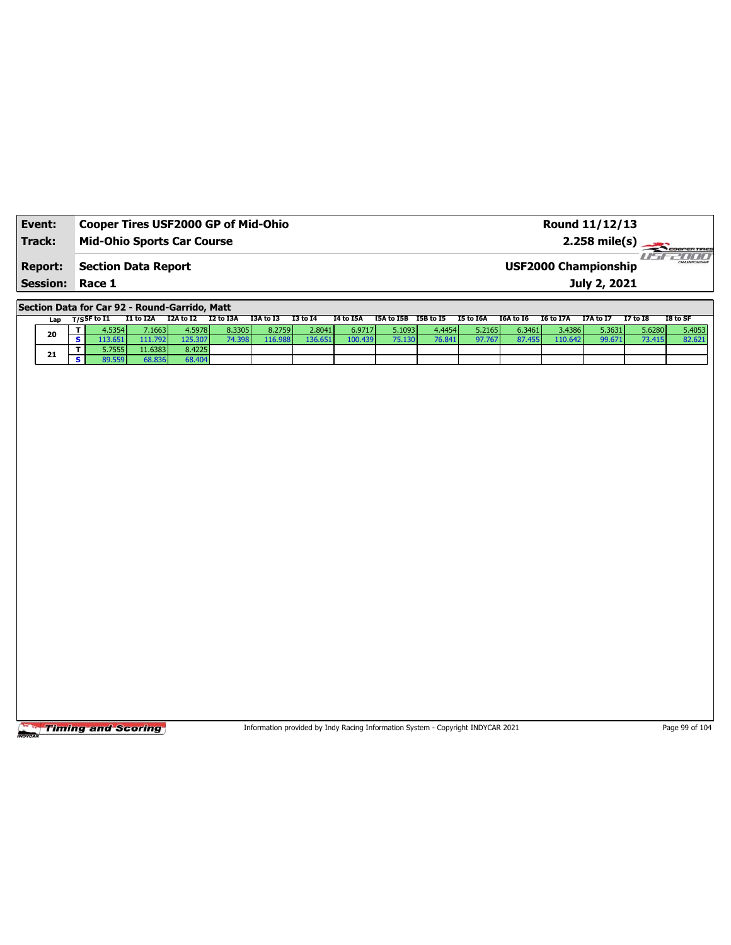| Event:                 | <b>Cooper Tires USF2000 GP of Mid-Ohio</b> | Round 11/12/13              |                             |
|------------------------|--------------------------------------------|-----------------------------|-----------------------------|
| Track:                 | <b>Mid-Ohio Sports Car Course</b>          | $2.258 \text{ mile(s)}$     |                             |
| <b>Report:</b>         | Section Data Report                        | <b>USF2000 Championship</b> | <b>HILL</b><br>CHAMPIONSHIP |
| <b>Session: Race 1</b> |                                            | July 2, 2021                |                             |

**Section Data for Car 92 - Round-Garrido, Matt**

| Lap | T/SSF to I1 | I1 to I2A        | I2A to I2 | I2 to I3A | I3A to I3 | <b>I3 to I4</b> | I4 to I5A | I5A to I5B | I5B to I5 | I5 to I6A | I6A to I6 | I6 to I7A | <b>I7A to I7</b> | <b>I7 to I8</b> | I8 to SF |
|-----|-------------|------------------|-----------|-----------|-----------|-----------------|-----------|------------|-----------|-----------|-----------|-----------|------------------|-----------------|----------|
|     | 4.5354      | 7.1663           | 4.5978    | 8.3305    | 8.2759    | 2.8041          | 6.9717    | 5.1093     | 4.4454    | 5.2165    | 6.3461    | 3.4386    | 5.3631           | 5.6280          | 5.4053   |
| 20  |             | 111.792          | 125.307   | 74.398 l  | 16.988    | 136.651         | 100.439   | 75.130     | 76.841    | 97.767    | 87.455    | 110.642   | 99.671           | 73.415          | 82.621   |
|     | 5.7555 l    | 11.6383 <b>I</b> | 8.4225    |           |           |                 |           |            |           |           |           |           |                  |                 |          |
| 21  | 39.559      | 68.836           | 68.404    |           |           |                 |           |            |           |           |           |           |                  |                 |          |

Timing and Scoring

Information provided by Indy Racing Information System - Copyright INDYCAR 2021 Page 99 of 104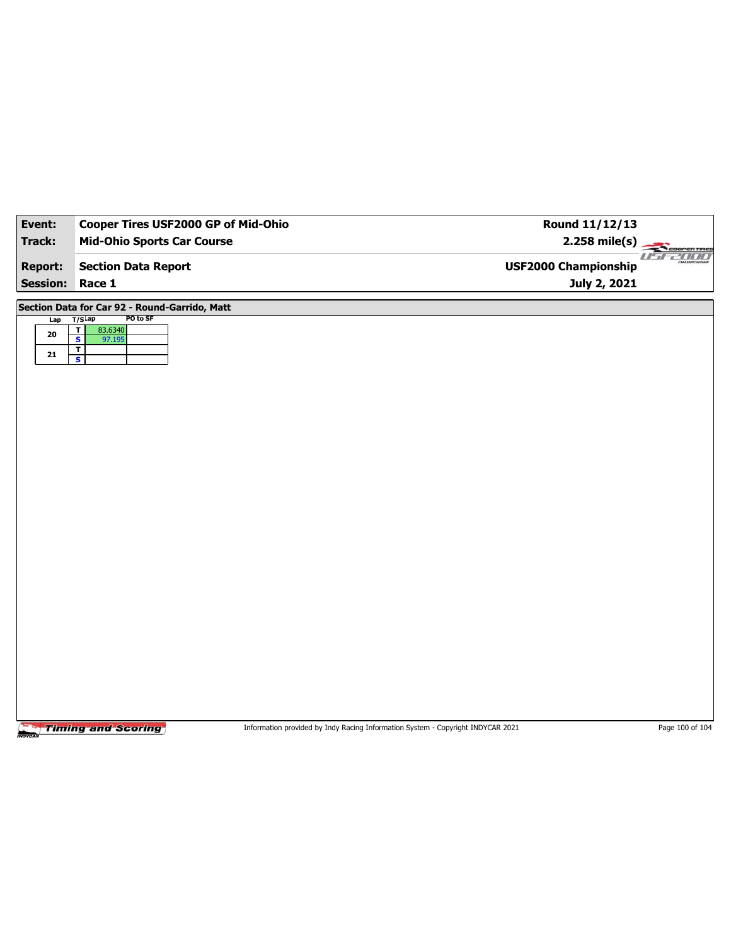| Event:          | Cooper Tires USF2000 GP of Mid-Ohio            | Round 11/12/13                                         |
|-----------------|------------------------------------------------|--------------------------------------------------------|
| <b>Track:</b>   | <b>Mid-Ohio Sports Car Course</b>              | $2.258$ mile(s)<br>COOPERTIRES                         |
| <b>Report:</b>  | <b>Section Data Report</b>                     | $II - I$<br><b>2000</b><br><b>USF2000 Championship</b> |
| Session: Race 1 |                                                | July 2, 2021                                           |
|                 | Section Data for Car 92 - Round-Garrido, Matt  |                                                        |
| Lap $T/S$ Lap   | PO to SF<br>$\overline{\mathbf{r}}$<br>83.6340 |                                                        |
| ${\bf 20}$      | $\overline{\mathbf{s}}$<br>97.195              |                                                        |
| 21              | $rac{1}{s}$                                    |                                                        |
|                 |                                                |                                                        |
|                 |                                                |                                                        |
|                 |                                                |                                                        |
|                 |                                                |                                                        |
|                 |                                                |                                                        |
|                 |                                                |                                                        |
|                 |                                                |                                                        |
|                 |                                                |                                                        |
|                 |                                                |                                                        |
|                 |                                                |                                                        |
|                 |                                                |                                                        |
|                 |                                                |                                                        |
|                 |                                                |                                                        |
|                 |                                                |                                                        |
|                 |                                                |                                                        |
|                 |                                                |                                                        |
|                 |                                                |                                                        |
|                 |                                                |                                                        |
|                 |                                                |                                                        |

Information provided by Indy Racing Information System - Copyright INDYCAR 2021 Page 100 of 104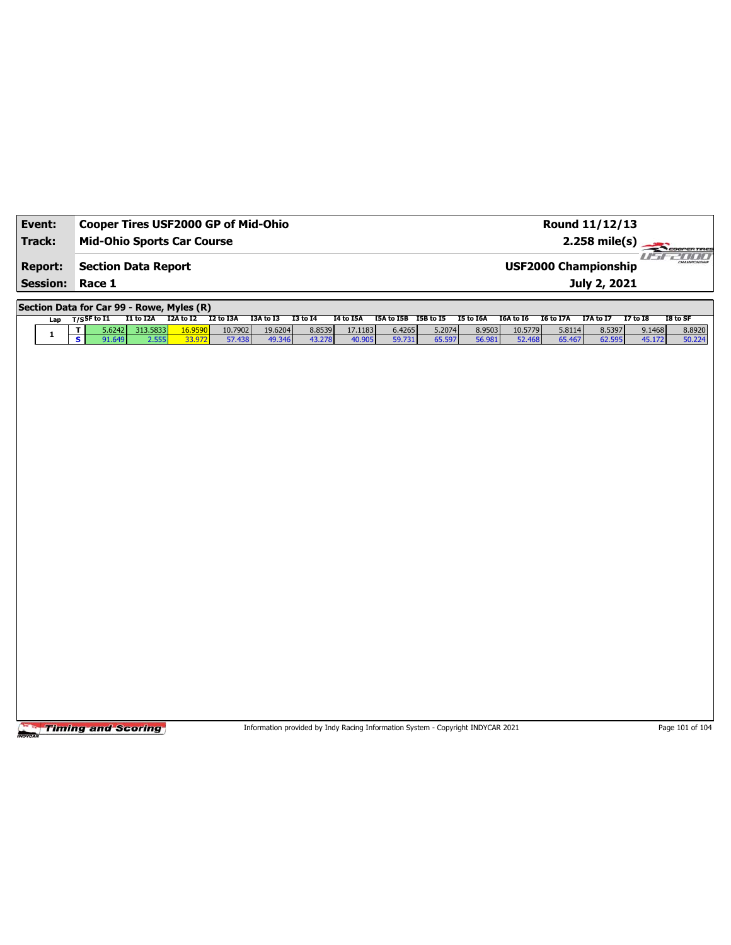| Event:          |                                           | Cooper Tires USF2000 GP of Mid-Ohio              |                            |                     |                   |                   |                  |                   |                                 | Round 11/12/13              |                  |                   |                  |                  |                  |                  |
|-----------------|-------------------------------------------|--------------------------------------------------|----------------------------|---------------------|-------------------|-------------------|------------------|-------------------|---------------------------------|-----------------------------|------------------|-------------------|------------------|------------------|------------------|------------------|
| Track:          |                                           | <b>Mid-Ohio Sports Car Course</b>                |                            |                     |                   |                   |                  |                   | $2.258$ mile(s)<br>COOPER TIRES |                             |                  |                   |                  |                  |                  |                  |
| <b>Report:</b>  |                                           |                                                  | <b>Section Data Report</b> |                     |                   |                   |                  |                   |                                 | <b>USF2000 Championship</b> |                  |                   |                  |                  |                  |                  |
| <b>Session:</b> |                                           | Race 1                                           |                            |                     |                   |                   |                  |                   | July 2, 2021                    |                             |                  |                   |                  |                  |                  |                  |
|                 |                                           |                                                  |                            |                     |                   |                   |                  |                   |                                 |                             |                  |                   |                  |                  |                  |                  |
|                 | Section Data for Car 99 - Rowe, Myles (R) |                                                  |                            |                     |                   |                   |                  |                   |                                 |                             |                  |                   |                  |                  |                  |                  |
|                 | Lap                                       | $T/S$ SF to I1                                   | I1 to I2A                  | I2A to I2 I2 to I3A |                   | I3A to I3         | <b>I3 to I4</b>  | <b>I4 to I5A</b>  | I5A to I5B I5B to I5            |                             | <b>I5 to I6A</b> | I6A to I6         | <b>I6 to I7A</b> | I7A to I7        | <b>I7 to 18</b>  | I8 to SF         |
|                 | 1                                         | 5.6242<br>т<br>$\overline{\mathbf{s}}$<br>91.649 | 313.5833<br>2.555          | 16.9590<br>33.972   | 10.7902<br>57.438 | 19.6204<br>49.346 | 8.8539<br>43.278 | 17.1183<br>40.905 | 6.4265<br>59.731                | 5.2074<br>65.597            | 8.9503<br>56.981 | 10.5779<br>52.468 | 5.8114<br>65.467 | 8.5397<br>62.595 | 9.1468<br>45.172 | 8.8920<br>50.224 |
|                 |                                           |                                                  |                            |                     |                   |                   |                  |                   |                                 |                             |                  |                   |                  |                  |                  |                  |
|                 |                                           |                                                  |                            |                     |                   |                   |                  |                   |                                 |                             |                  |                   |                  |                  |                  |                  |
|                 |                                           |                                                  |                            |                     |                   |                   |                  |                   |                                 |                             |                  |                   |                  |                  |                  |                  |
|                 |                                           |                                                  |                            |                     |                   |                   |                  |                   |                                 |                             |                  |                   |                  |                  |                  |                  |
|                 |                                           |                                                  |                            |                     |                   |                   |                  |                   |                                 |                             |                  |                   |                  |                  |                  |                  |
|                 |                                           |                                                  |                            |                     |                   |                   |                  |                   |                                 |                             |                  |                   |                  |                  |                  |                  |
|                 |                                           |                                                  |                            |                     |                   |                   |                  |                   |                                 |                             |                  |                   |                  |                  |                  |                  |
|                 |                                           |                                                  |                            |                     |                   |                   |                  |                   |                                 |                             |                  |                   |                  |                  |                  |                  |
|                 |                                           |                                                  |                            |                     |                   |                   |                  |                   |                                 |                             |                  |                   |                  |                  |                  |                  |
|                 |                                           |                                                  |                            |                     |                   |                   |                  |                   |                                 |                             |                  |                   |                  |                  |                  |                  |
|                 |                                           |                                                  |                            |                     |                   |                   |                  |                   |                                 |                             |                  |                   |                  |                  |                  |                  |
|                 |                                           |                                                  |                            |                     |                   |                   |                  |                   |                                 |                             |                  |                   |                  |                  |                  |                  |
|                 |                                           |                                                  |                            |                     |                   |                   |                  |                   |                                 |                             |                  |                   |                  |                  |                  |                  |
|                 |                                           |                                                  |                            |                     |                   |                   |                  |                   |                                 |                             |                  |                   |                  |                  |                  |                  |
|                 |                                           |                                                  |                            |                     |                   |                   |                  |                   |                                 |                             |                  |                   |                  |                  |                  |                  |
|                 |                                           |                                                  |                            |                     |                   |                   |                  |                   |                                 |                             |                  |                   |                  |                  |                  |                  |
|                 |                                           |                                                  |                            |                     |                   |                   |                  |                   |                                 |                             |                  |                   |                  |                  |                  |                  |
|                 |                                           |                                                  |                            |                     |                   |                   |                  |                   |                                 |                             |                  |                   |                  |                  |                  |                  |
|                 |                                           |                                                  |                            |                     |                   |                   |                  |                   |                                 |                             |                  |                   |                  |                  |                  |                  |
|                 |                                           |                                                  |                            |                     |                   |                   |                  |                   |                                 |                             |                  |                   |                  |                  |                  |                  |
|                 |                                           |                                                  |                            |                     |                   |                   |                  |                   |                                 |                             |                  |                   |                  |                  |                  |                  |
|                 |                                           |                                                  |                            |                     |                   |                   |                  |                   |                                 |                             |                  |                   |                  |                  |                  |                  |
|                 |                                           |                                                  |                            |                     |                   |                   |                  |                   |                                 |                             |                  |                   |                  |                  |                  |                  |
|                 |                                           |                                                  |                            |                     |                   |                   |                  |                   |                                 |                             |                  |                   |                  |                  |                  |                  |
|                 |                                           |                                                  |                            |                     |                   |                   |                  |                   |                                 |                             |                  |                   |                  |                  |                  |                  |

Information provided by Indy Racing Information System - Copyright INDYCAR 2021 Page 101 of 104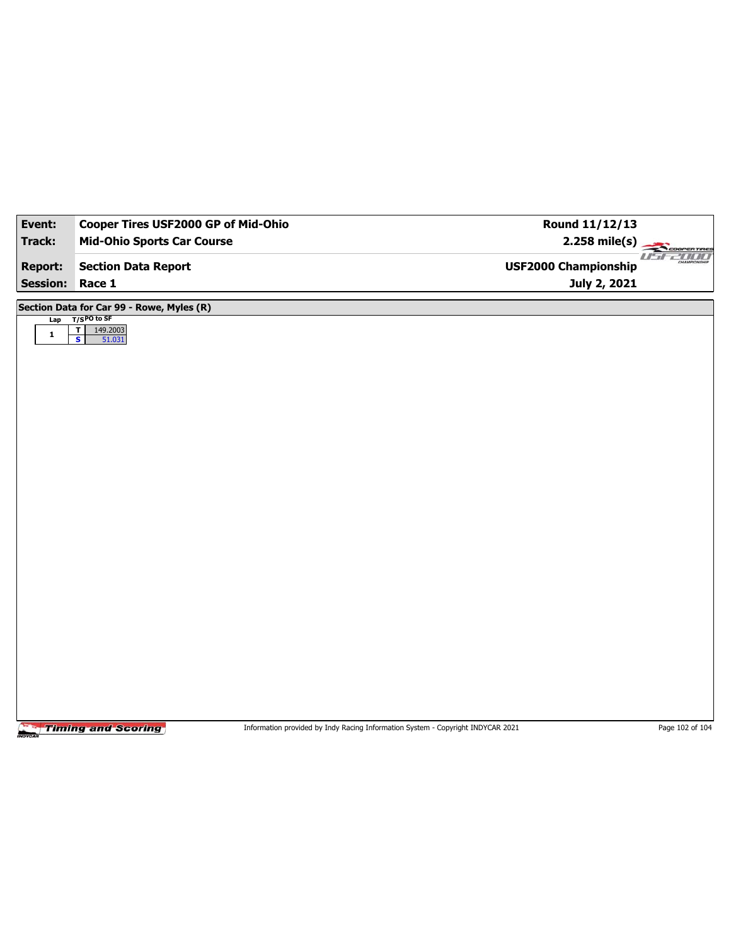| Event:                                                     | Cooper Tires USF2000 GP of Mid-Ohio | Round 11/12/13                                                   |  |  |  |  |  |  |  |
|------------------------------------------------------------|-------------------------------------|------------------------------------------------------------------|--|--|--|--|--|--|--|
| <b>Track:</b>                                              | <b>Mid-Ohio Sports Car Course</b>   | 2.258 mile(s)                                                    |  |  |  |  |  |  |  |
| <b>Report:</b>                                             | <b>Section Data Report</b>          | <b>COOPERTIRES</b><br>CHAMPSONSHI<br><b>USF2000 Championship</b> |  |  |  |  |  |  |  |
| <b>Session:</b>                                            | Race 1                              | July 2, 2021                                                     |  |  |  |  |  |  |  |
|                                                            |                                     |                                                                  |  |  |  |  |  |  |  |
| Section Data for Car 99 - Rowe, Myles (R)<br>$T/SPO$ to SF |                                     |                                                                  |  |  |  |  |  |  |  |
| Lap<br>$\overline{\mathbf{r}}$<br>149.2003<br>$\mathbf{1}$ |                                     |                                                                  |  |  |  |  |  |  |  |
|                                                            | 51.031<br>$\overline{\mathbf{s}}$   |                                                                  |  |  |  |  |  |  |  |
|                                                            |                                     |                                                                  |  |  |  |  |  |  |  |
|                                                            |                                     |                                                                  |  |  |  |  |  |  |  |
|                                                            |                                     |                                                                  |  |  |  |  |  |  |  |
|                                                            |                                     |                                                                  |  |  |  |  |  |  |  |
|                                                            |                                     |                                                                  |  |  |  |  |  |  |  |
|                                                            |                                     |                                                                  |  |  |  |  |  |  |  |
|                                                            |                                     |                                                                  |  |  |  |  |  |  |  |
|                                                            |                                     |                                                                  |  |  |  |  |  |  |  |
|                                                            |                                     |                                                                  |  |  |  |  |  |  |  |
|                                                            |                                     |                                                                  |  |  |  |  |  |  |  |
|                                                            |                                     |                                                                  |  |  |  |  |  |  |  |
|                                                            |                                     |                                                                  |  |  |  |  |  |  |  |
|                                                            |                                     |                                                                  |  |  |  |  |  |  |  |
|                                                            |                                     |                                                                  |  |  |  |  |  |  |  |
|                                                            |                                     |                                                                  |  |  |  |  |  |  |  |
|                                                            |                                     |                                                                  |  |  |  |  |  |  |  |
|                                                            |                                     |                                                                  |  |  |  |  |  |  |  |
|                                                            |                                     |                                                                  |  |  |  |  |  |  |  |
|                                                            |                                     |                                                                  |  |  |  |  |  |  |  |
|                                                            |                                     |                                                                  |  |  |  |  |  |  |  |
|                                                            |                                     |                                                                  |  |  |  |  |  |  |  |

Information provided by Indy Racing Information System - Copyright INDYCAR 2021 Page 102 of 104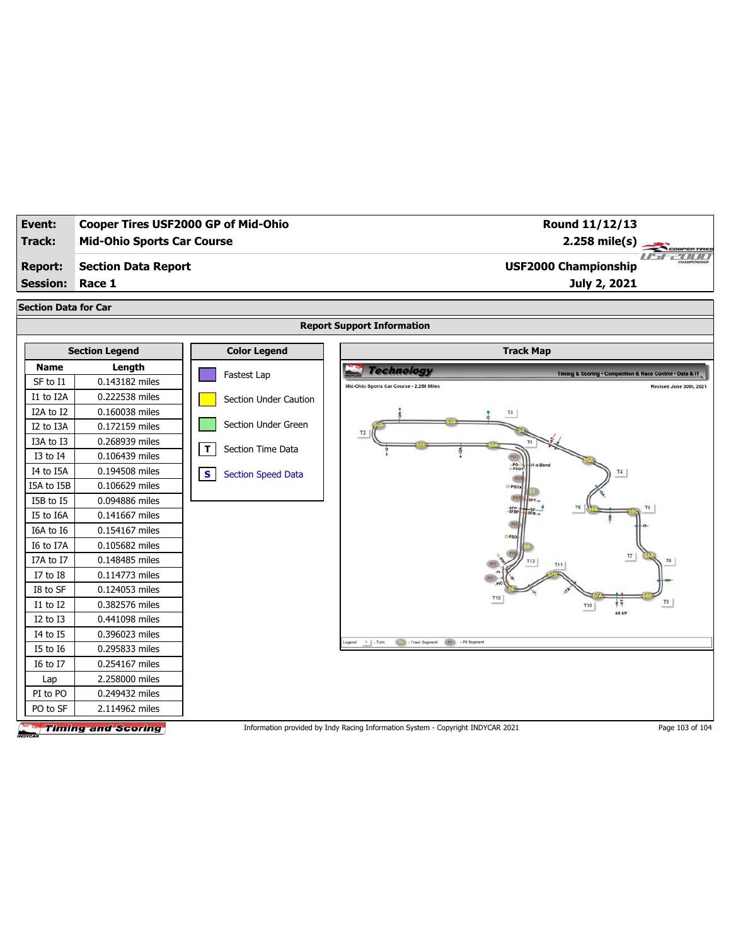